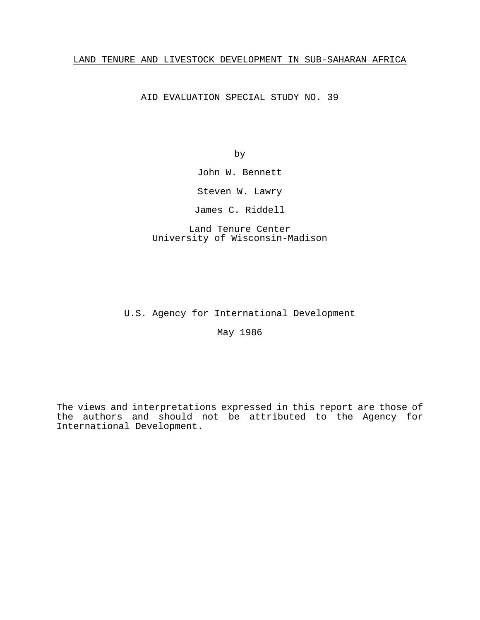# LAND TENURE AND LIVESTOCK DEVELOPMENT IN SUB-SAHARAN AFRICA

AID EVALUATION SPECIAL STUDY NO. 39

by

John W. Bennett

Steven W. Lawry

James C. Riddell

Land Tenure Center University of Wisconsin-Madison

U.S. Agency for International Development

May 1986

The views and interpretations expressed in this report are those of the authors and should not be attributed to the Agency for International Development.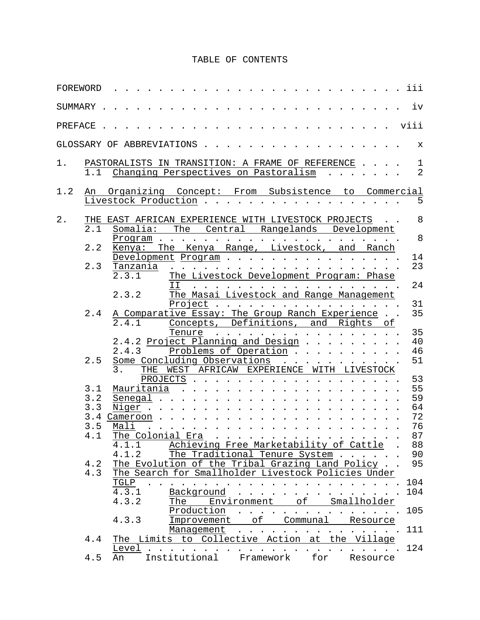# TABLE OF CONTENTS

| FOREWORD |     |                                                                                                                                                                                                                                                           | iii            |
|----------|-----|-----------------------------------------------------------------------------------------------------------------------------------------------------------------------------------------------------------------------------------------------------------|----------------|
| SUMMARY  |     |                                                                                                                                                                                                                                                           | iv             |
| PREFACE  |     |                                                                                                                                                                                                                                                           | viii           |
|          |     | GLOSSARY OF ABBREVIATIONS                                                                                                                                                                                                                                 | X              |
| $1$ .    |     | PASTORALISTS IN TRANSITION: A FRAME OF REFERENCE                                                                                                                                                                                                          | $\mathbf 1$    |
|          | 1.1 | Changing Perspectives on Pastoralism                                                                                                                                                                                                                      | $\overline{2}$ |
| 1.2      |     | An Organizing Concept: From Subsistence to Commercial                                                                                                                                                                                                     |                |
|          |     | Livestock Production                                                                                                                                                                                                                                      |                |
| 2.       |     | THE EAST AFRICAN EXPERIENCE WITH LIVESTOCK PROJECTS                                                                                                                                                                                                       | 8              |
|          | 2.1 | Somalia: The Central Rangelands Development                                                                                                                                                                                                               | 8              |
|          | 2.2 | Program<br>Kenya: The Kenya Range, Livestock, and Ranch                                                                                                                                                                                                   |                |
|          |     | Development Program.                                                                                                                                                                                                                                      | 14             |
|          | 2.3 | Tanzania                                                                                                                                                                                                                                                  | 23             |
|          |     | 2.3.1<br>The Livestock Development Program: Phase                                                                                                                                                                                                         |                |
|          |     | II                                                                                                                                                                                                                                                        | 24             |
|          |     | 2.3.2<br>The Masai Livestock and Range Management<br>Project                                                                                                                                                                                              | 31             |
|          | 2.4 |                                                                                                                                                                                                                                                           | 35             |
|          |     | A Comparative Essay: The Group Ranch Experience.<br>2.4.1 Concepts, Definitions, and Rights of                                                                                                                                                            |                |
|          |     | Tenure                                                                                                                                                                                                                                                    | 35             |
|          |     | 2.4.2 Project Planning and Design                                                                                                                                                                                                                         | 40             |
|          |     | 2.4.3<br>Problems of Operation                                                                                                                                                                                                                            | 46             |
|          | 2.5 | Some Concluding Observations                                                                                                                                                                                                                              | 51             |
|          |     | 3.<br>WEST AFRICAW EXPERIENCE WITH LIVESTOCK<br>THE                                                                                                                                                                                                       |                |
|          |     | PROJECTS                                                                                                                                                                                                                                                  | 53             |
|          |     | 3.1 Mauritania                                                                                                                                                                                                                                            | 55             |
|          |     | 3.2 <u>Senegal</u> .                                                                                                                                                                                                                                      | 59             |
|          | 3.3 | Niger.                                                                                                                                                                                                                                                    | 64             |
|          |     | 3.4 Cameroon .                                                                                                                                                                                                                                            | 72             |
|          | 3.5 | Mali                                                                                                                                                                                                                                                      | 76             |
|          |     | 4.1 The Colonial Era<br>$\mathbf{r}$ . The contribution of the contribution of the contribution of the contribution of the contribution of the contribution of the contribution of the contribution of the contribution of the contribution of the contri | 87             |
|          |     | Achieving Free Marketability of Cattle<br>4.1.1                                                                                                                                                                                                           | 88             |
|          |     | 4.1.2<br>The Traditional Tenure System                                                                                                                                                                                                                    | 90             |
|          | 4.2 | The Evolution of the Tribal Grazing Land Policy                                                                                                                                                                                                           | 95             |
|          | 4.3 | The Search for Smallholder Livestock Policies Under                                                                                                                                                                                                       |                |
|          |     | TGLP                                                                                                                                                                                                                                                      | 104            |
|          |     | 4.3.1<br>Background                                                                                                                                                                                                                                       | 104            |
|          |     | 4.3.2<br>оf<br>Smallholder<br>Environment<br>The                                                                                                                                                                                                          |                |
|          |     | Production<br>of<br>4.3.3<br>Communal<br>Improvement<br>Resource                                                                                                                                                                                          | 105            |
|          |     | Management                                                                                                                                                                                                                                                | 111            |
|          | 4.4 | The Limits to Collective Action at the Village                                                                                                                                                                                                            |                |
|          |     | Level<br>.                                                                                                                                                                                                                                                | 124            |
|          | 4.5 | Institutional Framework<br>for<br>Resource<br>An                                                                                                                                                                                                          |                |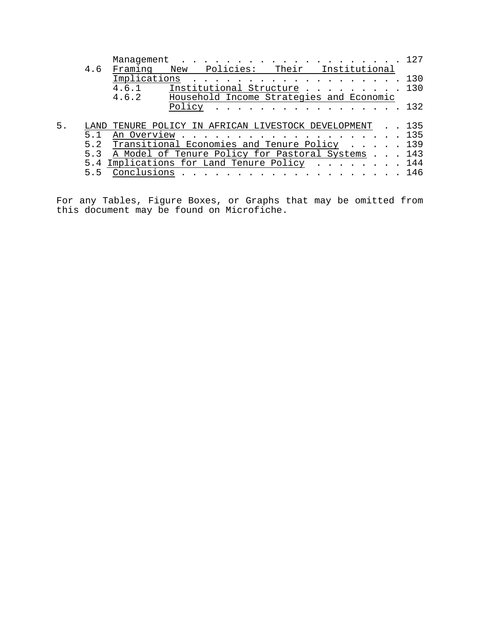|     | Management   | $\cdot$ $\cdot$ $\cdot$ $\cdot$ $\cdot$ $\cdot$   |  | 127 |
|-----|--------------|---------------------------------------------------|--|-----|
| 4.6 | Framing      | New Policies: Their Institutional                 |  |     |
|     | Implications | $\frac{1}{2}$                                     |  | 130 |
|     | 4.6.1        | Institutional Structure                           |  | 130 |
|     | 4.6.2        | Household Income Strategies and Economic          |  |     |
|     |              | Policy<br>. 132                                   |  |     |
|     |              |                                                   |  |     |
| 5.  | TENURE.      | LIVESTOCK DEVELOPMENT<br>IN AFRICAN<br>POLICY     |  | 135 |
| 5.1 |              |                                                   |  | 135 |
| 5.2 |              | Transitional Economies and Tenure Policy 139      |  |     |
| 5.3 |              | A Model of Tenure Policy for Pastoral Systems 143 |  |     |
| 5.4 |              | Implications for Land Tenure Policy               |  | 144 |
| 5.5 |              |                                                   |  | 146 |

For any Tables, Figure Boxes, or Graphs that may be omitted from this document may be found on Microfiche.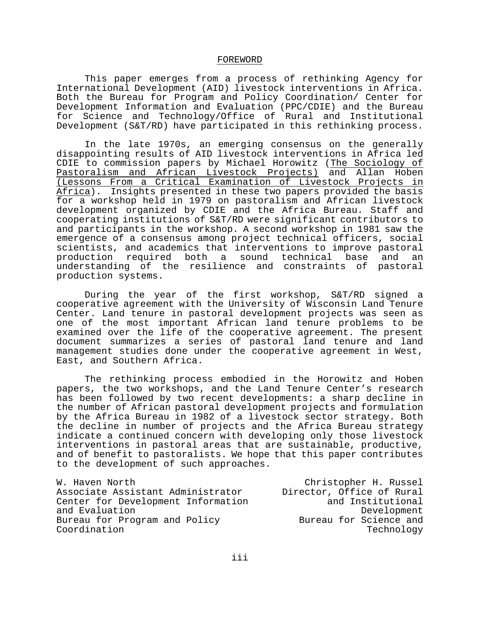#### FOREWORD

This paper emerges from a process of rethinking Agency for International Development (AID) livestock interventions in Africa. Both the Bureau for Program and Policy Coordination/ Center for Development Information and Evaluation (PPC/CDIE) and the Bureau for Science and Technology/Office of Rural and Institutional Development (S&T/RD) have participated in this rethinking process.

In the late 1970s, an emerging consensus on the generally disappointing results of AID livestock interventions in Africa led CDIE to commission papers by Michael Horowitz (The Sociology of Pastoralism and African Livestock Projects) and Allan Hoben (Lessons From a Critical Examination of Livestock Projects in Africa). Insights presented in these two papers provided the basis for a workshop held in 1979 on pastoralism and African livestock development organized by CDIE and the Africa Bureau. Staff and cooperating institutions of S&T/RD were significant contributors to and participants in the workshop. A second workshop in 1981 saw the emergence of a consensus among project technical officers, social scientists, and academics that interventions to improve pastoral production required both a sound technical base and an understanding of the resilience and constraints of pastoral production systems.

During the year of the first workshop, S&T/RD signed a cooperative agreement with the University of Wisconsin Land Tenure Center. Land tenure in pastoral development projects was seen as one of the most important African land tenure problems to be examined over the life of the cooperative agreement. The present document summarizes a series of pastoral land tenure and land management studies done under the cooperative agreement in West, East, and Southern Africa.

The rethinking process embodied in the Horowitz and Hoben papers, the two workshops, and the Land Tenure Center's research has been followed by two recent developments: a sharp decline in the number of African pastoral development projects and formulation by the Africa Bureau in 1982 of a livestock sector strategy. Both the decline in number of projects and the Africa Bureau strategy indicate a continued concern with developing only those livestock interventions in pastoral areas that are sustainable, productive, and of benefit to pastoralists. We hope that this paper contributes to the development of such approaches.

W. Haven North Christopher H. Russel Associate Assistant Administrator birector, Office of Rural Center for Development Information and Institutional and Evaluation Development Bureau for Program and Policy **Bureau for Science and** Coordination and the coordination of the coordination of the coordination of the coordination of the coordination of the coordination of the coordination of the coordination of the coordination of the coordination of the c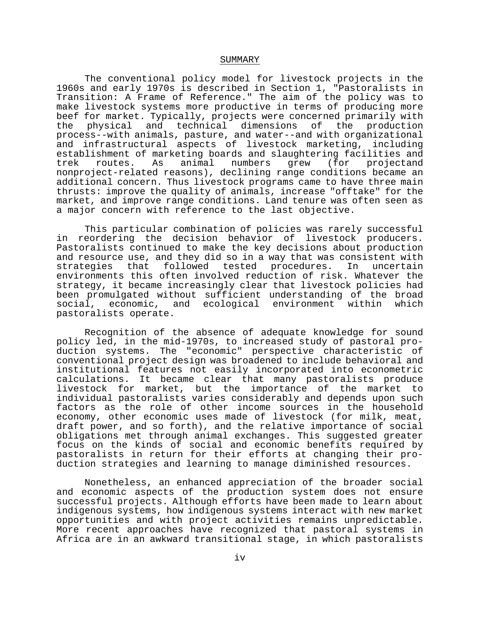#### SUMMARY

The conventional policy model for livestock projects in the 1960s and early 1970s is described in Section 1, "Pastoralists in Transition: A Frame of Reference." The aim of the policy was to make livestock systems more productive in terms of producing more beef for market. Typically, projects were concerned primarily with the physical and technical dimensions of the production process--with animals, pasture, and water--and with organizational and infrastructural aspects of livestock marketing, including establishment of marketing boards and slaughtering facilities and<br>trek routes. As animal numbers grew (for projectand trek routes. As animal numbers grew (for projectand nonproject-related reasons), declining range conditions became an additional concern. Thus livestock programs came to have three main thrusts: improve the quality of animals, increase "offtake" for the market, and improve range conditions. Land tenure was often seen as a major concern with reference to the last objective.

This particular combination of policies was rarely successful in reordering the decision behavior of livestock producers. Pastoralists continued to make the key decisions about production and resource use, and they did so in a way that was consistent with strategies that followed tested procedures. In uncertain environments this often involved reduction of risk. Whatever the strategy, it became increasingly clear that livestock policies had been promulgated without sufficient understanding of the broad social, economic, and ecological environment within which pastoralists operate.

Recognition of the absence of adequate knowledge for sound policy led, in the mid-1970s, to increased study of pastoral production systems. The "economic" perspective characteristic of conventional project design was broadened to include behavioral and institutional features not easily incorporated into econometric calculations. It became clear that many pastoralists produce livestock for market, but the importance of the market to individual pastoralists varies considerably and depends upon such factors as the role of other income sources in the household economy, other economic uses made of livestock (for milk, meat, draft power, and so forth), and the relative importance of social obligations met through animal exchanges. This suggested greater focus on the kinds of social and economic benefits required by pastoralists in return for their efforts at changing their production strategies and learning to manage diminished resources.

Nonetheless, an enhanced appreciation of the broader social and economic aspects of the production system does not ensure successful projects. Although efforts have been made to learn about indigenous systems, how indigenous systems interact with new market opportunities and with project activities remains unpredictable. More recent approaches have recognized that pastoral systems in Africa are in an awkward transitional stage, in which pastoralists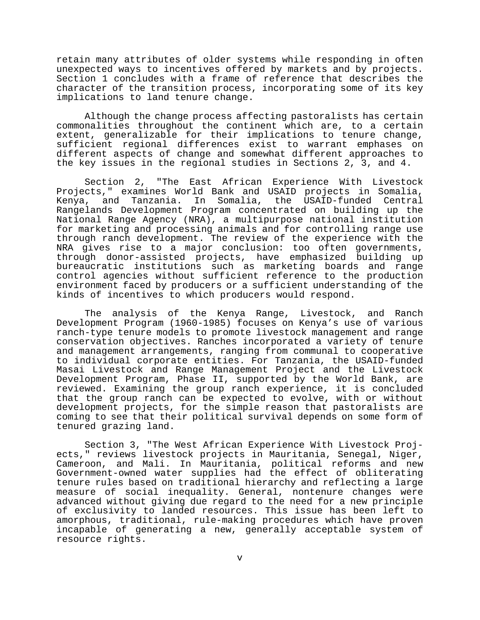retain many attributes of older systems while responding in often unexpected ways to incentives offered by markets and by projects. Section 1 concludes with a frame of reference that describes the character of the transition process, incorporating some of its key implications to land tenure change.

Although the change process affecting pastoralists has certain commonalities throughout the continent which are, to a certain extent, generalizable for their implications to tenure change, sufficient regional differences exist to warrant emphases on different aspects of change and somewhat different approaches to the key issues in the regional studies in Sections 2, 3, and 4.

Section 2, "The East African Experience With Livestock Projects," examines World Bank and USAID projects in Somalia, Kenya, and Tanzania. In Somalia, the USAID-funded Central Rangelands Development Program concentrated on building up the National Range Agency (NRA), a multipurpose national institution for marketing and processing animals and for controlling range use through ranch development. The review of the experience with the NRA gives rise to a major conclusion: too often governments, through donor-assisted projects, have emphasized building up bureaucratic institutions such as marketing boards and range control agencies without sufficient reference to the production environment faced by producers or a sufficient understanding of the kinds of incentives to which producers would respond.

The analysis of the Kenya Range, Livestock, and Ranch Development Program (1960-1985) focuses on Kenya's use of various ranch-type tenure models to promote livestock management and range conservation objectives. Ranches incorporated a variety of tenure and management arrangements, ranging from communal to cooperative to individual corporate entities. For Tanzania, the USAID-funded Masai Livestock and Range Management Project and the Livestock Development Program, Phase II, supported by the World Bank, are reviewed. Examining the group ranch experience, it is concluded that the group ranch can be expected to evolve, with or without development projects, for the simple reason that pastoralists are coming to see that their political survival depends on some form of tenured grazing land.

Section 3, "The West African Experience With Livestock Projects," reviews livestock projects in Mauritania, Senegal, Niger, Cameroon, and Mali. In Mauritania, political reforms and new Government-owned water supplies had the effect of obliterating tenure rules based on traditional hierarchy and reflecting a large measure of social inequality. General, nontenure changes were advanced without giving due regard to the need for a new principle of exclusivity to landed resources. This issue has been left to amorphous, traditional, rule-making procedures which have proven incapable of generating a new, generally acceptable system of resource rights.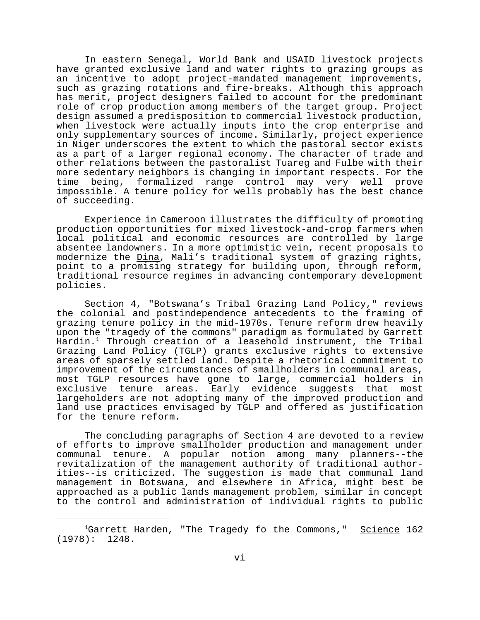In eastern Senegal, World Bank and USAID livestock projects have granted exclusive land and water rights to grazing groups as an incentive to adopt project-mandated management improvements, such as grazing rotations and fire-breaks. Although this approach has merit, project designers failed to account for the predominant role of crop production among members of the target group. Project design assumed a predisposition to commercial livestock production, when livestock were actually inputs into the crop enterprise and only supplementary sources of income. Similarly, project experience in Niger underscores the extent to which the pastoral sector exists as a part of a larger regional economy. The character of trade and other relations between the pastoralist Tuareg and Fulbe with their more sedentary neighbors is changing in important respects. For the time being, formalized range control may very well prove impossible. A tenure policy for wells probably has the best chance of succeeding.

Experience in Cameroon illustrates the difficulty of promoting production opportunities for mixed livestock-and-crop farmers when local political and economic resources are controlled by large absentee landowners. In a more optimistic vein, recent proposals to modernize the Dina, Mali's traditional system of grazing rights, point to a promising strategy for building upon, through reform, traditional resource regimes in advancing contemporary development policies.

Section 4, "Botswana's Tribal Grazing Land Policy," reviews the colonial and postindependence antecedents to the framing of grazing tenure policy in the mid-1970s. Tenure reform drew heavily upon the "tragedy of the commons" paradigm as formulated by Garrett Hardin.<sup>1</sup> Through creation of a leasehold instrument, the Tribal Grazing Land Policy (TGLP) grants exclusive rights to extensive areas of sparsely settled land. Despite a rhetorical commitment to improvement of the circumstances of smallholders in communal areas, most TGLP resources have gone to large, commercial holders in exclusive tenure areas. Early evidence suggests that most largeholders are not adopting many of the improved production and land use practices envisaged by TGLP and offered as justification for the tenure reform.

The concluding paragraphs of Section 4 are devoted to a review of efforts to improve smallholder production and management under communal tenure. A popular notion among many planners--the revitalization of the management authority of traditional authorities--is criticized. The suggestion is made that communal land management in Botswana, and elsewhere in Africa, might best be approached as a public lands management problem, similar in concept to the control and administration of individual rights to public

<sup>&</sup>lt;sup>1</sup>Garrett Harden, "The Tragedy fo the Commons," Science 162 (1978): 1248.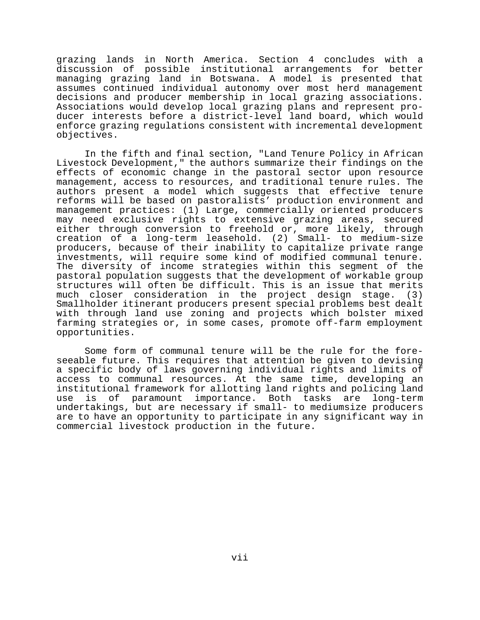grazing lands in North America. Section 4 concludes with a discussion of possible institutional arrangements for better managing grazing land in Botswana. A model is presented that assumes continued individual autonomy over most herd management decisions and producer membership in local grazing associations. Associations would develop local grazing plans and represent producer interests before a district-level land board, which would enforce grazing regulations consistent with incremental development objectives.

In the fifth and final section, "Land Tenure Policy in African Livestock Development," the authors summarize their findings on the effects of economic change in the pastoral sector upon resource management, access to resources, and traditional tenure rules. The authors present a model which suggests that effective tenure reforms will be based on pastoralists' production environment and management practices: (1) Large, commercially oriented producers may need exclusive rights to extensive grazing areas, secured either through conversion to freehold or, more likely, through creation of a long-term leasehold. (2) Small- to medium-size producers, because of their inability to capitalize private range investments, will require some kind of modified communal tenure. The diversity of income strategies within this segment of the pastoral population suggests that the development of workable group structures will often be difficult. This is an issue that merits much closer consideration in the project design stage. (3) Smallholder itinerant producers present special problems best dealt with through land use zoning and projects which bolster mixed farming strategies or, in some cases, promote off-farm employment opportunities.

Some form of communal tenure will be the rule for the foreseeable future. This requires that attention be given to devising a specific body of laws governing individual rights and limits of access to communal resources. At the same time, developing an institutional framework for allotting land rights and policing land use is of paramount importance. Both tasks are long-term undertakings, but are necessary if small- to mediumsize producers are to have an opportunity to participate in any significant way in commercial livestock production in the future.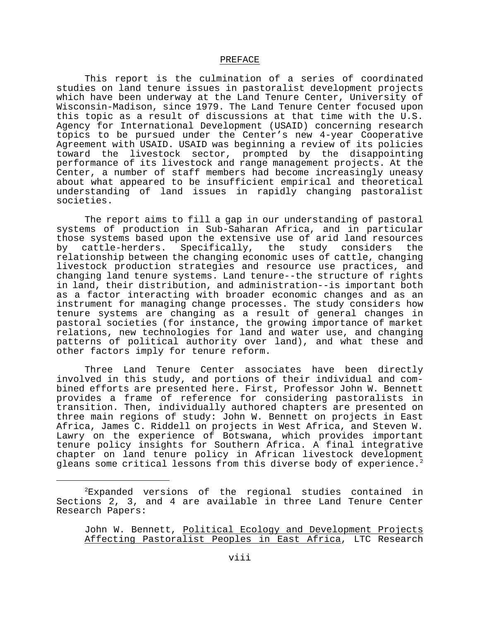### PREFACE

This report is the culmination of a series of coordinated studies on land tenure issues in pastoralist development projects which have been underway at the Land Tenure Center, University of Wisconsin-Madison, since 1979. The Land Tenure Center focused upon this topic as a result of discussions at that time with the U.S. Agency for International Development (USAID) concerning research topics to be pursued under the Center's new 4-year Cooperative Agreement with USAID. USAID was beginning a review of its policies toward the livestock sector, prompted by the disappointing performance of its livestock and range management projects. At the Center, a number of staff members had become increasingly uneasy about what appeared to be insufficient empirical and theoretical understanding of land issues in rapidly changing pastoralist societies.

The report aims to fill a gap in our understanding of pastoral systems of production in Sub-Saharan Africa, and in particular those systems based upon the extensive use of arid land resources by cattle-herders. Specifically, the study considers the relationship between the changing economic uses of cattle, changing livestock production strategies and resource use practices, and changing land tenure systems. Land tenure--the structure of rights in land, their distribution, and administration--is important both as a factor interacting with broader economic changes and as an instrument for managing change processes. The study considers how tenure systems are changing as a result of general changes in pastoral societies (for instance, the growing importance of market relations, new technologies for land and water use, and changing patterns of political authority over land), and what these and other factors imply for tenure reform.

Three Land Tenure Center associates have been directly involved in this study, and portions of their individual and combined efforts are presented here. First, Professor John W. Bennett provides a frame of reference for considering pastoralists in transition. Then, individually authored chapters are presented on three main regions of study: John W. Bennett on projects in East Africa, James C. Riddell on projects in West Africa, and Steven W. Lawry on the experience of Botswana, which provides important tenure policy insights for Southern Africa. A final integrative chapter on land tenure policy in African livestock development gleans some critical lessons from this diverse body of experience.<sup>2</sup>

 ${}^{2}$ Expanded versions of the regional studies contained in Sections 2, 3, and 4 are available in three Land Tenure Center Research Papers:

John W. Bennett, Political Ecology and Development Projects Affecting Pastoralist Peoples in East Africa, LTC Research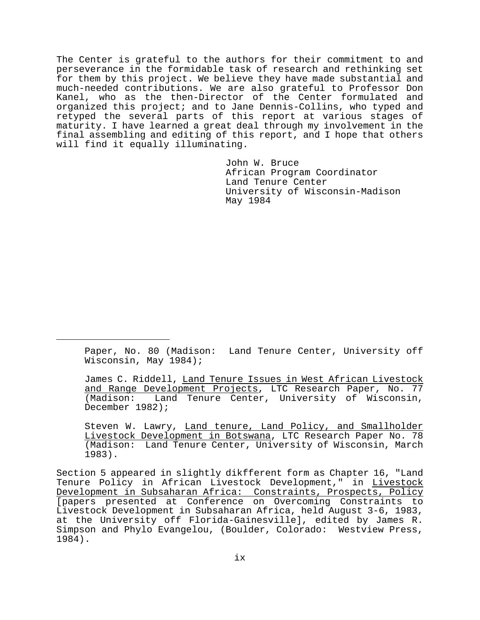The Center is grateful to the authors for their commitment to and perseverance in the formidable task of research and rethinking set for them by this project. We believe they have made substantial and much-needed contributions. We are also grateful to Professor Don Kanel, who as the then-Director of the Center formulated and organized this project; and to Jane Dennis-Collins, who typed and retyped the several parts of this report at various stages of maturity. I have learned a great deal through my involvement in the final assembling and editing of this report, and I hope that others will find it equally illuminating.

> John W. Bruce African Program Coordinator Land Tenure Center University of Wisconsin-Madison May 1984

Paper, No. 80 (Madison: Land Tenure Center, University off Wisconsin, May 1984);

James C. Riddell, Land Tenure Issues in West African Livestock and Range Development Projects, LTC Research Paper, No. 77 (Madison: Land Tenure Center, University of Wisconsin, December 1982);

Steven W. Lawry, Land tenure, Land Policy, and Smallholder Livestock Development in Botswana, LTC Research Paper No. 78 (Madison: Land Tenure Center, University of Wisconsin, March 1983).

Section 5 appeared in slightly dikfferent form as Chapter 16, "Land Tenure Policy in African Livestock Development," in Livestock Development in Subsaharan Africa: Constraints, Prospects, Policy [papers presented at Conference on Overcoming Constraints to Livestock Development in Subsaharan Africa, held August 3-6, 1983, at the University off Florida-Gainesville], edited by James R. Simpson and Phylo Evangelou, (Boulder, Colorado: Westview Press, 1984).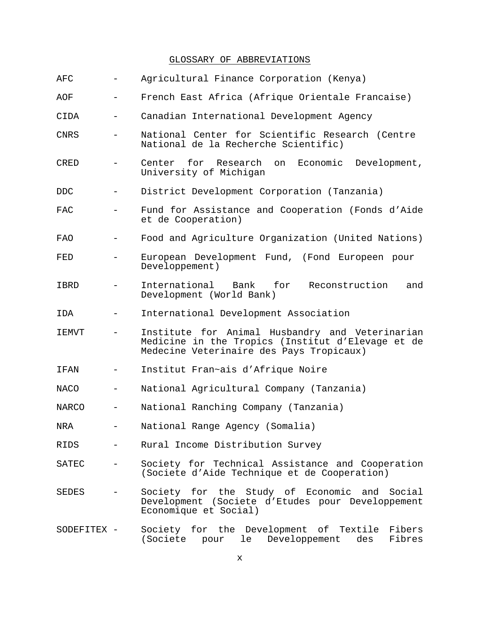# GLOSSARY OF ABBREVIATIONS

| AFC          |                   | Agricultural Finance Corporation (Kenya)                                                                                                         |  |  |  |  |  |
|--------------|-------------------|--------------------------------------------------------------------------------------------------------------------------------------------------|--|--|--|--|--|
| AOF          |                   | French East Africa (Afrique Orientale Francaise)                                                                                                 |  |  |  |  |  |
| CIDA         | $\qquad \qquad -$ | Canadian International Development Agency                                                                                                        |  |  |  |  |  |
| CNRS         |                   | National Center for Scientific Research (Centre<br>National de la Recherche Scientific)                                                          |  |  |  |  |  |
| CRED         |                   | for Research<br>Economic<br>Development,<br>Center<br>on<br>University of Michigan                                                               |  |  |  |  |  |
| DDC          |                   | District Development Corporation (Tanzania)                                                                                                      |  |  |  |  |  |
| FAC          |                   | Fund for Assistance and Cooperation (Fonds d'Aide<br>et de Cooperation)                                                                          |  |  |  |  |  |
| FAO          |                   | Food and Agriculture Organization (United Nations)                                                                                               |  |  |  |  |  |
| FED          |                   | European Development Fund, (Fond Europeen pour<br>Developpement)                                                                                 |  |  |  |  |  |
| IBRD         |                   | International Bank<br>for<br>Reconstruction<br>and<br>Development (World Bank)                                                                   |  |  |  |  |  |
| IDA          |                   | International Development Association                                                                                                            |  |  |  |  |  |
| <b>IEMVT</b> |                   | Institute for Animal Husbandry and Veterinarian<br>Medicine in the Tropics (Institut d'Elevage et de<br>Medecine Veterinaire des Pays Tropicaux) |  |  |  |  |  |
| IFAN         |                   | Institut Fran~ais d'Afrique Noire                                                                                                                |  |  |  |  |  |
| NACO         | -                 | National Agricultural Company (Tanzania)                                                                                                         |  |  |  |  |  |
| <b>NARCO</b> |                   | National Ranching Company (Tanzania)                                                                                                             |  |  |  |  |  |
| NRA          |                   | National Range Agency (Somalia)                                                                                                                  |  |  |  |  |  |
| RIDS         |                   | Rural Income Distribution Survey                                                                                                                 |  |  |  |  |  |
| SATEC        |                   | Society for Technical Assistance and Cooperation<br>(Societe d'Aide Technique et de Cooperation)                                                 |  |  |  |  |  |
| SEDES        |                   | Society for the Study of Economic and Social<br>Development (Societe d'Etudes pour Developpement<br>Economique et Social)                        |  |  |  |  |  |
| SODEFITEX -  |                   | Society for the Development of Textile Fibers<br>(Societe pour le Developpement<br>des<br>Fibres                                                 |  |  |  |  |  |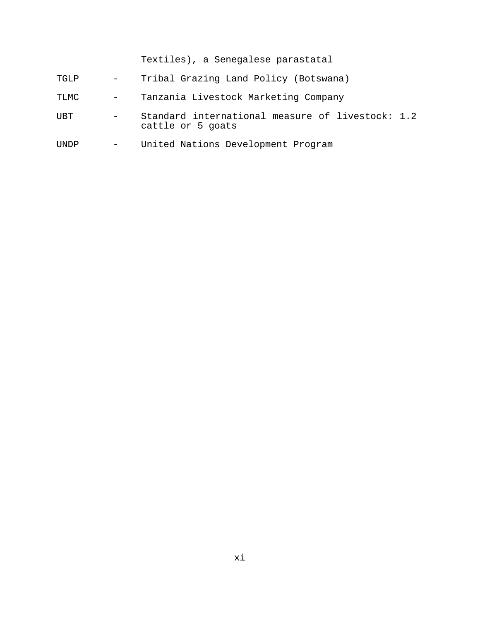Textiles), a Senegalese parastatal

| Tribal Grazing Land Policy (Botswana) |
|---------------------------------------|
|                                       |

- TLMC Tanzania Livestock Marketing Company
- UBT Standard international measure of livestock: 1.2 cattle or 5 goats
- UNDP United Nations Development Program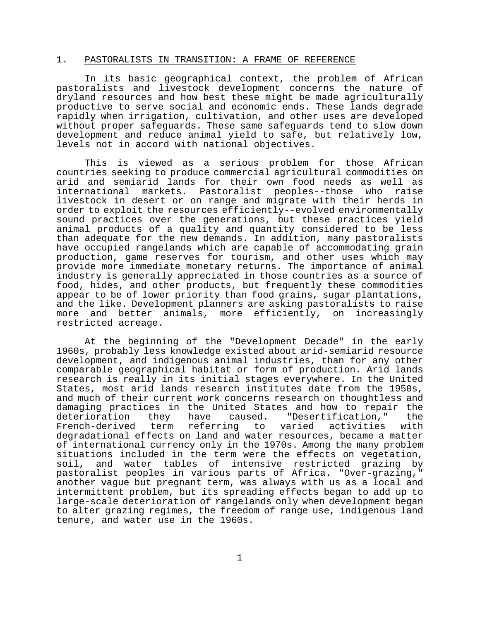## 1. PASTORALISTS IN TRANSITION: A FRAME OF REFERENCE

In its basic geographical context, the problem of African pastoralists and livestock development concerns the nature of dryland resources and how best these might be made agriculturally productive to serve social and economic ends. These lands degrade rapidly when irrigation, cultivation, and other uses are developed without proper safeguards. These same safeguards tend to slow down development and reduce animal yield to safe, but relatively low, levels not in accord with national objectives.

This is viewed as a serious problem for those African countries seeking to produce commercial agricultural commodities on arid and semiarid lands for their own food needs as well as international markets. Pastoralist peoples--those who raise livestock in desert or on range and migrate with their herds in order to exploit the resources efficiently--evolved environmentally sound practices over the generations, but these practices yield animal products of a quality and quantity considered to be less than adequate for the new demands. In addition, many pastoralists have occupied rangelands which are capable of accommodating grain production, game reserves for tourism, and other uses which may provide more immediate monetary returns. The importance of animal industry is generally appreciated in those countries as a source of food, hides, and other products, but frequently these commodities appear to be of lower priority than food grains, sugar plantations, and the like. Development planners are asking pastoralists to raise more and better animals, more efficiently, on increasingly restricted acreage.

At the beginning of the "Development Decade" in the early 1960s, probably less knowledge existed about arid-semiarid resource development, and indigenous animal industries, than for any other comparable geographical habitat or form of production. Arid lands research is really in its initial stages everywhere. In the United States, most arid lands research institutes date from the 1950s, and much of their current work concerns research on thoughtless and damaging practices in the United States and how to repair the deterioration they have caused. "Desertification," the French-derived term referring to varied activities with degradational effects on land and water resources, became a matter of international currency only in the 1970s. Among the many problem situations included in the term were the effects on vegetation, soil, and water tables of intensive restricted grazing by pastoralist peoples in various parts of Africa. "Over-grazing," another vague but pregnant term, was always with us as a local and intermittent problem, but its spreading effects began to add up to large-scale deterioration of rangelands only when development began to alter grazing regimes, the freedom of range use, indigenous land tenure, and water use in the 1960s.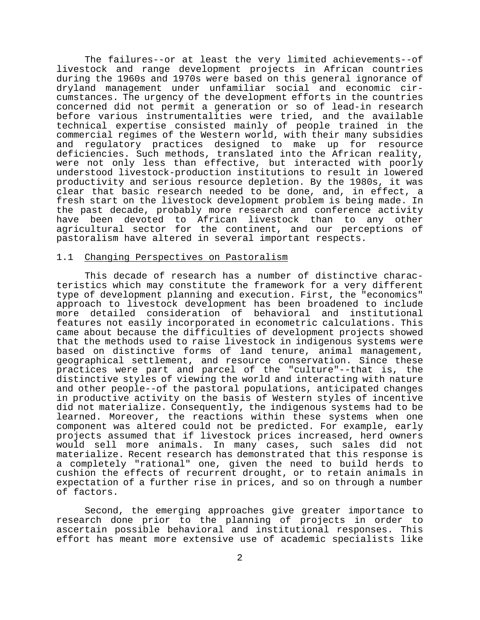The failures--or at least the very limited achievements--of livestock and range development projects in African countries during the 1960s and 1970s were based on this general ignorance of dryland management under unfamiliar social and economic circumstances. The urgency of the development efforts in the countries concerned did not permit a generation or so of lead-in research before various instrumentalities were tried, and the available technical expertise consisted mainly of people trained in the commercial regimes of the Western world, with their many subsidies and regulatory practices designed to make up for resource deficiencies. Such methods, translated into the African reality, were not only less than effective, but interacted with poorly understood livestock-production institutions to result in lowered productivity and serious resource depletion. By the 1980s, it was clear that basic research needed to be done, and, in effect, a fresh start on the livestock development problem is being made. In the past decade, probably more research and conference activity have been devoted to African livestock than to any other agricultural sector for the continent, and our perceptions of pastoralism have altered in several important respects.

## 1.1 Changing Perspectives on Pastoralism

This decade of research has a number of distinctive characteristics which may constitute the framework for a very different type of development planning and execution. First, the "economics" approach to livestock development has been broadened to include more detailed consideration of behavioral and institutional features not easily incorporated in econometric calculations. This came about because the difficulties of development projects showed that the methods used to raise livestock in indigenous systems were based on distinctive forms of land tenure, animal management, geographical settlement, and resource conservation. Since these practices were part and parcel of the "culture"--that is, the distinctive styles of viewing the world and interacting with nature and other people--of the pastoral populations, anticipated changes in productive activity on the basis of Western styles of incentive did not materialize. Consequently, the indigenous systems had to be learned. Moreover, the reactions within these systems when one component was altered could not be predicted. For example, early projects assumed that if livestock prices increased, herd owners would sell more animals. In many cases, such sales did not materialize. Recent research has demonstrated that this response is a completely "rational" one, given the need to build herds to cushion the effects of recurrent drought, or to retain animals in expectation of a further rise in prices, and so on through a number of factors.

Second, the emerging approaches give greater importance to research done prior to the planning of projects in order to ascertain possible behavioral and institutional responses. This effort has meant more extensive use of academic specialists like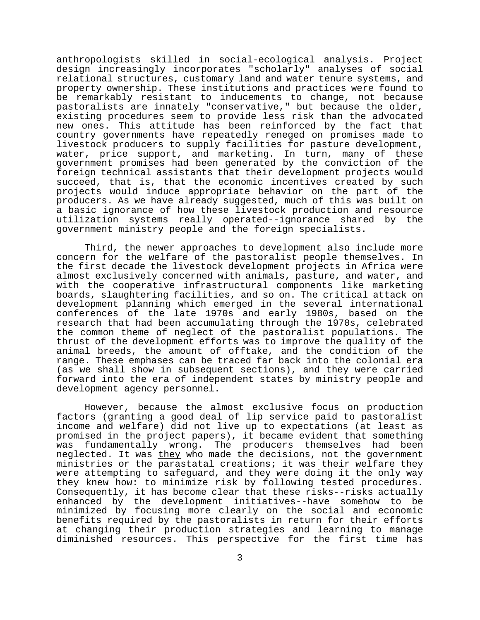anthropologists skilled in social-ecological analysis. Project design increasingly incorporates "scholarly" analyses of social relational structures, customary land and water tenure systems, and property ownership. These institutions and practices were found to be remarkably resistant to inducements to change, not because pastoralists are innately "conservative," but because the older, existing procedures seem to provide less risk than the advocated new ones. This attitude has been reinforced by the fact that country governments have repeatedly reneged on promises made to livestock producers to supply facilities for pasture development, water, price support, and marketing. In turn, many of these government promises had been generated by the conviction of the foreign technical assistants that their development projects would succeed, that is, that the economic incentives created by such projects would induce appropriate behavior on the part of the producers. As we have already suggested, much of this was built on a basic ignorance of how these livestock production and resource utilization systems really operated--ignorance shared by the government ministry people and the foreign specialists.

Third, the newer approaches to development also include more concern for the welfare of the pastoralist people themselves. In the first decade the livestock development projects in Africa were almost exclusively concerned with animals, pasture, and water, and with the cooperative infrastructural components like marketing boards, slaughtering facilities, and so on. The critical attack on development planning which emerged in the several international conferences of the late 1970s and early 1980s, based on the research that had been accumulating through the 1970s, celebrated the common theme of neglect of the pastoralist populations. The thrust of the development efforts was to improve the quality of the animal breeds, the amount of offtake, and the condition of the range. These emphases can be traced far back into the colonial era (as we shall show in subsequent sections), and they were carried forward into the era of independent states by ministry people and development agency personnel.

However, because the almost exclusive focus on production factors (granting a good deal of lip service paid to pastoralist income and welfare) did not live up to expectations (at least as promised in the project papers), it became evident that something was fundamentally wrong. The producers themselves had been neglected. It was they who made the decisions, not the government ministries or the parastatal creations; it was their welfare they were attempting to safeguard, and they were doing it the only way they knew how: to minimize risk by following tested procedures. Consequently, it has become clear that these risks--risks actually enhanced by the development initiatives--have somehow to be minimized by focusing more clearly on the social and economic benefits required by the pastoralists in return for their efforts at changing their production strategies and learning to manage diminished resources. This perspective for the first time has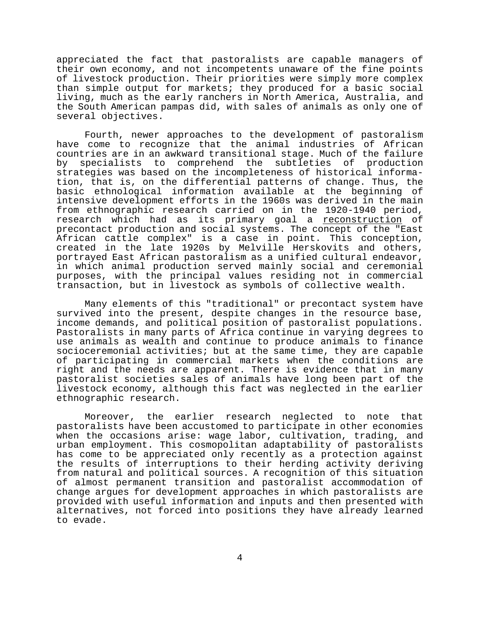appreciated the fact that pastoralists are capable managers of their own economy, and not incompetents unaware of the fine points of livestock production. Their priorities were simply more complex than simple output for markets; they produced for a basic social living, much as the early ranchers in North America, Australia, and the South American pampas did, with sales of animals as only one of several objectives.

Fourth, newer approaches to the development of pastoralism have come to recognize that the animal industries of African countries are in an awkward transitional stage. Much of the failure by specialists to comprehend the subtleties of production strategies was based on the incompleteness of historical information, that is, on the differential patterns of change. Thus, the basic ethnological information available at the beginning of intensive development efforts in the 1960s was derived in the main from ethnographic research carried on in the 1920-1940 period, research which had as its primary goal a reconstruction of precontact production and social systems. The concept of the "East African cattle complex" is a case in point. This conception, created in the late 1920s by Melville Herskovits and others, portrayed East African pastoralism as a unified cultural endeavor, in which animal production served mainly social and ceremonial purposes, with the principal values residing not in commercial transaction, but in livestock as symbols of collective wealth.

Many elements of this "traditional" or precontact system have survived into the present, despite changes in the resource base, income demands, and political position of pastoralist populations. Pastoralists in many parts of Africa continue in varying degrees to use animals as wealth and continue to produce animals to finance socioceremonial activities; but at the same time, they are capable of participating in commercial markets when the conditions are right and the needs are apparent. There is evidence that in many pastoralist societies sales of animals have long been part of the livestock economy, although this fact was neglected in the earlier ethnographic research.

Moreover, the earlier research neglected to note that pastoralists have been accustomed to participate in other economies when the occasions arise: wage labor, cultivation, trading, and urban employment. This cosmopolitan adaptability of pastoralists has come to be appreciated only recently as a protection against the results of interruptions to their herding activity deriving from natural and political sources. A recognition of this situation of almost permanent transition and pastoralist accommodation of change argues for development approaches in which pastoralists are provided with useful information and inputs and then presented with alternatives, not forced into positions they have already learned to evade.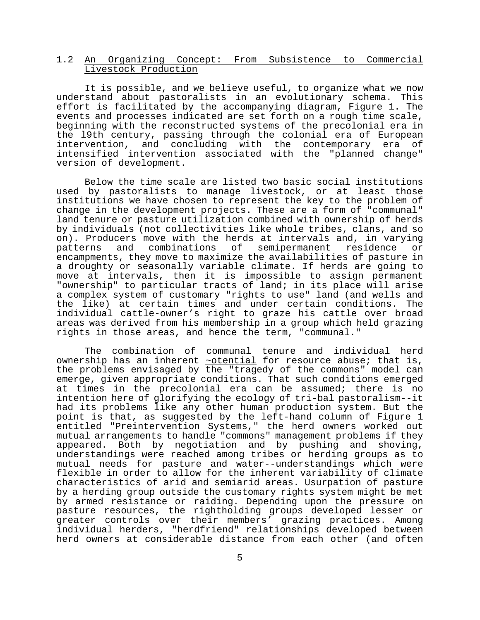## 1.2 An Organizing Concept: From Subsistence to Commercial Livestock Production

It is possible, and we believe useful, to organize what we now understand about pastoralists in an evolutionary schema. This effort is facilitated by the accompanying diagram, Figure 1. The events and processes indicated are set forth on a rough time scale, beginning with the reconstructed systems of the precolonial era in the l9th century, passing through the colonial era of European intervention, and concluding with the contemporary era of intensified intervention associated with the "planned change" version of development.

Below the time scale are listed two basic social institutions used by pastoralists to manage livestock, or at least those institutions we have chosen to represent the key to the problem of change in the development projects. These are a form of "communal" land tenure or pasture utilization combined with ownership of herds by individuals (not collectivities like whole tribes, clans, and so on). Producers move with the herds at intervals and, in varying patterns and combinations of semipermanent residence or encampments, they move to maximize the availabilities of pasture in a droughty or seasonally variable climate. If herds are going to move at intervals, then it is impossible to assign permanent "ownership" to particular tracts of land; in its place will arise a complex system of customary "rights to use" land (and wells and the like) at certain times and under certain conditions. The individual cattle-owner's right to graze his cattle over broad areas was derived from his membership in a group which held grazing rights in those areas, and hence the term, "communal."

The combination of communal tenure and individual herd ownership has an inherent  $\sim$ otential for resource abuse; that is, the problems envisaged by the "tragedy of the commons" model can emerge, given appropriate conditions. That such conditions emerged at times in the precolonial era can be assumed; there is no intention here of glorifying the ecology of tri-bal pastoralism--it had its problems like any other human production system. But the point is that, as suggested by the left-hand column of Figure 1 entitled "Preintervention Systems," the herd owners worked out mutual arrangements to handle "commons" management problems if they appeared. Both by negotiation and by pushing and shoving, understandings were reached among tribes or herding groups as to mutual needs for pasture and water--understandings which were flexible in order to allow for the inherent variability of climate characteristics of arid and semiarid areas. Usurpation of pasture by a herding group outside the customary rights system might be met by armed resistance or raiding. Depending upon the pressure on pasture resources, the rightholding groups developed lesser or greater controls over their members' grazing practices. Among individual herders, "herdfriend" relationships developed between herd owners at considerable distance from each other (and often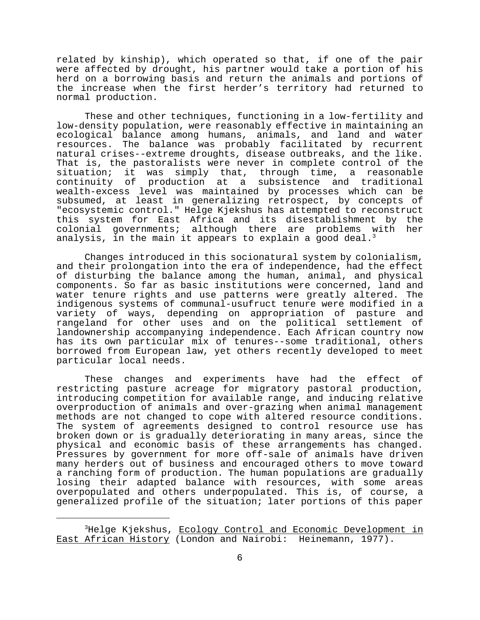related by kinship), which operated so that, if one of the pair were affected by drought, his partner would take a portion of his herd on a borrowing basis and return the animals and portions of the increase when the first herder's territory had returned to normal production.

These and other techniques, functioning in a low-fertility and low-density population, were reasonably effective in maintaining an ecological balance among humans, animals, and land and water resources. The balance was probably facilitated by recurrent natural crises--extreme droughts, disease outbreaks, and the like. That is, the pastoralists were never in complete control of the situation; it was simply that, through time, a reasonable continuity of production at a subsistence and traditional wealth-excess level was maintained by processes which can be subsumed, at least in generalizing retrospect, by concepts of "ecosystemic control." Helge Kjekshus has attempted to reconstruct this system for East Africa and its disestablishment by the colonial governments; although there are problems with her analysis, in the main it appears to explain a good deal.<sup>3</sup>

Changes introduced in this socionatural system by colonialism, and their prolongation into the era of independence, had the effect of disturbing the balance among the human, animal, and physical components. So far as basic institutions were concerned, land and water tenure rights and use patterns were greatly altered. The indigenous systems of communal-usufruct tenure were modified in a variety of ways, depending on appropriation of pasture and rangeland for other uses and on the political settlement of landownership accompanying independence. Each African country now has its own particular mix of tenures--some traditional, others borrowed from European law, yet others recently developed to meet particular local needs.

These changes and experiments have had the effect of restricting pasture acreage for migratory pastoral production, introducing competition for available range, and inducing relative overproduction of animals and over-grazing when animal management methods are not changed to cope with altered resource conditions. The system of agreements designed to control resource use has broken down or is gradually deteriorating in many areas, since the physical and economic basis of these arrangements has changed. Pressures by government for more off-sale of animals have driven many herders out of business and encouraged others to move toward a ranching form of production. The human populations are gradually losing their adapted balance with resources, with some areas overpopulated and others underpopulated. This is, of course, a generalized profile of the situation; later portions of this paper

<sup>&</sup>lt;sup>3</sup>Helge Kjekshus, <u>Ecology Control and Economic Development in</u> East African History (London and Nairobi: Heinemann, 1977).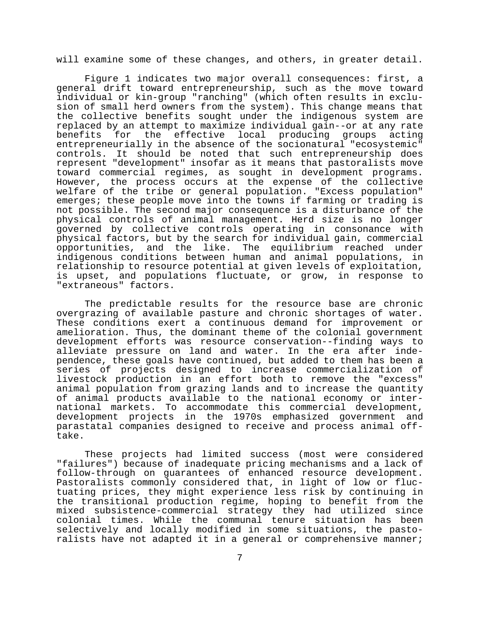will examine some of these changes, and others, in greater detail.

Figure 1 indicates two major overall consequences: first, a general drift toward entrepreneurship, such as the move toward individual or kin-group "ranching" (which often results in exclusion of small herd owners from the system). This change means that the collective benefits sought under the indigenous system are replaced by an attempt to maximize individual gain--or at any rate benefits for the effective local producing groups acting entrepreneurially in the absence of the socionatural "ecosystemic" controls. It should be noted that such entrepreneurship does represent "development" insofar as it means that pastoralists move toward commercial regimes, as sought in development programs. However, the process occurs at the expense of the collective welfare of the tribe or general population. "Excess population" emerges; these people move into the towns if farming or trading is not possible. The second major consequence is a disturbance of the physical controls of animal management. Herd size is no longer governed by collective controls operating in consonance with physical factors, but by the search for individual gain, commercial opportunities, and the like. The equilibrium reached under indigenous conditions between human and animal populations, in relationship to resource potential at given levels of exploitation, is upset, and populations fluctuate, or grow, in response to "extraneous" factors.

The predictable results for the resource base are chronic overgrazing of available pasture and chronic shortages of water. These conditions exert a continuous demand for improvement or amelioration. Thus, the dominant theme of the colonial government development efforts was resource conservation--finding ways to alleviate pressure on land and water. In the era after independence, these goals have continued, but added to them has been a series of projects designed to increase commercialization of livestock production in an effort both to remove the "excess" animal population from grazing lands and to increase the quantity of animal products available to the national economy or international markets. To accommodate this commercial development, development projects in the 1970s emphasized government and parastatal companies designed to receive and process animal offtake.

These projects had limited success (most were considered "failures") because of inadequate pricing mechanisms and a lack of follow-through on guarantees of enhanced resource development. Pastoralists commonly considered that, in light of low or fluctuating prices, they might experience less risk by continuing in the transitional production regime, hoping to benefit from the mixed subsistence-commercial strategy they had utilized since colonial times. While the communal tenure situation has been selectively and locally modified in some situations, the pastoralists have not adapted it in a general or comprehensive manner;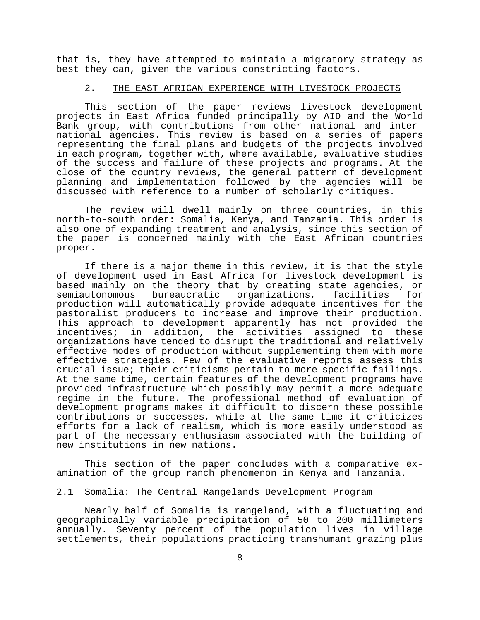that is, they have attempted to maintain a migratory strategy as best they can, given the various constricting factors.

#### 2. THE EAST AFRICAN EXPERIENCE WITH LIVESTOCK PROJECTS

This section of the paper reviews livestock development projects in East Africa funded principally by AID and the World Bank group, with contributions from other national and international agencies. This review is based on a series of papers representing the final plans and budgets of the projects involved in each program, together with, where available, evaluative studies of the success and failure of these projects and programs. At the close of the country reviews, the general pattern of development planning and implementation followed by the agencies will be discussed with reference to a number of scholarly critiques.

The review will dwell mainly on three countries, in this north-to-south order: Somalia, Kenya, and Tanzania. This order is also one of expanding treatment and analysis, since this section of the paper is concerned mainly with the East African countries proper.

If there is a major theme in this review, it is that the style of development used in East Africa for livestock development is based mainly on the theory that by creating state agencies, or semiautonomous bureaucratic organizations, facilities for production will automatically provide adequate incentives for the pastoralist producers to increase and improve their production. This approach to development apparently has not provided the incentives; in addition, the activities assigned to these organizations have tended to disrupt the traditional and relatively effective modes of production without supplementing them with more effective strategies. Few of the evaluative reports assess this crucial issue; their criticisms pertain to more specific failings. At the same time, certain features of the development programs have provided infrastructure which possibly may permit a more adequate regime in the future. The professional method of evaluation of development programs makes it difficult to discern these possible contributions or successes, while at the same time it criticizes efforts for a lack of realism, which is more easily understood as part of the necessary enthusiasm associated with the building of new institutions in new nations.

This section of the paper concludes with a comparative examination of the group ranch phenomenon in Kenya and Tanzania.

## 2.1 Somalia: The Central Rangelands Development Program

Nearly half of Somalia is rangeland, with a fluctuating and geographically variable precipitation of 50 to 200 millimeters annually. Seventy percent of the population lives in village settlements, their populations practicing transhumant grazing plus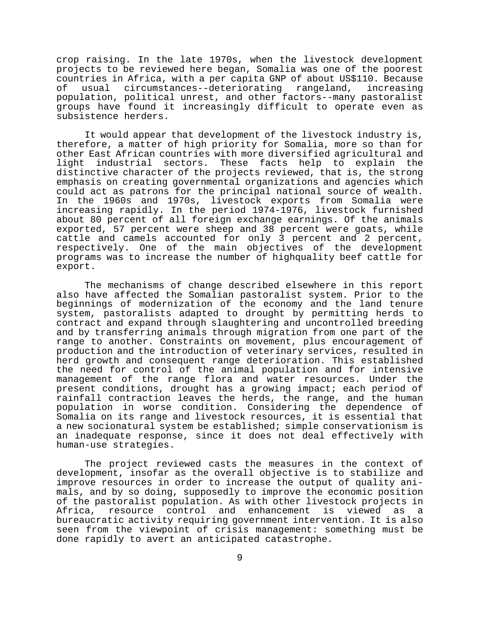crop raising. In the late 1970s, when the livestock development projects to be reviewed here began, Somalia was one of the poorest countries in Africa, with a per capita GNP of about US\$110. Because of usual circumstances--deteriorating rangeland, increasing population, political unrest, and other factors--many pastoralist groups have found it increasingly difficult to operate even as subsistence herders.

It would appear that development of the livestock industry is, therefore, a matter of high priority for Somalia, more so than for other East African countries with more diversified agricultural and light industrial sectors. These facts help to explain the distinctive character of the projects reviewed, that is, the strong emphasis on creating governmental organizations and agencies which could act as patrons for the principal national source of wealth. In the 1960s and 1970s, livestock exports from Somalia were increasing rapidly. In the period 1974-1976, livestock furnished about 80 percent of all foreign exchange earnings. Of the animals exported, 57 percent were sheep and 38 percent were goats, while cattle and camels accounted for only 3 percent and 2 percent, respectively. One of the main objectives of the development programs was to increase the number of highquality beef cattle for export.

The mechanisms of change described elsewhere in this report also have affected the Somalian pastoralist system. Prior to the beginnings of modernization of the economy and the land tenure system, pastoralists adapted to drought by permitting herds to contract and expand through slaughtering and uncontrolled breeding and by transferring animals through migration from one part of the range to another. Constraints on movement, plus encouragement of production and the introduction of veterinary services, resulted in herd growth and consequent range deterioration. This established the need for control of the animal population and for intensive management of the range flora and water resources. Under the present conditions, drought has a growing impact; each period of rainfall contraction leaves the herds, the range, and the human population in worse condition. Considering the dependence of Somalia on its range and livestock resources, it is essential that a new socionatural system be established; simple conservationism is an inadequate response, since it does not deal effectively with human-use strategies.

The project reviewed casts the measures in the context of development, insofar as the overall objective is to stabilize and improve resources in order to increase the output of quality animals, and by so doing, supposedly to improve the economic position of the pastoralist population. As with other livestock projects in Africa, resource control and enhancement is viewed as a bureaucratic activity requiring government intervention. It is also seen from the viewpoint of crisis management: something must be done rapidly to avert an anticipated catastrophe.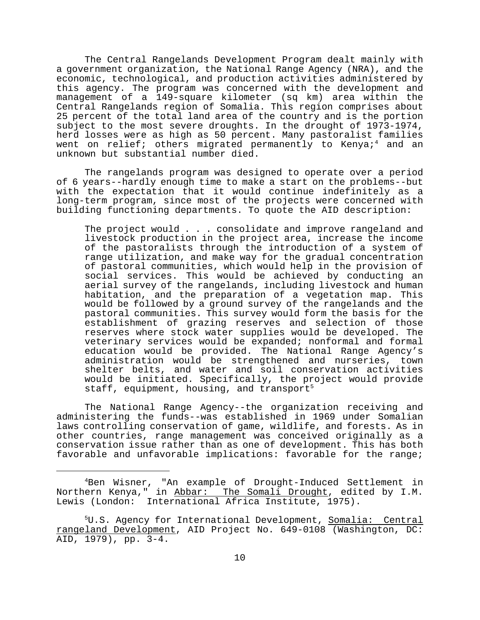The Central Rangelands Development Program dealt mainly with a government organization, the National Range Agency (NRA), and the economic, technological, and production activities administered by this agency. The program was concerned with the development and management of a 149-square kilometer (sq km) area within the Central Rangelands region of Somalia. This region comprises about 25 percent of the total land area of the country and is the portion subject to the most severe droughts. In the drought of 1973-1974, herd losses were as high as 50 percent. Many pastoralist families went on relief; others migrated permanently to Kenya;<sup>4</sup> and an unknown but substantial number died.

The rangelands program was designed to operate over a period of 6 years--hardly enough time to make a start on the problems--but with the expectation that it would continue indefinitely as a long-term program, since most of the projects were concerned with building functioning departments. To quote the AID description:

The project would... consolidate and improve rangeland and livestock production in the project area, increase the income of the pastoralists through the introduction of a system of range utilization, and make way for the gradual concentration of pastoral communities, which would help in the provision of social services. This would be achieved by conducting an aerial survey of the rangelands, including livestock and human habitation, and the preparation of a vegetation map. This would be followed by a ground survey of the rangelands and the pastoral communities. This survey would form the basis for the establishment of grazing reserves and selection of those reserves where stock water supplies would be developed. The veterinary services would be expanded; nonformal and formal education would be provided. The National Range Agency's administration would be strengthened and nurseries, town shelter belts, and water and soil conservation activities would be initiated. Specifically, the project would provide staff, equipment, housing, and transport $5$ 

The National Range Agency--the organization receiving and administering the funds--was established in 1969 under Somalian laws controlling conservation of game, wildlife, and forests. As in other countries, range management was conceived originally as a conservation issue rather than as one of development. This has both favorable and unfavorable implications: favorable for the range;

<sup>4</sup> Ben Wisner, "An example of Drought-Induced Settlement in Northern Kenya," in <u>Abbar: The Somali Drought</u>, edited by I.M. Lewis (London: International Africa Institute, 1975).

<sup>&</sup>lt;sup>5</sup>U.S. Agency for International Development, Somalia: Central rangeland Development, AID Project No. 649-0108 (Washington, DC: AID, 1979), pp. 3-4.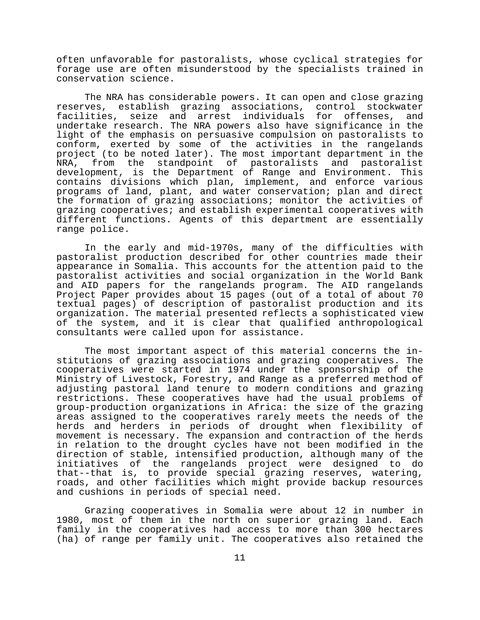often unfavorable for pastoralists, whose cyclical strategies for forage use are often misunderstood by the specialists trained in conservation science.

The NRA has considerable powers. It can open and close grazing reserves, establish grazing associations, control stockwater facilities, seize and arrest individuals for offenses, and undertake research. The NRA powers also have significance in the light of the emphasis on persuasive compulsion on pastoralists to conform, exerted by some of the activities in the rangelands project (to be noted later). The most important department in the NRA, from the standpoint of pastoralists and pastoralist development, is the Department of Range and Environment. This contains divisions which plan, implement, and enforce various programs of land, plant, and water conservation; plan and direct the formation of grazing associations; monitor the activities of grazing cooperatives; and establish experimental cooperatives with different functions. Agents of this department are essentially range police.

In the early and mid-1970s, many of the difficulties with pastoralist production described for other countries made their appearance in Somalia. This accounts for the attention paid to the pastoralist activities and social organization in the World Bank and AID papers for the rangelands program. The AID rangelands Project Paper provides about 15 pages (out of a total of about 70 textual pages) of description of pastoralist production and its organization. The material presented reflects a sophisticated view of the system, and it is clear that qualified anthropological consultants were called upon for assistance.

The most important aspect of this material concerns the institutions of grazing associations and grazing cooperatives. The cooperatives were started in 1974 under the sponsorship of the Ministry of Livestock, Forestry, and Range as a preferred method of adjusting pastoral land tenure to modern conditions and grazing restrictions. These cooperatives have had the usual problems of group-production organizations in Africa: the size of the grazing areas assigned to the cooperatives rarely meets the needs of the herds and herders in periods of drought when flexibility of movement is necessary. The expansion and contraction of the herds in relation to the drought cycles have not been modified in the direction of stable, intensified production, although many of the initiatives of the rangelands project were designed to do that--that is, to provide special grazing reserves, watering, roads, and other facilities which might provide backup resources and cushions in periods of special need.

Grazing cooperatives in Somalia were about 12 in number in 1980, most of them in the north on superior grazing land. Each family in the cooperatives had access to more than 300 hectares (ha) of range per family unit. The cooperatives also retained the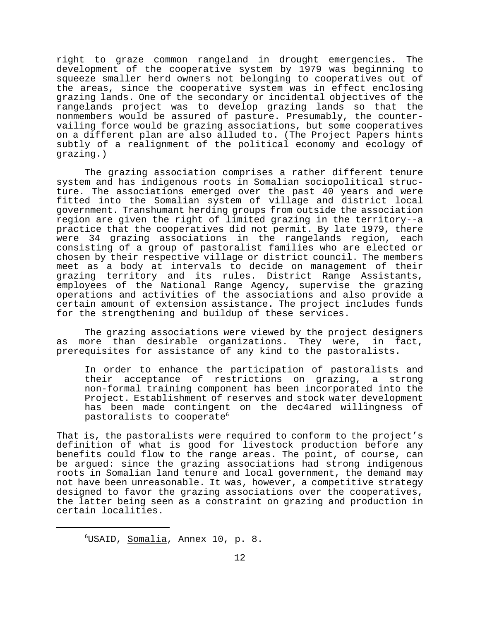right to graze common rangeland in drought emergencies. The development of the cooperative system by 1979 was beginning to squeeze smaller herd owners not belonging to cooperatives out of the areas, since the cooperative system was in effect enclosing grazing lands. One of the secondary or incidental objectives of the rangelands project was to develop grazing lands so that the nonmembers would be assured of pasture. Presumably, the countervailing force would be grazing associations, but some cooperatives on a different plan are also alluded to. (The Project Papers hints subtly of a realignment of the political economy and ecology of grazing.)

The grazing association comprises a rather different tenure system and has indigenous roots in Somalian sociopolitical structure. The associations emerged over the past 40 years and were fitted into the Somalian system of village and district local government. Transhumant herding groups from outside the association region are given the right of limited grazing in the territory--a practice that the cooperatives did not permit. By late 1979, there were 34 grazing associations in the rangelands region, each consisting of a group of pastoralist families who are elected or chosen by their respective village or district council. The members meet as a body at intervals to decide on management of their grazing territory and its rules. District Range Assistants, employees of the National Range Agency, supervise the grazing operations and activities of the associations and also provide a certain amount of extension assistance. The project includes funds for the strengthening and buildup of these services.

The grazing associations were viewed by the project designers as more than desirable organizations. They were, in fact, prerequisites for assistance of any kind to the pastoralists.

In order to enhance the participation of pastoralists and their acceptance of restrictions on grazing, a strong non-formal training component has been incorporated into the Project. Establishment of reserves and stock water development has been made contingent on the dec4ared willingness of pastoralists to cooperate<sup>6</sup>

That is, the pastoralists were required to conform to the project's definition of what is good for livestock production before any benefits could flow to the range areas. The point, of course, can be argued: since the grazing associations had strong indigenous roots in Somalian land tenure and local government, the demand may not have been unreasonable. It was, however, a competitive strategy designed to favor the grazing associations over the cooperatives, the latter being seen as a constraint on grazing and production in certain localities.

<sup>6</sup> USAID, Somalia, Annex 10, p. 8.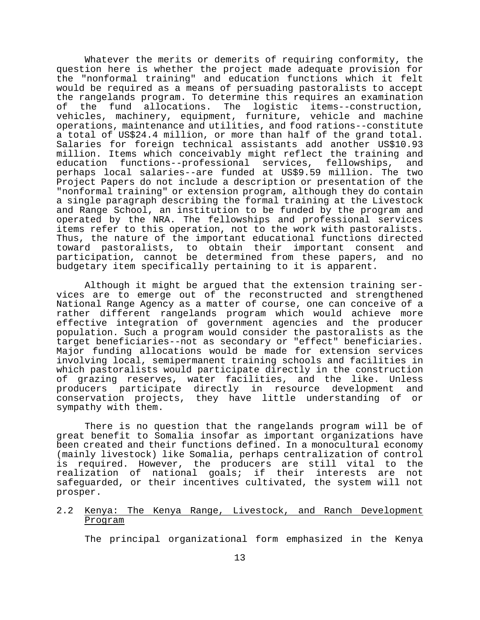Whatever the merits or demerits of requiring conformity, the question here is whether the project made adequate provision for the "nonformal training" and education functions which it felt would be required as a means of persuading pastoralists to accept the rangelands program. To determine this requires an examination of the fund allocations. The logistic items--construction, vehicles, machinery, equipment, furniture, vehicle and machine operations, maintenance and utilities, and food rations--constitute a total of US\$24.4 million, or more than half of the grand total. Salaries for foreign technical assistants add another US\$10.93 million. Items which conceivably might reflect the training and education functions--professional services, fellowships, and perhaps local salaries--are funded at US\$9.59 million. The two Project Papers do not include a description or presentation of the "nonformal training" or extension program, although they do contain a single paragraph describing the formal training at the Livestock and Range School, an institution to be funded by the program and operated by the NRA. The fellowships and professional services items refer to this operation, not to the work with pastoralists. Thus, the nature of the important educational functions directed toward pastoralists, to obtain their important consent and participation, cannot be determined from these papers, and no budgetary item specifically pertaining to it is apparent.

Although it might be argued that the extension training services are to emerge out of the reconstructed and strengthened National Range Agency as a matter of course, one can conceive of a rather different rangelands program which would achieve more effective integration of government agencies and the producer population. Such a program would consider the pastoralists as the target beneficiaries--not as secondary or "effect" beneficiaries. Major funding allocations would be made for extension services involving local, semipermanent training schools and facilities in which pastoralists would participate directly in the construction of grazing reserves, water facilities, and the like. Unless producers participate directly in resource development and conservation projects, they have little understanding of or sympathy with them.

There is no question that the rangelands program will be of great benefit to Somalia insofar as important organizations have been created and their functions defined. In a monocultural economy (mainly livestock) like Somalia, perhaps centralization of control is required. However, the producers are still vital to the realization of national goals; if their interests are not safeguarded, or their incentives cultivated, the system will not prosper.

# 2.2 Kenya: The Kenya Range, Livestock, and Ranch Development Program

The principal organizational form emphasized in the Kenya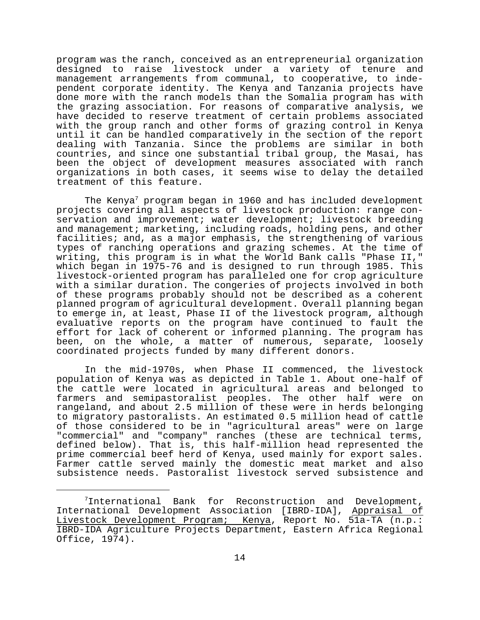program was the ranch, conceived as an entrepreneurial organization designed to raise livestock under a variety of tenure and management arrangements from communal, to cooperative, to independent corporate identity. The Kenya and Tanzania projects have done more with the ranch models than the Somalia program has with the grazing association. For reasons of comparative analysis, we have decided to reserve treatment of certain problems associated with the group ranch and other forms of grazing control in Kenya until it can be handled comparatively in the section of the report dealing with Tanzania. Since the problems are similar in both countries, and since one substantial tribal group, the Masai, has been the object of development measures associated with ranch organizations in both cases, it seems wise to delay the detailed treatment of this feature.

The Kenya<sup>7</sup> program began in 1960 and has included development projects covering all aspects of livestock production: range conservation and improvement; water development; livestock breeding and management; marketing, including roads, holding pens, and other facilities; and, as a major emphasis, the strengthening of various types of ranching operations and grazing schemes. At the time of writing, this program is in what the World Bank calls "Phase II," which began in 1975-76 and is designed to run through 1985. This livestock-oriented program has paralleled one for crop agriculture with a similar duration. The congeries of projects involved in both of these programs probably should not be described as a coherent planned program of agricultural development. Overall planning began to emerge in, at least, Phase II of the livestock program, although evaluative reports on the program have continued to fault the effort for lack of coherent or informed planning. The program has been, on the whole, a matter of numerous, separate, loosely coordinated projects funded by many different donors.

In the mid-1970s, when Phase II commenced, the livestock population of Kenya was as depicted in Table 1. About one-half of the cattle were located in agricultural areas and belonged to farmers and semipastoralist peoples. The other half were on rangeland, and about 2.5 million of these were in herds belonging to migratory pastoralists. An estimated 0.5 million head of cattle of those considered to be in "agricultural areas" were on large "commercial" and "company" ranches (these are technical terms, defined below). That is, this half-million head represented the prime commercial beef herd of Kenya, used mainly for export sales. Farmer cattle served mainly the domestic meat market and also subsistence needs. Pastoralist livestock served subsistence and

<sup>&</sup>lt;sup>7</sup>International Bank for Reconstruction and Development, International Development Association [IBRD-IDA], Appraisal of Livestock Development Program; Kenya, Report No. 51a-TA (n.p.: IBRD-IDA Agriculture Projects Department, Eastern Africa Regional Office, 1974).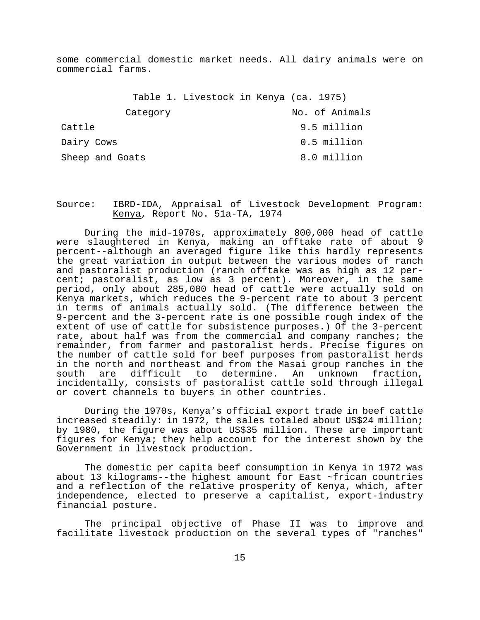some commercial domestic market needs. All dairy animals were on commercial farms.

|                 | Table 1. Livestock in Kenya (ca. 1975) |  |                |
|-----------------|----------------------------------------|--|----------------|
| Category        |                                        |  | No. of Animals |
| Cattle          |                                        |  | 9.5 million    |
| Dairy Cows      |                                        |  | 0.5 million    |
| Sheep and Goats |                                        |  | 8.0 million    |

## Source: IBRD-IDA, Appraisal of Livestock Development Program: Kenya, Report No. 51a-TA, 1974

During the mid-1970s, approximately 800,000 head of cattle were slaughtered in Kenya, making an offtake rate of about 9 percent--although an averaged figure like this hardly represents the great variation in output between the various modes of ranch and pastoralist production (ranch offtake was as high as 12 percent; pastoralist, as low as 3 percent). Moreover, in the same period, only about 285,000 head of cattle were actually sold on Kenya markets, which reduces the 9-percent rate to about 3 percent in terms of animals actually sold. (The difference between the 9-percent and the 3-percent rate is one possible rough index of the extent of use of cattle for subsistence purposes.) Of the 3-percent rate, about half was from the commercial and company ranches; the remainder, from farmer and pastoralist herds. Precise figures on the number of cattle sold for beef purposes from pastoralist herds in the north and northeast and from the Masai group ranches in the south are difficult to determine. An unknown fraction, south are difficult to determine. An unknown fraction, incidentally, consists of pastoralist cattle sold through illegal or covert channels to buyers in other countries.

During the 1970s, Kenya's official export trade in beef cattle increased steadily: in 1972, the sales totaled about US\$24 million; by 1980, the figure was about US\$35 million. These are important figures for Kenya; they help account for the interest shown by the Government in livestock production.

The domestic per capita beef consumption in Kenya in 1972 was about 13 kilograms--the highest amount for East ~frican countries and a reflection of the relative prosperity of Kenya, which, after independence, elected to preserve a capitalist, export-industry financial posture.

The principal objective of Phase II was to improve and facilitate livestock production on the several types of "ranches"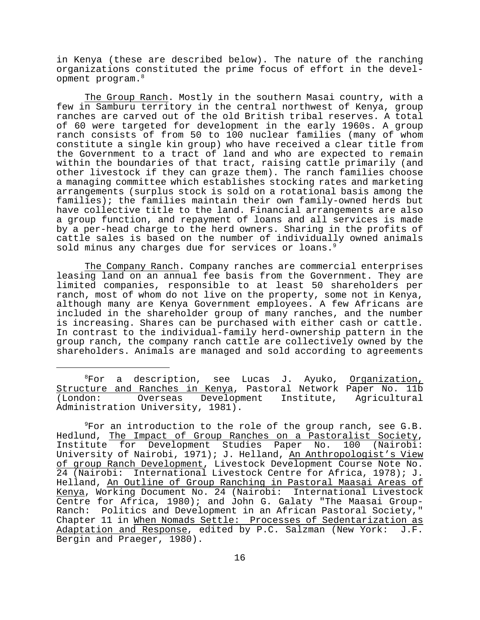in Kenya (these are described below). The nature of the ranching organizations constituted the prime focus of effort in the development program.<sup>8</sup>

The Group Ranch. Mostly in the southern Masai country, with a few in Samburu territory in the central northwest of Kenya, group ranches are carved out of the old British tribal reserves. A total of 60 were targeted for development in the early 1960s. A group ranch consists of from 50 to 100 nuclear families (many of whom constitute a single kin group) who have received a clear title from the Government to a tract of land and who are expected to remain within the boundaries of that tract, raising cattle primarily (and other livestock if they can graze them). The ranch families choose a managing committee which establishes stocking rates and marketing arrangements (surplus stock is sold on a rotational basis among the families); the families maintain their own family-owned herds but have collective title to the land. Financial arrangements are also a group function, and repayment of loans and all services is made by a per-head charge to the herd owners. Sharing in the profits of cattle sales is based on the number of individually owned animals sold minus any charges due for services or loans.<sup>9</sup>

The Company Ranch. Company ranches are commercial enterprises leasing land on an annual fee basis from the Government. They are limited companies, responsible to at least 50 shareholders per ranch, most of whom do not live on the property, some not in Kenya, although many are Kenya Government employees. A few Africans are included in the shareholder group of many ranches, and the number is increasing. Shares can be purchased with either cash or cattle. In contrast to the individual-family herd-ownership pattern in the group ranch, the company ranch cattle are collectively owned by the shareholders. Animals are managed and sold according to agreements

<sup>&</sup>lt;sup>8</sup>For a description, see Lucas J. Ayuko, <u>Organization,</u> Structure and Ranches in Kenya, Pastoral Network Paper No. 11b (London: Overseas Development Institute, Agricultural Administration University, 1981).

Pror an introduction to the role of the group ranch, see G.B. Hedlund, The Impact of Group Ranches on a Pastoralist Society, Institute for Development Studies Paper No. 100 (Nairobi: University of Nairobi, 1971); J. Helland, An Anthropologist's View of group Ranch Development, Livestock Development Course Note No. 24 (Nairobi: International Livestock Centre for Africa, 1978); J. Helland, An Outline of Group Ranching in Pastoral Maasai Areas of Kenya, Working Document No. 24 (Nairobi: International Livestock Centre for Africa, 1980); and John G. Galaty "The Maasai Group-Ranch: Politics and Development in an African Pastoral Society," Chapter 11 in When Nomads Settle: Processes of Sedentarization as Adaptation and Response, edited by P.C. Salzman (New York: J.F. Bergin and Praeger, 1980).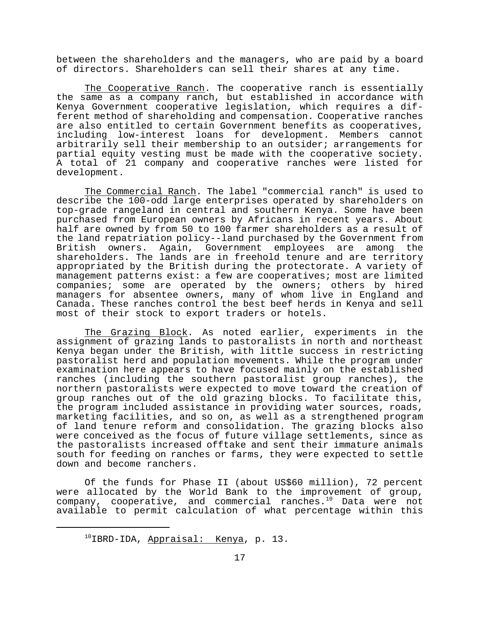between the shareholders and the managers, who are paid by a board of directors. Shareholders can sell their shares at any time.

The Cooperative Ranch. The cooperative ranch is essentially the same as a company ranch, but established in accordance with Kenya Government cooperative legislation, which requires a different method of shareholding and compensation. Cooperative ranches are also entitled to certain Government benefits as cooperatives, including low-interest loans for development. Members cannot arbitrarily sell their membership to an outsider; arrangements for partial equity vesting must be made with the cooperative society. A total of 21 company and cooperative ranches were listed for development.

The Commercial Ranch. The label "commercial ranch" is used to describe the 100-odd large enterprises operated by shareholders on top-grade rangeland in central and southern Kenya. Some have been purchased from European owners by Africans in recent years. About half are owned by from 50 to 100 farmer shareholders as a result of the land repatriation policy--land purchased by the Government from British owners. Again, Government employees are among the shareholders. The lands are in freehold tenure and are territory appropriated by the British during the protectorate. A variety of management patterns exist: a few are cooperatives; most are limited companies; some are operated by the owners; others by hired managers for absentee owners, many of whom live in England and Canada. These ranches control the best beef herds in Kenya and sell most of their stock to export traders or hotels.

The Grazing Block. As noted earlier, experiments in the assignment of grazing lands to pastoralists in north and northeast Kenya began under the British, with little success in restricting pastoralist herd and population movements. While the program under examination here appears to have focused mainly on the established ranches (including the southern pastoralist group ranches), the northern pastoralists were expected to move toward the creation of group ranches out of the old grazing blocks. To facilitate this, the program included assistance in providing water sources, roads, marketing facilities, and so on, as well as a strengthened program of land tenure reform and consolidation. The grazing blocks also were conceived as the focus of future village settlements, since as the pastoralists increased offtake and sent their immature animals south for feeding on ranches or farms, they were expected to settle down and become ranchers.

Of the funds for Phase II (about US\$60 million), 72 percent were allocated by the World Bank to the improvement of group, company, cooperative, and commercial ranches.10 Data were not available to permit calculation of what percentage within this

 $10$ IBRD-IDA, Appraisal: Kenya, p. 13.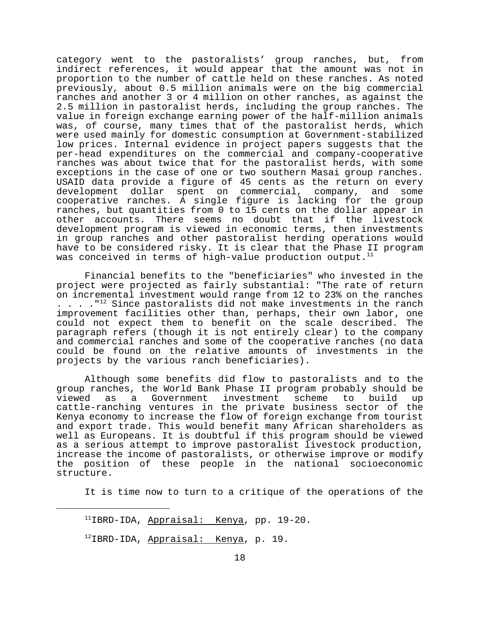category went to the pastoralists' group ranches, but, from indirect references, it would appear that the amount was not in proportion to the number of cattle held on these ranches. As noted previously, about 0.5 million animals were on the big commercial ranches and another 3 or 4 million on other ranches, as against the 2.5 million in pastoralist herds, including the group ranches. The value in foreign exchange earning power of the half-million animals was, of course, many times that of the pastoralist herds, which were used mainly for domestic consumption at Government-stabilized low prices. Internal evidence in project papers suggests that the per-head expenditures on the commercial and company-cooperative ranches was about twice that for the pastoralist herds, with some exceptions in the case of one or two southern Masai group ranches. USAID data provide a figure of 45 cents as the return on every development dollar spent on commercial, company, and some cooperative ranches. A single figure is lacking for the group ranches, but quantities from 0 to 15 cents on the dollar appear in other accounts. There seems no doubt that if the livestock development program is viewed in economic terms, then investments in group ranches and other pastoralist herding operations would have to be considered risky. It is clear that the Phase II program was conceived in terms of high-value production output. $11$ 

Financial benefits to the "beneficiaries" who invested in the project were projected as fairly substantial: "The rate of return on incremental investment would range from 12 to 23% on the ranches . . . ."12 Since pastoralists did not make investments in the ranch improvement facilities other than, perhaps, their own labor, one could not expect them to benefit on the scale described. The paragraph refers (though it is not entirely clear) to the company and commercial ranches and some of the cooperative ranches (no data could be found on the relative amounts of investments in the projects by the various ranch beneficiaries).

Although some benefits did flow to pastoralists and to the group ranches, the World Bank Phase II program probably should be viewed as a Government investment scheme to build up cattle-ranching ventures in the private business sector of the Kenya economy to increase the flow of foreign exchange from tourist and export trade. This would benefit many African shareholders as well as Europeans. It is doubtful if this program should be viewed as a serious attempt to improve pastoralist livestock production, increase the income of pastoralists, or otherwise improve or modify the position of these people in the national socioeconomic structure.

It is time now to turn to a critique of the operations of the

 $11$ IBRD-IDA, Appraisal: Kenya, pp. 19-20.

 $12$ IBRD-IDA, Appraisal: Kenya, p. 19.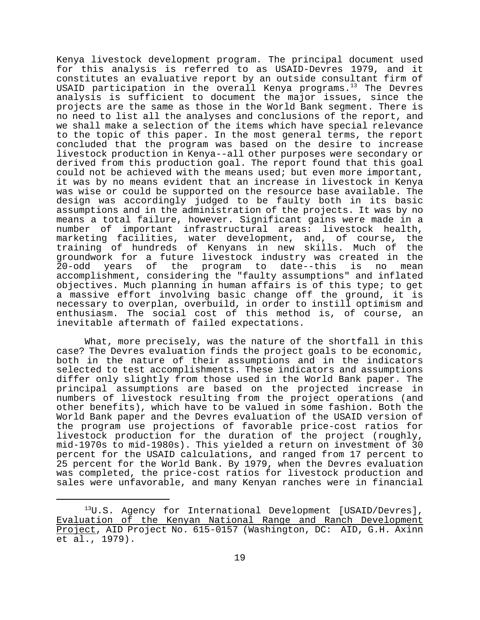Kenya livestock development program. The principal document used for this analysis is referred to as USAID-Devres 1979, and it constitutes an evaluative report by an outside consultant firm of USAID participation in the overall Kenya programs. $^{13}$  The Devres analysis is sufficient to document the major issues, since the projects are the same as those in the World Bank segment. There is no need to list all the analyses and conclusions of the report, and we shall make a selection of the items which have special relevance to the topic of this paper. In the most general terms, the report concluded that the program was based on the desire to increase livestock production in Kenya--all other purposes were secondary or derived from this production goal. The report found that this goal could not be achieved with the means used; but even more important, it was by no means evident that an increase in livestock in Kenya was wise or could be supported on the resource base available. The design was accordingly judged to be faulty both in its basic assumptions and in the administration of the projects. It was by no means a total failure, however. Significant gains were made in a number of important infrastructural areas: livestock health, marketing facilities, water development, and, of course, the training of hundreds of Kenyans in new skills. Much of the groundwork for a future livestock industry was created in the 20-odd years of the program to date--this is no mean accomplishment, considering the "faulty assumptions" and inflated objectives. Much planning in human affairs is of this type; to get a massive effort involving basic change off the ground, it is necessary to overplan, overbuild, in order to instill optimism and enthusiasm. The social cost of this method is, of course, an inevitable aftermath of failed expectations.

What, more precisely, was the nature of the shortfall in this case? The Devres evaluation finds the project goals to be economic, both in the nature of their assumptions and in the indicators selected to test accomplishments. These indicators and assumptions differ only slightly from those used in the World Bank paper. The principal assumptions are based on the projected increase in numbers of livestock resulting from the project operations (and other benefits), which have to be valued in some fashion. Both the World Bank paper and the Devres evaluation of the USAID version of the program use projections of favorable price-cost ratios for livestock production for the duration of the project (roughly, mid-1970s to mid-1980s). This yielded a return on investment of 30 percent for the USAID calculations, and ranged from 17 percent to 25 percent for the World Bank. By 1979, when the Devres evaluation was completed, the price-cost ratios for livestock production and sales were unfavorable, and many Kenyan ranches were in financial

<sup>&</sup>lt;sup>13</sup>U.S. Agency for International Development [USAID/Devres], Evaluation of the Kenyan National Range and Ranch Development Project, AID Project No. 615-0157 (Washington, DC: AID, G.H. Axinn et al., 1979).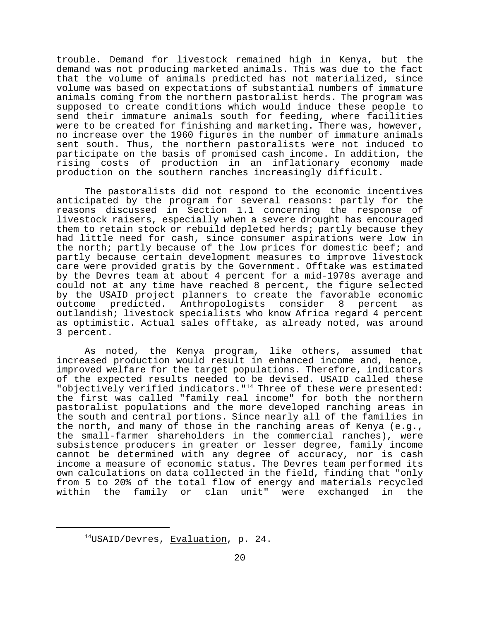trouble. Demand for livestock remained high in Kenya, but the demand was not producing marketed animals. This was due to the fact that the volume of animals predicted has not materialized, since volume was based on expectations of substantial numbers of immature animals coming from the northern pastoralist herds. The program was supposed to create conditions which would induce these people to send their immature animals south for feeding, where facilities were to be created for finishing and marketing. There was, however, no increase over the 1960 figures in the number of immature animals sent south. Thus, the northern pastoralists were not induced to participate on the basis of promised cash income. In addition, the rising costs of production in an inflationary economy made production on the southern ranches increasingly difficult.

The pastoralists did not respond to the economic incentives anticipated by the program for several reasons: partly for the reasons discussed in Section 1.1 concerning the response of livestock raisers, especially when a severe drought has encouraged them to retain stock or rebuild depleted herds; partly because they had little need for cash, since consumer aspirations were low in the north; partly because of the low prices for domestic beef; and partly because certain development measures to improve livestock care were provided gratis by the Government. Offtake was estimated by the Devres team at about 4 percent for a mid-1970s average and could not at any time have reached 8 percent, the figure selected by the USAID project planners to create the favorable economic outcome predicted. Anthropologists consider 8 percent as outlandish; livestock specialists who know Africa regard 4 percent as optimistic. Actual sales offtake, as already noted, was around 3 percent.

As noted, the Kenya program, like others, assumed that increased production would result in enhanced income and, hence, improved welfare for the target populations. Therefore, indicators of the expected results needed to be devised. USAID called these "objectively verified indicators."<sup>14</sup> Three of these were presented: the first was called "family real income" for both the northern pastoralist populations and the more developed ranching areas in the south and central portions. Since nearly all of the families in the north, and many of those in the ranching areas of Kenya (e.g., the small-farmer shareholders in the commercial ranches), were subsistence producers in greater or lesser degree, family income cannot be determined with any degree of accuracy, nor is cash income a measure of economic status. The Devres team performed its own calculations on data collected in the field, finding that "only from 5 to 20% of the total flow of energy and materials recycled within the family or clan unit" were exchanged in the

 $14$ USAID/Devres, Evaluation, p. 24.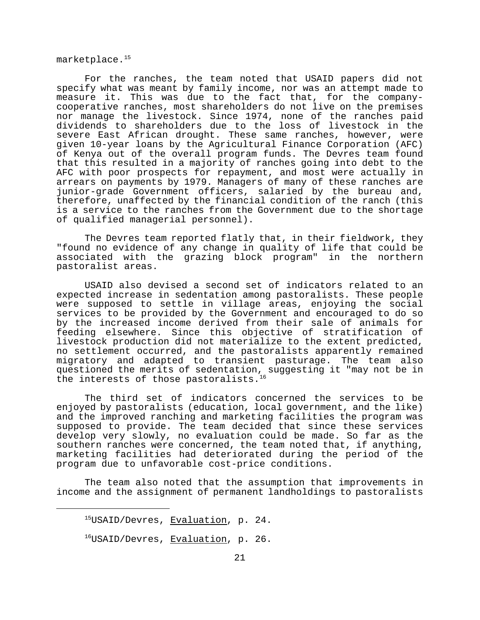marketplace.15

For the ranches, the team noted that USAID papers did not specify what was meant by family income, nor was an attempt made to measure it. This was due to the fact that, for the companycooperative ranches, most shareholders do not live on the premises nor manage the livestock. Since 1974, none of the ranches paid dividends to shareholders due to the loss of livestock in the severe East African drought. These same ranches, however, were given 10-year loans by the Agricultural Finance Corporation (AFC) of Kenya out of the overall program funds. The Devres team found that this resulted in a majority of ranches going into debt to the AFC with poor prospects for repayment, and most were actually in arrears on payments by 1979. Managers of many of these ranches are junior-grade Government officers, salaried by the bureau and, therefore, unaffected by the financial condition of the ranch (this is a service to the ranches from the Government due to the shortage of qualified managerial personnel).

The Devres team reported flatly that, in their fieldwork, they "found no evidence of any change in quality of life that could be associated with the grazing block program" in the northern pastoralist areas.

USAID also devised a second set of indicators related to an expected increase in sedentation among pastoralists. These people were supposed to settle in village areas, enjoying the social services to be provided by the Government and encouraged to do so by the increased income derived from their sale of animals for feeding elsewhere. Since this objective of stratification of livestock production did not materialize to the extent predicted, no settlement occurred, and the pastoralists apparently remained migratory and adapted to transient pasturage. The team also questioned the merits of sedentation, suggesting it "may not be in the interests of those pastoralists. $^{16}$ 

The third set of indicators concerned the services to be enjoyed by pastoralists (education, local government, and the like) and the improved ranching and marketing facilities the program was supposed to provide. The team decided that since these services develop very slowly, no evaluation could be made. So far as the southern ranches were concerned, the team noted that, if anything, marketing facilities had deteriorated during the period of the program due to unfavorable cost-price conditions.

The team also noted that the assumption that improvements in income and the assignment of permanent landholdings to pastoralists

<sup>&</sup>lt;sup>15</sup>USAID/Devres, Evaluation, p. 24.

<sup>&</sup>lt;sup>16</sup>USAID/Devres, Evaluation, p. 26.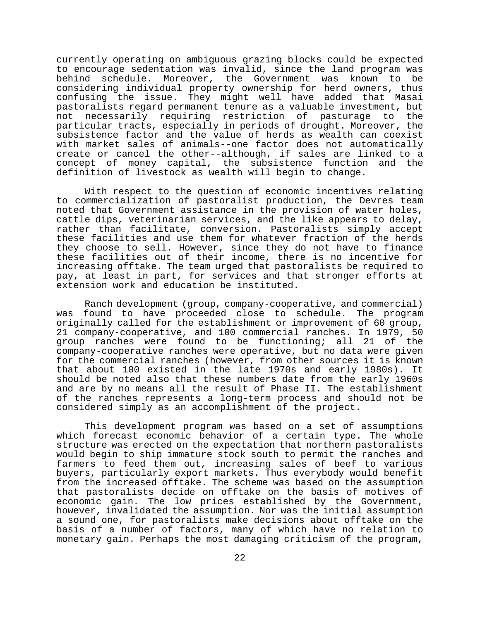currently operating on ambiguous grazing blocks could be expected to encourage sedentation was invalid, since the land program was behind schedule. Moreover, the Government was known to be considering individual property ownership for herd owners, thus confusing the issue. They might well have added that Masai pastoralists regard permanent tenure as a valuable investment, but not necessarily requiring restriction of pasturage to the particular tracts, especially in periods of drought. Moreover, the subsistence factor and the value of herds as wealth can coexist with market sales of animals--one factor does not automatically create or cancel the other--although, if sales are linked to a concept of money capital, the subsistence function and the definition of livestock as wealth will begin to change.

With respect to the question of economic incentives relating to commercialization of pastoralist production, the Devres team noted that Government assistance in the provision of water holes, cattle dips, veterinarian services, and the like appears to delay, rather than facilitate, conversion. Pastoralists simply accept these facilities and use them for whatever fraction of the herds they choose to sell. However, since they do not have to finance these facilities out of their income, there is no incentive for increasing offtake. The team urged that pastoralists be required to pay, at least in part, for services and that stronger efforts at extension work and education be instituted.

Ranch development (group, company-cooperative, and commercial) was found to have proceeded close to schedule. The program originally called for the establishment or improvement of 60 group, 21 company-cooperative, and 100 commercial ranches. In 1979, 50 group ranches were found to be functioning; all 21 of the company-cooperative ranches were operative, but no data were given for the commercial ranches (however, from other sources it is known that about 100 existed in the late 1970s and early 1980s). It should be noted also that these numbers date from the early 1960s and are by no means all the result of Phase II. The establishment of the ranches represents a long-term process and should not be considered simply as an accomplishment of the project.

This development program was based on a set of assumptions which forecast economic behavior of a certain type. The whole structure was erected on the expectation that northern pastoralists would begin to ship immature stock south to permit the ranches and farmers to feed them out, increasing sales of beef to various buyers, particularly export markets. Thus everybody would benefit from the increased offtake. The scheme was based on the assumption that pastoralists decide on offtake on the basis of motives of economic gain. The low prices established by the Government, however, invalidated the assumption. Nor was the initial assumption a sound one, for pastoralists make decisions about offtake on the basis of a number of factors, many of which have no relation to monetary gain. Perhaps the most damaging criticism of the program,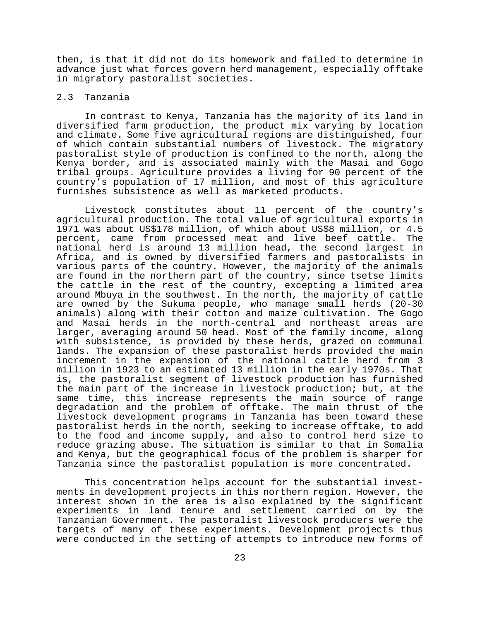then, is that it did not do its homework and failed to determine in advance just what forces govern herd management, especially offtake in migratory pastoralist societies.

### 2.3 Tanzania

In contrast to Kenya, Tanzania has the majority of its land in diversified farm production, the product mix varying by location and climate. Some five agricultural regions are distinguished, four of which contain substantial numbers of livestock. The migratory pastoralist style of production is confined to the north, along the Kenya border, and is associated mainly with the Masai and Gogo tribal groups. Agriculture provides a living for 90 percent of the country's population of 17 million, and most of this agriculture furnishes subsistence as well as marketed products.

Livestock constitutes about 11 percent of the country's agricultural production. The total value of agricultural exports in 1971 was about US\$178 million, of which about US\$8 million, or 4.5 percent, came from processed meat and live beef cattle. The national herd is around 13 million head, the second largest in Africa, and is owned by diversified farmers and pastoralists in various parts of the country. However, the majority of the animals are found in the northern part of the country, since tsetse limits the cattle in the rest of the country, excepting a limited area around Mbuya in the southwest. In the north, the majority of cattle are owned by the Sukuma people, who manage small herds (20-30 animals) along with their cotton and maize cultivation. The Gogo and Masai herds in the north-central and northeast areas are larger, averaging around 50 head. Most of the family income, along with subsistence, is provided by these herds, grazed on communal lands. The expansion of these pastoralist herds provided the main increment in the expansion of the national cattle herd from 3 million in 1923 to an estimated 13 million in the early 1970s. That is, the pastoralist segment of livestock production has furnished the main part of the increase in livestock production; but, at the same time, this increase represents the main source of range degradation and the problem of offtake. The main thrust of the livestock development programs in Tanzania has been toward these pastoralist herds in the north, seeking to increase offtake, to add to the food and income supply, and also to control herd size to reduce grazing abuse. The situation is similar to that in Somalia and Kenya, but the geographical focus of the problem is sharper for Tanzania since the pastoralist population is more concentrated.

This concentration helps account for the substantial investments in development projects in this northern region. However, the interest shown in the area is also explained by the significant experiments in land tenure and settlement carried on by the Tanzanian Government. The pastoralist livestock producers were the targets of many of these experiments. Development projects thus were conducted in the setting of attempts to introduce new forms of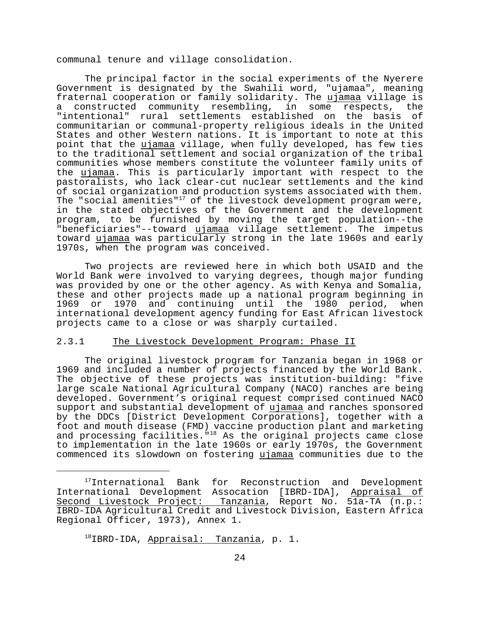communal tenure and village consolidation.

The principal factor in the social experiments of the Nyerere Government is designated by the Swahili word, "ujamaa", meaning fraternal cooperation or family solidarity. The ujamaa village is a constructed community resembling, in some respects, the "intentional" rural settlements established on the basis of communitarian or communal-property religious ideals in the United States and other Western nations. It is important to note at this point that the ujamaa village, when fully developed, has few ties to the traditional settlement and social organization of the tribal communities whose members constitute the volunteer family units of the ujamaa. This is particularly important with respect to the pastoralists, who lack clear-cut nuclear settlements and the kind of social organization and production systems associated with them. The "social amenities" $17$  of the livestock development program were, in the stated objectives of the Government and the development program, to be furnished by moving the target population--the "beneficiaries"--toward ujamaa village settlement. The impetus toward ujamaa was particularly strong in the late 1960s and early 1970s, when the program was conceived.

Two projects are reviewed here in which both USAID and the World Bank were involved to varying degrees, though major funding was provided by one or the other agency. As with Kenya and Somalia, these and other projects made up a national program beginning in 1969 or 1970 and continuing until the 1980 period, when international development agency funding for East African livestock projects came to a close or was sharply curtailed.

## 2.3.1 The Livestock Development Program: Phase II

The original livestock program for Tanzania began in 1968 or 1969 and included a number of projects financed by the World Bank. The objective of these projects was institution-building: "five large scale National Agricultural Company (NACO) ranches are being developed. Government's original request comprised continued NACO support and substantial development of ujamaa and ranches sponsored by the DDCs [District Development Corporations], together with a foot and mouth disease (FMD) vaccine production plant and marketing and processing facilities. $18$ <sup>18</sup> As the original projects came close to implementation in the late 1960s or early 1970s, the Government commenced its slowdown on fostering ujamaa communities due to the

<sup>&</sup>lt;sup>17</sup>International Bank for Reconstruction and Development International Development Assocation [IBRD-IDA], Appraisal of Second Livestock Project: Tanzania, Report No. 51a-TA (n.p.: IBRD-IDA Agricultural Credit and Livestock Division, Eastern Africa Regional Officer, 1973), Annex 1.

 $18$ IBRD-IDA, Appraisal: Tanzania, p. 1.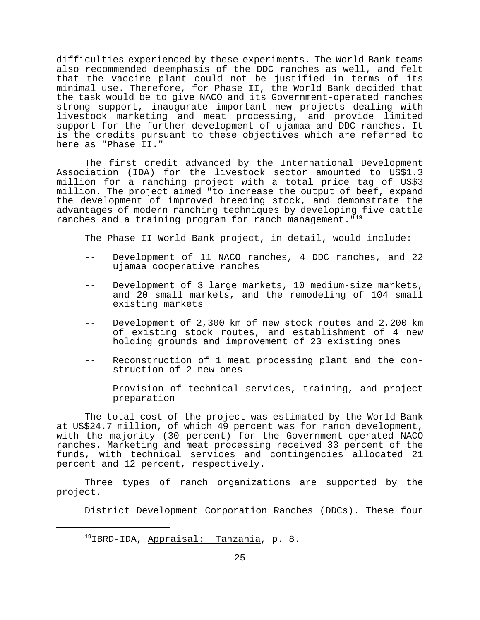difficulties experienced by these experiments. The World Bank teams also recommended deemphasis of the DDC ranches as well, and felt that the vaccine plant could not be justified in terms of its minimal use. Therefore, for Phase II, the World Bank decided that the task would be to give NACO and its Government-operated ranches strong support, inaugurate important new projects dealing with livestock marketing and meat processing, and provide limited support for the further development of ujamaa and DDC ranches. It is the credits pursuant to these objectives which are referred to here as "Phase II."

The first credit advanced by the International Development Association (IDA) for the livestock sector amounted to US\$1.3 million for a ranching project with a total price tag of US\$3 million. The project aimed "to increase the output of beef, expand the development of improved breeding stock, and demonstrate the advantages of modern ranching techniques by developing five cattle ranches and a training program for ranch management."<sup>19</sup>

The Phase II World Bank project, in detail, would include:

- -- Development of 11 NACO ranches, 4 DDC ranches, and 22 ujamaa cooperative ranches
- -- Development of 3 large markets, 10 medium-size markets, and 20 small markets, and the remodeling of 104 small existing markets
- -- Development of 2,300 km of new stock routes and 2,200 km of existing stock routes, and establishment of 4 new holding grounds and improvement of 23 existing ones
- Reconstruction of 1 meat processing plant and the construction of 2 new ones
- -- Provision of technical services, training, and project preparation

The total cost of the project was estimated by the World Bank at US\$24.7 million, of which 49 percent was for ranch development, with the majority (30 percent) for the Government-operated NACO ranches. Marketing and meat processing received 33 percent of the funds, with technical services and contingencies allocated 21 percent and 12 percent, respectively.

Three types of ranch organizations are supported by the project.

District Development Corporation Ranches (DDCs). These four

<sup>&</sup>lt;sup>19</sup>IBRD-IDA, Appraisal: Tanzania, p. 8.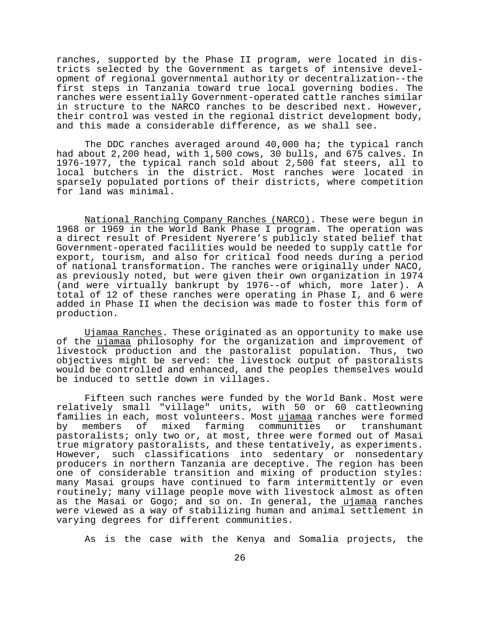ranches, supported by the Phase II program, were located in districts selected by the Government as targets of intensive development of regional governmental authority or decentralization--the first steps in Tanzania toward true local governing bodies. The ranches were essentially Government-operated cattle ranches similar in structure to the NARCO ranches to be described next. However, their control was vested in the regional district development body, and this made a considerable difference, as we shall see.

The DDC ranches averaged around 40,000 ha; the typical ranch had about 2,200 head, with 1,500 cows, 30 bulls, and 675 calves. In 1976-1977, the typical ranch sold about 2,500 fat steers, all to local butchers in the district. Most ranches were located in sparsely populated portions of their districts, where competition for land was minimal.

National Ranching Company Ranches (NARCO). These were begun in 1968 or 1969 in the World Bank Phase I program. The operation was a direct result of President Nyerere's publicly stated belief that Government-operated facilities would be needed to supply cattle for export, tourism, and also for critical food needs during a period of national transformation. The ranches were originally under NACO, as previously noted, but were given their own organization in 1974 (and were virtually bankrupt by 1976--of which, more later). A total of 12 of these ranches were operating in Phase I, and 6 were added in Phase II when the decision was made to foster this form of production.

Ujamaa Ranches. These originated as an opportunity to make use of the ujamaa philosophy for the organization and improvement of livestock production and the pastoralist population. Thus, two objectives might be served: the livestock output of pastoralists would be controlled and enhanced, and the peoples themselves would be induced to settle down in villages.

Fifteen such ranches were funded by the World Bank. Most were relatively small "village" units, with 50 or 60 cattleowning families in each, most volunteers. Most ujamaa ranches were formed by members of mixed farming communities or transhumant pastoralists; only two or, at most, three were formed out of Masai true migratory pastoralists, and these tentatively, as experiments. However, such classifications into sedentary or nonsedentary producers in northern Tanzania are deceptive. The region has been one of considerable transition and mixing of production styles: many Masai groups have continued to farm intermittently or even routinely; many village people move with livestock almost as often as the Masai or Gogo; and so on. In general, the ujamaa ranches were viewed as a way of stabilizing human and animal settlement in varying degrees for different communities.

As is the case with the Kenya and Somalia projects, the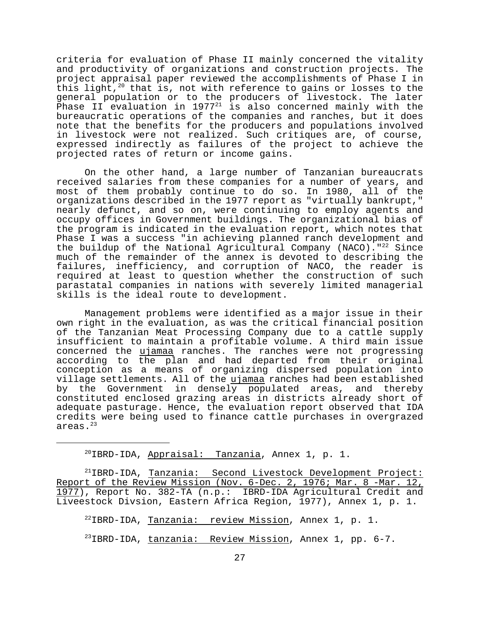criteria for evaluation of Phase II mainly concerned the vitality and productivity of organizations and construction projects. The project appraisal paper reviewed the accomplishments of Phase I in this light, $20$  that is, not with reference to gains or losses to the general population or to the producers of livestock. The later Phase II evaluation in  $1977^{21}$  is also concerned mainly with the bureaucratic operations of the companies and ranches, but it does note that the benefits for the producers and populations involved in livestock were not realized. Such critiques are, of course, expressed indirectly as failures of the project to achieve the projected rates of return or income gains.

On the other hand, a large number of Tanzanian bureaucrats received salaries from these companies for a number of years, and most of them probably continue to do so. In 1980, all of the organizations described in the 1977 report as "virtually bankrupt," nearly defunct, and so on, were continuing to employ agents and occupy offices in Government buildings. The organizational bias of the program is indicated in the evaluation report, which notes that Phase I was a success "in achieving planned ranch development and the buildup of the National Agricultural Company (NACO).  $122$  Since much of the remainder of the annex is devoted to describing the failures, inefficiency, and corruption of NACO, the reader is required at least to question whether the construction of such parastatal companies in nations with severely limited managerial skills is the ideal route to development.

Management problems were identified as a major issue in their own right in the evaluation, as was the critical financial position of the Tanzanian Meat Processing Company due to a cattle supply insufficient to maintain a profitable volume. A third main issue concerned the ujamaa ranches. The ranches were not progressing according to the plan and had departed from their original conception as a means of organizing dispersed population into village settlements. All of the ujamaa ranches had been established by the Government in densely populated areas, and thereby constituted enclosed grazing areas in districts already short of adequate pasturage. Hence, the evaluation report observed that IDA credits were being used to finance cattle purchases in overgrazed areas.<sup>23</sup>

 $^{20}$ IBRD-IDA, Appraisal: Tanzania, Annex 1, p. 1.

21IBRD-IDA, Tanzania: Second Livestock Development Project: Report of the Review Mission (Nov. 6-Dec. 2, 1976; Mar. 8 -Mar. 12, 1977), Report No. 382-TA (n.p.: IBRD-IDA Agricultural Credit and Liveestock Divsion, Eastern Africa Region, 1977), Annex 1, p. 1.

<sup>22</sup>IBRD-IDA, <u>Tanzania: review Mission</u>, Annex 1, p. 1.

 $^{23}$ IBRD-IDA, tanzania: Review Mission, Annex 1, pp. 6-7.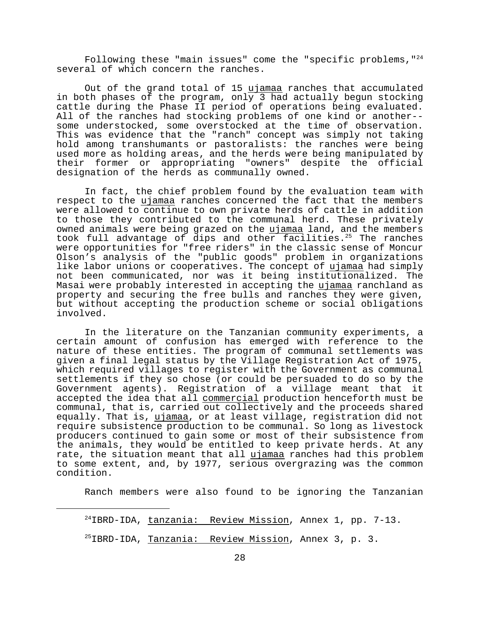Following these "main issues" come the "specific problems,  $124$ several of which concern the ranches.

Out of the grand total of 15 ujamaa ranches that accumulated in both phases of the program, only 3 had actually begun stocking cattle during the Phase II period of operations being evaluated. All of the ranches had stocking problems of one kind or another- some understocked, some overstocked at the time of observation. This was evidence that the "ranch" concept was simply not taking hold among transhumants or pastoralists: the ranches were being used more as holding areas, and the herds were being manipulated by their former or appropriating "owners" despite the official designation of the herds as communally owned.

In fact, the chief problem found by the evaluation team with respect to the ujamaa ranches concerned the fact that the members were allowed to continue to own private herds of cattle in addition to those they contributed to the communal herd. These privately owned animals were being grazed on the ujamaa land, and the members took full advantage of dips and other  $f$ acilities.<sup>25</sup> The ranches were opportunities for "free riders" in the classic sense of Moncur Olson's analysis of the "public goods" problem in organizations like labor unions or cooperatives. The concept of ujamaa had simply not been communicated, nor was it being institutionalized. The Masai were probably interested in accepting the ujamaa ranchland as property and securing the free bulls and ranches they were given, but without accepting the production scheme or social obligations involved.

In the literature on the Tanzanian community experiments, a certain amount of confusion has emerged with reference to the nature of these entities. The program of communal settlements was given a final legal status by the Village Registration Act of 1975, which required villages to register with the Government as communal settlements if they so chose (or could be persuaded to do so by the Government agents). Registration of a village meant that it accepted the idea that all commercial production henceforth must be communal, that is, carried out collectively and the proceeds shared equally. That is, ujamaa, or at least village, registration did not require subsistence production to be communal. So long as livestock producers continued to gain some or most of their subsistence from the animals, they would be entitled to keep private herds. At any rate, the situation meant that all ujamaa ranches had this problem to some extent, and, by 1977, serious overgrazing was the common condition.

Ranch members were also found to be ignoring the Tanzanian

| <sup>24</sup> IBRD-IDA, tanzania: <u>Review Mission</u> , Annex 1, pp. 7-13. |  |  |  |
|------------------------------------------------------------------------------|--|--|--|
| <sup>25</sup> IBRD-IDA, Tanzania: Review Mission, Annex 3, p. 3.             |  |  |  |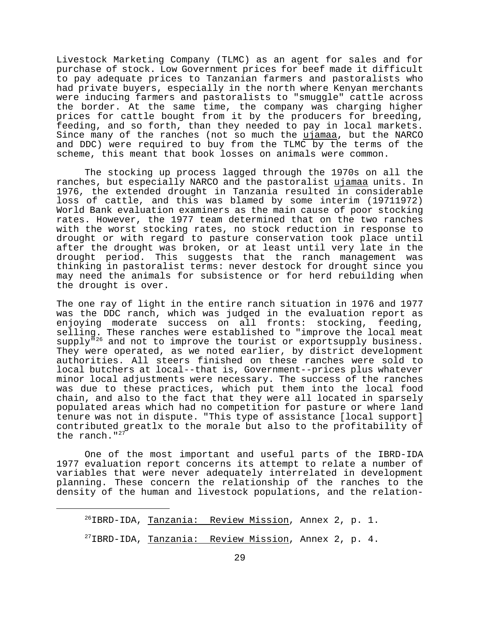Livestock Marketing Company (TLMC) as an agent for sales and for purchase of stock. Low Government prices for beef made it difficult to pay adequate prices to Tanzanian farmers and pastoralists who had private buyers, especially in the north where Kenyan merchants were inducing farmers and pastoralists to "smuggle" cattle across the border. At the same time, the company was charging higher prices for cattle bought from it by the producers for breeding, feeding, and so forth, than they needed to pay in local markets. Since many of the ranches (not so much the ujamaa, but the NARCO and DDC) were required to buy from the TLMC by the terms of the scheme, this meant that book losses on animals were common.

The stocking up process lagged through the 1970s on all the ranches, but especially NARCO and the pastoralist ujamaa units. In 1976, the extended drought in Tanzania resulted in considerable loss of cattle, and this was blamed by some interim (19711972) World Bank evaluation examiners as the main cause of poor stocking rates. However, the 1977 team determined that on the two ranches with the worst stocking rates, no stock reduction in response to drought or with regard to pasture conservation took place until after the drought was broken, or at least until very late in the drought period. This suggests that the ranch management was thinking in pastoralist terms: never destock for drought since you may need the animals for subsistence or for herd rebuilding when the drought is over.

The one ray of light in the entire ranch situation in 1976 and 1977 was the DDC ranch, which was judged in the evaluation report as enjoying moderate success on all fronts: stocking, feeding, selling. These ranches were established to "improve the local meat  $supply^{\pi^{26}}$  and not to improve the tourist or exportsupply business. They were operated, as we noted earlier, by district development authorities. All steers finished on these ranches were sold to local butchers at local--that is, Government--prices plus whatever minor local adjustments were necessary. The success of the ranches was due to these practices, which put them into the local food chain, and also to the fact that they were all located in sparsely populated areas which had no competition for pasture or where land tenure was not in dispute. "This type of assistance [local support] contributed greatlx to the morale but also to the profitability of the ranch. $127$ 

One of the most important and useful parts of the IBRD-IDA 1977 evaluation report concerns its attempt to relate a number of variables that were never adequately interrelated in development planning. These concern the relationship of the ranches to the density of the human and livestock populations, and the relation-

| $^{26}$ IBRD-IDA, Tanzania: Review Mission, Annex 2, p. 1. |  |  |  |  |
|------------------------------------------------------------|--|--|--|--|
|                                                            |  |  |  |  |

 $27$ IBRD-IDA, Tanzania: Review Mission, Annex 2, p. 4.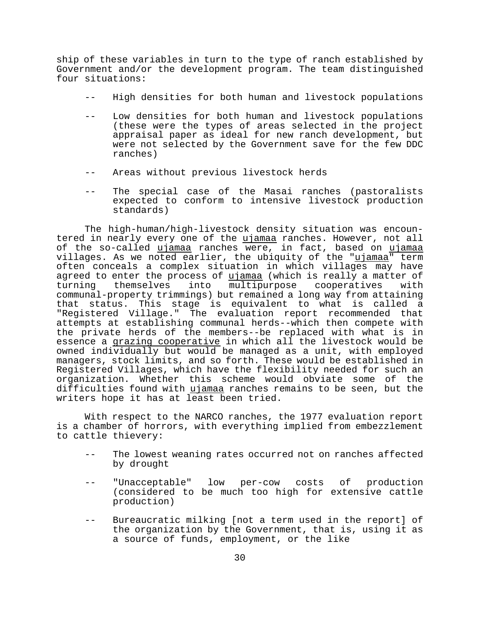ship of these variables in turn to the type of ranch established by Government and/or the development program. The team distinguished four situations:

- High densities for both human and livestock populations
- -- Low densities for both human and livestock populations (these were the types of areas selected in the project appraisal paper as ideal for new ranch development, but were not selected by the Government save for the few DDC ranches)
- Areas without previous livestock herds
- -- The special case of the Masai ranches (pastoralists expected to conform to intensive livestock production standards)

The high-human/high-livestock density situation was encountered in nearly every one of the ujamaa ranches. However, not all of the so-called ujamaa ranches were, in fact, based on ujamaa villages. As we noted earlier, the ubiquity of the "ujamaa" term often conceals a complex situation in which villages may have agreed to enter the process of <u>ujamaa</u> (which is really a matter of turning themselves into multipurpose cooperatives with turning themselves into multipurpose cooperatives with communal-property trimmings) but remained a long way from attaining that status. This stage is equivalent to what is called a "Registered Village." The evaluation report recommended that attempts at establishing communal herds--which then compete with the private herds of the members--be replaced with what is in essence a grazing cooperative in which all the livestock would be owned individually but would be managed as a unit, with employed managers, stock limits, and so forth. These would be established in Registered Villages, which have the flexibility needed for such an organization. Whether this scheme would obviate some of the difficulties found with ujamaa ranches remains to be seen, but the writers hope it has at least been tried.

With respect to the NARCO ranches, the 1977 evaluation report is a chamber of horrors, with everything implied from embezzlement to cattle thievery:

- The lowest weaning rates occurred not on ranches affected by drought
- -- "Unacceptable" low per-cow costs of production (considered to be much too high for extensive cattle production)
- -- Bureaucratic milking [not a term used in the report] of the organization by the Government, that is, using it as a source of funds, employment, or the like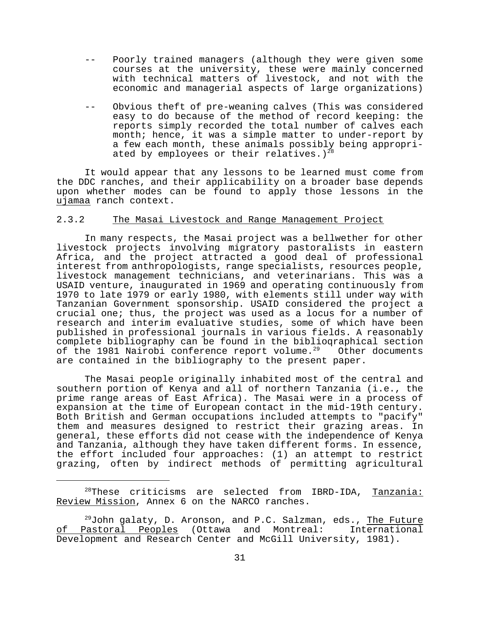- Poorly trained managers (although they were given some courses at the university, these were mainly concerned with technical matters of livestock, and not with the economic and managerial aspects of large organizations)
- Obvious theft of pre-weaning calves (This was considered easy to do because of the method of record keeping: the reports simply recorded the total number of calves each month; hence, it was a simple matter to under-report by a few each month, these animals possibly being appropriated by employees or their relatives.)<sup>28</sup>

It would appear that any lessons to be learned must come from the DDC ranches, and their applicability on a broader base depends upon whether modes can be found to apply those lessons in the ujamaa ranch context.

## 2.3.2 The Masai Livestock and Range Management Project

In many respects, the Masai project was a bellwether for other livestock projects involving migratory pastoralists in eastern Africa, and the project attracted a good deal of professional interest from anthropologists, range specialists, resources people, livestock management technicians, and veterinarians. This was a USAID venture, inaugurated in 1969 and operating continuously from 1970 to late 1979 or early 1980, with elements still under way with Tanzanian Government sponsorship. USAID considered the project a crucial one; thus, the project was used as a locus for a number of research and interim evaluative studies, some of which have been published in professional journals in various fields. A reasonably complete bibliography can be found in the biblioqraphical section of the 1981 Nairobi conference report volume.<sup>29</sup> Other documents are contained in the bibliography to the present paper.

The Masai people originally inhabited most of the central and southern portion of Kenya and all of northern Tanzania (i.e., the prime range areas of East Africa). The Masai were in a process of expansion at the time of European contact in the mid-19th century. Both British and German occupations included attempts to "pacify" them and measures designed to restrict their grazing areas. In general, these efforts did not cease with the independence of Kenya and Tanzania, although they have taken different forms. In essence, the effort included four approaches: (1) an attempt to restrict grazing, often by indirect methods of permitting agricultural

 $28$ These criticisms are selected from IBRD-IDA, Tanzania: Review Mission, Annex 6 on the NARCO ranches.

 $^{29}$ John galaty, D. Aronson, and P.C. Salzman, eds., The Future of Pastoral Peoples (Ottawa and Montreal: International Development and Research Center and McGill University, 1981).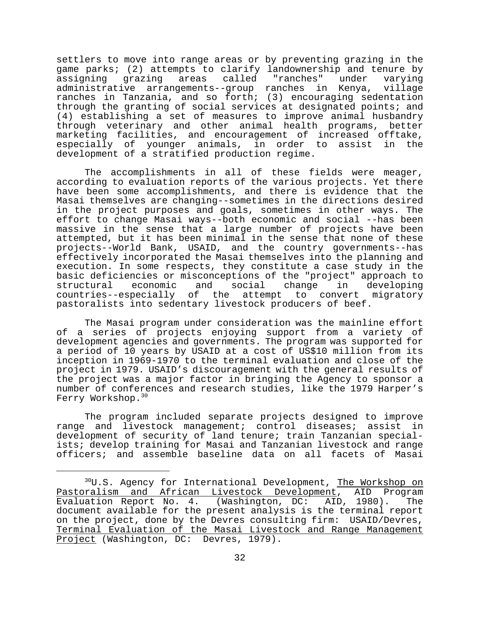settlers to move into range areas or by preventing grazing in the game parks; (2) attempts to clarify landownership and tenure by assigning grazing areas called "ranches" under varying administrative arrangements--group ranches in Kenya, village ranches in Tanzania, and so forth; (3) encouraging sedentation through the granting of social services at designated points; and (4) establishing a set of measures to improve animal husbandry through veterinary and other animal health programs, better marketing facilities, and encouragement of increased offtake, especially of younger animals, in order to assist in the development of a stratified production regime.

The accomplishments in all of these fields were meager, according to evaluation reports of the various projects. Yet there have been some accomplishments, and there is evidence that the Masai themselves are changing--sometimes in the directions desired in the project purposes and goals, sometimes in other ways. The effort to change Masai ways--both economic and social --has been massive in the sense that a large number of projects have been attempted, but it has been minimal in the sense that none of these projects--World Bank, USAID, and the country governments--has effectively incorporated the Masai themselves into the planning and execution. In some respects, they constitute a case study in the basic deficiencies or misconceptions of the "project" approach to structural economic and social change in developing countries--especially of the attempt to convert migratory pastoralists into sedentary livestock producers of beef.

The Masai program under consideration was the mainline effort of a series of projects enjoying support from a variety of development agencies and governments. The program was supported for a period of 10 years by USAID at a cost of US\$10 million from its inception in 1969-1970 to the terminal evaluation and close of the project in 1979. USAID's discouragement with the general results of the project was a major factor in bringing the Agency to sponsor a number of conferences and research studies, like the 1979 Harper's Ferry Workshop.<sup>30</sup>

The program included separate projects designed to improve range and livestock management; control diseases; assist in development of security of land tenure; train Tanzanian specialists; develop training for Masai and Tanzanian livestock and range officers; and assemble baseline data on all facets of Masai

<sup>&</sup>lt;sup>30</sup>U.S. Agency for International Development, The Workshop on Pastoralism and African Livestock Development, AID Program Evaluation Report No. 4. (Washington, DC: AID, 1980). The document available for the present analysis is the terminal report on the project, done by the Devres consulting firm: USAID/Devres, Terminal Evaluation of the Masai Livestock and Range Management Project (Washington, DC: Devres, 1979).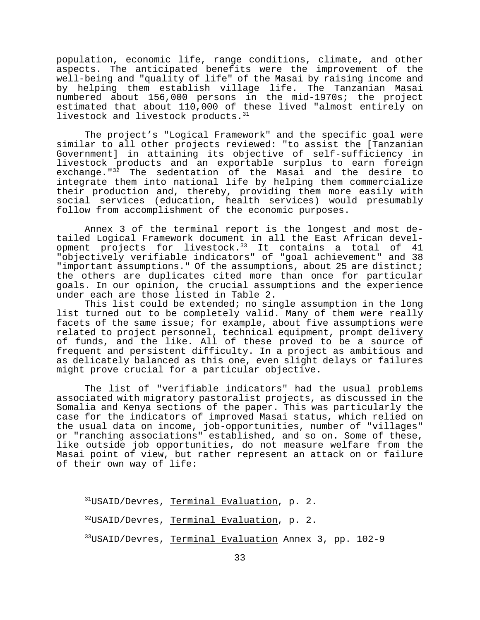population, economic life, range conditions, climate, and other aspects. The anticipated benefits were the improvement of the well-being and "quality of life" of the Masai by raising income and by helping them establish village life. The Tanzanian Masai numbered about 156,000 persons in the mid-1970s; the project estimated that about 110,000 of these lived "almost entirely on livestock and livestock products.<sup>31</sup>

The project's "Logical Framework" and the specific goal were similar to all other projects reviewed: "to assist the [Tanzanian Government] in attaining its objective of self-sufficiency in livestock products and an exportable surplus to earn foreign exchange."<sup>32</sup> The sedentation of the Masai and the desire to integrate them into national life by helping them commercialize their production and, thereby, providing them more easily with social services (education, health services) would presumably follow from accomplishment of the economic purposes.

Annex 3 of the terminal report is the longest and most detailed Logical Framework document in all the East African development projects for livestock.<sup>33</sup> It contains a total of 41 "objectively verifiable indicators" of "goal achievement" and 38 "important assumptions." Of the assumptions, about 25 are distinct; the others are duplicates cited more than once for particular goals. In our opinion, the crucial assumptions and the experience under each are those listed in Table 2.

This list could be extended; no single assumption in the long list turned out to be completely valid. Many of them were really facets of the same issue; for example, about five assumptions were related to project personnel, technical equipment, prompt delivery of funds, and the like. All of these proved to be a source of frequent and persistent difficulty. In a project as ambitious and as delicately balanced as this one, even slight delays or failures might prove crucial for a particular objective.

The list of "verifiable indicators" had the usual problems associated with migratory pastoralist projects, as discussed in the Somalia and Kenya sections of the paper. This was particularly the case for the indicators of improved Masai status, which relied on the usual data on income, job-opportunities, number of "villages" or "ranching associations" established, and so on. Some of these, like outside job opportunities, do not measure welfare from the Masai point of view, but rather represent an attack on or failure of their own way of life:

31USAID/Devres, Terminal Evaluation, p. 2. <sup>32</sup>USAID/Devres, Terminal Evaluation, p. 2. 33USAID/Devres, Terminal Evaluation Annex 3, pp. 102-9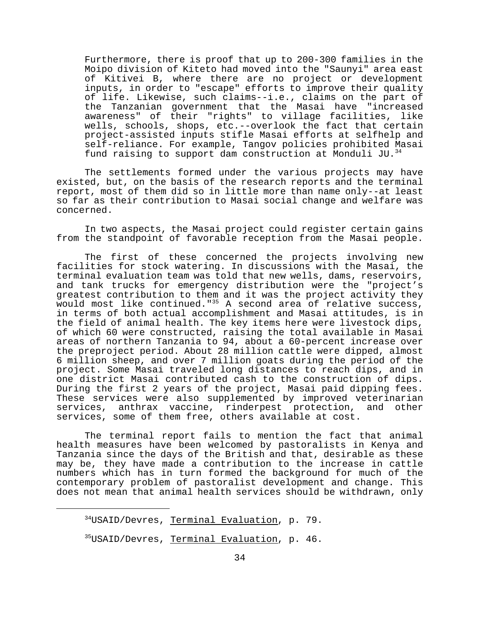Furthermore, there is proof that up to 200-300 families in the Moipo division of Kiteto had moved into the "Saunyi" area east of Kitivei B, where there are no project or development inputs, in order to "escape" efforts to improve their quality of life. Likewise, such claims--i.e., claims on the part of the Tanzanian government that the Masai have "increased awareness" of their "rights" to village facilities, like wells, schools, shops, etc.--overlook the fact that certain project-assisted inputs stifle Masai efforts at selfhelp and self-reliance. For example, Tangov policies prohibited Masai fund raising to support dam construction at Monduli  $JU.^{34}$ 

The settlements formed under the various projects may have existed, but, on the basis of the research reports and the terminal report, most of them did so in little more than name only--at least so far as their contribution to Masai social change and welfare was concerned.

In two aspects, the Masai project could register certain gains from the standpoint of favorable reception from the Masai people.

The first of these concerned the projects involving new facilities for stock watering. In discussions with the Masai, the terminal evaluation team was told that new wells, dams, reservoirs, and tank trucks for emergency distribution were the "project's greatest contribution to them and it was the project activity they would most like continued."<sup>35</sup> A second area of relative success, in terms of both actual accomplishment and Masai attitudes, is in the field of animal health. The key items here were livestock dips, of which 60 were constructed, raising the total available in Masai areas of northern Tanzania to 94, about a 60-percent increase over the preproject period. About 28 million cattle were dipped, almost 6 million sheep, and over 7 million goats during the period of the project. Some Masai traveled long distances to reach dips, and in one district Masai contributed cash to the construction of dips. During the first 2 years of the project, Masai paid dipping fees. These services were also supplemented by improved veterinarian services, anthrax vaccine, rinderpest protection, and other services, some of them free, others available at cost.

The terminal report fails to mention the fact that animal health measures have been welcomed by pastoralists in Kenya and Tanzania since the days of the British and that, desirable as these may be, they have made a contribution to the increase in cattle numbers which has in turn formed the background for much of the contemporary problem of pastoralist development and change. This does not mean that animal health services should be withdrawn, only

<sup>&</sup>lt;sup>34</sup>USAID/Devres, Terminal Evaluation, p. 79.

<sup>35</sup>USAID/Devres, Terminal Evaluation, p. 46.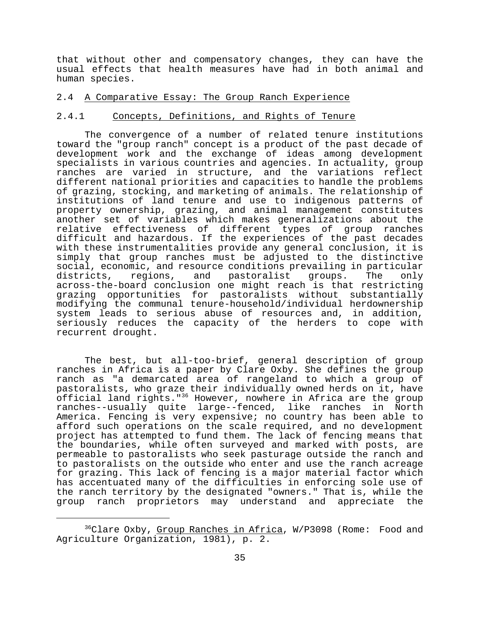that without other and compensatory changes, they can have the usual effects that health measures have had in both animal and human species.

## 2.4 A Comparative Essay: The Group Ranch Experience

# 2.4.1 Concepts, Definitions, and Rights of Tenure

The convergence of a number of related tenure institutions toward the "group ranch" concept is a product of the past decade of development work and the exchange of ideas among development specialists in various countries and agencies. In actuality, group ranches are varied in structure, and the variations reflect different national priorities and capacities to handle the problems of grazing, stocking, and marketing of animals. The relationship of institutions of land tenure and use to indigenous patterns of property ownership, grazing, and animal management constitutes another set of variables which makes generalizations about the relative effectiveness of different types of group ranches difficult and hazardous. If the experiences of the past decades with these instrumentalities provide any general conclusion, it is simply that group ranches must be adjusted to the distinctive social, economic, and resource conditions prevailing in particular districts, regions, and pastoralist groups. The only across-the-board conclusion one might reach is that restricting grazing opportunities for pastoralists without substantially modifying the communal tenure-household/individual herdownership system leads to serious abuse of resources and, in addition, seriously reduces the capacity of the herders to cope with recurrent drought.

The best, but all-too-brief, general description of group ranches in Africa is a paper by Clare Oxby. She defines the group ranch as "a demarcated area of rangeland to which a group of pastoralists, who graze their individually owned herds on it, have official land rights."36 However, nowhere in Africa are the group ranches--usually quite large--fenced, like ranches in North America. Fencing is very expensive; no country has been able to afford such operations on the scale required, and no development project has attempted to fund them. The lack of fencing means that the boundaries, while often surveyed and marked with posts, are permeable to pastoralists who seek pasturage outside the ranch and to pastoralists on the outside who enter and use the ranch acreage for grazing. This lack of fencing is a major material factor which has accentuated many of the difficulties in enforcing sole use of the ranch territory by the designated "owners." That is, while the group ranch proprietors may understand and appreciate the

<sup>&</sup>lt;sup>36</sup>Clare Oxby, Group Ranches in Africa, W/P3098 (Rome: Food and Agriculture Organization, 1981), p. 2.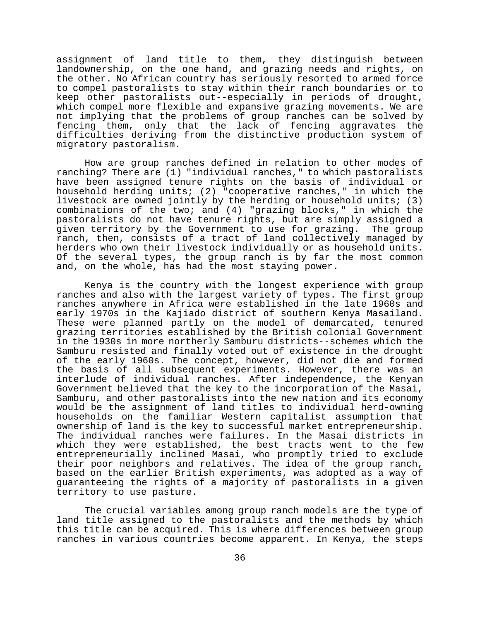assignment of land title to them, they distinguish between landownership, on the one hand, and grazing needs and rights, on the other. No African country has seriously resorted to armed force to compel pastoralists to stay within their ranch boundaries or to keep other pastoralists out--especially in periods of drought, which compel more flexible and expansive grazing movements. We are not implying that the problems of group ranches can be solved by fencing them, only that the lack of fencing aggravates the difficulties deriving from the distinctive production system of migratory pastoralism.

How are group ranches defined in relation to other modes of ranching? There are (1) "individual ranches," to which pastoralists have been assigned tenure rights on the basis of individual or household herding units; (2) "cooperative ranches," in which the livestock are owned jointly by the herding or household units; (3) combinations of the two; and (4) "grazing blocks," in which the pastoralists do not have tenure rights, but are simply assigned a given territory by the Government to use for grazing. The group ranch, then, consists of a tract of land collectively managed by herders who own their livestock individually or as household units. Of the several types, the group ranch is by far the most common and, on the whole, has had the most staying power.

Kenya is the country with the longest experience with group ranches and also with the largest variety of types. The first group ranches anywhere in Africa were established in the late 1960s and early 1970s in the Kajiado district of southern Kenya Masailand. These were planned partly on the model of demarcated, tenured grazing territories established by the British colonial Government in the 1930s in more northerly Samburu districts--schemes which the Samburu resisted and finally voted out of existence in the drought of the early 1960s. The concept, however, did not die and formed the basis of all subsequent experiments. However, there was an interlude of individual ranches. After independence, the Kenyan Government believed that the key to the incorporation of the Masai, Samburu, and other pastoralists into the new nation and its economy would be the assignment of land titles to individual herd-owning households on the familiar Western capitalist assumption that ownership of land is the key to successful market entrepreneurship. The individual ranches were failures. In the Masai districts in which they were established, the best tracts went to the few entrepreneurially inclined Masai, who promptly tried to exclude their poor neighbors and relatives. The idea of the group ranch, based on the earlier British experiments, was adopted as a way of guaranteeing the rights of a majority of pastoralists in a given territory to use pasture.

The crucial variables among group ranch models are the type of land title assigned to the pastoralists and the methods by which this title can be acquired. This is where differences between group ranches in various countries become apparent. In Kenya, the steps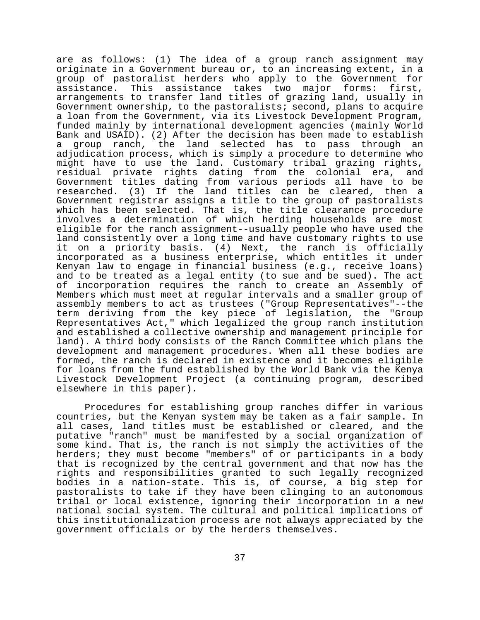are as follows: (1) The idea of a group ranch assignment may originate in a Government bureau or, to an increasing extent, in a group of pastoralist herders who apply to the Government for assistance. This assistance takes two major forms: first, arrangements to transfer land titles of grazing land, usually in Government ownership, to the pastoralists; second, plans to acquire a loan from the Government, via its Livestock Development Program, funded mainly by international development agencies (mainly World Bank and USAID). (2) After the decision has been made to establish a group ranch, the land selected has to pass through an adjudication process, which is simply a procedure to determine who might have to use the land. Customary tribal grazing rights, residual private rights dating from the colonial era, and Government titles dating from various periods all have to be researched. (3) If the land titles can be cleared, then a Government registrar assigns a title to the group of pastoralists which has been selected. That is, the title clearance procedure involves a determination of which herding households are most eligible for the ranch assignment--usually people who have used the land consistently over a long time and have customary rights to use it on a priority basis. (4) Next, the ranch is officially incorporated as a business enterprise, which entitles it under Kenyan law to engage in financial business (e.g., receive loans) and to be treated as a legal entity (to sue and be sued). The act of incorporation requires the ranch to create an Assembly of Members which must meet at regular intervals and a smaller group of assembly members to act as trustees ("Group Representatives"--the term deriving from the key piece of legislation, the "Group Representatives Act," which legalized the group ranch institution and established a collective ownership and management principle for land). A third body consists of the Ranch Committee which plans the development and management procedures. When all these bodies are formed, the ranch is declared in existence and it becomes eligible for loans from the fund established by the World Bank via the Kenya Livestock Development Project (a continuing program, described elsewhere in this paper).

Procedures for establishing group ranches differ in various countries, but the Kenyan system may be taken as a fair sample. In all cases, land titles must be established or cleared, and the putative "ranch" must be manifested by a social organization of some kind. That is, the ranch is not simply the activities of the herders; they must become "members" of or participants in a body that is recognized by the central government and that now has the rights and responsibilities granted to such legally recognized bodies in a nation-state. This is, of course, a big step for pastoralists to take if they have been clinging to an autonomous tribal or local existence, ignoring their incorporation in a new national social system. The cultural and political implications of this institutionalization process are not always appreciated by the government officials or by the herders themselves.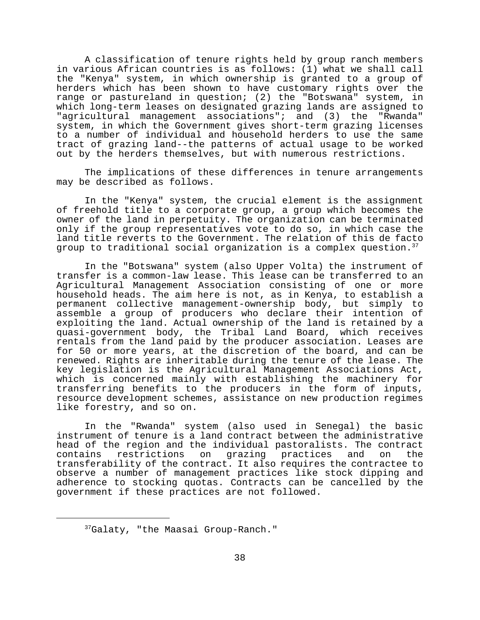A classification of tenure rights held by group ranch members in various African countries is as follows: (1) what we shall call the "Kenya" system, in which ownership is granted to a group of herders which has been shown to have customary rights over the range or pastureland in question; (2) the "Botswana" system, in which long-term leases on designated grazing lands are assigned to "agricultural management associations"; and (3) the "Rwanda" system, in which the Government gives short-term grazing licenses to a number of individual and household herders to use the same tract of grazing land--the patterns of actual usage to be worked out by the herders themselves, but with numerous restrictions.

The implications of these differences in tenure arrangements may be described as follows.

In the "Kenya" system, the crucial element is the assignment of freehold title to a corporate group, a group which becomes the owner of the land in perpetuity. The organization can be terminated only if the group representatives vote to do so, in which case the land title reverts to the Government. The relation of this de facto group to traditional social organization is a complex question. $37$ 

In the "Botswana" system (also Upper Volta) the instrument of transfer is a common-law lease. This lease can be transferred to an Agricultural Management Association consisting of one or more household heads. The aim here is not, as in Kenya, to establish a permanent collective management-ownership body, but simply to assemble a group of producers who declare their intention of exploiting the land. Actual ownership of the land is retained by a quasi-government body, the Tribal Land Board, which receives rentals from the land paid by the producer association. Leases are for 50 or more years, at the discretion of the board, and can be renewed. Rights are inheritable during the tenure of the lease. The key legislation is the Agricultural Management Associations Act, which is concerned mainly with establishing the machinery for transferring benefits to the producers in the form of inputs, resource development schemes, assistance on new production regimes like forestry, and so on.

In the "Rwanda" system (also used in Senegal) the basic instrument of tenure is a land contract between the administrative head of the region and the individual pastoralists. The contract contains restrictions on grazing practices and on the transferability of the contract. It also requires the contractee to observe a number of management practices like stock dipping and adherence to stocking quotas. Contracts can be cancelled by the government if these practices are not followed.

<sup>37</sup>Galaty, "the Maasai Group-Ranch."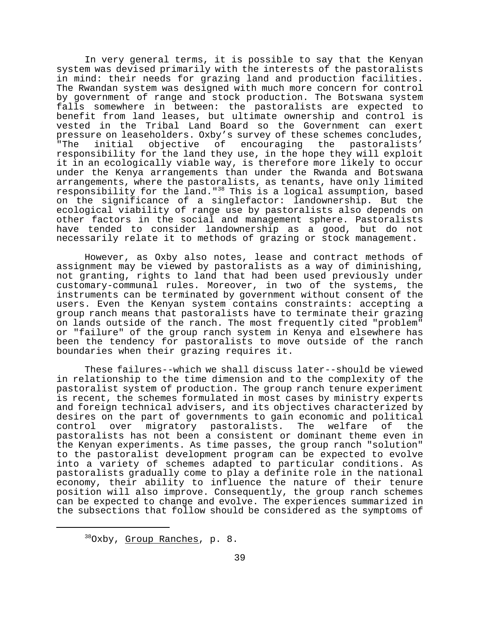In very general terms, it is possible to say that the Kenyan system was devised primarily with the interests of the pastoralists in mind: their needs for grazing land and production facilities. The Rwandan system was designed with much more concern for control by government of range and stock production. The Botswana system falls somewhere in between: the pastoralists are expected to benefit from land leases, but ultimate ownership and control is vested in the Tribal Land Board so the Government can exert pressure on leaseholders. Oxby's survey of these schemes concludes, "The initial objective of encouraging the pastoralists' responsibility for the land they use, in the hope they will exploit it in an ecologically viable way, is therefore more likely to occur under the Kenya arrangements than under the Rwanda and Botswana arrangements, where the pastoralists, as tenants, have only limited responsibility for the land."38 This is a logical assumption, based on the significance of a singlefactor: landownership. But the ecological viability of range use by pastoralists also depends on other factors in the social and management sphere. Pastoralists have tended to consider landownership as a good, but do not necessarily relate it to methods of grazing or stock management.

However, as Oxby also notes, lease and contract methods of assignment may be viewed by pastoralists as a way of diminishing, not granting, rights to land that had been used previously under customary-communal rules. Moreover, in two of the systems, the instruments can be terminated by government without consent of the users. Even the Kenyan system contains constraints: accepting a group ranch means that pastoralists have to terminate their grazing on lands outside of the ranch. The most frequently cited "problem" or "failure" of the group ranch system in Kenya and elsewhere has been the tendency for pastoralists to move outside of the ranch boundaries when their grazing requires it.

These failures--which we shall discuss later--should be viewed in relationship to the time dimension and to the complexity of the pastoralist system of production. The group ranch tenure experiment is recent, the schemes formulated in most cases by ministry experts and foreign technical advisers, and its objectives characterized by desires on the part of governments to gain economic and political control over migratory pastoralists. The welfare of the pastoralists has not been a consistent or dominant theme even in the Kenyan experiments. As time passes, the group ranch "solution" to the pastoralist development program can be expected to evolve into a variety of schemes adapted to particular conditions. As pastoralists gradually come to play a definite role in the national economy, their ability to influence the nature of their tenure position will also improve. Consequently, the group ranch schemes can be expected to change and evolve. The experiences summarized in the subsections that follow should be considered as the symptoms of

<sup>&</sup>lt;sup>38</sup>Oxby, Group Ranches, p. 8.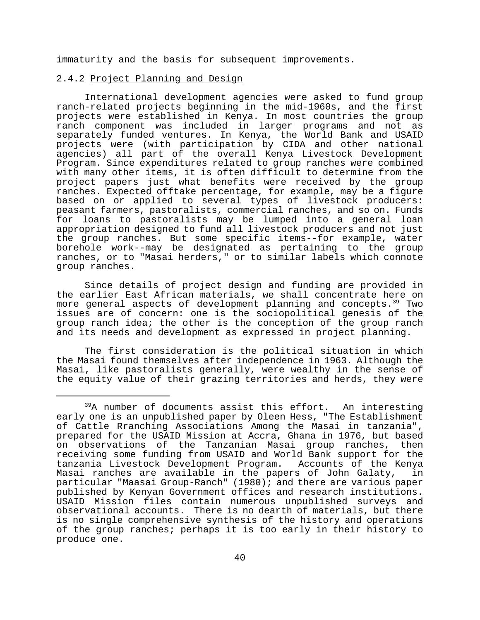immaturity and the basis for subsequent improvements.

#### 2.4.2 Project Planning and Design

International development agencies were asked to fund group ranch-related projects beginning in the mid-1960s, and the first projects were established in Kenya. In most countries the group ranch component was included in larger programs and not as separately funded ventures. In Kenya, the World Bank and USAID projects were (with participation by CIDA and other national agencies) all part of the overall Kenya Livestock Development Program. Since expenditures related to group ranches were combined with many other items, it is often difficult to determine from the project papers just what benefits were received by the group ranches. Expected offtake percentage, for example, may be a figure based on or applied to several types of livestock producers: peasant farmers, pastoralists, commercial ranches, and so on. Funds for loans to pastoralists may be lumped into a general loan appropriation designed to fund all livestock producers and not just the group ranches. But some specific items--for example, water borehole work--may be designated as pertaining to the group ranches, or to "Masai herders," or to similar labels which connote group ranches.

Since details of project design and funding are provided in the earlier East African materials, we shall concentrate here on more general aspects of development planning and concepts.<sup>39</sup> Two issues are of concern: one is the sociopolitical genesis of the group ranch idea; the other is the conception of the group ranch and its needs and development as expressed in project planning.

The first consideration is the political situation in which the Masai found themselves after independence in 1963. Although the Masai, like pastoralists generally, were wealthy in the sense of the equity value of their grazing territories and herds, they were

 $39A$  number of documents assist this effort. An interesting early one is an unpublished paper by Oleen Hess, "The Establishment of Cattle Rranching Associations Among the Masai in tanzania", prepared for the USAID Mission at Accra, Ghana in 1976, but based on observations of the Tanzanian Masai group ranches, then receiving some funding from USAID and World Bank support for the tanzania Livestock Development Program. Accounts of the Kenya Masai ranches are available in the papers of John Galaty, in particular "Maasai Group-Ranch" (1980); and there are various paper published by Kenyan Government offices and research institutions. USAID Mission files contain numerous unpublished surveys and observational accounts. There is no dearth of materials, but there is no single comprehensive synthesis of the history and operations of the group ranches; perhaps it is too early in their history to produce one.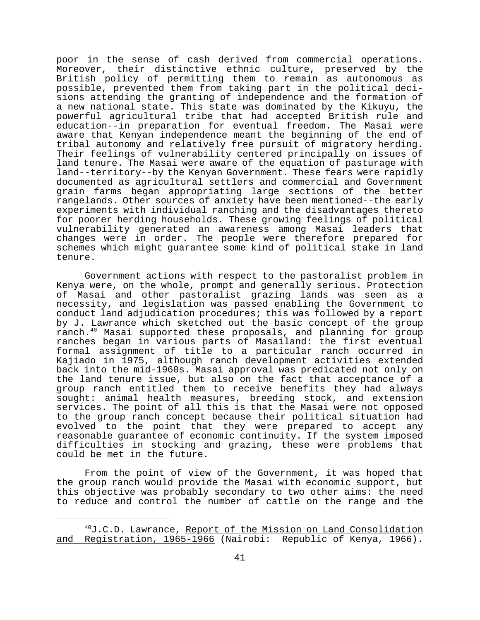poor in the sense of cash derived from commercial operations. Moreover, their distinctive ethnic culture, preserved by the British policy of permitting them to remain as autonomous as possible, prevented them from taking part in the political decisions attending the granting of independence and the formation of a new national state. This state was dominated by the Kikuyu, the powerful agricultural tribe that had accepted British rule and education--in preparation for eventual freedom. The Masai were aware that Kenyan independence meant the beginning of the end of tribal autonomy and relatively free pursuit of migratory herding. Their feelings of vulnerability centered principally on issues of land tenure. The Masai were aware of the equation of pasturage with land--territory--by the Kenyan Government. These fears were rapidly documented as agricultural settlers and commercial and Government grain farms began appropriating large sections of the better rangelands. Other sources of anxiety have been mentioned--the early experiments with individual ranching and the disadvantages thereto for poorer herding households. These growing feelings of political vulnerability generated an awareness among Masai leaders that changes were in order. The people were therefore prepared for schemes which might guarantee some kind of political stake in land tenure.

Government actions with respect to the pastoralist problem in Kenya were, on the whole, prompt and generally serious. Protection of Masai and other pastoralist grazing lands was seen as a necessity, and legislation was passed enabling the Government to conduct land adjudication procedures; this was followed by a report by J. Lawrance which sketched out the basic concept of the group ranch.<sup>40</sup> Masai supported these proposals, and planning for group ranches began in various parts of Masailand: the first eventual formal assignment of title to a particular ranch occurred in Kajiado in 1975, although ranch development activities extended back into the mid-1960s. Masai approval was predicated not only on the land tenure issue, but also on the fact that acceptance of a group ranch entitled them to receive benefits they had always sought: animal health measures, breeding stock, and extension services. The point of all this is that the Masai were not opposed to the group ranch concept because their political situation had evolved to the point that they were prepared to accept any reasonable guarantee of economic continuity. If the system imposed difficulties in stocking and grazing, these were problems that could be met in the future.

From the point of view of the Government, it was hoped that the group ranch would provide the Masai with economic support, but this objective was probably secondary to two other aims: the need to reduce and control the number of cattle on the range and the

 $^{40}$ J.C.D. Lawrance, Report of the Mission on Land Consolidation and Registration, 1965-1966 (Nairobi: Republic of Kenya, 1966).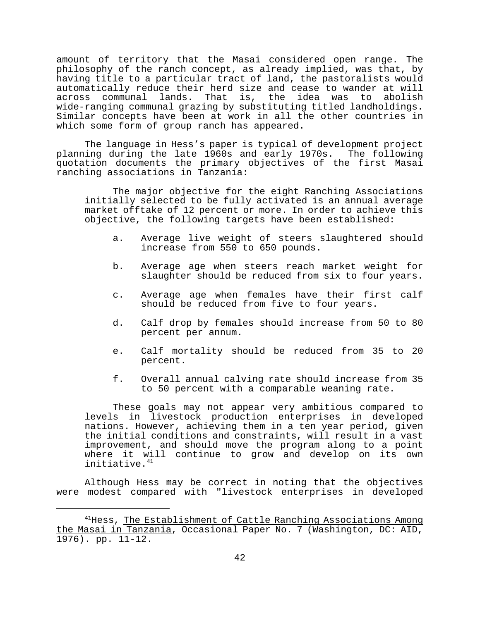amount of territory that the Masai considered open range. The philosophy of the ranch concept, as already implied, was that, by having title to a particular tract of land, the pastoralists would automatically reduce their herd size and cease to wander at will across communal lands. That is, the idea was to abolish wide-ranging communal grazing by substituting titled landholdings. Similar concepts have been at work in all the other countries in which some form of group ranch has appeared.

The language in Hess's paper is typical of development project planning during the late 1960s and early 1970s. The following quotation documents the primary objectives of the first Masai ranching associations in Tanzania:

The major objective for the eight Ranching Associations initially selected to be fully activated is an annual average market offtake of 12 percent or more. In order to achieve this objective, the following targets have been established:

- a. Average live weight of steers slaughtered should increase from 550 to 650 pounds.
- b. Average age when steers reach market weight for slaughter should be reduced from six to four years.
- c. Average age when females have their first calf should be reduced from five to four years.
- d. Calf drop by females should increase from 50 to 80 percent per annum.
- e. Calf mortality should be reduced from 35 to 20 percent.
- f. Overall annual calving rate should increase from 35 to 50 percent with a comparable weaning rate.

These goals may not appear very ambitious compared to levels in livestock production enterprises in developed nations. However, achieving them in a ten year period, given the initial conditions and constraints, will result in a vast improvement, and should move the program along to a point where it will continue to grow and develop on its own initiative.41

Although Hess may be correct in noting that the objectives were modest compared with "livestock enterprises in developed

<sup>&</sup>lt;sup>41</sup>Hess, The Establishment of Cattle Ranching Associations Among the Masai in Tanzania, Occasional Paper No. 7 (Washington, DC: AID, 1976). pp. 11-12.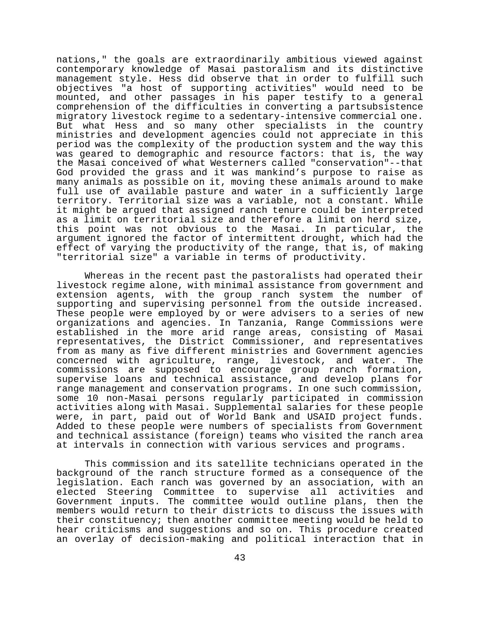nations," the goals are extraordinarily ambitious viewed against contemporary knowledge of Masai pastoralism and its distinctive management style. Hess did observe that in order to fulfill such objectives "a host of supporting activities" would need to be mounted, and other passages in his paper testify to a general comprehension of the difficulties in converting a partsubsistence migratory livestock regime to a sedentary-intensive commercial one. But what Hess and so many other specialists in the country ministries and development agencies could not appreciate in this period was the complexity of the production system and the way this was geared to demographic and resource factors: that is, the way the Masai conceived of what Westerners called "conservation"--that God provided the grass and it was mankind's purpose to raise as many animals as possible on it, moving these animals around to make full use of available pasture and water in a sufficiently large territory. Territorial size was a variable, not a constant. While it might be argued that assigned ranch tenure could be interpreted as a limit on territorial size and therefore a limit on herd size, this point was not obvious to the Masai. In particular, the argument ignored the factor of intermittent drought, which had the effect of varying the productivity of the range, that is, of making "territorial size" a variable in terms of productivity.

Whereas in the recent past the pastoralists had operated their livestock regime alone, with minimal assistance from government and extension agents, with the group ranch system the number of supporting and supervising personnel from the outside increased. These people were employed by or were advisers to a series of new organizations and agencies. In Tanzania, Range Commissions were established in the more arid range areas, consisting of Masai representatives, the District Commissioner, and representatives from as many as five different ministries and Government agencies concerned with agriculture, range, livestock, and water. The commissions are supposed to encourage group ranch formation, supervise loans and technical assistance, and develop plans for range management and conservation programs. In one such commission, some 10 non-Masai persons regularly participated in commission activities along with Masai. Supplemental salaries for these people were, in part, paid out of World Bank and USAID project funds. Added to these people were numbers of specialists from Government and technical assistance (foreign) teams who visited the ranch area at intervals in connection with various services and programs.

This commission and its satellite technicians operated in the background of the ranch structure formed as a consequence of the legislation. Each ranch was governed by an association, with an elected Steering Committee to supervise all activities and Government inputs. The committee would outline plans, then the members would return to their districts to discuss the issues with their constituency; then another committee meeting would be held to hear criticisms and suggestions and so on. This procedure created an overlay of decision-making and political interaction that in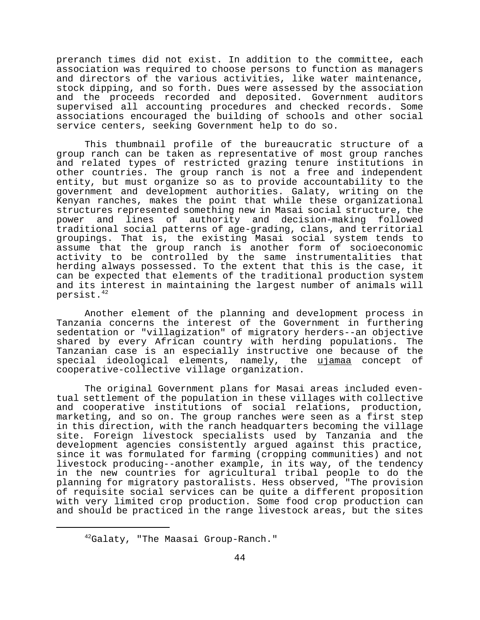preranch times did not exist. In addition to the committee, each association was required to choose persons to function as managers and directors of the various activities, like water maintenance, stock dipping, and so forth. Dues were assessed by the association and the proceeds recorded and deposited. Government auditors supervised all accounting procedures and checked records. Some associations encouraged the building of schools and other social service centers, seeking Government help to do so.

This thumbnail profile of the bureaucratic structure of a group ranch can be taken as representative of most group ranches and related types of restricted grazing tenure institutions in other countries. The group ranch is not a free and independent entity, but must organize so as to provide accountability to the government and development authorities. Galaty, writing on the Kenyan ranches, makes the point that while these organizational structures represented something new in Masai social structure, the power and lines of authority and decision-making followed traditional social patterns of age-grading, clans, and territorial groupings. That is, the existing Masai social system tends to assume that the group ranch is another form of socioeconomic activity to be controlled by the same instrumentalities that herding always possessed. To the extent that this is the case, it can be expected that elements of the traditional production system and its interest in maintaining the largest number of animals will persist.42

Another element of the planning and development process in Tanzania concerns the interest of the Government in furthering sedentation or "villagization" of migratory herders--an objective shared by every African country with herding populations. The Tanzanian case is an especially instructive one because of the special ideological elements, namely, the ujamaa concept of cooperative-collective village organization.

The original Government plans for Masai areas included eventual settlement of the population in these villages with collective and cooperative institutions of social relations, production, marketing, and so on. The group ranches were seen as a first step in this direction, with the ranch headquarters becoming the village site. Foreign livestock specialists used by Tanzania and the development agencies consistently argued against this practice, since it was formulated for farming (cropping communities) and not livestock producing--another example, in its way, of the tendency in the new countries for agricultural tribal people to do the planning for migratory pastoralists. Hess observed, "The provision of requisite social services can be quite a different proposition with very limited crop production. Some food crop production can and should be practiced in the range livestock areas, but the sites

<sup>42</sup>Galaty, "The Maasai Group-Ranch."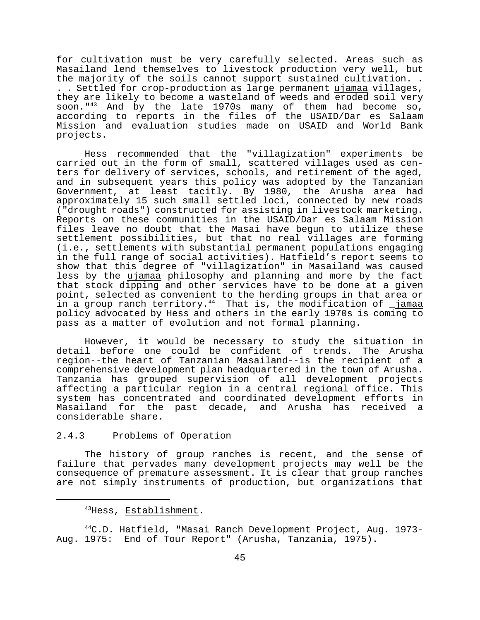for cultivation must be very carefully selected. Areas such as Masailand lend themselves to livestock production very well, but the majority of the soils cannot support sustained cultivation. . . . Settled for crop-production as large permanent ujamaa villages, they are likely to become a wasteland of weeds and eroded soil very soon."<sup>43</sup> And by the late 1970s many of them had become so, according to reports in the files of the USAID/Dar es Salaam Mission and evaluation studies made on USAID and World Bank projects.

Hess recommended that the "villagization" experiments be carried out in the form of small, scattered villages used as centers for delivery of services, schools, and retirement of the aged, and in subsequent years this policy was adopted by the Tanzanian Government, at least tacitly. By 1980, the Arusha area had approximately 15 such small settled loci, connected by new roads ("drought roads") constructed for assisting in livestock marketing. Reports on these communities in the USAID/Dar es Salaam Mission files leave no doubt that the Masai have begun to utilize these settlement possibilities, but that no real villages are forming (i.e., settlements with substantial permanent populations engaging in the full range of social activities). Hatfield's report seems to show that this degree of "villagization" in Masailand was caused less by the ujamaa philosophy and planning and more by the fact that stock dipping and other services have to be done at a given point, selected as convenient to the herding groups in that area or in a group ranch territory.<sup>44</sup> That is, the modification of  $\frac{1}{2}$  jamaa policy advocated by Hess and others in the early 1970s is coming to pass as a matter of evolution and not formal planning.

However, it would be necessary to study the situation in detail before one could be confident of trends. The Arusha region--the heart of Tanzanian Masailand--is the recipient of a comprehensive development plan headquartered in the town of Arusha. Tanzania has grouped supervision of all development projects affecting a particular region in a central regional office. This system has concentrated and coordinated development efforts in Masailand for the past decade, and Arusha has received a considerable share.

#### 2.4.3 Problems of Operation

The history of group ranches is recent, and the sense of failure that pervades many development projects may well be the consequence of premature assessment. It is clear that group ranches are not simply instruments of production, but organizations that

<sup>&</sup>lt;sup>43</sup>Hess, Establishment.

<sup>&</sup>lt;sup>44</sup>C.D. Hatfield, "Masai Ranch Development Project, Aug. 1973-Aug. 1975: End of Tour Report" (Arusha, Tanzania, 1975).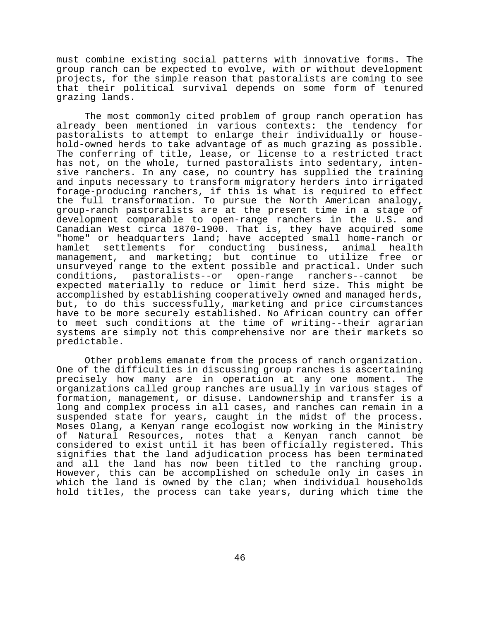must combine existing social patterns with innovative forms. The group ranch can be expected to evolve, with or without development projects, for the simple reason that pastoralists are coming to see that their political survival depends on some form of tenured grazing lands.

The most commonly cited problem of group ranch operation has already been mentioned in various contexts: the tendency for pastoralists to attempt to enlarge their individually or household-owned herds to take advantage of as much grazing as possible. The conferring of title, lease, or license to a restricted tract has not, on the whole, turned pastoralists into sedentary, intensive ranchers. In any case, no country has supplied the training and inputs necessary to transform migratory herders into irrigated forage-producing ranchers, if this is what is required to effect the full transformation. To pursue the North American analogy, group-ranch pastoralists are at the present time in a stage of development comparable to open-range ranchers in the U.S. and Canadian West circa 1870-1900. That is, they have acquired some "home" or headquarters land; have accepted small home-ranch or hamlet settlements for conducting business, animal health<br>management, and marketing; but continue to utilize free or but continue to utilize free or unsurveyed range to the extent possible and practical. Under such conditions, pastoralists--or open-range ranchers--cannot be expected materially to reduce or limit herd size. This might be accomplished by establishing cooperatively owned and managed herds, but, to do this successfully, marketing and price circumstances have to be more securely established. No African country can offer to meet such conditions at the time of writing--their agrarian systems are simply not this comprehensive nor are their markets so predictable.

Other problems emanate from the process of ranch organization. One of the difficulties in discussing group ranches is ascertaining precisely how many are in operation at any one moment. The organizations called group ranches are usually in various stages of formation, management, or disuse. Landownership and transfer is a long and complex process in all cases, and ranches can remain in a suspended state for years, caught in the midst of the process. Moses Olang, a Kenyan range ecologist now working in the Ministry of Natural Resources, notes that a Kenyan ranch cannot be considered to exist until it has been officially registered. This signifies that the land adjudication process has been terminated and all the land has now been titled to the ranching group. However, this can be accomplished on schedule only in cases in which the land is owned by the clan; when individual households hold titles, the process can take years, during which time the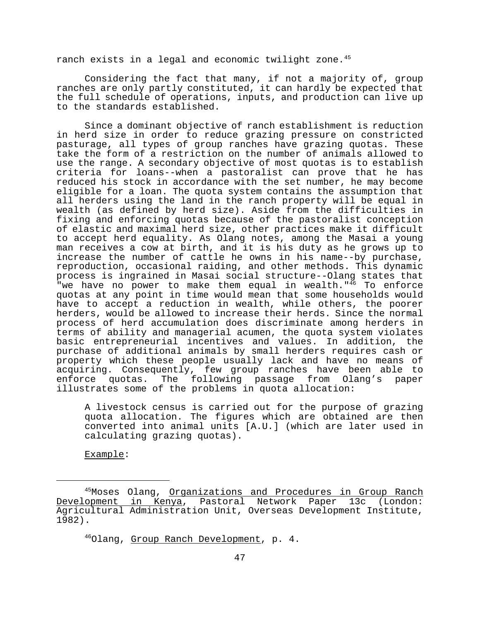ranch exists in a legal and economic twilight zone.<sup>45</sup>

Considering the fact that many, if not a majority of, group ranches are only partly constituted, it can hardly be expected that the full schedule of operations, inputs, and production can live up to the standards established.

Since a dominant objective of ranch establishment is reduction in herd size in order to reduce grazing pressure on constricted pasturage, all types of group ranches have grazing quotas. These take the form of a restriction on the number of animals allowed to use the range. A secondary objective of most quotas is to establish criteria for loans--when a pastoralist can prove that he has reduced his stock in accordance with the set number, he may become eligible for a loan. The quota system contains the assumption that all herders using the land in the ranch property will be equal in wealth (as defined by herd size). Aside from the difficulties in fixing and enforcing quotas because of the pastoralist conception of elastic and maximal herd size, other practices make it difficult to accept herd equality. As Olang notes, among the Masai a young man receives a cow at birth, and it is his duty as he grows up to increase the number of cattle he owns in his name--by purchase, reproduction, occasional raiding, and other methods. This dynamic process is ingrained in Masai social structure--Olang states that we have no power to make them equal in wealth."<sup>46</sup> To enforce quotas at any point in time would mean that some households would have to accept a reduction in wealth, while others, the poorer herders, would be allowed to increase their herds. Since the normal process of herd accumulation does discriminate among herders in terms of ability and managerial acumen, the quota system violates basic entrepreneurial incentives and values. In addition, the purchase of additional animals by small herders requires cash or property which these people usually lack and have no means of acquiring. Consequently, few group ranches have been able to enforce quotas. The following passage from Olang's paper illustrates some of the problems in quota allocation:

A livestock census is carried out for the purpose of grazing quota allocation. The figures which are obtained are then converted into animal units [A.U.] (which are later used in calculating grazing quotas).

Example:

<sup>46</sup>Olang, Group Ranch Development, p. 4.

<sup>&</sup>lt;sup>45</sup>Moses Olang, Organizations and Procedures in Group Ranch Development in Kenya, Pastoral Network Paper 13c (London: Agricultural Administration Unit, Overseas Development Institute, 1982).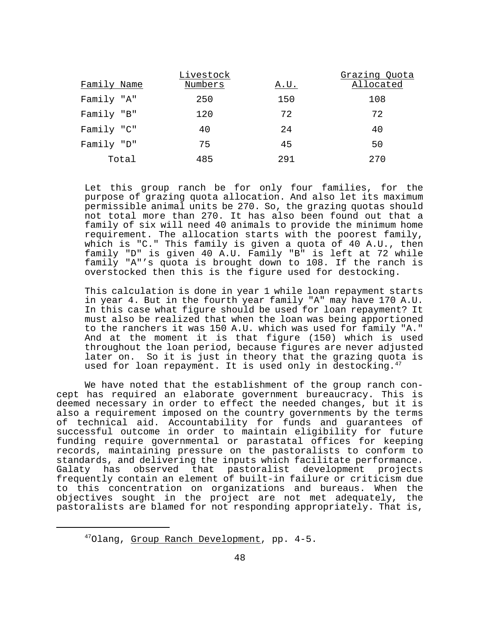|             | Livestock |      | Grazing Quota |
|-------------|-----------|------|---------------|
| Family Name | Numbers   | A.U. | Allocated     |
| Family "A"  | 250       | 150  | 108           |
| Family "B"  | 120       | 72   | 72            |
| Family "C"  | 40        | 24   | 40            |
| Family "D"  | 75        | 45   | 50            |
| Total       | 485       | 291  | 270           |

Let this group ranch be for only four families, for the purpose of grazing quota allocation. And also let its maximum permissible animal units be 270. So, the grazing quotas should not total more than 270. It has also been found out that a family of six will need 40 animals to provide the minimum home requirement. The allocation starts with the poorest family, which is "C." This family is given a quota of 40 A.U., then family "D" is given 40 A.U. Family "B" is left at 72 while family "A"'s quota is brought down to 108. If the ranch is overstocked then this is the figure used for destocking.

This calculation is done in year 1 while loan repayment starts in year 4. But in the fourth year family "A" may have 170 A.U. In this case what figure should be used for loan repayment? It must also be realized that when the loan was being apportioned to the ranchers it was 150 A.U. which was used for family "A." And at the moment it is that figure (150) which is used throughout the loan period, because figures are never adjusted later on. So it is just in theory that the grazing quota is used for loan repayment. It is used only in destocking. $47$ 

We have noted that the establishment of the group ranch concept has required an elaborate government bureaucracy. This is deemed necessary in order to effect the needed changes, but it is also a requirement imposed on the country governments by the terms of technical aid. Accountability for funds and guarantees of successful outcome in order to maintain eligibility for future funding require governmental or parastatal offices for keeping records, maintaining pressure on the pastoralists to conform to standards, and delivering the inputs which facilitate performance. Galaty has observed that pastoralist development projects frequently contain an element of built-in failure or criticism due to this concentration on organizations and bureaus. When the objectives sought in the project are not met adequately, the pastoralists are blamed for not responding appropriately. That is,

 $47$ Olang, Group Ranch Development, pp. 4-5.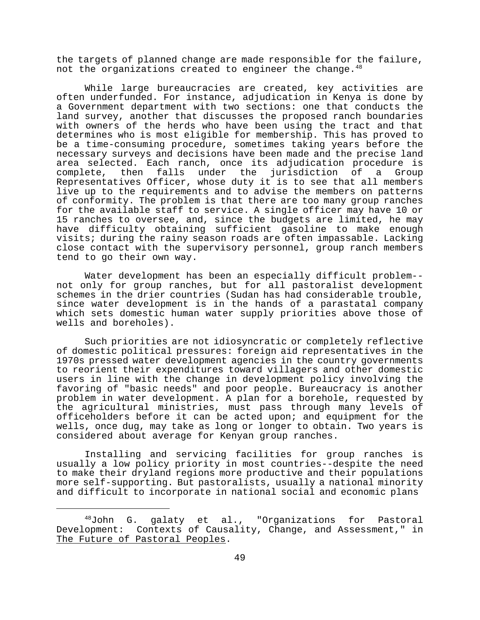the targets of planned change are made responsible for the failure, not the organizations created to engineer the change. $48$ 

While large bureaucracies are created, key activities are often underfunded. For instance, adjudication in Kenya is done by a Government department with two sections: one that conducts the land survey, another that discusses the proposed ranch boundaries with owners of the herds who have been using the tract and that determines who is most eligible for membership. This has proved to be a time-consuming procedure, sometimes taking years before the necessary surveys and decisions have been made and the precise land area selected. Each ranch, once its adjudication procedure is complete, then falls under the jurisdiction of a Group Representatives Officer, whose duty it is to see that all members live up to the requirements and to advise the members on patterns of conformity. The problem is that there are too many group ranches for the available staff to service. A single officer may have 10 or 15 ranches to oversee, and, since the budgets are limited, he may have difficulty obtaining sufficient gasoline to make enough visits; during the rainy season roads are often impassable. Lacking close contact with the supervisory personnel, group ranch members tend to go their own way.

Water development has been an especially difficult problem- not only for group ranches, but for all pastoralist development schemes in the drier countries (Sudan has had considerable trouble, since water development is in the hands of a parastatal company which sets domestic human water supply priorities above those of wells and boreholes).

Such priorities are not idiosyncratic or completely reflective of domestic political pressures: foreign aid representatives in the 1970s pressed water development agencies in the country governments to reorient their expenditures toward villagers and other domestic users in line with the change in development policy involving the favoring of "basic needs" and poor people. Bureaucracy is another problem in water development. A plan for a borehole, requested by the agricultural ministries, must pass through many levels of officeholders before it can be acted upon; and equipment for the wells, once dug, may take as long or longer to obtain. Two years is considered about average for Kenyan group ranches.

Installing and servicing facilities for group ranches is usually a low policy priority in most countries--despite the need to make their dryland regions more productive and their populations more self-supporting. But pastoralists, usually a national minority and difficult to incorporate in national social and economic plans

<sup>48</sup>John G. galaty et al., "Organizations for Pastoral Development: Contexts of Causality, Change, and Assessment," in The Future of Pastoral Peoples.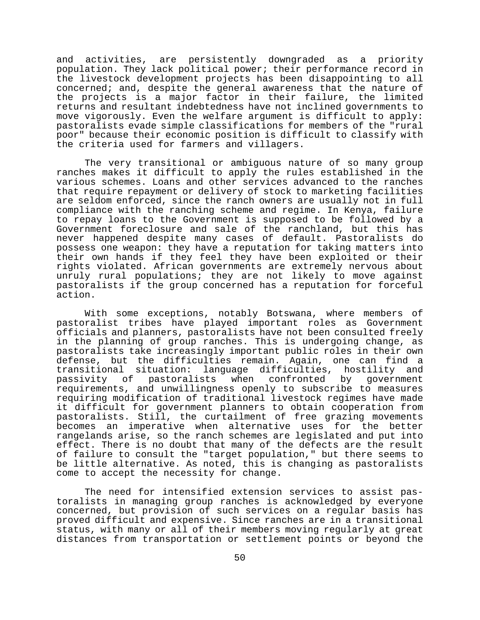and activities, are persistently downgraded as a priority population. They lack political power; their performance record in the livestock development projects has been disappointing to all concerned; and, despite the general awareness that the nature of the projects is a major factor in their failure, the limited returns and resultant indebtedness have not inclined governments to move vigorously. Even the welfare argument is difficult to apply: pastoralists evade simple classifications for members of the "rural poor" because their economic position is difficult to classify with the criteria used for farmers and villagers.

The very transitional or ambiguous nature of so many group ranches makes it difficult to apply the rules established in the various schemes. Loans and other services advanced to the ranches that require repayment or delivery of stock to marketing facilities are seldom enforced, since the ranch owners are usually not in full compliance with the ranching scheme and regime. In Kenya, failure to repay loans to the Government is supposed to be followed by a Government foreclosure and sale of the ranchland, but this has never happened despite many cases of default. Pastoralists do possess one weapon: they have a reputation for taking matters into their own hands if they feel they have been exploited or their rights violated. African governments are extremely nervous about unruly rural populations; they are not likely to move against pastoralists if the group concerned has a reputation for forceful action.

With some exceptions, notably Botswana, where members of pastoralist tribes have played important roles as Government officials and planners, pastoralists have not been consulted freely in the planning of group ranches. This is undergoing change, as pastoralists take increasingly important public roles in their own defense, but the difficulties remain. Again, one can find a transitional situation: language difficulties, hostility and when confronted by government requirements, and unwillingness openly to subscribe to measures requiring modification of traditional livestock regimes have made it difficult for government planners to obtain cooperation from pastoralists. Still, the curtailment of free grazing movements becomes an imperative when alternative uses for the better rangelands arise, so the ranch schemes are legislated and put into effect. There is no doubt that many of the defects are the result of failure to consult the "target population," but there seems to be little alternative. As noted, this is changing as pastoralists come to accept the necessity for change.

The need for intensified extension services to assist pastoralists in managing group ranches is acknowledged by everyone concerned, but provision of such services on a regular basis has proved difficult and expensive. Since ranches are in a transitional status, with many or all of their members moving regularly at great distances from transportation or settlement points or beyond the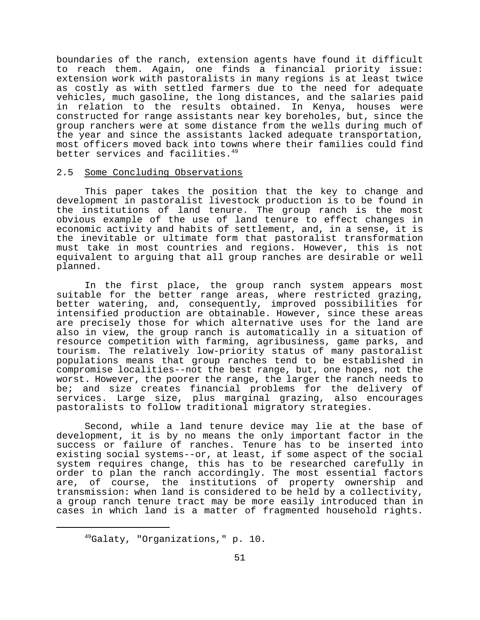boundaries of the ranch, extension agents have found it difficult to reach them. Again, one finds a financial priority issue: extension work with pastoralists in many regions is at least twice as costly as with settled farmers due to the need for adequate vehicles, much gasoline, the long distances, and the salaries paid in relation to the results obtained. In Kenya, houses were constructed for range assistants near key boreholes, but, since the group ranchers were at some distance from the wells during much of the year and since the assistants lacked adequate transportation, most officers moved back into towns where their families could find better services and facilities.<sup>49</sup>

## 2.5 Some Concluding Observations

This paper takes the position that the key to change and development in pastoralist livestock production is to be found in the institutions of land tenure. The group ranch is the most obvious example of the use of land tenure to effect changes in economic activity and habits of settlement, and, in a sense, it is the inevitable or ultimate form that pastoralist transformation must take in most countries and regions. However, this is not equivalent to arguing that all group ranches are desirable or well planned.

In the first place, the group ranch system appears most suitable for the better range areas, where restricted grazing, better watering, and, consequently, improved possibilities for intensified production are obtainable. However, since these areas are precisely those for which alternative uses for the land are also in view, the group ranch is automatically in a situation of resource competition with farming, agribusiness, game parks, and tourism. The relatively low-priority status of many pastoralist populations means that group ranches tend to be established in compromise localities--not the best range, but, one hopes, not the worst. However, the poorer the range, the larger the ranch needs to be; and size creates financial problems for the delivery of services. Large size, plus marginal grazing, also encourages pastoralists to follow traditional migratory strategies.

Second, while a land tenure device may lie at the base of development, it is by no means the only important factor in the success or failure of ranches. Tenure has to be inserted into existing social systems--or, at least, if some aspect of the social system requires change, this has to be researched carefully in order to plan the ranch accordingly. The most essential factors are, of course, the institutions of property ownership and transmission: when land is considered to be held by a collectivity, a group ranch tenure tract may be more easily introduced than in cases in which land is a matter of fragmented household rights.

<sup>49</sup>Galaty, "Organizations," p. 10.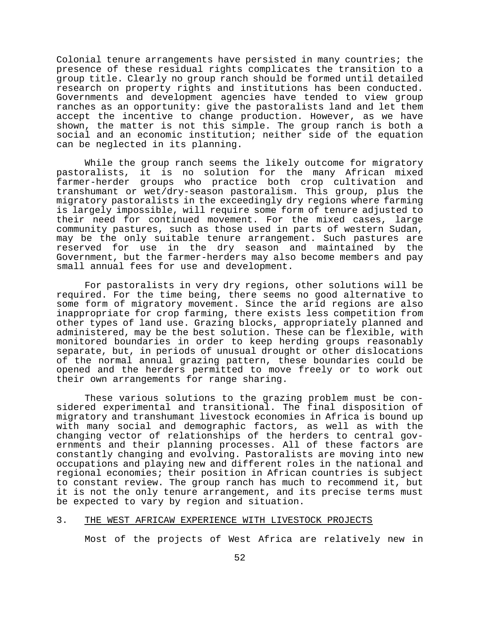Colonial tenure arrangements have persisted in many countries; the presence of these residual rights complicates the transition to a group title. Clearly no group ranch should be formed until detailed research on property rights and institutions has been conducted. Governments and development agencies have tended to view group ranches as an opportunity: give the pastoralists land and let them accept the incentive to change production. However, as we have shown, the matter is not this simple. The group ranch is both a social and an economic institution; neither side of the equation can be neglected in its planning.

While the group ranch seems the likely outcome for migratory pastoralists, it is no solution for the many African mixed farmer-herder groups who practice both crop cultivation and transhumant or wet/dry-season pastoralism. This group, plus the migratory pastoralists in the exceedingly dry regions where farming is largely impossible, will require some form of tenure adjusted to their need for continued movement. For the mixed cases, large community pastures, such as those used in parts of western Sudan, may be the only suitable tenure arrangement. Such pastures are reserved for use in the dry season and maintained by the Government, but the farmer-herders may also become members and pay small annual fees for use and development.

For pastoralists in very dry regions, other solutions will be required. For the time being, there seems no good alternative to some form of migratory movement. Since the arid regions are also inappropriate for crop farming, there exists less competition from other types of land use. Grazing blocks, appropriately planned and administered, may be the best solution. These can be flexible, with monitored boundaries in order to keep herding groups reasonably separate, but, in periods of unusual drought or other dislocations of the normal annual grazing pattern, these boundaries could be opened and the herders permitted to move freely or to work out their own arrangements for range sharing.

These various solutions to the grazing problem must be considered experimental and transitional. The final disposition of migratory and transhumant livestock economies in Africa is bound up with many social and demographic factors, as well as with the changing vector of relationships of the herders to central governments and their planning processes. All of these factors are constantly changing and evolving. Pastoralists are moving into new occupations and playing new and different roles in the national and regional economies; their position in African countries is subject to constant review. The group ranch has much to recommend it, but it is not the only tenure arrangement, and its precise terms must be expected to vary by region and situation.

### 3. THE WEST AFRICAW EXPERIENCE WITH LIVESTOCK PROJECTS

Most of the projects of West Africa are relatively new in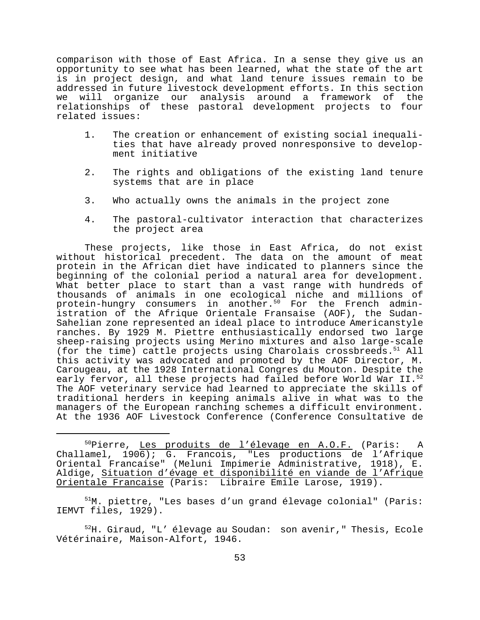comparison with those of East Africa. In a sense they give us an opportunity to see what has been learned, what the state of the art is in project design, and what land tenure issues remain to be addressed in future livestock development efforts. In this section we will organize our analysis around a framework of the relationships of these pastoral development projects to four related issues:

- 1. The creation or enhancement of existing social inequalities that have already proved nonresponsive to development initiative
- 2. The rights and obligations of the existing land tenure systems that are in place
- 3. Who actually owns the animals in the project zone
- 4. The pastoral-cultivator interaction that characterizes the project area

These projects, like those in East Africa, do not exist without historical precedent. The data on the amount of meat protein in the African diet have indicated to planners since the beginning of the colonial period a natural area for development. What better place to start than a vast range with hundreds of thousands of animals in one ecological niche and millions of protein-hungry consumers in another.<sup>50</sup> For the French administration of the Afrique Orientale Fransaise (AOF), the Sudan-Sahelian zone represented an ideal place to introduce Americanstyle ranches. By 1929 M. Piettre enthusiastically endorsed two large sheep-raising projects using Merino mixtures and also large-scale (for the time) cattle projects using Charolais crossbreeds. $51$  All this activity was advocated and promoted by the AOF Director, M. Carougeau, at the 1928 International Congres du Mouton. Despite the early fervor, all these projects had failed before World War II. $^{52}$ The AOF veterinary service had learned to appreciate the skills of traditional herders in keeping animals alive in what was to the managers of the European ranching schemes a difficult environment. At the 1936 AOF Livestock Conference (Conference Consultative de

<sup>51</sup>M. piettre, "Les bases d'un grand élevage colonial" (Paris: IEMVT files, 1929).

 $52H.$  Giraud, "L' élevage au Soudan: son avenir," Thesis, Ecole Vétérinaire, Maison-Alfort, 1946.

<sup>50</sup>Pierre, Les produits de l'élevage en A.O.F. (Paris: A Challamel, 1906); G. Francois, "Les productions de l'Afrique Oriental Francaise" (Meluni Impimerie Administrative, 1918), E. Aldige, Situation d'évage et disponibilité en viande de l'Afrique Orientale Francaise (Paris: Libraire Emile Larose, 1919).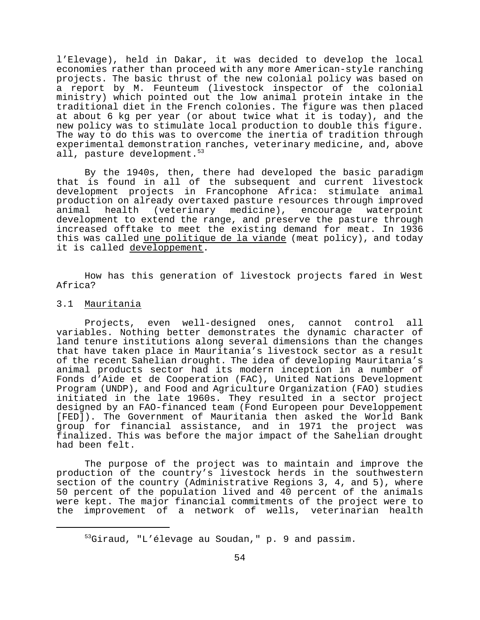l'Elevage), held in Dakar, it was decided to develop the local economies rather than proceed with any more American-style ranching projects. The basic thrust of the new colonial policy was based on a report by M. Feunteum (livestock inspector of the colonial ministry) which pointed out the low animal protein intake in the traditional diet in the French colonies. The figure was then placed at about 6 kg per year (or about twice what it is today), and the new policy was to stimulate local production to double this figure. The way to do this was to overcome the inertia of tradition through experimental demonstration ranches, veterinary medicine, and, above all, pasture development.<sup>53</sup>

By the 1940s, then, there had developed the basic paradigm that is found in all of the subsequent and current livestock development projects in Francophone Africa: stimulate animal production on already overtaxed pasture resources through improved animal health (veterinary medicine), encourage waterpoint development to extend the range, and preserve the pasture through increased offtake to meet the existing demand for meat. In 1936 this was called une politique de la viande (meat policy), and today it is called developpement.

How has this generation of livestock projects fared in West Africa?

## 3.1 Mauritania

Projects, even well-designed ones, cannot control all variables. Nothing better demonstrates the dynamic character of land tenure institutions along several dimensions than the changes that have taken place in Mauritania's livestock sector as a result of the recent Sahelian drought. The idea of developing Mauritania's animal products sector had its modern inception in a number of Fonds d'Aide et de Cooperation (FAC), United Nations Development Program (UNDP), and Food and Agriculture Organization (FAO) studies initiated in the late 1960s. They resulted in a sector project designed by an FAO-financed team (Fond Europeen pour Developpement [FED]). The Government of Mauritania then asked the World Bank group for financial assistance, and in 1971 the project was finalized. This was before the major impact of the Sahelian drought had been felt.

The purpose of the project was to maintain and improve the production of the country's livestock herds in the southwestern section of the country (Administrative Regions 3, 4, and 5), where 50 percent of the population lived and 40 percent of the animals were kept. The major financial commitments of the project were to the improvement of a network of wells, veterinarian health

<sup>53</sup>Giraud, "L'élevage au Soudan," p. 9 and passim.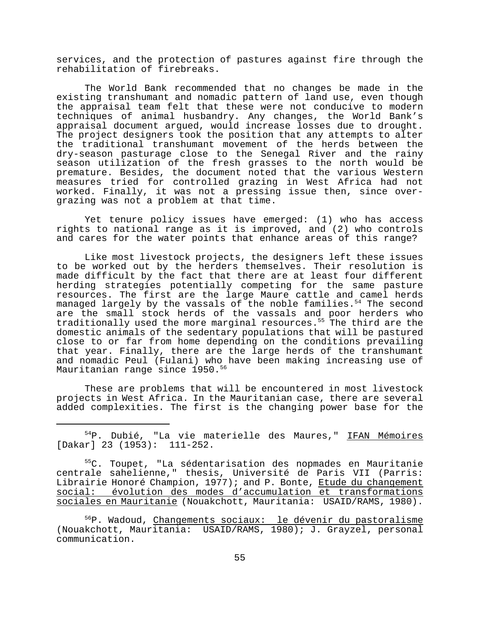services, and the protection of pastures against fire through the rehabilitation of firebreaks.

The World Bank recommended that no changes be made in the existing transhumant and nomadic pattern of land use, even though the appraisal team felt that these were not conducive to modern techniques of animal husbandry. Any changes, the World Bank's appraisal document argued, would increase losses due to drought. The project designers took the position that any attempts to alter the traditional transhumant movement of the herds between the dry-season pasturage close to the Senegal River and the rainy season utilization of the fresh grasses to the north would be premature. Besides, the document noted that the various Western measures tried for controlled grazing in West Africa had not worked. Finally, it was not a pressing issue then, since overgrazing was not a problem at that time.

Yet tenure policy issues have emerged: (1) who has access rights to national range as it is improved, and (2) who controls and cares for the water points that enhance areas of this range?

Like most livestock projects, the designers left these issues to be worked out by the herders themselves. Their resolution is made difficult by the fact that there are at least four different herding strategies potentially competing for the same pasture resources. The first are the large Maure cattle and camel herds managed largely by the vassals of the noble families.<sup>54</sup> The second are the small stock herds of the vassals and poor herders who traditionally used the more marginal resources.<sup>55</sup> The third are the domestic animals of the sedentary populations that will be pastured close to or far from home depending on the conditions prevailing that year. Finally, there are the large herds of the transhumant and nomadic Peul (Fulani) who have been making increasing use of Mauritanian range since 1950.<sup>56</sup>

These are problems that will be encountered in most livestock projects in West Africa. In the Mauritanian case, there are several added complexities. The first is the changing power base for the

54P. Dubié, "La vie materielle des Maures," IFAN Mémoires [Dakar] 23 (1953): 111-252.

55C. Toupet, "La sédentarisation des nopmades en Mauritanie centrale sahelienne," thesis, Université de Paris VII (Parris: Librairie Honoré Champion, 1977); and P. Bonte, Etude du changement social: évolution des modes d'accumulation et transformations sociales en Mauritanie (Nouakchott, Mauritania: USAID/RAMS, 1980).

<sup>56</sup>P. Wadoud, <u>Changements sociaux: le dévenir du pastoralisme</u> (Nouakchott, Mauritania: USAID/RAMS, 1980); J. Grayzel, personal communication.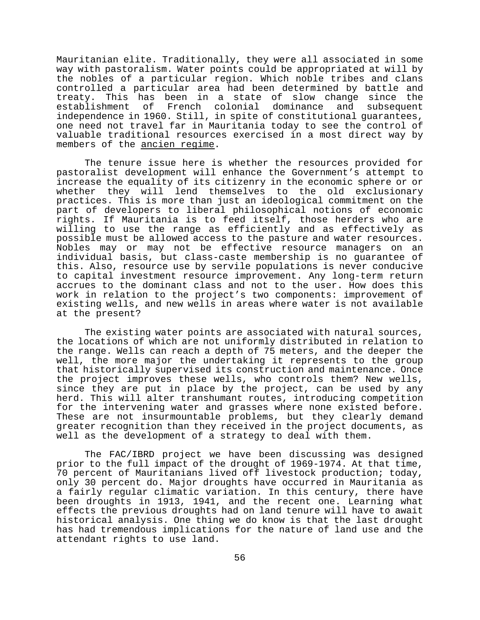Mauritanian elite. Traditionally, they were all associated in some way with pastoralism. Water points could be appropriated at will by the nobles of a particular region. Which noble tribes and clans controlled a particular area had been determined by battle and treaty. This has been in a state of slow change since the establishment of French colonial dominance and subsequent independence in 1960. Still, in spite of constitutional guarantees, one need not travel far in Mauritania today to see the control of valuable traditional resources exercised in a most direct way by members of the ancien regime.

The tenure issue here is whether the resources provided for pastoralist development will enhance the Government's attempt to increase the equality of its citizenry in the economic sphere or or whether they will lend themselves to the old exclusionary practices. This is more than just an ideological commitment on the part of developers to liberal philosophical notions of economic rights. If Mauritania is to feed itself, those herders who are willing to use the range as efficiently and as effectively as possible must be allowed access to the pasture and water resources. Nobles may or may not be effective resource managers on an individual basis, but class-caste membership is no guarantee of this. Also, resource use by servile populations is never conducive to capital investment resource improvement. Any long-term return accrues to the dominant class and not to the user. How does this work in relation to the project's two components: improvement of existing wells, and new wells in areas where water is not available at the present?

The existing water points are associated with natural sources, the locations of which are not uniformly distributed in relation to the range. Wells can reach a depth of 75 meters, and the deeper the well, the more major the undertaking it represents to the group that historically supervised its construction and maintenance. Once the project improves these wells, who controls them? New wells, since they are put in place by the project, can be used by any herd. This will alter transhumant routes, introducing competition for the intervening water and grasses where none existed before. These are not insurmountable problems, but they clearly demand greater recognition than they received in the project documents, as well as the development of a strategy to deal with them.

The FAC/IBRD project we have been discussing was designed prior to the full impact of the drought of 1969-1974. At that time, 70 percent of Mauritanians lived off livestock production; today, only 30 percent do. Major droughts have occurred in Mauritania as a fairly regular climatic variation. In this century, there have been droughts in 1913, 1941, and the recent one. Learning what effects the previous droughts had on land tenure will have to await historical analysis. One thing we do know is that the last drought has had tremendous implications for the nature of land use and the attendant rights to use land.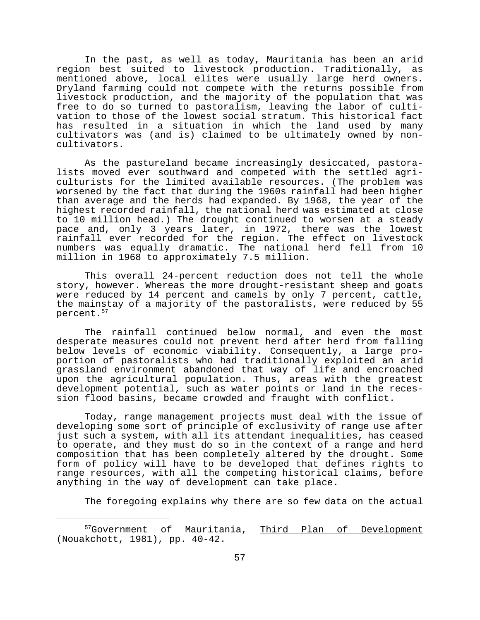In the past, as well as today, Mauritania has been an arid region best suited to livestock production. Traditionally, as mentioned above, local elites were usually large herd owners. Dryland farming could not compete with the returns possible from livestock production, and the majority of the population that was free to do so turned to pastoralism, leaving the labor of cultivation to those of the lowest social stratum. This historical fact has resulted in a situation in which the land used by many cultivators was (and is) claimed to be ultimately owned by noncultivators.

As the pastureland became increasingly desiccated, pastoralists moved ever southward and competed with the settled agriculturists for the limited available resources. (The problem was worsened by the fact that during the 1960s rainfall had been higher than average and the herds had expanded. By 1968, the year of the highest recorded rainfall, the national herd was estimated at close to 10 million head.) The drought continued to worsen at a steady pace and, only 3 years later, in 1972, there was the lowest rainfall ever recorded for the region. The effect on livestock numbers was equally dramatic. The national herd fell from 10 million in 1968 to approximately 7.5 million.

This overall 24-percent reduction does not tell the whole story, however. Whereas the more drought-resistant sheep and goats were reduced by 14 percent and camels by only 7 percent, cattle, the mainstay of a majority of the pastoralists, were reduced by 55 percent.<sup>57</sup>

The rainfall continued below normal, and even the most desperate measures could not prevent herd after herd from falling below levels of economic viability. Consequently, a large proportion of pastoralists who had traditionally exploited an arid grassland environment abandoned that way of life and encroached upon the agricultural population. Thus, areas with the greatest development potential, such as water points or land in the recession flood basins, became crowded and fraught with conflict.

Today, range management projects must deal with the issue of developing some sort of principle of exclusivity of range use after just such a system, with all its attendant inequalities, has ceased to operate, and they must do so in the context of a range and herd composition that has been completely altered by the drought. Some form of policy will have to be developed that defines rights to range resources, with all the competing historical claims, before anything in the way of development can take place.

The foregoing explains why there are so few data on the actual

<sup>57</sup>Government of Mauritania, Third Plan of Development (Nouakchott, 1981), pp. 40-42.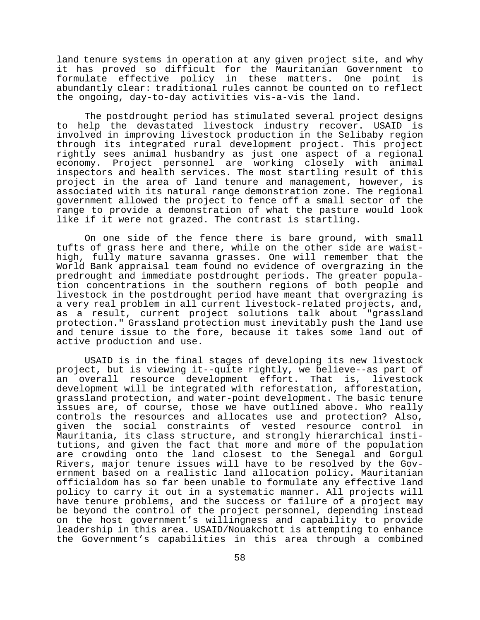land tenure systems in operation at any given project site, and why it has proved so difficult for the Mauritanian Government to formulate effective policy in these matters. One point is abundantly clear: traditional rules cannot be counted on to reflect the ongoing, day-to-day activities vis-a-vis the land.

The postdrought period has stimulated several project designs to help the devastated livestock industry recover. USAID is involved in improving livestock production in the Selibaby region through its integrated rural development project. This project rightly sees animal husbandry as just one aspect of a regional economy. Project personnel are working closely with animal inspectors and health services. The most startling result of this project in the area of land tenure and management, however, is associated with its natural range demonstration zone. The regional government allowed the project to fence off a small sector of the range to provide a demonstration of what the pasture would look like if it were not grazed. The contrast is startling.

On one side of the fence there is bare ground, with small tufts of grass here and there, while on the other side are waisthigh, fully mature savanna grasses. One will remember that the World Bank appraisal team found no evidence of overgrazing in the predrought and immediate postdrought periods. The greater population concentrations in the southern regions of both people and livestock in the postdrought period have meant that overgrazing is a very real problem in all current livestock-related projects, and, as a result, current project solutions talk about "grassland protection." Grassland protection must inevitably push the land use and tenure issue to the fore, because it takes some land out of active production and use.

USAID is in the final stages of developing its new livestock project, but is viewing it--quite rightly, we believe--as part of an overall resource development effort. That is, livestock development will be integrated with reforestation, afforestation, grassland protection, and water-point development. The basic tenure issues are, of course, those we have outlined above. Who really controls the resources and allocates use and protection? Also, given the social constraints of vested resource control in Mauritania, its class structure, and strongly hierarchical institutions, and given the fact that more and more of the population are crowding onto the land closest to the Senegal and Gorgul Rivers, major tenure issues will have to be resolved by the Government based on a realistic land allocation policy. Mauritanian officialdom has so far been unable to formulate any effective land policy to carry it out in a systematic manner. All projects will have tenure problems, and the success or failure of a project may be beyond the control of the project personnel, depending instead on the host government's willingness and capability to provide leadership in this area. USAID/Nouakchott is attempting to enhance the Government's capabilities in this area through a combined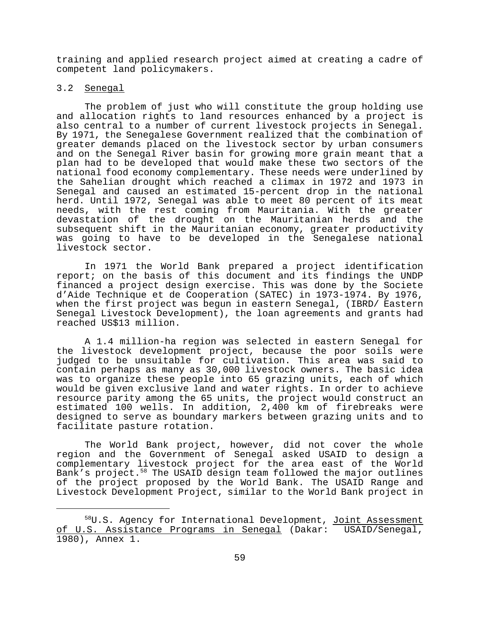training and applied research project aimed at creating a cadre of competent land policymakers.

# 3.2 Senegal

The problem of just who will constitute the group holding use and allocation rights to land resources enhanced by a project is also central to a number of current livestock projects in Senegal. By 1971, the Senegalese Government realized that the combination of greater demands placed on the livestock sector by urban consumers and on the Senegal River basin for growing more grain meant that a plan had to be developed that would make these two sectors of the national food economy complementary. These needs were underlined by the Sahelian drought which reached a climax in 1972 and 1973 in Senegal and caused an estimated 15-percent drop in the national herd. Until 1972, Senegal was able to meet 80 percent of its meat needs, with the rest coming from Mauritania. With the greater devastation of the drought on the Mauritanian herds and the subsequent shift in the Mauritanian economy, greater productivity was going to have to be developed in the Senegalese national livestock sector.

In 1971 the World Bank prepared a project identification report; on the basis of this document and its findings the UNDP financed a project design exercise. This was done by the Societe d'Aide Technique et de Cooperation (SATEC) in 1973-1974. By 1976, when the first project was begun in eastern Senegal, (IBRD/ Eastern Senegal Livestock Development), the loan agreements and grants had reached US\$13 million.

A 1.4 million-ha region was selected in eastern Senegal for the livestock development project, because the poor soils were judged to be unsuitable for cultivation. This area was said to contain perhaps as many as 30,000 livestock owners. The basic idea was to organize these people into 65 grazing units, each of which would be given exclusive land and water rights. In order to achieve resource parity among the 65 units, the project would construct an estimated 100 wells. In addition, 2,400 km of firebreaks were designed to serve as boundary markers between grazing units and to facilitate pasture rotation.

The World Bank project, however, did not cover the whole region and the Government of Senegal asked USAID to design a complementary livestock project for the area east of the World Bank's project.<sup>58</sup> The USAID design team followed the major outlines of the project proposed by the World Bank. The USAID Range and Livestock Development Project, similar to the World Bank project in

<sup>58</sup>U.S. Agency for International Development, Joint Assessment of U.S. Assistance Programs in Senegal (Dakar: USAID/Senegal, 1980), Annex 1.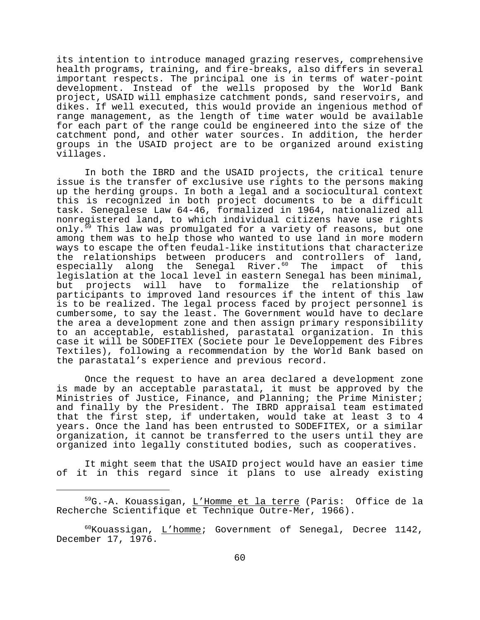its intention to introduce managed grazing reserves, comprehensive health programs, training, and fire-breaks, also differs in several important respects. The principal one is in terms of water-point development. Instead of the wells proposed by the World Bank project, USAID will emphasize catchment ponds, sand reservoirs, and dikes. If well executed, this would provide an ingenious method of range management, as the length of time water would be available for each part of the range could be engineered into the size of the catchment pond, and other water sources. In addition, the herder groups in the USAID project are to be organized around existing villages.

In both the IBRD and the USAID projects, the critical tenure issue is the transfer of exclusive use rights to the persons making up the herding groups. In both a legal and a sociocultural context this is recognized in both project documents to be a difficult task. Senegalese Law 64-46, formalized in 1964, nationalized all nonregistered land, to which individual citizens have use rights only.<sup>59</sup> This law was promulgated for a variety of reasons, but one among them was to help those who wanted to use land in more modern ways to escape the often feudal-like institutions that characterize the relationships between producers and controllers of land,<br>especially along the Senegal River.<sup>60</sup> The impact of this especially along the Senegal River. $^{60}$  The impact of this legislation at the local level in eastern Senegal has been minimal, but projects will have to formalize the relationship of participants to improved land resources if the intent of this law is to be realized. The legal process faced by project personnel is cumbersome, to say the least. The Government would have to declare the area a development zone and then assign primary responsibility to an acceptable, established, parastatal organization. In this case it will be SODEFITEX (Societe pour le Developpement des Fibres Textiles), following a recommendation by the World Bank based on the parastatal's experience and previous record.

Once the request to have an area declared a development zone is made by an acceptable parastatal, it must be approved by the Ministries of Justice, Finance, and Planning; the Prime Minister; and finally by the President. The IBRD appraisal team estimated that the first step, if undertaken, would take at least 3 to 4 years. Once the land has been entrusted to SODEFITEX, or a similar organization, it cannot be transferred to the users until they are organized into legally constituted bodies, such as cooperatives.

It might seem that the USAID project would have an easier time of it in this regard since it plans to use already existing

<sup>59</sup>G.-A. Kouassigan, L'Homme et la terre (Paris: Office de la Recherche Scientifique et Technique Outre-Mer, 1966).

 $60K$ ouassigan, L'homme; Government of Senegal, Decree 1142, December 17, 1976.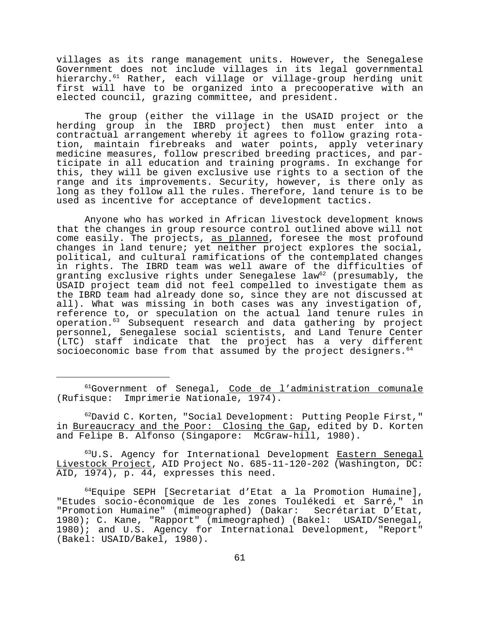villages as its range management units. However, the Senegalese Government does not include villages in its legal governmental hierarchy.<sup>61</sup> Rather, each village or village-group herding unit first will have to be organized into a precooperative with an elected council, grazing committee, and president.

The group (either the village in the USAID project or the herding group in the IBRD project) then must enter into a contractual arrangement whereby it agrees to follow grazing rotation, maintain firebreaks and water points, apply veterinary medicine measures, follow prescribed breeding practices, and participate in all education and training programs. In exchange for this, they will be given exclusive use rights to a section of the range and its improvements. Security, however, is there only as long as they follow all the rules. Therefore, land tenure is to be used as incentive for acceptance of development tactics.

Anyone who has worked in African livestock development knows that the changes in group resource control outlined above will not come easily. The projects, as planned, foresee the most profound changes in land tenure; yet neither project explores the social, political, and cultural ramifications of the contemplated changes in rights. The IBRD team was well aware of the difficulties of granting exclusive rights under Senegalese law<sup>62</sup> (presumably, the USAID project team did not feel compelled to investigate them as the IBRD team had already done so, since they are not discussed at all). What was missing in both cases was any investigation of, reference to, or speculation on the actual land tenure rules in operation.63 Subsequent research and data gathering by project personnel, Senegalese social scientists, and Land Tenure Center (LTC) staff indicate that the project has a very different socioeconomic base from that assumed by the project designers.  $64$ 

61Government of Senegal, Code de l'administration comunale (Rufisque: Imprimerie Nationale, 1974).

 $62^{\circ}$ David C. Korten, "Social Development: Putting People First," in Bureaucracy and the Poor: Closing the Gap, edited by D. Korten and Felipe B. Alfonso (Singapore: McGraw-hill, 1980).

63U.S. Agency for International Development Eastern Senegal Livestock Project, AID Project No. 685-11-120-202 (Washington, DC: AID, 1974), p. 44, expresses this need.

64Equipe SEPH [Secretariat d'Etat a la Promotion Humaine], "Etudes socio-économique de les zones Toulékedi et Sarré," in "Promotion Humaine" (mimeographed) (Dakar: Secrétariat D'Etat, 1980); C. Kane, "Rapport" (mimeographed) (Bakel: USAID/Senegal, 1980); and U.S. Agency for International Development, "Report" (Bakel: USAID/Bakel, 1980).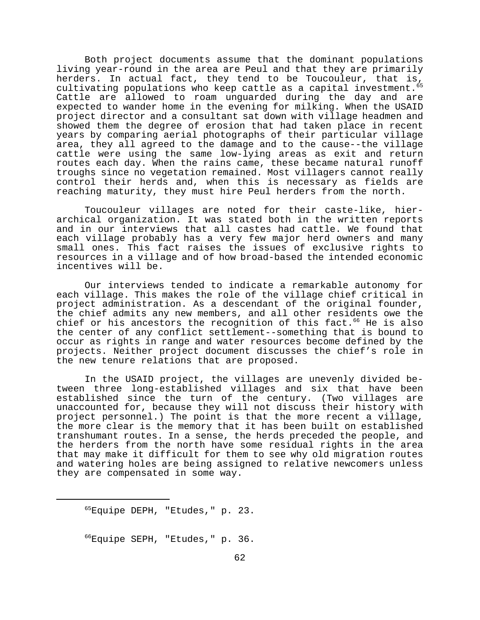Both project documents assume that the dominant populations living year-round in the area are Peul and that they are primarily herders. In actual fact, they tend to be Toucouleur, that is, cultivating populations who keep cattle as a capital investment.<sup>65</sup> Cattle are allowed to roam unguarded during the day and are expected to wander home in the evening for milking. When the USAID project director and a consultant sat down with village headmen and showed them the degree of erosion that had taken place in recent years by comparing aerial photographs of their particular village area, they all agreed to the damage and to the cause--the village cattle were using the same low-lying areas as exit and return routes each day. When the rains came, these became natural runoff troughs since no vegetation remained. Most villagers cannot really control their herds and, when this is necessary as fields are reaching maturity, they must hire Peul herders from the north.

Toucouleur villages are noted for their caste-like, hierarchical organization. It was stated both in the written reports and in our interviews that all castes had cattle. We found that each village probably has a very few major herd owners and many small ones. This fact raises the issues of exclusive rights to resources in a village and of how broad-based the intended economic incentives will be.

Our interviews tended to indicate a remarkable autonomy for each village. This makes the role of the village chief critical in project administration. As a descendant of the original founder, the chief admits any new members, and all other residents owe the chief or his ancestors the recognition of this fact.<sup>66</sup> He is also the center of any conflict settlement--something that is bound to occur as rights in range and water resources become defined by the projects. Neither project document discusses the chief's role in the new tenure relations that are proposed.

In the USAID project, the villages are unevenly divided between three long-established villages and six that have been established since the turn of the century. (Two villages are unaccounted for, because they will not discuss their history with project personnel.) The point is that the more recent a village, the more clear is the memory that it has been built on established transhumant routes. In a sense, the herds preceded the people, and the herders from the north have some residual rights in the area that may make it difficult for them to see why old migration routes and watering holes are being assigned to relative newcomers unless they are compensated in some way.

 ${}^{65}$ Equipe DEPH, "Etudes," p. 23.

<sup>66</sup>Equipe SEPH, "Etudes," p. 36.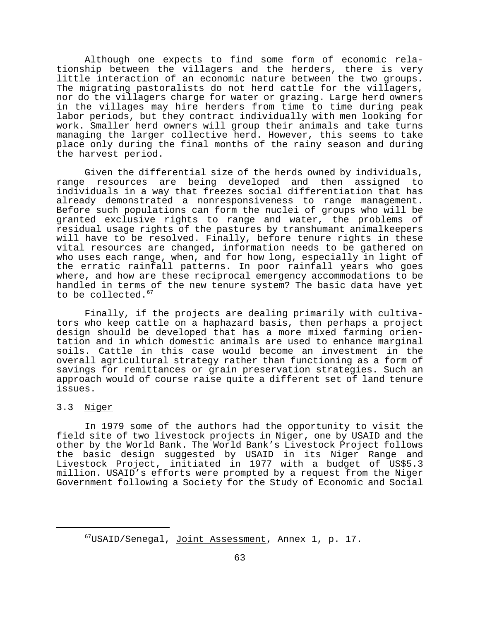Although one expects to find some form of economic relationship between the villagers and the herders, there is very little interaction of an economic nature between the two groups. The migrating pastoralists do not herd cattle for the villagers, nor do the villagers charge for water or grazing. Large herd owners in the villages may hire herders from time to time during peak labor periods, but they contract individually with men looking for work. Smaller herd owners will group their animals and take turns managing the larger collective herd. However, this seems to take place only during the final months of the rainy season and during the harvest period.

Given the differential size of the herds owned by individuals, range resources are being developed and then assigned to individuals in a way that freezes social differentiation that has already demonstrated a nonresponsiveness to range management. Before such populations can form the nuclei of groups who will be granted exclusive rights to range and water, the problems of residual usage rights of the pastures by transhumant animalkeepers will have to be resolved. Finally, before tenure rights in these vital resources are changed, information needs to be gathered on who uses each range, when, and for how long, especially in light of the erratic rainfall patterns. In poor rainfall years who goes where, and how are these reciprocal emergency accommodations to be handled in terms of the new tenure system? The basic data have yet to be collected.<sup>67</sup>

Finally, if the projects are dealing primarily with cultivators who keep cattle on a haphazard basis, then perhaps a project design should be developed that has a more mixed farming orientation and in which domestic animals are used to enhance marginal soils. Cattle in this case would become an investment in the overall agricultural strategy rather than functioning as a form of savings for remittances or grain preservation strategies. Such an approach would of course raise quite a different set of land tenure issues.

## 3.3 Niger

In 1979 some of the authors had the opportunity to visit the field site of two livestock projects in Niger, one by USAID and the other by the World Bank. The World Bank's Livestock Project follows the basic design suggested by USAID in its Niger Range and Livestock Project, initiated in 1977 with a budget of US\$5.3 million. USAID's efforts were prompted by a request from the Niger Government following a Society for the Study of Economic and Social

<sup>67</sup>USAID/Senegal, Joint Assessment, Annex 1, p. 17.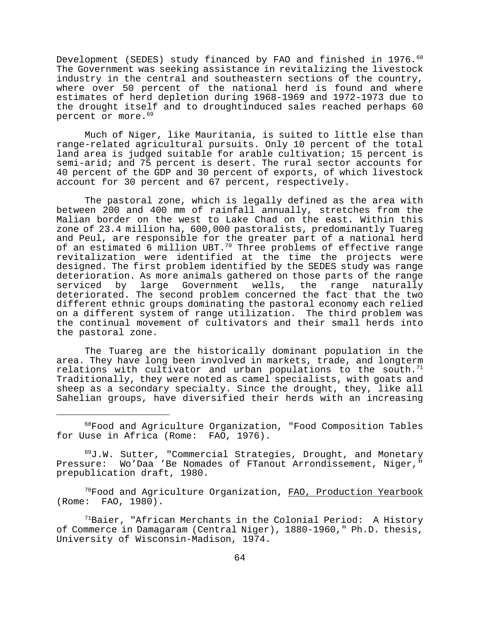Development (SEDES) study financed by FAO and finished in 1976.<sup>68</sup> The Government was seeking assistance in revitalizing the livestock industry in the central and southeastern sections of the country, where over 50 percent of the national herd is found and where estimates of herd depletion during 1968-1969 and 1972-1973 due to the drought itself and to droughtinduced sales reached perhaps 60 percent or more.<sup>69</sup>

Much of Niger, like Mauritania, is suited to little else than range-related agricultural pursuits. Only 10 percent of the total land area is judged suitable for arable cultivation; 15 percent is semi-arid; and 75 percent is desert. The rural sector accounts for 40 percent of the GDP and 30 percent of exports, of which livestock account for 30 percent and 67 percent, respectively.

The pastoral zone, which is legally defined as the area with between 200 and 400 mm of rainfall annually, stretches from the Malian border on the west to Lake Chad on the east. Within this zone of 23.4 million ha, 600,000 pastoralists, predominantly Tuareg and Peul, are responsible for the greater part of a national herd of an estimated 6 million UBT.<sup>70</sup> Three problems of effective range revitalization were identified at the time the projects were designed. The first problem identified by the SEDES study was range deterioration. As more animals gathered on those parts of the range<br>serviced by large Government wells, the range naturally large Government wells, the range naturally deteriorated. The second problem concerned the fact that the two different ethnic groups dominating the pastoral economy each relied on a different system of range utilization. The third problem was the continual movement of cultivators and their small herds into the pastoral zone.

The Tuareg are the historically dominant population in the area. They have long been involved in markets, trade, and longterm relations with cultivator and urban populations to the south. $71$ Traditionally, they were noted as camel specialists, with goats and sheep as a secondary specialty. Since the drought, they, like all Sahelian groups, have diversified their herds with an increasing

<sup>70</sup>Food and Agriculture Organization, FAO, Production Yearbook (Rome: FAO, 1980).

 $71$ Baier, "African Merchants in the Colonial Period: A History of Commerce in Damagaram (Central Niger), 1880-1960," Ph.D. thesis, University of Wisconsin-Madison, 1974.

<sup>68</sup>Food and Agriculture Organization, "Food Composition Tables for Uuse in Africa (Rome: FAO, 1976).

 $^{69}$ J.W. Sutter, "Commercial Strategies, Drought, and Monetary Pressure: Wo'Daa 'Be Nomades of FTanout Arrondissement, Niger," prepublication draft, 1980.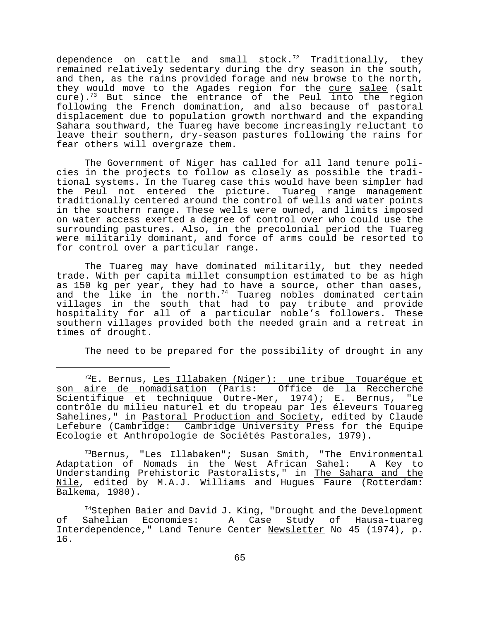dependence on cattle and small stock.<sup>72</sup> Traditionally, they remained relatively sedentary during the dry season in the south, and then, as the rains provided forage and new browse to the north, they would move to the Agades region for the cure salee (salt cure).73 But since the entrance of the Peul into the region following the French domination, and also because of pastoral displacement due to population growth northward and the expanding Sahara southward, the Tuareg have become increasingly reluctant to leave their southern, dry-season pastures following the rains for fear others will overgraze them.

The Government of Niger has called for all land tenure policies in the projects to follow as closely as possible the traditional systems. In the Tuareg case this would have been simpler had the Peul not entered the picture. Tuareg range management traditionally centered around the control of wells and water points in the southern range. These wells were owned, and limits imposed on water access exerted a degree of control over who could use the surrounding pastures. Also, in the precolonial period the Tuareg were militarily dominant, and force of arms could be resorted to for control over a particular range.

The Tuareg may have dominated militarily, but they needed trade. With per capita millet consumption estimated to be as high as 150 kg per year, they had to have a source, other than oases, and the like in the north. $74$  Tuareg nobles dominated certain villages in the south that had to pay tribute and provide hospitality for all of a particular noble's followers. These southern villages provided both the needed grain and a retreat in times of drought.

The need to be prepared for the possibility of drought in any

<sup>73</sup>Bernus, "Les Illabaken"; Susan Smith, "The Environmental Adaptation of Nomads in the West African Sahel: A Key to Understanding Prehistoric Pastoralists," in The Sahara and the Nile, edited by M.A.J. Williams and Hugues Faure (Rotterdam: Balkema, 1980).

 $^{74}$ Stephen Baier and David J. King, "Drought and the Development of Sahelian Economies: A Case Study of Hausa-tuareg Interdependence," Land Tenure Center Newsletter No 45 (1974), p. 16.

 $72E$ . Bernus, Les Illabaken (Niger): une tribue Touaréque et son aire de nomadisation (Paris: Office de la Reccherche Scientifique et techniquue Outre-Mer, 1974); E. Bernus, "Le contrôle du milieu naturel et du tropeau par les éleveurs Touareg Sahelines," in Pastoral Production and Society, edited by Claude Lefebure (Cambridge: Cambridge University Press for the Equipe Ecologie et Anthropologie de Sociétés Pastorales, 1979).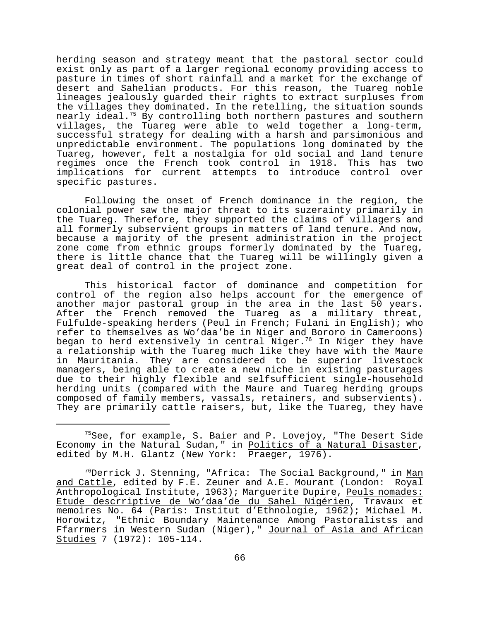herding season and strategy meant that the pastoral sector could exist only as part of a larger regional economy providing access to pasture in times of short rainfall and a market for the exchange of desert and Sahelian products. For this reason, the Tuareg noble lineages jealously guarded their rights to extract surpluses from the villages they dominated. In the retelling, the situation sounds nearly ideal.<sup>75</sup> By controlling both northern pastures and southern villages, the Tuareg were able to weld together a long-term, successful strategy for dealing with a harsh and parsimonious and unpredictable environment. The populations long dominated by the Tuareg, however, felt a nostalgia for old social and land tenure regimes once the French took control in 1918. This has two implications for current attempts to introduce control over specific pastures.

Following the onset of French dominance in the region, the colonial power saw the major threat to its suzerainty primarily in the Tuareg. Therefore, they supported the claims of villagers and all formerly subservient groups in matters of land tenure. And now, because a majority of the present administration in the project zone come from ethnic groups formerly dominated by the Tuareg, there is little chance that the Tuareg will be willingly given a great deal of control in the project zone.

This historical factor of dominance and competition for control of the region also helps account for the emergence of another major pastoral group in the area in the last 50 years. After the French removed the Tuareg as a military threat, Fulfulde-speaking herders (Peul in French; Fulani in English); who refer to themselves as Wo'daa'be in Niger and Bororo in Cameroons) began to herd extensively in central Niger.<sup>76</sup> In Niger they have a relationship with the Tuareg much like they have with the Maure in Mauritania. They are considered to be superior livestock managers, being able to create a new niche in existing pasturages due to their highly flexible and selfsufficient single-household herding units (compared with the Maure and Tuareg herding groups composed of family members, vassals, retainers, and subservients). They are primarily cattle raisers, but, like the Tuareg, they have

 $75$ See, for example, S. Baier and P. Lovejoy, "The Desert Side Economy in the Natural Sudan," in Politics of a Natural Disaster, edited by M.H. Glantz (New York: Praeger, 1976).

 $76$ Derrick J. Stenning, "Africa: The Social Background," in Man and Cattle, edited by F.E. Zeuner and A.E. Mourant (London: Royal Anthropological Institute, 1963); Marguerite Dupire, Peuls nomades: Etude descrriptive de Wo'daa'de du Sahel Nigérien, Travaux et memoires No. 64 (Paris: Institut d'Ethnologie, 1962); Michael M. Horowitz, "Ethnic Boundary Maintenance Among Pastoralistss and Ffarrmers in Western Sudan (Niger)," Journal of Asia and African Studies 7 (1972): 105-114.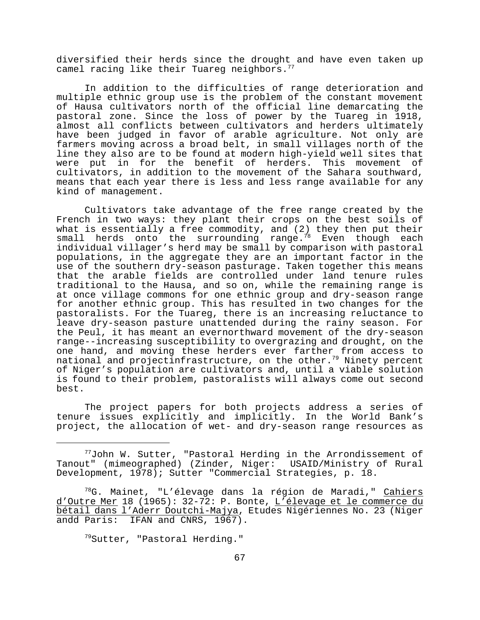diversified their herds since the drought and have even taken up camel racing like their Tuareg neighbors.<sup>77</sup>

In addition to the difficulties of range deterioration and multiple ethnic group use is the problem of the constant movement of Hausa cultivators north of the official line demarcating the pastoral zone. Since the loss of power by the Tuareg in 1918, almost all conflicts between cultivators and herders ultimately have been judged in favor of arable agriculture. Not only are farmers moving across a broad belt, in small villages north of the line they also are to be found at modern high-yield well sites that were put in for the benefit of herders. This movement of cultivators, in addition to the movement of the Sahara southward, means that each year there is less and less range available for any kind of management.

Cultivators take advantage of the free range created by the French in two ways: they plant their crops on the best soils of what is essentially a free commodity, and (2) they then put their small herds onto the surrounding range.<sup>78</sup> Even though each individual villager's herd may be small by comparison with pastoral populations, in the aggregate they are an important factor in the use of the southern dry-season pasturage. Taken together this means that the arable fields are controlled under land tenure rules traditional to the Hausa, and so on, while the remaining range is at once village commons for one ethnic group and dry-season range for another ethnic group. This has resulted in two changes for the pastoralists. For the Tuareg, there is an increasing reluctance to leave dry-season pasture unattended during the rainy season. For the Peul, it has meant an evernorthward movement of the dry-season range--increasing susceptibility to overgrazing and drought, on the one hand, and moving these herders ever farther from access to national and projectinfrastructure, on the other.<sup>79</sup> Ninety percent of Niger's population are cultivators and, until a viable solution is found to their problem, pastoralists will always come out second best.

The project papers for both projects address a series of tenure issues explicitly and implicitly. In the World Bank's project, the allocation of wet- and dry-season range resources as

79Sutter, "Pastoral Herding."

 $77$ John W. Sutter, "Pastoral Herding in the Arrondissement of Tanout" (mimeographed) (Zinder, Niger: USAID/Ministry of Rural Development, 1978); Sutter "Commercial Strategies, p. 18.

<sup>78</sup>G. Mainet, "L'élevage dans la région de Maradi," Cahiers d'Outre Mer 18 (1965): 32-72: P. Bonte, L'élevage et le commerce du bétail dans l'Aderr Doutchi-Majya, Etudes Nigériennes No. 23 (Niger andd Paris: IFAN and CNRS, 1967).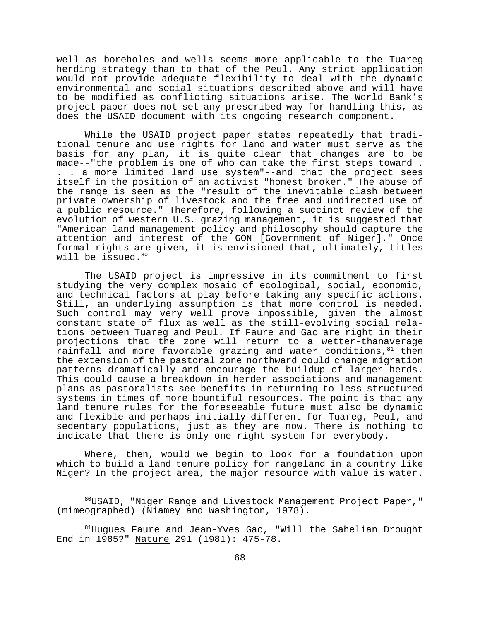well as boreholes and wells seems more applicable to the Tuareg herding strategy than to that of the Peul. Any strict application would not provide adequate flexibility to deal with the dynamic environmental and social situations described above and will have to be modified as conflicting situations arise. The World Bank's project paper does not set any prescribed way for handling this, as does the USAID document with its ongoing research component.

While the USAID project paper states repeatedly that traditional tenure and use rights for land and water must serve as the basis for any plan, it is quite clear that changes are to be made--"the problem is one of who can take the first steps toward . . . a more limited land use system"--and that the project sees itself in the position of an activist "honest broker." The abuse of the range is seen as the "result of the inevitable clash between private ownership of livestock and the free and undirected use of a public resource." Therefore, following a succinct review of the evolution of western U.S. grazing management, it is suggested that "American land management policy and philosophy should capture the attention and interest of the GON [Government of Niger]." Once formal rights are given, it is envisioned that, ultimately, titles will be issued.<sup>80</sup>

The USAID project is impressive in its commitment to first studying the very complex mosaic of ecological, social, economic, and technical factors at play before taking any specific actions. Still, an underlying assumption is that more control is needed. Such control may very well prove impossible, given the almost constant state of flux as well as the still-evolving social relations between Tuareg and Peul. If Faure and Gac are right in their projections that the zone will return to a wetter-thanaverage rainfall and more favorable grazing and water conditions,  $81$  then the extension of the pastoral zone northward could change migration patterns dramatically and encourage the buildup of larger herds. This could cause a breakdown in herder associations and management plans as pastoralists see benefits in returning to less structured systems in times of more bountiful resources. The point is that any land tenure rules for the foreseeable future must also be dynamic and flexible and perhaps initially different for Tuareg, Peul, and sedentary populations, just as they are now. There is nothing to indicate that there is only one right system for everybody.

Where, then, would we begin to look for a foundation upon which to build a land tenure policy for rangeland in a country like Niger? In the project area, the major resource with value is water.

<sup>80</sup>USAID, "Niger Range and Livestock Management Project Paper," (mimeographed) (Niamey and Washington, 1978).

 $81$ Hugues Faure and Jean-Yves Gac, "Will the Sahelian Drought End in 1985?" Nature 291 (1981): 475-78.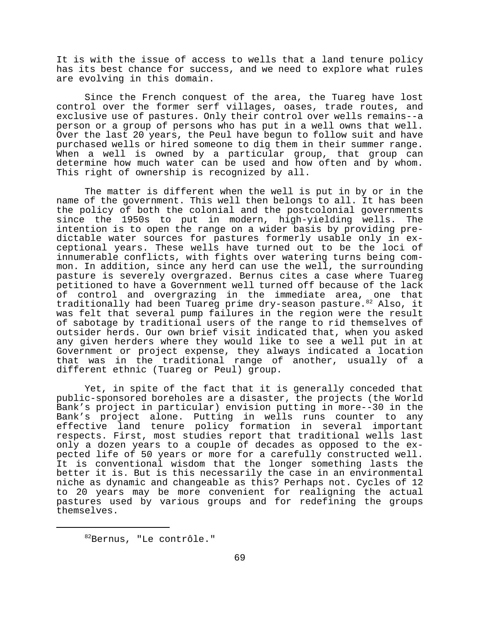It is with the issue of access to wells that a land tenure policy has its best chance for success, and we need to explore what rules are evolving in this domain.

Since the French conquest of the area, the Tuareg have lost control over the former serf villages, oases, trade routes, and exclusive use of pastures. Only their control over wells remains--a person or a group of persons who has put in a well owns that well. Over the last 20 years, the Peul have begun to follow suit and have purchased wells or hired someone to dig them in their summer range. When a well is owned by a particular group, that group can determine how much water can be used and how often and by whom. This right of ownership is recognized by all.

The matter is different when the well is put in by or in the name of the government. This well then belongs to all. It has been the policy of both the colonial and the postcolonial governments since the 1950s to put in modern, high-yielding wells. The intention is to open the range on a wider basis by providing predictable water sources for pastures formerly usable only in exceptional years. These wells have turned out to be the loci of innumerable conflicts, with fights over watering turns being common. In addition, since any herd can use the well, the surrounding pasture is severely overgrazed. Bernus cites a case where Tuareg petitioned to have a Government well turned off because of the lack of control and overgrazing in the immediate area, one that traditionally had been Tuareg prime dry-season pasture.<sup>82</sup> Also, it was felt that several pump failures in the region were the result of sabotage by traditional users of the range to rid themselves of outsider herds. Our own brief visit indicated that, when you asked any given herders where they would like to see a well put in at Government or project expense, they always indicated a location that was in the traditional range of another, usually of a different ethnic (Tuareg or Peul) group.

Yet, in spite of the fact that it is generally conceded that public-sponsored boreholes are a disaster, the projects (the World Bank's project in particular) envision putting in more--30 in the Bank's project alone. Putting in wells runs counter to any effective land tenure policy formation in several important respects. First, most studies report that traditional wells last only a dozen years to a couple of decades as opposed to the expected life of 50 years or more for a carefully constructed well. It is conventional wisdom that the longer something lasts the better it is. But is this necessarily the case in an environmental niche as dynamic and changeable as this? Perhaps not. Cycles of 12 to 20 years may be more convenient for realigning the actual pastures used by various groups and for redefining the groups themselves.

<sup>82</sup>Bernus, "Le contrôle."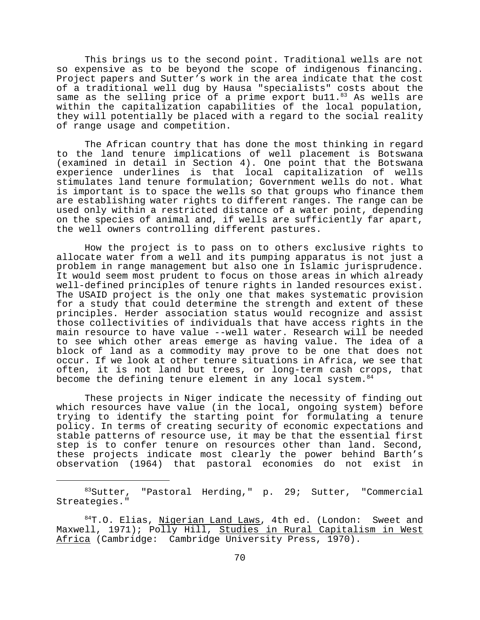This brings us to the second point. Traditional wells are not so expensive as to be beyond the scope of indigenous financing. Project papers and Sutter's work in the area indicate that the cost of a traditional well dug by Hausa "specialists" costs about the same as the selling price of a prime export bull. $83$  As wells are within the capitalization capabilities of the local population, they will potentially be placed with a regard to the social reality of range usage and competition.

The African country that has done the most thinking in regard to the land tenure implications of well placement is Botswana (examined in detail in Section 4). One point that the Botswana experience underlines is that local capitalization of wells stimulates land tenure formulation; Government wells do not. What is important is to space the wells so that groups who finance them are establishing water rights to different ranges. The range can be used only within a restricted distance of a water point, depending on the species of animal and, if wells are sufficiently far apart, the well owners controlling different pastures.

How the project is to pass on to others exclusive rights to allocate water from a well and its pumping apparatus is not just a problem in range management but also one in Islamic jurisprudence. It would seem most prudent to focus on those areas in which already well-defined principles of tenure rights in landed resources exist. The USAID project is the only one that makes systematic provision for a study that could determine the strength and extent of these principles. Herder association status would recognize and assist those collectivities of individuals that have access rights in the main resource to have value --well water. Research will be needed to see which other areas emerge as having value. The idea of a block of land as a commodity may prove to be one that does not occur. If we look at other tenure situations in Africa, we see that often, it is not land but trees, or long-term cash crops, that become the defining tenure element in any local system.  $84$ 

These projects in Niger indicate the necessity of finding out which resources have value (in the local, ongoing system) before trying to identify the starting point for formulating a tenure policy. In terms of creating security of economic expectations and stable patterns of resource use, it may be that the essential first step is to confer tenure on resources other than land. Second, these projects indicate most clearly the power behind Barth's observation (1964) that pastoral economies do not exist in

<sup>83</sup>Sutter, "Pastoral Herding," p. 29; Sutter, "Commercial Streategies."

<sup>&</sup>lt;sup>84</sup>T.O. Elias, <u>Nigerian Land Laws</u>, 4th ed. (London: Sweet and Maxwell, 1971); Polly Hill, Studies in Rural Capitalism in West Africa (Cambridge: Cambridge University Press, 1970).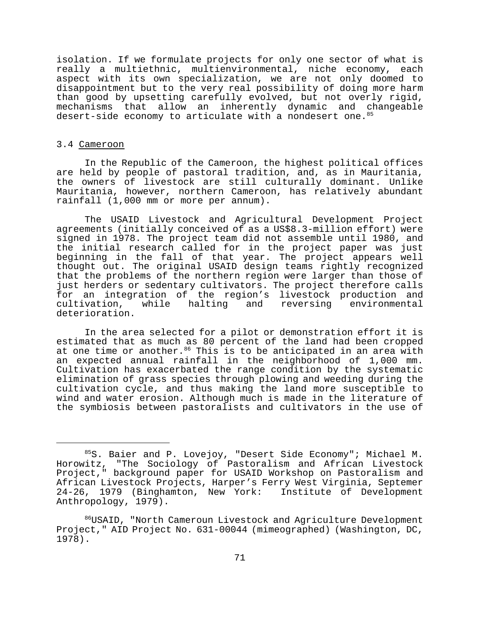isolation. If we formulate projects for only one sector of what is really a multiethnic, multienvironmental, niche economy, each aspect with its own specialization, we are not only doomed to disappointment but to the very real possibility of doing more harm than good by upsetting carefully evolved, but not overly rigid, mechanisms that allow an inherently dynamic and changeable desert-side economy to articulate with a nondesert one.<sup>85</sup>

#### 3.4 Cameroon

In the Republic of the Cameroon, the highest political offices are held by people of pastoral tradition, and, as in Mauritania, the owners of livestock are still culturally dominant. Unlike Mauritania, however, northern Cameroon, has relatively abundant rainfall (1,000 mm or more per annum).

The USAID Livestock and Agricultural Development Project agreements (initially conceived of as a US\$8.3-million effort) were signed in 1978. The project team did not assemble until 1980, and the initial research called for in the project paper was just beginning in the fall of that year. The project appears well thought out. The original USAID design teams rightly recognized that the problems of the northern region were larger than those of just herders or sedentary cultivators. The project therefore calls for an integration of the region's livestock production and cultivation, while halting and reversing environmental deterioration.

In the area selected for a pilot or demonstration effort it is estimated that as much as 80 percent of the land had been cropped at one time or another.<sup>86</sup> This is to be anticipated in an area with an expected annual rainfall in the neighborhood of 1,000 mm. Cultivation has exacerbated the range condition by the systematic elimination of grass species through plowing and weeding during the cultivation cycle, and thus making the land more susceptible to wind and water erosion. Although much is made in the literature of the symbiosis between pastoralists and cultivators in the use of

<sup>85</sup>S. Baier and P. Lovejoy, "Desert Side Economy"; Michael M. Horowitz, "The Sociology of Pastoralism and African Livestock Project," background paper for USAID Workshop on Pastoralism and African Livestock Projects, Harper's Ferry West Virginia, Septemer 24-26, 1979 (Binghamton, New York: Institute of Development Anthropology, 1979).

<sup>86</sup>USAID, "North Cameroun Livestock and Agriculture Development Project," AID Project No. 631-00044 (mimeographed) (Washington, DC, 1978).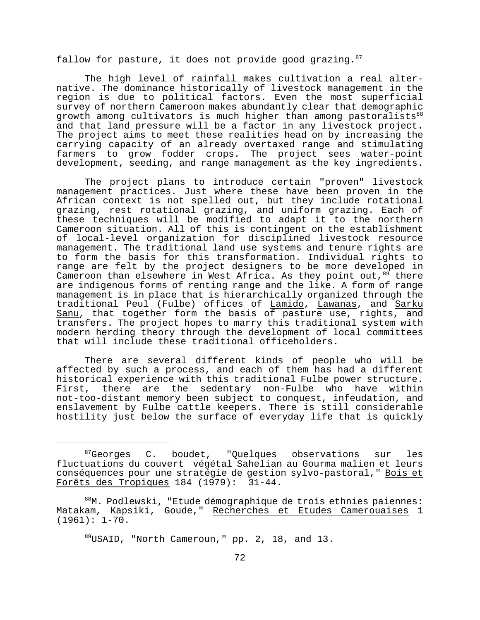fallow for pasture, it does not provide good grazing. $87$ 

The high level of rainfall makes cultivation a real alternative. The dominance historically of livestock management in the region is due to political factors. Even the most superficial survey of northern Cameroon makes abundantly clear that demographic growth among cultivators is much higher than among pastoralists<sup>88</sup> and that land pressure will be a factor in any livestock project. The project aims to meet these realities head on by increasing the carrying capacity of an already overtaxed range and stimulating farmers to grow fodder crops. The project sees water-point development, seeding, and range management as the key ingredients.

The project plans to introduce certain "proven" livestock management practices. Just where these have been proven in the African context is not spelled out, but they include rotational grazing, rest rotational grazing, and uniform grazing. Each of these techniques will be modified to adapt it to the northern Cameroon situation. All of this is contingent on the establishment of local-level organization for disciplined livestock resource management. The traditional land use systems and tenure rights are to form the basis for this transformation. Individual rights to range are felt by the project designers to be more developed in Cameroon than elsewhere in West Africa. As they point out,  $89^{\circ}$  there are indigenous forms of renting range and the like. A form of range management is in place that is hierarchically organized through the traditional Peul (Fulbe) offices of Lamido, Lawanas, and Sarku  $S$ anu, that together form the basis of pasture use, rights, and transfers. The project hopes to marry this traditional system with modern herding theory through the development of local committees that will include these traditional officeholders.

There are several different kinds of people who will be affected by such a process, and each of them has had a different historical experience with this traditional Fulbe power structure. First, there are the sedentary non-Fulbe who have within not-too-distant memory been subject to conquest, infeudation, and enslavement by Fulbe cattle keepers. There is still considerable hostility just below the surface of everyday life that is quickly

<sup>&</sup>lt;sup>87</sup>Georges C. boudet, "Quelques observations sur les fluctuations du couvert végétal Sahelian au Gourma malien et leurs conséquences pour une stratégie de gestion sylvo-pastoral," Bois et Forêts des Tropiques 184 (1979): 31-44.

<sup>88</sup>M. Podlewski, "Etude démographique de trois ethnies paiennes: Matakam, Kapsiki, Goude," Recherches et Etudes Camerouaises 1  $(1961): 1-70.$ 

<sup>89</sup>USAID, "North Cameroun," pp. 2, 18, and 13.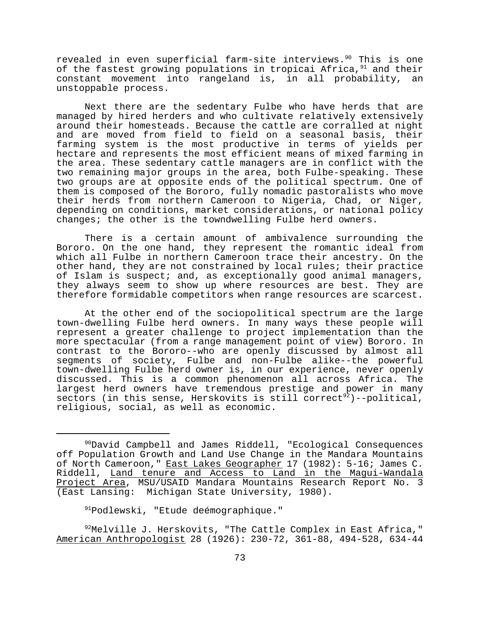revealed in even superficial farm-site interviews.<sup>90</sup> This is one of the fastest growing populations in tropicai Africa,  $91$  and their constant movement into rangeland is, in all probability, an unstoppable process.

Next there are the sedentary Fulbe who have herds that are managed by hired herders and who cultivate relatively extensively around their homesteads. Because the cattle are corralled at night and are moved from field to field on a seasonal basis, their farming system is the most productive in terms of yields per hectare and represents the most efficient means of mixed farming in the area. These sedentary cattle managers are in conflict with the two remaining major groups in the area, both Fulbe-speaking. These two groups are at opposite ends of the political spectrum. One of them is composed of the Bororo, fully nomadic pastoralists who move their herds from northern Cameroon to Nigeria, Chad, or Niger, depending on conditions, market considerations, or national policy changes; the other is the towndwelling Fulbe herd owners.

There is a certain amount of ambivalence surrounding the Bororo. On the one hand, they represent the romantic ideal from which all Fulbe in northern Cameroon trace their ancestry. On the other hand, they are not constrained by local rules; their practice of Islam is suspect; and, as exceptionally good animal managers, they always seem to show up where resources are best. They are therefore formidable competitors when range resources are scarcest.

At the other end of the sociopolitical spectrum are the large town-dwelling Fulbe herd owners. In many ways these people will represent a greater challenge to project implementation than the more spectacular (from a range management point of view) Bororo. In contrast to the Bororo--who are openly discussed by almost all segments of society, Fulbe and non-Fulbe alike--the powerful town-dwelling Fulbe herd owner is, in our experience, never openly discussed. This is a common phenomenon all across Africa. The largest herd owners have tremendous prestige and power in many sectors (in this sense, Herskovits is still correct<sup>92</sup>)--political, religious, social, as well as economic.

<sup>90</sup>David Campbell and James Riddell, "Ecological Consequences off Population Growth and Land Use Change in the Mandara Mountains of North Cameroon," East Lakes Geographer 17 (1982): 5-16; James C. Riddell, Land tenure and Access to Land in the Magui-Wandala Project Area, MSU/USAID Mandara Mountains Research Report No. 3 (East Lansing: Michigan State University, 1980).

<sup>91</sup>Podlewski, "Etude deémographique."

 $92$ Melville J. Herskovits, "The Cattle Complex in East Africa," American Anthropologist 28 (1926): 230-72, 361-88, 494-528, 634-44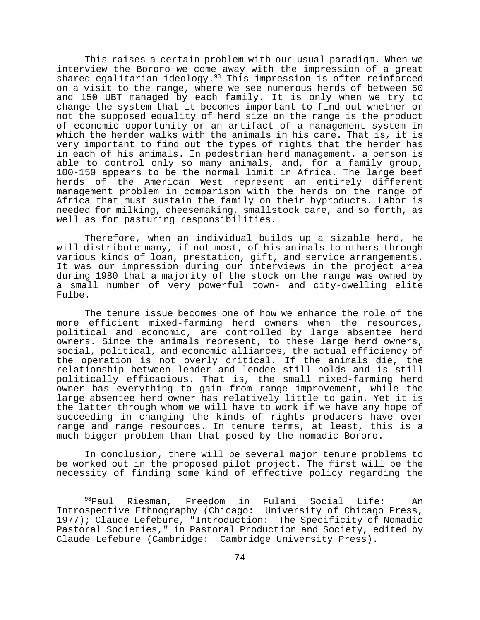This raises a certain problem with our usual paradigm. When we interview the Bororo we come away with the impression of a great shared egalitarian ideology.<sup>93</sup> This impression is often reinforced on a visit to the range, where we see numerous herds of between 50 and 150 UBT managed by each family. It is only when we try to change the system that it becomes important to find out whether or not the supposed equality of herd size on the range is the product of economic opportunity or an artifact of a management system in which the herder walks with the animals in his care. That is, it is very important to find out the types of rights that the herder has in each of his animals. In pedestrian herd management, a person is able to control only so many animals, and, for a family group, 100-150 appears to be the normal limit in Africa. The large beef herds of the American West represent an entirely different management problem in comparison with the herds on the range of Africa that must sustain the family on their byproducts. Labor is needed for milking, cheesemaking, smallstock care, and so forth, as well as for pasturing responsibilities.

Therefore, when an individual builds up a sizable herd, he will distribute many, if not most, of his animals to others through various kinds of loan, prestation, gift, and service arrangements. It was our impression during our interviews in the project area during 1980 that a majority of the stock on the range was owned by a small number of very powerful town- and city-dwelling elite Fulbe.

The tenure issue becomes one of how we enhance the role of the more efficient mixed-farming herd owners when the resources, political and economic, are controlled by large absentee herd owners. Since the animals represent, to these large herd owners, social, political, and economic alliances, the actual efficiency of the operation is not overly critical. If the animals die, the relationship between lender and lendee still holds and is still politically efficacious. That is, the small mixed-farming herd owner has everything to gain from range improvement, while the large absentee herd owner has relatively little to gain. Yet it is the latter through whom we will have to work if we have any hope of succeeding in changing the kinds of rights producers have over range and range resources. In tenure terms, at least, this is a much bigger problem than that posed by the nomadic Bororo.

In conclusion, there will be several major tenure problems to be worked out in the proposed pilot project. The first will be the necessity of finding some kind of effective policy regarding the

<sup>93</sup>Paul Riesman, <u>Freedom in Fulani Social Life: An</u> Introspective Ethnography (Chicago: University of Chicago Press, 1977); Claude Lefebure, "Introduction: The Specificity of Nomadic Pastoral Societies," in Pastoral Production and Society, edited by Claude Lefebure (Cambridge: Cambridge University Press).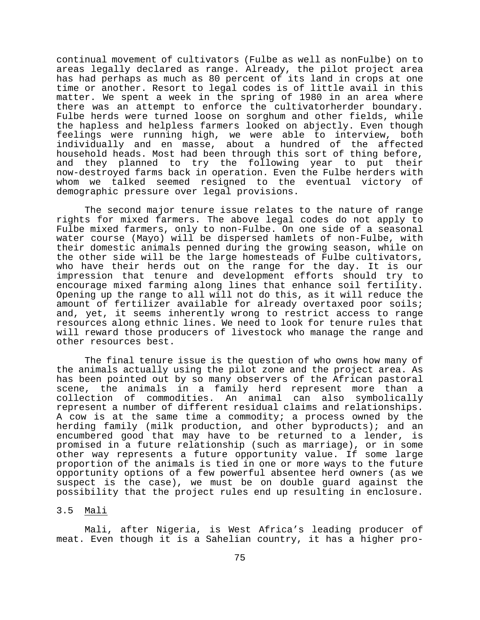continual movement of cultivators (Fulbe as well as nonFulbe) on to areas legally declared as range. Already, the pilot project area has had perhaps as much as 80 percent of its land in crops at one time or another. Resort to legal codes is of little avail in this matter. We spent a week in the spring of 1980 in an area where there was an attempt to enforce the cultivatorherder boundary. Fulbe herds were turned loose on sorghum and other fields, while the hapless and helpless farmers looked on abjectly. Even though feelings were running high, we were able to interview, both individually and en masse, about a hundred of the affected household heads. Most had been through this sort of thing before, and they planned to try the following year to put their now-destroyed farms back in operation. Even the Fulbe herders with whom we talked seemed resigned to the eventual victory of demographic pressure over legal provisions.

The second major tenure issue relates to the nature of range rights for mixed farmers. The above legal codes do not apply to Fulbe mixed farmers, only to non-Fulbe. On one side of a seasonal water course (Mayo) will be dispersed hamlets of non-Fulbe, with their domestic animals penned during the growing season, while on the other side will be the large homesteads of Fulbe cultivators, who have their herds out on the range for the day. It is our impression that tenure and development efforts should try to encourage mixed farming along lines that enhance soil fertility. Opening up the range to all will not do this, as it will reduce the amount of fertilizer available for already overtaxed poor soils; and, yet, it seems inherently wrong to restrict access to range resources along ethnic lines. We need to look for tenure rules that will reward those producers of livestock who manage the range and other resources best.

The final tenure issue is the question of who owns how many of the animals actually using the pilot zone and the project area. As has been pointed out by so many observers of the African pastoral scene, the animals in a family herd represent more than a collection of commodities. An animal can also symbolically represent a number of different residual claims and relationships. A cow is at the same time a commodity; a process owned by the herding family (milk production, and other byproducts); and an encumbered good that may have to be returned to a lender, is promised in a future relationship (such as marriage), or in some other way represents a future opportunity value. If some large proportion of the animals is tied in one or more ways to the future opportunity options of a few powerful absentee herd owners (as we suspect is the case), we must be on double guard against the possibility that the project rules end up resulting in enclosure.

#### 3.5 Mali

Mali, after Nigeria, is West Africa's leading producer of meat. Even though it is a Sahelian country, it has a higher pro-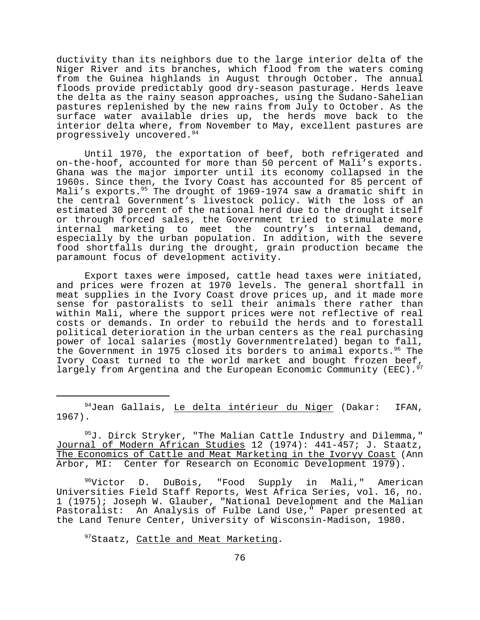ductivity than its neighbors due to the large interior delta of the Niger River and its branches, which flood from the waters coming from the Guinea highlands in August through October. The annual floods provide predictably good dry-season pasturage. Herds leave the delta as the rainy season approaches, using the Sudano-Sahelian pastures replenished by the new rains from July to October. As the surface water available dries up, the herds move back to the interior delta where, from November to May, excellent pastures are progressively uncovered.<sup>94</sup>

Until 1970, the exportation of beef, both refrigerated and on-the-hoof, accounted for more than 50 percent of Mali's exports. Ghana was the major importer until its economy collapsed in the 1960s. Since then, the Ivory Coast has accounted for 85 percent of Mali's exports. $95$  The drought of 1969-1974 saw a dramatic shift in the central Government's livestock policy. With the loss of an estimated 30 percent of the national herd due to the drought itself or through forced sales, the Government tried to stimulate more internal marketing to meet the country's internal demand, especially by the urban population. In addition, with the severe food shortfalls during the drought, grain production became the paramount focus of development activity.

Export taxes were imposed, cattle head taxes were initiated, and prices were frozen at 1970 levels. The general shortfall in meat supplies in the Ivory Coast drove prices up, and it made more sense for pastoralists to sell their animals there rather than within Mali, where the support prices were not reflective of real costs or demands. In order to rebuild the herds and to forestall political deterioration in the urban centers as the real purchasing power of local salaries (mostly Governmentrelated) began to fall, the Government in 1975 closed its borders to animal exports.  $96$  The Ivory Coast turned to the world market and bought frozen beef, largely from Argentina and the European Economic Community (EEC).<sup>97</sup>

<sup>94</sup>Jean Gallais, Le delta intérieur du Niger (Dakar: IFAN, 1967).

 $95J$ . Dirck Stryker, "The Malian Cattle Industry and Dilemma," Journal of Modern African Studies 12 (1974): 441-457; J. Staatz, The Economics of Cattle and Meat Marketing in the Ivoryy Coast (Ann Arbor, MI: Center for Research on Economic Development 1979).

<sup>96</sup>Victor D. DuBois, "Food Supply in Mali," American Universities Field Staff Reports, West Africa Series, vol. 16, no. 1 (1975); Joseph W. Glauber, "National Development and the Malian Pastoralist: An Analysis of Fulbe Land Use," Paper presented at the Land Tenure Center, University of Wisconsin-Madison, 1980.

97Staatz, Cattle and Meat Marketing.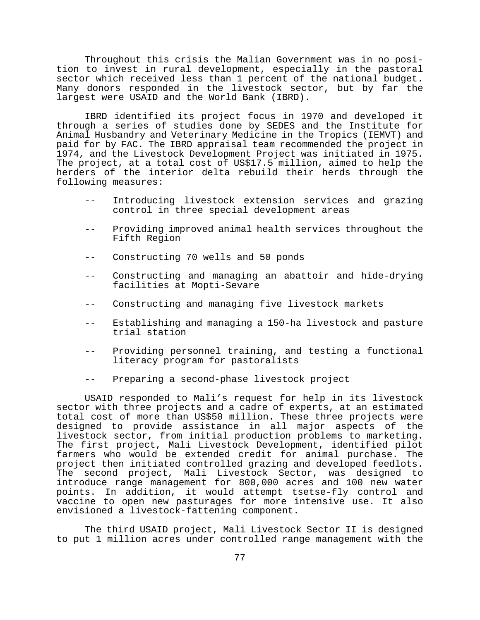Throughout this crisis the Malian Government was in no position to invest in rural development, especially in the pastoral sector which received less than 1 percent of the national budget. Many donors responded in the livestock sector, but by far the largest were USAID and the World Bank (IBRD).

IBRD identified its project focus in 1970 and developed it through a series of studies done by SEDES and the Institute for Animal Husbandry and Veterinary Medicine in the Tropics (IEMVT) and paid for by FAC. The IBRD appraisal team recommended the project in 1974, and the Livestock Development Project was initiated in 1975. The project, at a total cost of US\$17.5 million, aimed to help the herders of the interior delta rebuild their herds through the following measures:

- -- Introducing livestock extension services and grazing control in three special development areas
- Providing improved animal health services throughout the Fifth Region
- -- Constructing 70 wells and 50 ponds
- Constructing and managing an abattoir and hide-drying facilities at Mopti-Sevare
- -- Constructing and managing five livestock markets
- -- Establishing and managing a 150-ha livestock and pasture trial station
- Providing personnel training, and testing a functional literacy program for pastoralists
- -- Preparing a second-phase livestock project

USAID responded to Mali's request for help in its livestock sector with three projects and a cadre of experts, at an estimated total cost of more than US\$50 million. These three projects were designed to provide assistance in all major aspects of the livestock sector, from initial production problems to marketing. The first project, Mali Livestock Development, identified pilot farmers who would be extended credit for animal purchase. The project then initiated controlled grazing and developed feedlots. The second project, Mali Livestock Sector, was designed to introduce range management for 800,000 acres and 100 new water points. In addition, it would attempt tsetse-fly control and vaccine to open new pasturages for more intensive use. It also envisioned a livestock-fattening component.

The third USAID project, Mali Livestock Sector II is designed to put 1 million acres under controlled range management with the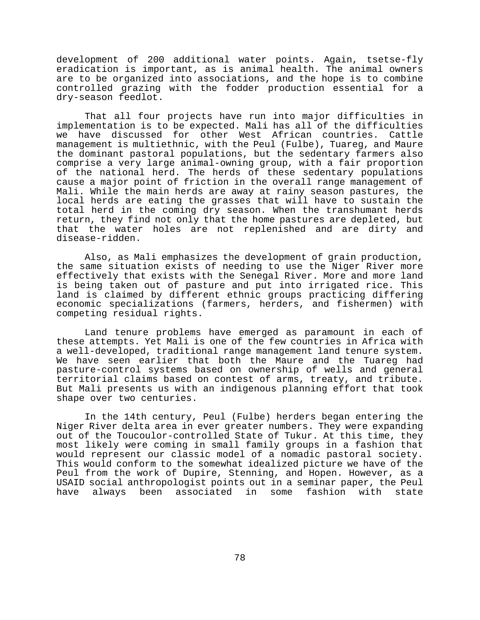development of 200 additional water points. Again, tsetse-fly eradication is important, as is animal health. The animal owners are to be organized into associations, and the hope is to combine controlled grazing with the fodder production essential for a dry-season feedlot.

That all four projects have run into major difficulties in implementation is to be expected. Mali has all of the difficulties we have discussed for other West African countries. Cattle management is multiethnic, with the Peul (Fulbe), Tuareg, and Maure the dominant pastoral populations, but the sedentary farmers also comprise a very large animal-owning group, with a fair proportion of the national herd. The herds of these sedentary populations cause a major point of friction in the overall range management of Mali. While the main herds are away at rainy season pastures, the local herds are eating the grasses that will have to sustain the total herd in the coming dry season. When the transhumant herds return, they find not only that the home pastures are depleted, but that the water holes are not replenished and are dirty and disease-ridden.

Also, as Mali emphasizes the development of grain production, the same situation exists of needing to use the Niger River more effectively that exists with the Senegal River. More and more land is being taken out of pasture and put into irrigated rice. This land is claimed by different ethnic groups practicing differing economic specializations (farmers, herders, and fishermen) with competing residual rights.

Land tenure problems have emerged as paramount in each of these attempts. Yet Mali is one of the few countries in Africa with a well-developed, traditional range management land tenure system. We have seen earlier that both the Maure and the Tuareg had pasture-control systems based on ownership of wells and general territorial claims based on contest of arms, treaty, and tribute. But Mali presents us with an indigenous planning effort that took shape over two centuries.

In the 14th century, Peul (Fulbe) herders began entering the Niger River delta area in ever greater numbers. They were expanding out of the Toucoulor-controlled State of Tukur. At this time, they most likely were coming in small family groups in a fashion that would represent our classic model of a nomadic pastoral society. This would conform to the somewhat idealized picture we have of the Peul from the work of Dupire, Stenning, and Hopen. However, as a USAID social anthropologist points out in a seminar paper, the Peul have always been associated in some fashion with state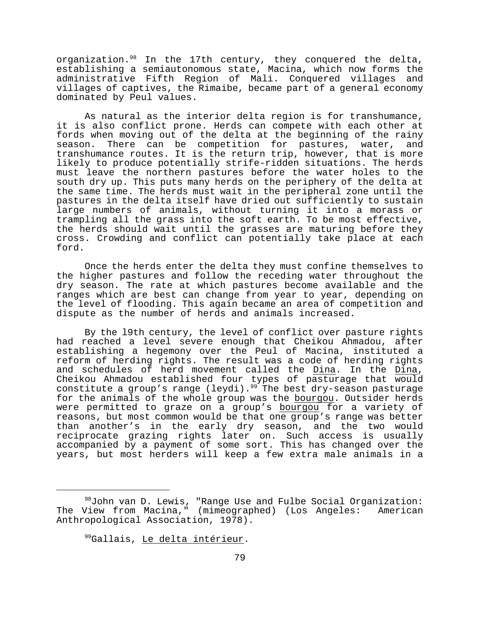organization.<sup>98</sup> In the 17th century, they conquered the delta, establishing a semiautonomous state, Macina, which now forms the administrative Fifth Region of Mali. Conquered villages and villages of captives, the Rimaibe, became part of a general economy dominated by Peul values.

As natural as the interior delta region is for transhumance, it is also conflict prone. Herds can compete with each other at fords when moving out of the delta at the beginning of the rainy season. There can be competition for pastures, water, and transhumance routes. It is the return trip, however, that is more likely to produce potentially strife-ridden situations. The herds must leave the northern pastures before the water holes to the south dry up. This puts many herds on the periphery of the delta at the same time. The herds must wait in the peripheral zone until the pastures in the delta itself have dried out sufficiently to sustain large numbers of animals, without turning it into a morass or trampling all the grass into the soft earth. To be most effective, the herds should wait until the grasses are maturing before they cross. Crowding and conflict can potentially take place at each ford.

Once the herds enter the delta they must confine themselves to the higher pastures and follow the receding water throughout the dry season. The rate at which pastures become available and the ranges which are best can change from year to year, depending on the level of flooding. This again became an area of competition and dispute as the number of herds and animals increased.

By the l9th century, the level of conflict over pasture rights had reached a level severe enough that Cheikou Ahmadou, after establishing a hegemony over the Peul of Macina, instituted a reform of herding rights. The result was a code of herding rights and schedules of herd movement called the <u>Dina</u>. In the <u>Dina</u>,<br>Cheikou Ahmadou established four types of pasturage that would constitute a group's range (leydi). $^{99}$  The best dry-season pasturage for the animals of the whole group was the bourgou. Outsider herds were permitted to graze on a group's bourgou for a variety of reasons, but most common would be that one group's range was better than another's in the early dry season, and the two would reciprocate grazing rights later on. Such access is usually accompanied by a payment of some sort. This has changed over the years, but most herders will keep a few extra male animals in a

<sup>98</sup>John van D. Lewis, "Range Use and Fulbe Social Organization: The View from Macina," (mimeographed) (Los Angeles: American Anthropological Association, 1978).

<sup>99</sup>Gallais, Le delta intérieur.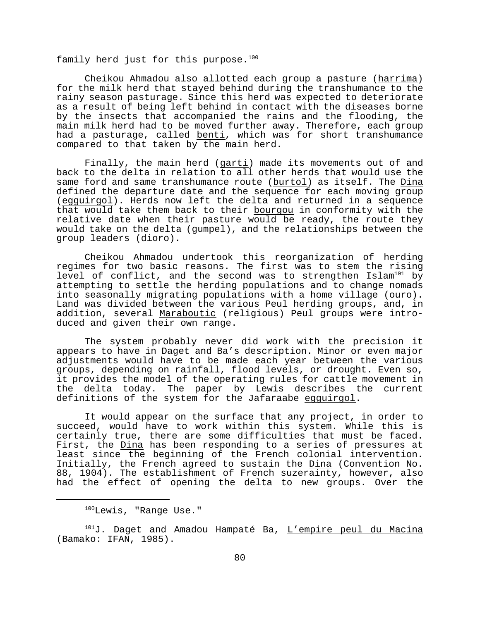family herd just for this purpose. $100$ 

Cheikou Ahmadou also allotted each group a pasture (harrima) for the milk herd that stayed behind during the transhumance to the rainy season pasturage. Since this herd was expected to deteriorate as a result of being left behind in contact with the diseases borne by the insects that accompanied the rains and the flooding, the main milk herd had to be moved further away. Therefore, each group had a pasturage, called benti, which was for short transhumance compared to that taken by the main herd.

Finally, the main herd (garti) made its movements out of and back to the delta in relation to all other herds that would use the same ford and same transhumance route (burtol) as itself. The Dina defined the departure date and the sequence for each moving group (egguirgol). Herds now left the delta and returned in a sequence that would take them back to their bourgou in conformity with the relative date when their pasture would be ready, the route they would take on the delta (gumpel), and the relationships between the group leaders (dioro).

Cheikou Ahmadou undertook this reorganization of herding regimes for two basic reasons. The first was to stem the rising level of conflict, and the second was to strengthen  $\text{Islam}^{101}$  by attempting to settle the herding populations and to change nomads into seasonally migrating populations with a home village (ouro). Land was divided between the various Peul herding groups, and, in addition, several Maraboutic (religious) Peul groups were introduced and given their own range.

The system probably never did work with the precision it appears to have in Daget and Ba's description. Minor or even major adjustments would have to be made each year between the various groups, depending on rainfall, flood levels, or drought. Even so, it provides the model of the operating rules for cattle movement in the delta today. The paper by Lewis describes the current definitions of the system for the Jafaraabe egguirgol.

It would appear on the surface that any project, in order to succeed, would have to work within this system. While this is certainly true, there are some difficulties that must be faced. First, the Dina has been responding to a series of pressures at least since the beginning of the French colonial intervention. Initially, the French agreed to sustain the Dina (Convention No. 88, 1904). The establishment of French suzerainty, however, also had the effect of opening the delta to new groups. Over the

<sup>100</sup>Lewis, "Range Use."

 $101$ J. Daget and Amadou Hampaté Ba, L'empire peul du Macina (Bamako: IFAN, 1985).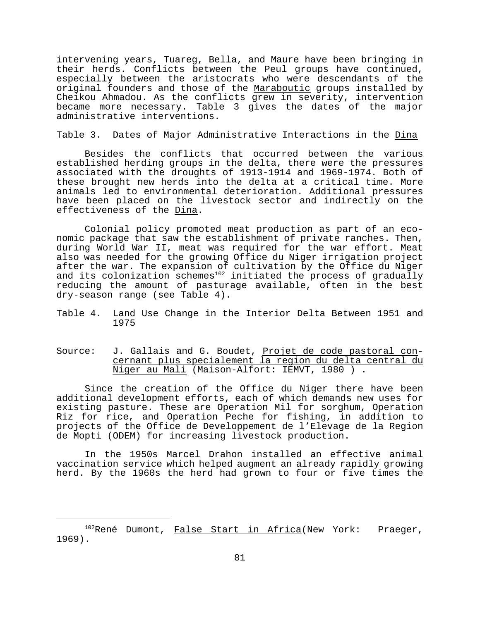intervening years, Tuareg, Bella, and Maure have been bringing in their herds. Conflicts between the Peul groups have continued, especially between the aristocrats who were descendants of the original founders and those of the Maraboutic groups installed by Cheikou Ahmadou. As the conflicts grew in severity, intervention became more necessary. Table 3 gives the dates of the major administrative interventions.

Table 3. Dates of Major Administrative Interactions in the Dina

Besides the conflicts that occurred between the various established herding groups in the delta, there were the pressures associated with the droughts of 1913-1914 and 1969-1974. Both of these brought new herds into the delta at a critical time. More animals led to environmental deterioration. Additional pressures have been placed on the livestock sector and indirectly on the effectiveness of the Dina.

Colonial policy promoted meat production as part of an economic package that saw the establishment of private ranches. Then, during World War II, meat was required for the war effort. Meat also was needed for the growing Office du Niger irrigation project after the war. The expansion of cultivation by the Office du Niger and its colonization  $s^{102}$  initiated the process of gradually reducing the amount of pasturage available, often in the best dry-season range (see Table 4).

- Table 4. Land Use Change in the Interior Delta Between 1951 and 1975
- Source: J. Gallais and G. Boudet, Projet de code pastoral con- cernant plus specialement la region du delta central du Niger au Mali (Maison-Alfort: IEMVT, 1980 ) .

Since the creation of the Office du Niger there have been additional development efforts, each of which demands new uses for existing pasture. These are Operation Mil for sorghum, Operation Riz for rice, and Operation Peche for fishing, in addition to projects of the Office de Developpement de l'Elevage de la Region de Mopti (ODEM) for increasing livestock production.

In the 1950s Marcel Drahon installed an effective animal vaccination service which helped augment an already rapidly growing herd. By the 1960s the herd had grown to four or five times the

 $102$ René Dumont, False Start in Africa(New York: Praeger, 1969).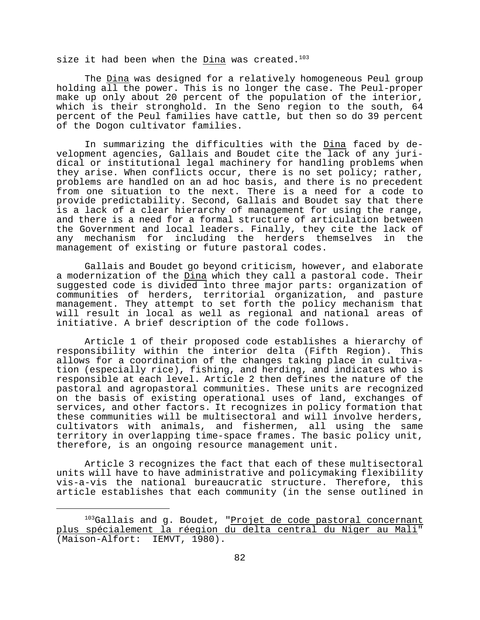size it had been when the Dina was created.<sup>103</sup>

The Dina was designed for a relatively homogeneous Peul group holding all the power. This is no longer the case. The Peul-proper make up only about 20 percent of the population of the interior, which is their stronghold. In the Seno region to the south, 64 percent of the Peul families have cattle, but then so do 39 percent of the Dogon cultivator families.

In summarizing the difficulties with the Dina faced by development agencies, Gallais and Boudet cite the lack of any juridical or institutional legal machinery for handling problems when they arise. When conflicts occur, there is no set policy; rather, problems are handled on an ad hoc basis, and there is no precedent from one situation to the next. There is a need for a code to provide predictability. Second, Gallais and Boudet say that there is a lack of a clear hierarchy of management for using the range, and there is a need for a formal structure of articulation between the Government and local leaders. Finally, they cite the lack of any mechanism for including the herders themselves in the management of existing or future pastoral codes.

Gallais and Boudet go beyond criticism, however, and elaborate a modernization of the Dina which they call a pastoral code. Their suggested code is divided into three major parts: organization of communities of herders, territorial organization, and pasture management. They attempt to set forth the policy mechanism that will result in local as well as regional and national areas of initiative. A brief description of the code follows.

Article 1 of their proposed code establishes a hierarchy of responsibility within the interior delta (Fifth Region). This allows for a coordination of the changes taking place in cultivation (especially rice), fishing, and herding, and indicates who is responsible at each level. Article 2 then defines the nature of the pastoral and agropastoral communities. These units are recognized on the basis of existing operational uses of land, exchanges of services, and other factors. It recognizes in policy formation that these communities will be multisectoral and will involve herders, cultivators with animals, and fishermen, all using the same territory in overlapping time-space frames. The basic policy unit, therefore, is an ongoing resource management unit.

Article 3 recognizes the fact that each of these multisectoral units will have to have administrative and policymaking flexibility vis-a-vis the national bureaucratic structure. Therefore, this article establishes that each community (in the sense outlined in

<sup>&</sup>lt;sup>103</sup>Gallais and g. Boudet, "Projet de code pastoral concernant plus spécialement la réegion du delta central du Niger au Mali" (Maison-Alfort: IEMVT, 1980).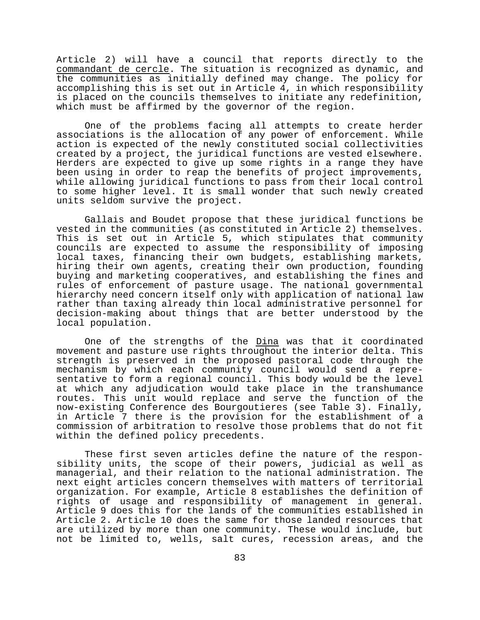Article 2) will have a council that reports directly to the commandant de cercle. The situation is recognized as dynamic, and the communities as initially defined may change. The policy for accomplishing this is set out in Article 4, in which responsibility is placed on the councils themselves to initiate any redefinition, which must be affirmed by the governor of the region.

One of the problems facing all attempts to create herder associations is the allocation of any power of enforcement. While action is expected of the newly constituted social collectivities created by a project, the juridical functions are vested elsewhere. Herders are expected to give up some rights in a range they have been using in order to reap the benefits of project improvements, while allowing juridical functions to pass from their local control to some higher level. It is small wonder that such newly created units seldom survive the project.

Gallais and Boudet propose that these juridical functions be vested in the communities (as constituted in Article 2) themselves. This is set out in Article 5, which stipulates that community councils are expected to assume the responsibility of imposing local taxes, financing their own budgets, establishing markets, hiring their own agents, creating their own production, founding buying and marketing cooperatives, and establishing the fines and rules of enforcement of pasture usage. The national governmental hierarchy need concern itself only with application of national law rather than taxing already thin local administrative personnel for decision-making about things that are better understood by the local population.

One of the strengths of the Dina was that it coordinated movement and pasture use rights throughout the interior delta. This strength is preserved in the proposed pastoral code through the mechanism by which each community council would send a representative to form a regional council. This body would be the level at which any adjudication would take place in the transhumance routes. This unit would replace and serve the function of the now-existing Conference des Bourgoutieres (see Table 3). Finally, in Article 7 there is the provision for the establishment of a commission of arbitration to resolve those problems that do not fit within the defined policy precedents.

These first seven articles define the nature of the responsibility units, the scope of their powers, judicial as well as managerial, and their relation to the national administration. The next eight articles concern themselves with matters of territorial organization. For example, Article 8 establishes the definition of rights of usage and responsibility of management in general. Article 9 does this for the lands of the communities established in Article 2. Article 10 does the same for those landed resources that are utilized by more than one community. These would include, but not be limited to, wells, salt cures, recession areas, and the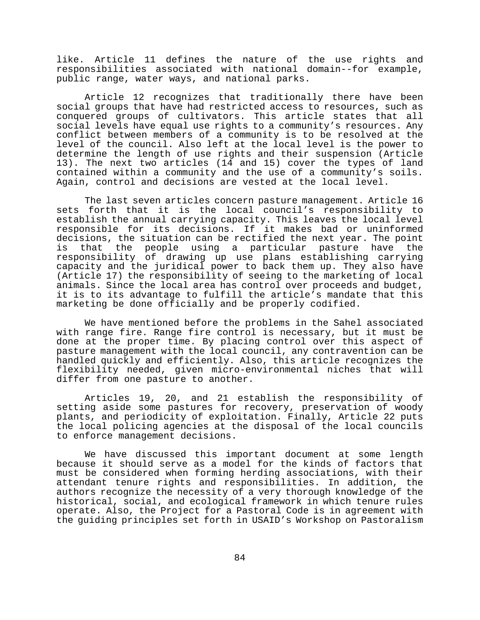like. Article 11 defines the nature of the use rights and responsibilities associated with national domain--for example, public range, water ways, and national parks.

Article 12 recognizes that traditionally there have been social groups that have had restricted access to resources, such as conquered groups of cultivators. This article states that all social levels have equal use rights to a community's resources. Any conflict between members of a community is to be resolved at the level of the council. Also left at the local level is the power to determine the length of use rights and their suspension (Article 13). The next two articles (14 and 15) cover the types of land contained within a community and the use of a community's soils. Again, control and decisions are vested at the local level.

The last seven articles concern pasture management. Article 16 sets forth that it is the local council's responsibility to establish the annual carrying capacity. This leaves the local level responsible for its decisions. If it makes bad or uninformed decisions, the situation can be rectified the next year. The point is that the people using a particular pasture have the responsibility of drawing up use plans establishing carrying capacity and the juridical power to back them up. They also have (Article 17) the responsibility of seeing to the marketing of local animals. Since the local area has control over proceeds and budget, it is to its advantage to fulfill the article's mandate that this marketing be done officially and be properly codified.

We have mentioned before the problems in the Sahel associated with range fire. Range fire control is necessary, but it must be done at the proper time. By placing control over this aspect of pasture management with the local council, any contravention can be handled quickly and efficiently. Also, this article recognizes the flexibility needed, given micro-environmental niches that will differ from one pasture to another.

Articles 19, 20, and 21 establish the responsibility of setting aside some pastures for recovery, preservation of woody plants, and periodicity of exploitation. Finally, Article 22 puts the local policing agencies at the disposal of the local councils to enforce management decisions.

We have discussed this important document at some length because it should serve as a model for the kinds of factors that must be considered when forming herding associations, with their attendant tenure rights and responsibilities. In addition, the authors recognize the necessity of a very thorough knowledge of the historical, social, and ecological framework in which tenure rules operate. Also, the Project for a Pastoral Code is in agreement with the guiding principles set forth in USAID's Workshop on Pastoralism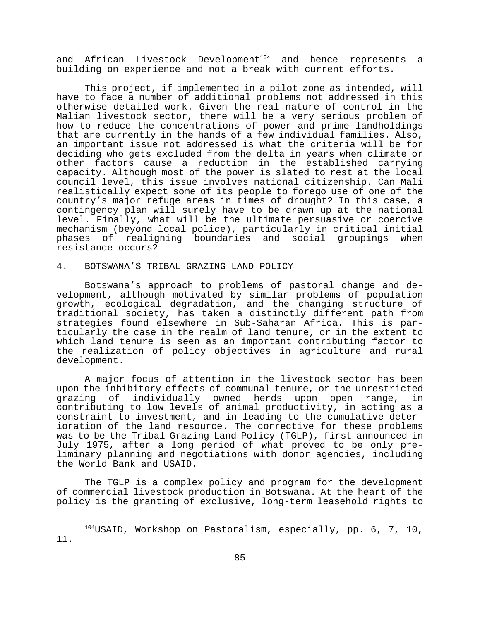and African Livestock Development<sup>104</sup> and hence represents a building on experience and not a break with current efforts.

This project, if implemented in a pilot zone as intended, will have to face a number of additional problems not addressed in this otherwise detailed work. Given the real nature of control in the Malian livestock sector, there will be a very serious problem of how to reduce the concentrations of power and prime landholdings that are currently in the hands of a few individual families. Also, an important issue not addressed is what the criteria will be for deciding who gets excluded from the delta in years when climate or other factors cause a reduction in the established carrying capacity. Although most of the power is slated to rest at the local council level, this issue involves national citizenship. Can Mali realistically expect some of its people to forego use of one of the country's major refuge areas in times of drought? In this case, a contingency plan will surely have to be drawn up at the national level. Finally, what will be the ultimate persuasive or coercive mechanism (beyond local police), particularly in critical initial phases of realigning boundaries and social groupings when resistance occurs?

#### 4. BOTSWANA'S TRIBAL GRAZING LAND POLICY

Botswana's approach to problems of pastoral change and development, although motivated by similar problems of population growth, ecological degradation, and the changing structure of traditional society, has taken a distinctly different path from strategies found elsewhere in Sub-Saharan Africa. This is particularly the case in the realm of land tenure, or in the extent to which land tenure is seen as an important contributing factor to the realization of policy objectives in agriculture and rural development.

A major focus of attention in the livestock sector has been upon the inhibitory effects of communal tenure, or the unrestricted grazing of individually owned herds upon open range, in contributing to low levels of animal productivity, in acting as a constraint to investment, and in leading to the cumulative deterioration of the land resource. The corrective for these problems was to be the Tribal Grazing Land Policy (TGLP), first announced in July 1975, after a long period of what proved to be only preliminary planning and negotiations with donor agencies, including the World Bank and USAID.

The TGLP is a complex policy and program for the development of commercial livestock production in Botswana. At the heart of the policy is the granting of exclusive, long-term leasehold rights to

<sup>&</sup>lt;sup>104</sup>USAID, Workshop on Pastoralism, especially, pp. 6, 7, 10, 11.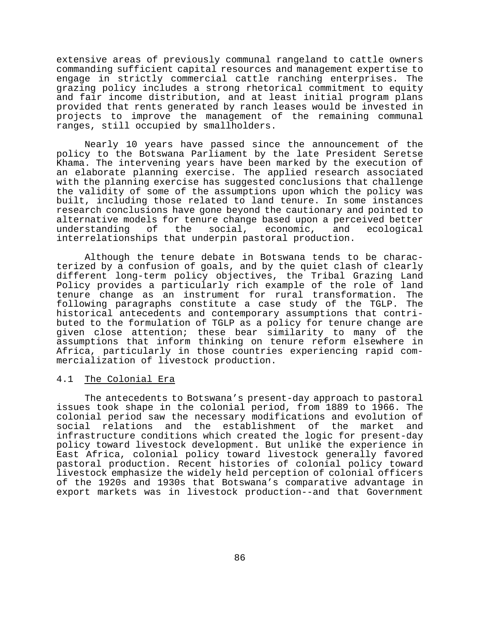extensive areas of previously communal rangeland to cattle owners commanding sufficient capital resources and management expertise to engage in strictly commercial cattle ranching enterprises. The grazing policy includes a strong rhetorical commitment to equity and fair income distribution, and at least initial program plans provided that rents generated by ranch leases would be invested in projects to improve the management of the remaining communal ranges, still occupied by smallholders.

Nearly 10 years have passed since the announcement of the policy to the Botswana Parliament by the late President Seretse Khama. The intervening years have been marked by the execution of an elaborate planning exercise. The applied research associated with the planning exercise has suggested conclusions that challenge the validity of some of the assumptions upon which the policy was built, including those related to land tenure. In some instances research conclusions have gone beyond the cautionary and pointed to alternative models for tenure change based upon a perceived better understanding of the social, economic, and ecological interrelationships that underpin pastoral production.

Although the tenure debate in Botswana tends to be characterized by a confusion of goals, and by the quiet clash of clearly different long-term policy objectives, the Tribal Grazing Land Policy provides a particularly rich example of the role of land tenure change as an instrument for rural transformation. The following paragraphs constitute a case study of the TGLP. The historical antecedents and contemporary assumptions that contributed to the formulation of TGLP as a policy for tenure change are given close attention; these bear similarity to many of the assumptions that inform thinking on tenure reform elsewhere in Africa, particularly in those countries experiencing rapid commercialization of livestock production.

## 4.1 The Colonial Era

The antecedents to Botswana's present-day approach to pastoral issues took shape in the colonial period, from 1889 to 1966. The colonial period saw the necessary modifications and evolution of social relations and the establishment of the market and infrastructure conditions which created the logic for present-day policy toward livestock development. But unlike the experience in East Africa, colonial policy toward livestock generally favored pastoral production. Recent histories of colonial policy toward livestock emphasize the widely held perception of colonial officers of the 1920s and 1930s that Botswana's comparative advantage in export markets was in livestock production--and that Government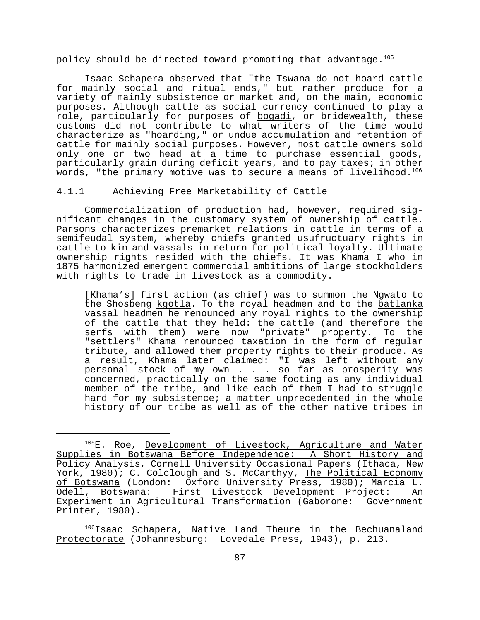policy should be directed toward promoting that advantage.<sup>105</sup>

Isaac Schapera observed that "the Tswana do not hoard cattle for mainly social and ritual ends," but rather produce for a variety of mainly subsistence or market and, on the main, economic purposes. Although cattle as social currency continued to play a role, particularly for purposes of bogadi, or bridewealth, these customs did not contribute to what writers of the time would characterize as "hoarding," or undue accumulation and retention of cattle for mainly social purposes. However, most cattle owners sold only one or two head at a time to purchase essential goods, particularly grain during deficit years, and to pay taxes; in other words, "the primary motive was to secure a means of livelihood.<sup>106</sup>

# 4.1.1 Achieving Free Marketability of Cattle

Commercialization of production had, however, required significant changes in the customary system of ownership of cattle. Parsons characterizes premarket relations in cattle in terms of a semifeudal system, whereby chiefs granted usufructuary rights in cattle to kin and vassals in return for political loyalty. Ultimate ownership rights resided with the chiefs. It was Khama I who in 1875 harmonized emergent commercial ambitions of large stockholders with rights to trade in livestock as a commodity.

[Khama's] first action (as chief) was to summon the Ngwato to the Shosbeng kgotla. To the royal headmen and to the batlanka vassal headmen he renounced any royal rights to the ownership of the cattle that they held: the cattle (and therefore the serfs with them) were now "private" property. To the "settlers" Khama renounced taxation in the form of regular tribute, and allowed them property rights to their produce. As a result, Khama later claimed: "I was left without any personal stock of my own . . . so far as prosperity was concerned, practically on the same footing as any individual member of the tribe, and like each of them I had to struggle hard for my subsistence; a matter unprecedented in the whole history of our tribe as well as of the other native tribes in

<sup>&</sup>lt;sup>105</sup>E. Roe, <u>Development of Livestock, Agriculture and Water</u> Supplies in Botswana Before Independence: A Short History and Policy Analysis, Cornell University Occasional Papers (Ithaca, New York, 1980); C. Colclough and S. McCarthyy, The Political Economy of Botswana (London: Oxford University Press, 1980); Marcia L. Odell, Botswana: First Livestock Development Project: An Experiment in Agricultural Transformation (Gaborone: Government Printer, 1980).

<sup>106</sup> Isaac Schapera, Native Land Theure in the Bechuanaland Protectorate (Johannesburg: Lovedale Press, 1943), p. 213.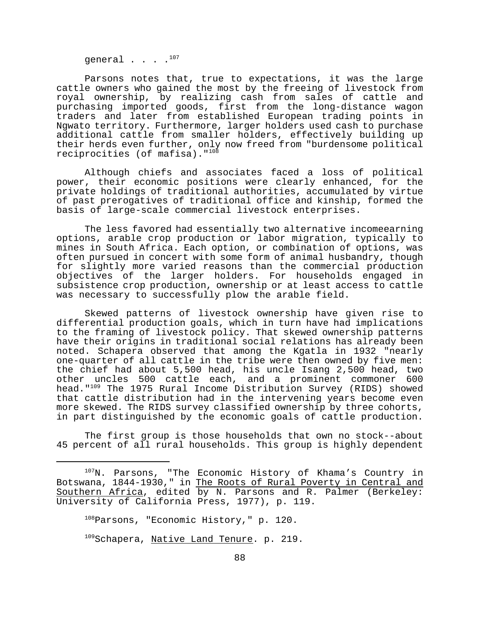general...<sup>107</sup>

Parsons notes that, true to expectations, it was the large cattle owners who gained the most by the freeing of livestock from royal ownership, by realizing cash from sales of cattle and purchasing imported goods, first from the long-distance wagon traders and later from established European trading points in Ngwato territory. Furthermore, larger holders used cash to purchase additional cattle from smaller holders, effectively building up their herds even further, only now freed from "burdensome political reciprocities (of mafisa)."<sup>108</sup>

Although chiefs and associates faced a loss of political power, their economic positions were clearly enhanced, for the private holdings of traditional authorities, accumulated by virtue of past prerogatives of traditional office and kinship, formed the basis of large-scale commercial livestock enterprises.

The less favored had essentially two alternative incomeearning options, arable crop production or labor migration, typically to mines in South Africa. Each option, or combination of options, was often pursued in concert with some form of animal husbandry, though for slightly more varied reasons than the commercial production objectives of the larger holders. For households engaged in subsistence crop production, ownership or at least access to cattle was necessary to successfully plow the arable field.

Skewed patterns of livestock ownership have given rise to differential production goals, which in turn have had implications to the framing of livestock policy. That skewed ownership patterns have their origins in traditional social relations has already been noted. Schapera observed that among the Kgatla in 1932 "nearly one-quarter of all cattle in the tribe were then owned by five men: the chief had about 5,500 head, his uncle Isang 2,500 head, two other uncles 500 cattle each, and a prominent commoner 600 head."109 The 1975 Rural Income Distribution Survey (RIDS) showed that cattle distribution had in the intervening years become even more skewed. The RIDS survey classified ownership by three cohorts, in part distinguished by the economic goals of cattle production.

The first group is those households that own no stock--about 45 percent of all rural households. This group is highly dependent

108 Parsons, "Economic History," p. 120.

<sup>109</sup>Schapera, Native Land Tenure. p. 219.

<sup>&</sup>lt;sup>107</sup>N. Parsons, "The Economic History of Khama's Country in Botswana, 1844-1930," in The Roots of Rural Poverty in Central and Southern Africa, edited by N. Parsons and R. Palmer (Berkeley: University of California Press, 1977), p. 119.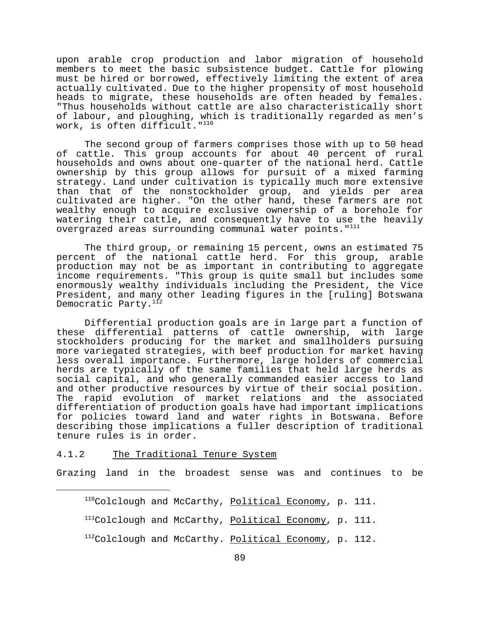upon arable crop production and labor migration of household members to meet the basic subsistence budget. Cattle for plowing must be hired or borrowed, effectively limiting the extent of area actually cultivated. Due to the higher propensity of most household heads to migrate, these households are often headed by females. "Thus households without cattle are also characteristically short of labour, and ploughing, which is traditionally regarded as men's work, is often difficult."<sup>110</sup>

The second group of farmers comprises those with up to 50 head of cattle. This group accounts for about 40 percent of rural households and owns about one-quarter of the national herd. Cattle ownership by this group allows for pursuit of a mixed farming strategy. Land under cultivation is typically much more extensive than that of the nonstockholder group, and yields per area cultivated are higher. "On the other hand, these farmers are not wealthy enough to acquire exclusive ownership of a borehole for watering their cattle, and consequently have to use the heavily overgrazed areas surrounding communal water points."<sup>111</sup>

The third group, or remaining 15 percent, owns an estimated 75 percent of the national cattle herd. For this group, arable production may not be as important in contributing to aggregate income requirements. "This group is quite small but includes some enormously wealthy individuals including the President, the Vice President, and many other leading figures in the [ruling] Botswana Democratic Party. $^{\rm 112}$ 

Differential production goals are in large part a function of these differential patterns of cattle ownership, with large stockholders producing for the market and smallholders pursuing more variegated strategies, with beef production for market having less overall importance. Furthermore, large holders of commercial herds are typically of the same families that held large herds as social capital, and who generally commanded easier access to land and other productive resources by virtue of their social position. The rapid evolution of market relations and the associated differentiation of production goals have had important implications for policies toward land and water rights in Botswana. Before describing those implications a fuller description of traditional tenure rules is in order.

# 4.1.2 The Traditional Tenure System

Grazing land in the broadest sense was and continues to be

<sup>110</sup>Colclough and McCarthy, Political Economy, p. 111. <sup>111</sup>Colclough and McCarthy, Political Economy, p. 111. <sup>112</sup>Colclough and McCarthy. Political Economy, p. 112.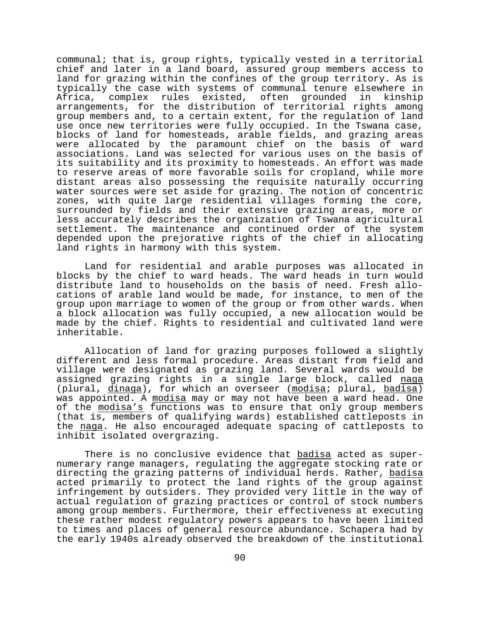communal; that is, group rights, typically vested in a territorial chief and later in a land board, assured group members access to land for grazing within the confines of the group territory. As is typically the case with systems of communal tenure elsewhere in Africa, complex rules existed, often grounded in kinship arrangements, for the distribution of territorial rights among group members and, to a certain extent, for the regulation of land use once new territories were fully occupied. In the Tswana case, blocks of land for homesteads, arable fields, and grazing areas were allocated by the paramount chief on the basis of ward associations. Land was selected for various uses on the basis of its suitability and its proximity to homesteads. An effort was made to reserve areas of more favorable soils for cropland, while more distant areas also possessing the requisite naturally occurring water sources were set aside for grazing. The notion of concentric zones, with quite large residential villages forming the core, surrounded by fields and their extensive grazing areas, more or less accurately describes the organization of Tswana agricultural settlement. The maintenance and continued order of the system depended upon the prejorative rights of the chief in allocating land rights in harmony with this system.

Land for residential and arable purposes was allocated in blocks by the chief to ward heads. The ward heads in turn would distribute land to households on the basis of need. Fresh allocations of arable land would be made, for instance, to men of the group upon marriage to women of the group or from other wards. When a block allocation was fully occupied, a new allocation would be made by the chief. Rights to residential and cultivated land were inheritable.

Allocation of land for grazing purposes followed a slightly different and less formal procedure. Areas distant from field and village were designated as grazing land. Several wards would be assigned grazing rights in a single large block, called <u>naga</u> (plural, dinaga), for which an overseer (modisa; plural, badisa) was appointed. A modisa may or may not have been a ward head. One of the modisa's functions was to ensure that only group members (that is, members of qualifying wards) established cattleposts in the naga. He also encouraged adequate spacing of cattleposts to inhibit isolated overgrazing.

There is no conclusive evidence that badisa acted as supernumerary range managers, regulating the aggregate stocking rate or directing the grazing patterns of individual herds. Rather, badisa acted primarily to protect the land rights of the group against infringement by outsiders. They provided very little in the way of actual regulation of grazing practices or control of stock numbers among group members. Furthermore, their effectiveness at executing these rather modest regulatory powers appears to have been limited to times and places of general resource abundance. Schapera had by the early 1940s already observed the breakdown of the institutional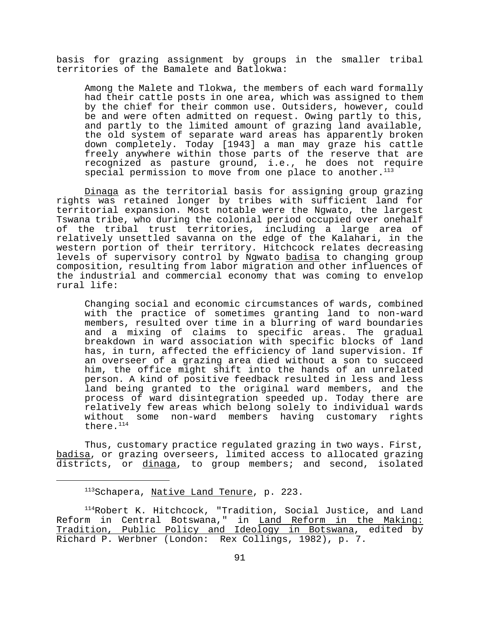basis for grazing assignment by groups in the smaller tribal territories of the Bamalete and Batlokwa:

Among the Malete and Tlokwa, the members of each ward formally had their cattle posts in one area, which was assigned to them by the chief for their common use. Outsiders, however, could be and were often admitted on request. Owing partly to this, and partly to the limited amount of grazing land available, the old system of separate ward areas has apparently broken down completely. Today [1943] a man may graze his cattle freely anywhere within those parts of the reserve that are recognized as pasture ground, i.e., he does not require special permission to move from one place to another. $113$ 

Dinaga as the territorial basis for assigning group grazing rights was retained longer by tribes with sufficient land for territorial expansion. Most notable were the Ngwato, the largest Tswana tribe, who during the colonial period occupied over onehalf of the tribal trust territories, including a large area of relatively unsettled savanna on the edge of the Kalahari, in the western portion of their territory. Hitchcock relates decreasing levels of supervisory control by Ngwato badisa to changing group composition, resulting from labor migration and other influences of the industrial and commercial economy that was coming to envelop rural life:

Changing social and economic circumstances of wards, combined with the practice of sometimes granting land to non-ward members, resulted over time in a blurring of ward boundaries and a mixing of claims to specific areas. The gradual breakdown in ward association with specific blocks of land has, in turn, affected the efficiency of land supervision. If an overseer of a grazing area died without a son to succeed him, the office might shift into the hands of an unrelated person. A kind of positive feedback resulted in less and less land being granted to the original ward members, and the process of ward disintegration speeded up. Today there are relatively few areas which belong solely to individual wards without some non-ward members having customary rights there. $^{114}$ 

Thus, customary practice regulated grazing in two ways. First, badisa, or grazing overseers, limited access to allocated grazing districts, or dinaga, to group members; and second, isolated

<sup>113</sup>Schapera, Native Land Tenure, p. 223.

<sup>&</sup>lt;sup>114</sup>Robert K. Hitchcock, "Tradition, Social Justice, and Land Reform in Central Botswana," in Land Reform in the Making: Tradition, Public Policy and Ideology in Botswana, edited by Richard P. Werbner (London: Rex Collings, 1982), p. 7.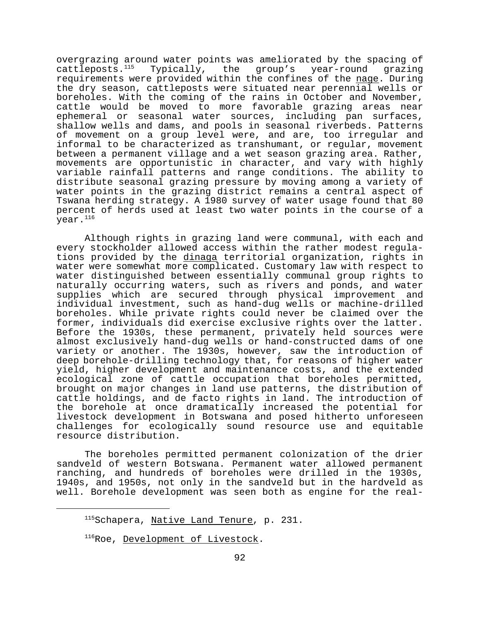overgrazing around water points was ameliorated by the spacing of cattleposts.<sup>115</sup> Typically, the group's year-round grazing Typically, the group's year-round grazing requirements were provided within the confines of the nage. During the dry season, cattleposts were situated near perennial wells or boreholes. With the coming of the rains in October and November, cattle would be moved to more favorable grazing areas near ephemeral or seasonal water sources, including pan surfaces, shallow wells and dams, and pools in seasonal riverbeds. Patterns of movement on a group level were, and are, too irregular and informal to be characterized as transhumant, or regular, movement between a permanent village and a wet season grazing area. Rather, movements are opportunistic in character, and vary with highly variable rainfall patterns and range conditions. The ability to distribute seasonal grazing pressure by moving among a variety of water points in the grazing district remains a central aspect of Tswana herding strategy. A 1980 survey of water usage found that 80 percent of herds used at least two water points in the course of a  $year.^{116}$ 

Although rights in grazing land were communal, with each and every stockholder allowed access within the rather modest regulations provided by the dinaga territorial organization, rights in water were somewhat more complicated. Customary law with respect to water distinguished between essentially communal group rights to naturally occurring waters, such as rivers and ponds, and water supplies which are secured through physical improvement and individual investment, such as hand-dug wells or machine-drilled boreholes. While private rights could never be claimed over the former, individuals did exercise exclusive rights over the latter. Before the 1930s, these permanent, privately held sources were almost exclusively hand-dug wells or hand-constructed dams of one variety or another. The 1930s, however, saw the introduction of deep borehole-drilling technology that, for reasons of higher water yield, higher development and maintenance costs, and the extended ecological zone of cattle occupation that boreholes permitted, brought on major changes in land use patterns, the distribution of cattle holdings, and de facto rights in land. The introduction of the borehole at once dramatically increased the potential for livestock development in Botswana and posed hitherto unforeseen challenges for ecologically sound resource use and equitable resource distribution.

The boreholes permitted permanent colonization of the drier sandveld of western Botswana. Permanent water allowed permanent ranching, and hundreds of boreholes were drilled in the 1930s, 1940s, and 1950s, not only in the sandveld but in the hardveld as well. Borehole development was seen both as engine for the real-

<sup>115</sup> Schapera, Native Land Tenure, p. 231.

<sup>116</sup>Roe, Development of Livestock.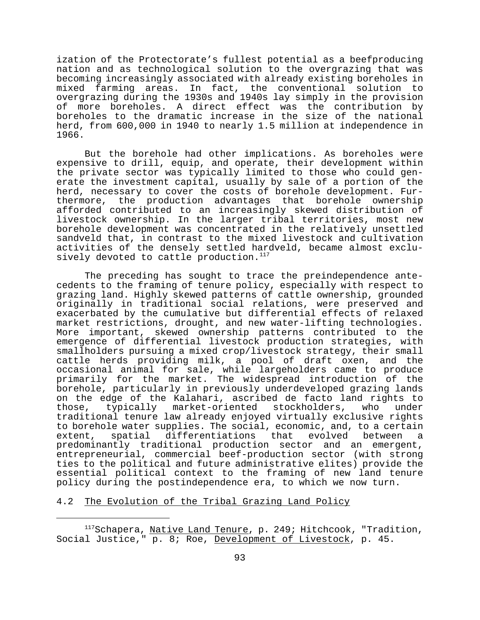ization of the Protectorate's fullest potential as a beefproducing nation and as technological solution to the overgrazing that was becoming increasingly associated with already existing boreholes in mixed farming areas. In fact, the conventional solution to overgrazing during the 1930s and 1940s lay simply in the provision of more boreholes. A direct effect was the contribution by boreholes to the dramatic increase in the size of the national herd, from 600,000 in 1940 to nearly 1.5 million at independence in 1966.

But the borehole had other implications. As boreholes were expensive to drill, equip, and operate, their development within the private sector was typically limited to those who could generate the investment capital, usually by sale of a portion of the herd, necessary to cover the costs of borehole development. Furthermore, the production advantages that borehole ownership afforded contributed to an increasingly skewed distribution of livestock ownership. In the larger tribal territories, most new borehole development was concentrated in the relatively unsettled sandveld that, in contrast to the mixed livestock and cultivation activities of the densely settled hardveld, became almost exclusively devoted to cattle production.<sup>117</sup>

The preceding has sought to trace the preindependence antecedents to the framing of tenure policy, especially with respect to grazing land. Highly skewed patterns of cattle ownership, grounded originally in traditional social relations, were preserved and exacerbated by the cumulative but differential effects of relaxed market restrictions, drought, and new water-lifting technologies. More important, skewed ownership patterns contributed to the emergence of differential livestock production strategies, with smallholders pursuing a mixed crop/livestock strategy, their small cattle herds providing milk, a pool of draft oxen, and the occasional animal for sale, while largeholders came to produce primarily for the market. The widespread introduction of the borehole, particularly in previously underdeveloped grazing lands on the edge of the Kalahari, ascribed de facto land rights to<br>those, typically market-oriented stockholders, who under those, typically market-oriented stockholders, who under traditional tenure law already enjoyed virtually exclusive rights to borehole water supplies. The social, economic, and, to a certain extent, spatial differentiations that evolved between a predominantly traditional production sector and an emergent, entrepreneurial, commercial beef-production sector (with strong ties to the political and future administrative elites) provide the essential political context to the framing of new land tenure policy during the postindependence era, to which we now turn.

## 4.2 The Evolution of the Tribal Grazing Land Policy

<sup>&</sup>lt;sup>117</sup>Schapera, Native Land Tenure, p. 249; Hitchcook, "Tradition, Social Justice," p. 8; Roe, Development of Livestock, p. 45.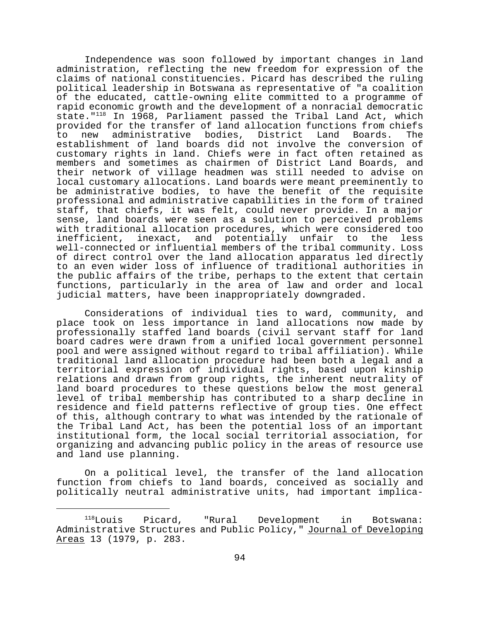Independence was soon followed by important changes in land administration, reflecting the new freedom for expression of the claims of national constituencies. Picard has described the ruling political leadership in Botswana as representative of "a coalition of the educated, cattle-owning elite committed to a programme of rapid economic growth and the development of a nonracial democratic state."<sup>118</sup> In 1968, Parliament passed the Tribal Land Act, which provided for the transfer of land allocation functions from chiefs to new administrative bodies, District Land Boards. The establishment of land boards did not involve the conversion of customary rights in land. Chiefs were in fact often retained as members and sometimes as chairmen of District Land Boards, and their network of village headmen was still needed to advise on local customary allocations. Land boards were meant preeminently to be administrative bodies, to have the benefit of the requisite professional and administrative capabilities in the form of trained staff, that chiefs, it was felt, could never provide. In a major sense, land boards were seen as a solution to perceived problems with traditional allocation procedures, which were considered too inefficient, inexact, and potentially unfair to the less well-connected or influential members of the tribal community. Loss of direct control over the land allocation apparatus led directly to an even wider loss of influence of traditional authorities in the public affairs of the tribe, perhaps to the extent that certain functions, particularly in the area of law and order and local judicial matters, have been inappropriately downgraded.

Considerations of individual ties to ward, community, and place took on less importance in land allocations now made by professionally staffed land boards (civil servant staff for land board cadres were drawn from a unified local government personnel pool and were assigned without regard to tribal affiliation). While traditional land allocation procedure had been both a legal and a territorial expression of individual rights, based upon kinship relations and drawn from group rights, the inherent neutrality of land board procedures to these questions below the most general level of tribal membership has contributed to a sharp decline in residence and field patterns reflective of group ties. One effect of this, although contrary to what was intended by the rationale of the Tribal Land Act, has been the potential loss of an important institutional form, the local social territorial association, for organizing and advancing public policy in the areas of resource use and land use planning.

On a political level, the transfer of the land allocation function from chiefs to land boards, conceived as socially and politically neutral administrative units, had important implica-

<sup>118</sup>Louis Picard, "Rural Development in Botswana: Administrative Structures and Public Policy," Journal of Developing Areas 13 (1979, p. 283.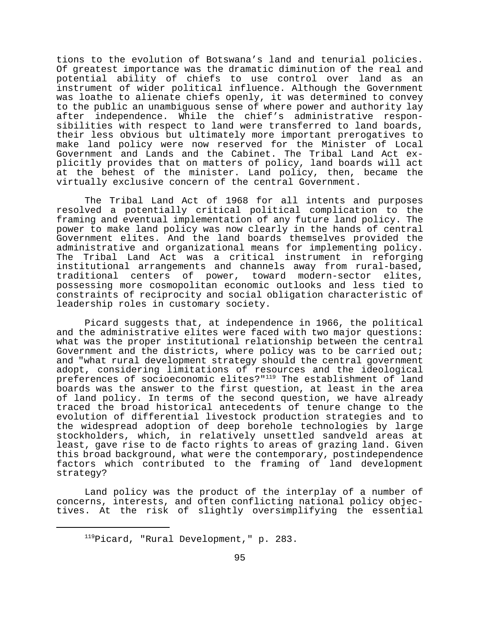tions to the evolution of Botswana's land and tenurial policies. Of greatest importance was the dramatic diminution of the real and potential ability of chiefs to use control over land as an instrument of wider political influence. Although the Government was loathe to alienate chiefs openly, it was determined to convey to the public an unambiguous sense of where power and authority lay after independence. While the chief's administrative responsibilities with respect to land were transferred to land boards, their less obvious but ultimately more important prerogatives to make land policy were now reserved for the Minister of Local Government and Lands and the Cabinet. The Tribal Land Act explicitly provides that on matters of policy, land boards will act at the behest of the minister. Land policy, then, became the virtually exclusive concern of the central Government.

The Tribal Land Act of 1968 for all intents and purposes resolved a potentially critical political complication to the framing and eventual implementation of any future land policy. The power to make land policy was now clearly in the hands of central Government elites. And the land boards themselves provided the administrative and organizational means for implementing policy. The Tribal Land Act was a critical instrument in reforging institutional arrangements and channels away from rural-based, traditional centers of power, toward modern-sector elites, possessing more cosmopolitan economic outlooks and less tied to constraints of reciprocity and social obligation characteristic of leadership roles in customary society.

Picard suggests that, at independence in 1966, the political and the administrative elites were faced with two major questions: what was the proper institutional relationship between the central Government and the districts, where policy was to be carried out; and "what rural development strategy should the central government adopt, considering limitations of resources and the ideological preferences of socioeconomic elites?"<sup>119</sup> The establishment of land boards was the answer to the first question, at least in the area of land policy. In terms of the second question, we have already traced the broad historical antecedents of tenure change to the evolution of differential livestock production strategies and to the widespread adoption of deep borehole technologies by large stockholders, which, in relatively unsettled sandveld areas at least, gave rise to de facto rights to areas of grazing land. Given this broad background, what were the contemporary, postindependence factors which contributed to the framing of land development strategy?

Land policy was the product of the interplay of a number of concerns, interests, and often conflicting national policy objectives. At the risk of slightly oversimplifying the essential

<sup>119</sup> Picard, "Rural Development," p. 283.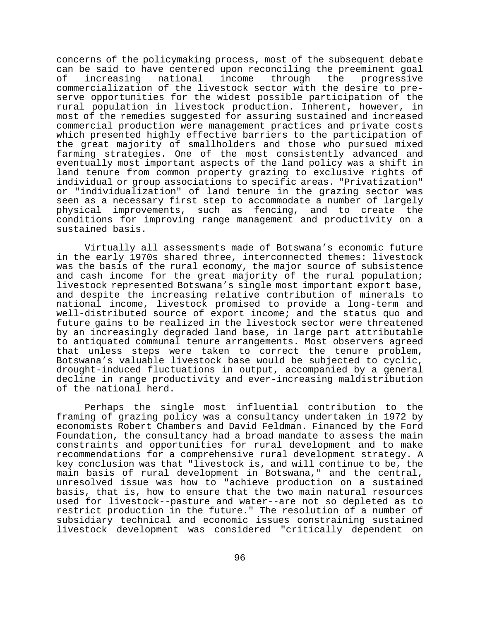concerns of the policymaking process, most of the subsequent debate can be said to have centered upon reconciling the preeminent goal of increasing national income through the progressive commercialization of the livestock sector with the desire to preserve opportunities for the widest possible participation of the rural population in livestock production. Inherent, however, in most of the remedies suggested for assuring sustained and increased commercial production were management practices and private costs which presented highly effective barriers to the participation of the great majority of smallholders and those who pursued mixed farming strategies. One of the most consistently advanced and eventually most important aspects of the land policy was a shift in land tenure from common property grazing to exclusive rights of individual or group associations to specific areas. "Privatization" or "individualization" of land tenure in the grazing sector was seen as a necessary first step to accommodate a number of largely physical improvements, such as fencing, and to create the conditions for improving range management and productivity on a sustained basis.

Virtually all assessments made of Botswana's economic future in the early 1970s shared three, interconnected themes: livestock was the basis of the rural economy, the major source of subsistence and cash income for the great majority of the rural population; livestock represented Botswana's single most important export base, and despite the increasing relative contribution of minerals to national income, livestock promised to provide a long-term and well-distributed source of export income; and the status quo and future gains to be realized in the livestock sector were threatened by an increasingly degraded land base, in large part attributable to antiquated communal tenure arrangements. Most observers agreed that unless steps were taken to correct the tenure problem, Botswana's valuable livestock base would be subjected to cyclic, drought-induced fluctuations in output, accompanied by a general decline in range productivity and ever-increasing maldistribution of the national herd.

Perhaps the single most influential contribution to the framing of grazing policy was a consultancy undertaken in 1972 by economists Robert Chambers and David Feldman. Financed by the Ford Foundation, the consultancy had a broad mandate to assess the main constraints and opportunities for rural development and to make recommendations for a comprehensive rural development strategy. A key conclusion was that "livestock is, and will continue to be, the main basis of rural development in Botswana," and the central, unresolved issue was how to "achieve production on a sustained basis, that is, how to ensure that the two main natural resources used for livestock--pasture and water--are not so depleted as to restrict production in the future." The resolution of a number of subsidiary technical and economic issues constraining sustained livestock development was considered "critically dependent on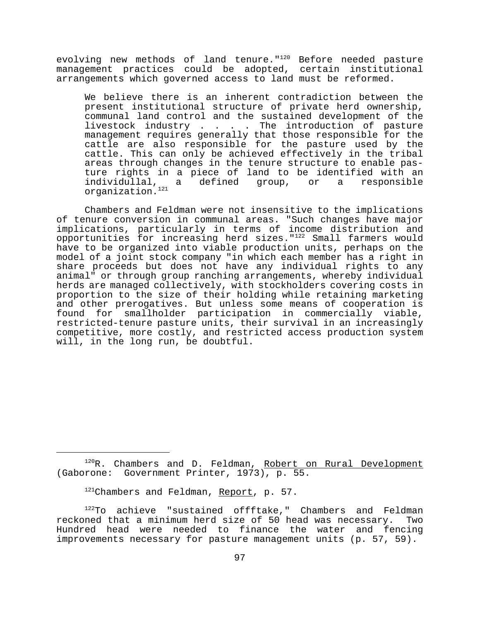evolving new methods of land tenure."<sup>120</sup> Before needed pasture management practices could be adopted, certain institutional arrangements which governed access to land must be reformed.

We believe there is an inherent contradiction between the present institutional structure of private herd ownership, communal land control and the sustained development of the livestock industry . . . . The introduction of pasture management requires generally that those responsible for the cattle are also responsible for the pasture used by the cattle. This can only be achieved effectively in the tribal areas through changes in the tenure structure to enable pasture rights in a piece of land to be identified with an individullal, a defined group, or a responsible organization.121

Chambers and Feldman were not insensitive to the implications of tenure conversion in communal areas. "Such changes have major implications, particularly in terms of income distribution and opportunities for increasing herd sizes. $122$  Small farmers would have to be organized into viable production units, perhaps on the model of a joint stock company "in which each member has a right in share proceeds but does not have any individual rights to any animal" or through group ranching arrangements, whereby individual herds are managed collectively, with stockholders covering costs in proportion to the size of their holding while retaining marketing and other prerogatives. But unless some means of cooperation is found for smallholder participation in commercially viable, restricted-tenure pasture units, their survival in an increasingly competitive, more costly, and restricted access production system will, in the long run, be doubtful.

 $120R$ . Chambers and D. Feldman, Robert on Rural Development (Gaborone: Government Printer, 1973), p. 55.

 $121$ Chambers and Feldman, Report, p. 57.

 $122$ To achieve "sustained offftake," Chambers and Feldman reckoned that a minimum herd size of 50 head was necessary. Two Hundred head were needed to finance the water and fencing improvements necessary for pasture management units (p. 57, 59).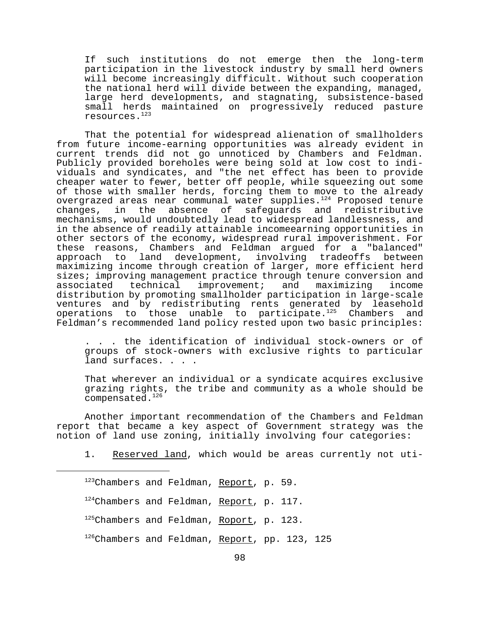If such institutions do not emerge then the long-term participation in the livestock industry by small herd owners will become increasingly difficult. Without such cooperation the national herd will divide between the expanding, managed, large herd developments, and stagnating, subsistence-based small herds maintained on progressively reduced pasture resources.123

That the potential for widespread alienation of smallholders from future income-earning opportunities was already evident in current trends did not go unnoticed by Chambers and Feldman. Publicly provided boreholes were being sold at low cost to individuals and syndicates, and "the net effect has been to provide cheaper water to fewer, better off people, while squeezing out some of those with smaller herds, forcing them to move to the already overgrazed areas near communal water supplies.<sup>124</sup> Proposed tenure changes, in the absence of safeguards and redistributive mechanisms, would undoubtedly lead to widespread landlessness, and in the absence of readily attainable incomeearning opportunities in other sectors of the economy, widespread rural impoverishment. For these reasons, Chambers and Feldman argued for a "balanced" approach to land development, involving tradeoffs between maximizing income through creation of larger, more efficient herd sizes; improving management practice through tenure conversion and associated technical improvement; and maximizing income distribution by promoting smallholder participation in large-scale ventures and by redistributing rents generated by leasehold operations to those unable to participate.125 Chambers and Feldman's recommended land policy rested upon two basic principles:

. . . the identification of individual stock-owners or of groups of stock-owners with exclusive rights to particular land surfaces. . . .

That wherever an individual or a syndicate acquires exclusive grazing rights, the tribe and community as a whole should be compensated.126

Another important recommendation of the Chambers and Feldman report that became a key aspect of Government strategy was the notion of land use zoning, initially involving four categories:

1. Reserved land, which would be areas currently not uti-

| <sup>123</sup> Chambers and Feldman, Report, p. 59. |  |  |  |  |  |
|-----------------------------------------------------|--|--|--|--|--|
|-----------------------------------------------------|--|--|--|--|--|

<sup>&</sup>lt;sup>124</sup>Chambers and Feldman, Report, p. 117.

 $125$ Chambers and Feldman, Roport, p. 123.

<sup>&</sup>lt;sup>126</sup>Chambers and Feldman, Report, pp. 123, 125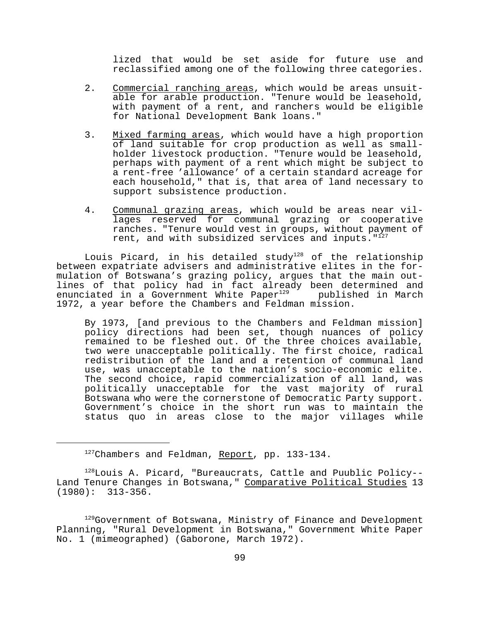lized that would be set aside for future use and reclassified among one of the following three categories.

- 2. Commercial ranching areas, which would be areas unsuitable for arable production. "Tenure would be leasehold, with payment of a rent, and ranchers would be eligible for National Development Bank loans."
- 3. Mixed farming areas, which would have a high proportion of land suitable for crop production as well as smallholder livestock production. "Tenure would be leasehold, perhaps with payment of a rent which might be subject to a rent-free 'allowance' of a certain standard acreage for each household," that is, that area of land necessary to support subsistence production.
- 4. Communal grazing areas, which would be areas near villages reserved for communal grazing or cooperative ranches. "Tenure would vest in groups, without payment of rent, and with subsidized services and inputs.  $"$ <sup>127</sup>

Louis Picard, in his detailed study<sup>128</sup> of the relationship between expatriate advisers and administrative elites in the formulation of Botswana's grazing policy, argues that the main outlines of that policy had in fact already been determined and enunciated in a Government White Paper<sup>129</sup> published in March 1972, a year before the Chambers and Feldman mission.

By 1973, [and previous to the Chambers and Feldman mission] policy directions had been set, though nuances of policy remained to be fleshed out. Of the three choices available, two were unacceptable politically. The first choice, radical redistribution of the land and a retention of communal land use, was unacceptable to the nation's socio-economic elite. The second choice, rapid commercialization of all land, was politically unacceptable for the vast majority of rural Botswana who were the cornerstone of Democratic Party support. Government's choice in the short run was to maintain the status quo in areas close to the major villages while

<sup>127</sup>Chambers and Feldman, Report, pp. 133-134.

128Louis A. Picard, "Bureaucrats, Cattle and Puublic Policy-- Land Tenure Changes in Botswana," Comparative Political Studies 13 (1980): 313-356.

<sup>129</sup>Government of Botswana, Ministry of Finance and Development Planning, "Rural Development in Botswana," Government White Paper No. 1 (mimeographed) (Gaborone, March 1972).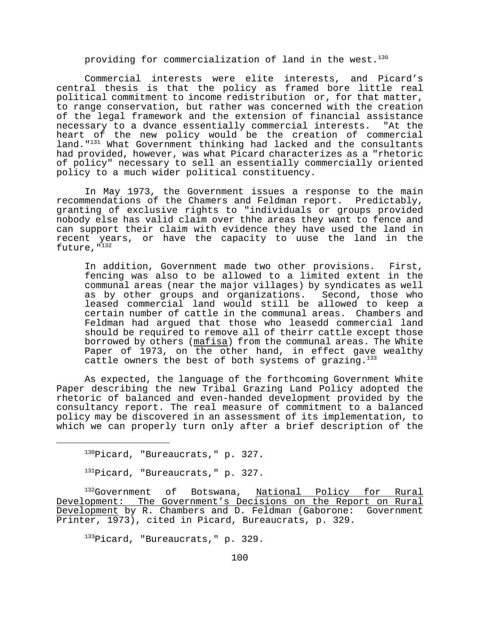providing for commercialization of land in the west. $130$ 

Commercial interests were elite interests, and Picard's central thesis is that the policy as framed bore little real political commitment to income redistribution or, for that matter, to range conservation, but rather was concerned with the creation of the legal framework and the extension of financial assistance necessary to a dvance essentially commercial interests. "At the heart of the new policy would be the creation of commercial land."<sup>131</sup> What Government thinking had lacked and the consultants had provided, however, was what Picard characterizes as a "rhetoric of policy" necessary to sell an essentially commercially oriented policy to a much wider political constituency.

In May 1973, the Government issues a response to the main recommendations of the Chamers and Feldman report. Predictably, granting of exclusive rights to "individuals or groups provided nobody else has valid claim over thhe areas they want to fence and can support their claim with evidence they have used the land in recent years, or have the capacity to uuse the land in the future,  $\overline{1}^{132}$ 

In addition, Government made two other provisions. First, fencing was also to be allowed to a limited extent in the communal areas (near the major villages) by syndicates as well as by other groups and organizations. Second, those who leased commercial land would still be allowed to keep a certain number of cattle in the communal areas. Chambers and Feldman had argued that those who leasedd commercial land should be required to remove all of theirr cattle except those borrowed by others (mafisa) from the communal areas. The White Paper of 1973, on the other hand, in effect gave wealthy cattle owners the best of both systems of grazing.<sup>133</sup>

As expected, the language of the forthcoming Government White Paper describing the new Tribal Grazing Land Policy adopted the rhetoric of balanced and even-handed development provided by the consultancy report. The real measure of commitment to a balanced policy may be discovered in an assessment of its implementation, to which we can properly turn only after a brief description of the

130Picard, "Bureaucrats," p. 327.

<sup>131</sup>Picard, "Bureaucrats," p. 327.

<sup>132</sup>Government of Botswana, National Policy for Rural Development: The Government's Decisions on the Report on Rural Development by R. Chambers and D. Feldman (Gaborone: Government Printer, 1973), cited in Picard, Bureaucrats, p. 329.

<sup>133</sup>Picard, "Bureaucrats," p. 329.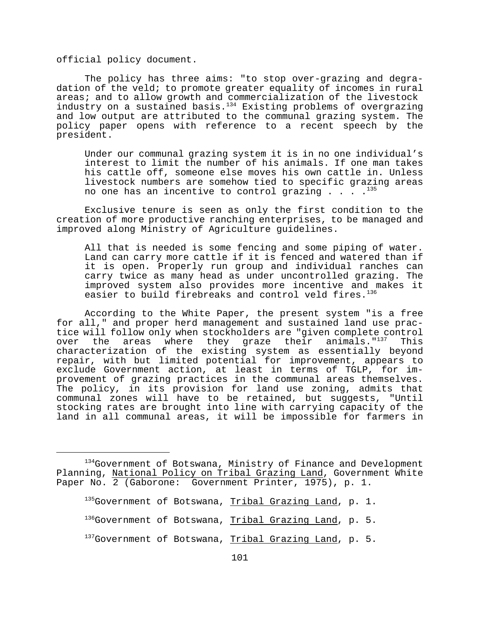official policy document.

The policy has three aims: "to stop over-grazing and degradation of the veld; to promote greater equality of incomes in rural areas; and to allow growth and commercialization of the livestock industry on a sustained basis.<sup>134</sup> Existing problems of overgrazing and low output are attributed to the communal grazing system. The policy paper opens with reference to a recent speech by the president.

Under our communal grazing system it is in no one individual's interest to limit the number of his animals. If one man takes his cattle off, someone else moves his own cattle in. Unless livestock numbers are somehow tied to specific grazing areas no one has an incentive to control grazing  $\ldots$ .<sup>135</sup>

Exclusive tenure is seen as only the first condition to the creation of more productive ranching enterprises, to be managed and improved along Ministry of Agriculture guidelines.

All that is needed is some fencing and some piping of water. Land can carry more cattle if it is fenced and watered than if it is open. Properly run group and individual ranches can carry twice as many head as under uncontrolled grazing. The improved system also provides more incentive and makes it easier to build firebreaks and control veld fires.<sup>136</sup>

According to the White Paper, the present system "is a free for all," and proper herd management and sustained land use practice will follow only when stockholders are "given complete control over the areas where they graze their animals."<sup>137</sup> This characterization of the existing system as essentially beyond repair, with but limited potential for improvement, appears to exclude Government action, at least in terms of TGLP, for improvement of grazing practices in the communal areas themselves. The policy, in its provision for land use zoning, admits that communal zones will have to be retained, but suggests, "Until stocking rates are brought into line with carrying capacity of the land in all communal areas, it will be impossible for farmers in

| <sup>135</sup> Government of Botswana, Tribal Grazing Land, p. 1. |  |  |  |  |
|-------------------------------------------------------------------|--|--|--|--|
| <sup>136</sup> Government of Botswana, Tribal Grazing Land, p. 5. |  |  |  |  |
| <sup>137</sup> Government of Botswana, Tribal Grazing Land, p. 5. |  |  |  |  |

<sup>&</sup>lt;sup>134</sup>Government of Botswana, Ministry of Finance and Development Planning, National Policy on Tribal Grazing Land, Government White Paper No. 2 (Gaborone: Government Printer, 1975), p. 1.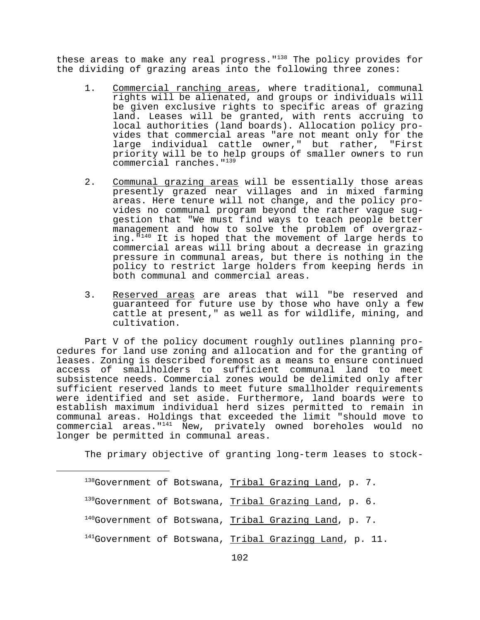these areas to make any real progress."<sup>138</sup> The policy provides for the dividing of grazing areas into the following three zones:

- 1. Commercial ranching areas, where traditional, communal rights will be alienated, and groups or individuals will be given exclusive rights to specific areas of grazing land. Leases will be granted, with rents accruing to local authorities (land boards). Allocation policy provides that commercial areas "are not meant only for the large individual cattle owner," but rather, "First priority will be to help groups of smaller owners to run commercial ranches."<sup>139</sup>
- 2. Communal grazing areas will be essentially those areas presently grazed near villages and in mixed farming areas. Here tenure will not change, and the policy provides no communal program beyond the rather vague suggestion that "We must find ways to teach people better management and how to solve the problem of overgrazing. $140$  It is hoped that the movement of large herds to commercial areas will bring about a decrease in grazing pressure in communal areas, but there is nothing in the policy to restrict large holders from keeping herds in both communal and commercial areas.
- 3. Reserved areas are areas that will "be reserved and guaranteed for future use by those who have only a few cattle at present," as well as for wildlife, mining, and cultivation.

Part V of the policy document roughly outlines planning procedures for land use zoning and allocation and for the granting of leases. Zoning is described foremost as a means to ensure continued access of smallholders to sufficient communal land to meet subsistence needs. Commercial zones would be delimited only after sufficient reserved lands to meet future smallholder requirements were identified and set aside. Furthermore, land boards were to establish maximum individual herd sizes permitted to remain in communal areas. Holdings that exceeded the limit "should move to commercial areas."141 New, privately owned boreholes would no longer be permitted in communal areas.

The primary objective of granting long-term leases to stock-

| <sup>138</sup> Government of Botswana, Tribal Grazing Land, p. 7. |  |  |  |  |
|-------------------------------------------------------------------|--|--|--|--|
| <sup>139</sup> Government of Botswana, Tribal Grazing Land, p. 6. |  |  |  |  |
| $^{140}$ Government of Botswana, Tribal Grazing Land, p. 7.       |  |  |  |  |
| $^{141}$ Government of Botswana, Tribal Grazingg Land, p. 11.     |  |  |  |  |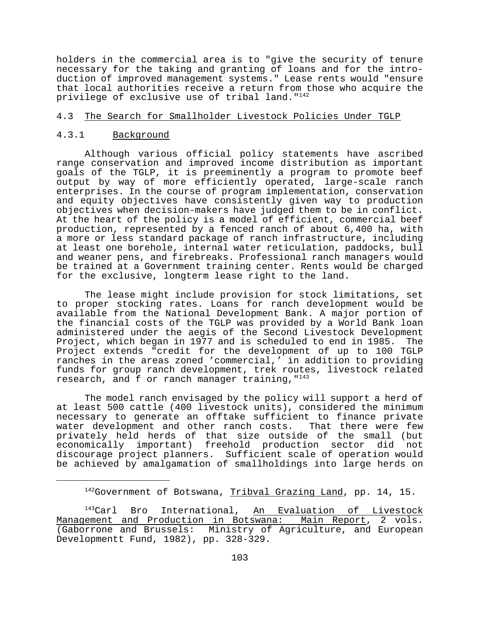holders in the commercial area is to "give the security of tenure necessary for the taking and granting of loans and for the introduction of improved management systems." Lease rents would "ensure that local authorities receive a return from those who acquire the privilege of exclusive use of tribal land."<sup>142</sup>

## 4.3 The Search for Smallholder Livestock Policies Under TGLP

#### 4.3.1 Background

Although various official policy statements have ascribed range conservation and improved income distribution as important goals of the TGLP, it is preeminently a program to promote beef output by way of more efficiently operated, large-scale ranch enterprises. In the course of program implementation, conservation and equity objectives have consistently given way to production objectives when decision-makers have judged them to be in conflict. At the heart of the policy is a model of efficient, commercial beef production, represented by a fenced ranch of about 6,400 ha, with a more or less standard package of ranch infrastructure, including at least one borehole, internal water reticulation, paddocks, bull and weaner pens, and firebreaks. Professional ranch managers would be trained at a Government training center. Rents would be charged for the exclusive, longterm lease right to the land.

The lease might include provision for stock limitations, set to proper stocking rates. Loans for ranch development would be available from the National Development Bank. A major portion of the financial costs of the TGLP was provided by a World Bank loan administered under the aegis of the Second Livestock Development Project, which began in 1977 and is scheduled to end in 1985. The Project extends "credit for the development of up to 100 TGLP ranches in the areas zoned 'commercial,' in addition to providing funds for group ranch development, trek routes, livestock related research, and  $f$  or ranch manager training,  $143$ 

The model ranch envisaged by the policy will support a herd of at least 500 cattle (400 livestock units), considered the minimum necessary to generate an offtake sufficient to finance private<br>water development and other ranch costs. That there were few water development and other ranch costs. privately held herds of that size outside of the small (but economically important) freehold production sector did not discourage project planners. Sufficient scale of operation would be achieved by amalgamation of smallholdings into large herds on

<sup>&</sup>lt;sup>142</sup>Government of Botswana, Tribval Grazing Land, pp. 14, 15.

<sup>&</sup>lt;sup>143</sup>Carl Bro International, An Evaluation of Livestock Management and Production in Botswana: Main Report, 2 vols. (Gaborrone and Brussels: Ministry of Agriculture, and European Developmentt Fund, 1982), pp. 328-329.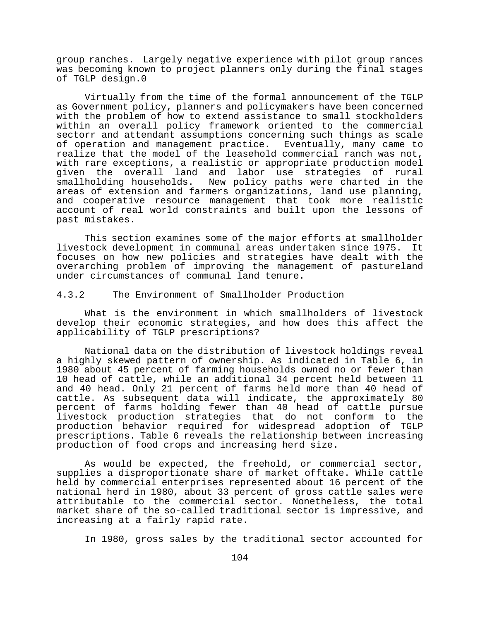group ranches. Largely negative experience with pilot group rances was becoming known to project planners only during the final stages of TGLP design.0

Virtually from the time of the formal announcement of the TGLP as Government policy, planners and policymakers have been concerned with the problem of how to extend assistance to small stockholders within an overall policy framework oriented to the commercial sectorr and attendant assumptions concerning such things as scale of operation and management practice. Eventually, many came to realize that the model of the leasehold commercial ranch was not, with rare exceptions, a realistic or appropriate production model given the overall land and labor use strategies of rural smallholding households. New policy paths were charted in the areas of extension and farmers organizations, land use planning, and cooperative resource management that took more realistic account of real world constraints and built upon the lessons of past mistakes.

This section examines some of the major efforts at smallholder livestock development in communal areas undertaken since 1975. It focuses on how new policies and strategies have dealt with the overarching problem of improving the management of pastureland under circumstances of communal land tenure.

## 4.3.2 The Environment of Smallholder Production

What is the environment in which smallholders of livestock develop their economic strategies, and how does this affect the applicability of TGLP prescriptions?

National data on the distribution of livestock holdings reveal a highly skewed pattern of ownership. As indicated in Table 6, in 1980 about 45 percent of farming households owned no or fewer than 10 head of cattle, while an additional 34 percent held between 11 and 40 head. Only 21 percent of farms held more than 40 head of cattle. As subsequent data will indicate, the approximately 80 percent of farms holding fewer than 40 head of cattle pursue livestock production strategies that do not conform to the production behavior required for widespread adoption of TGLP prescriptions. Table 6 reveals the relationship between increasing production of food crops and increasing herd size.

As would be expected, the freehold, or commercial sector, supplies a disproportionate share of market offtake. While cattle held by commercial enterprises represented about 16 percent of the national herd in 1980, about 33 percent of gross cattle sales were attributable to the commercial sector. Nonetheless, the total market share of the so-called traditional sector is impressive, and increasing at a fairly rapid rate.

In 1980, gross sales by the traditional sector accounted for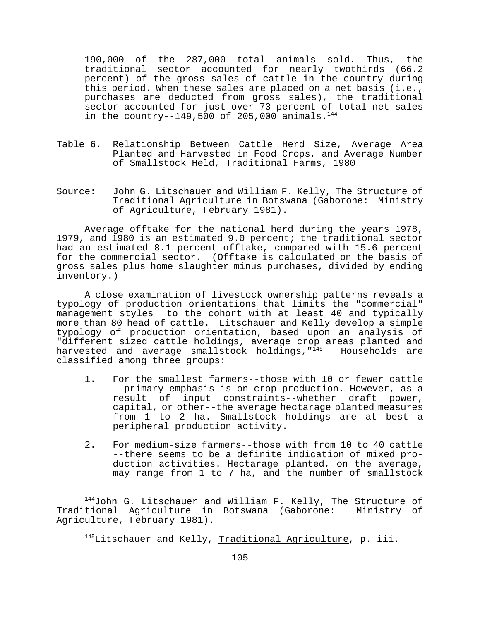190,000 of the 287,000 total animals sold. Thus, the traditional sector accounted for nearly twothirds (66.2 percent) of the gross sales of cattle in the country during this period. When these sales are placed on a net basis (i.e., purchases are deducted from gross sales), the traditional sector accounted for just over 73 percent of total net sales in the country--149,500 of 205,000 animals. $144$ 

- Table 6. Relationship Between Cattle Herd Size, Average Area Planted and Harvested in Food Crops, and Average Number of Smallstock Held, Traditional Farms, 1980
- Source: John G. Litschauer and William F. Kelly, The Structure of Traditional Agriculture in Botswana (Gaborone: Ministry of Agriculture, February 1981).

Average offtake for the national herd during the years 1978, 1979, and 1980 is an estimated 9.0 percent; the traditional sector had an estimated 8.1 percent offtake, compared with 15.6 percent for the commercial sector. (Offtake is calculated on the basis of gross sales plus home slaughter minus purchases, divided by ending inventory.)

A close examination of livestock ownership patterns reveals a typology of production orientations that limits the "commercial" management styles to the cohort with at least 40 and typically more than 80 head of cattle. Litschauer and Kelly develop a simple typology of production orientation, based upon an analysis of "different sized cattle holdings, average crop areas planted and harvested and average smallstock holdings,"<sup>145</sup> Households are classified among three groups:

- 1. For the smallest farmers--those with 10 or fewer cattle --primary emphasis is on crop production. However, as a result of input constraints--whether draft power, capital, or other--the average hectarage planted measures from 1 to 2 ha. Smallstock holdings are at best a peripheral production activity.
- 2. For medium-size farmers--those with from 10 to 40 cattle --there seems to be a definite indication of mixed production activities. Hectarage planted, on the average, may range from 1 to 7 ha, and the number of smallstock

<sup>145</sup>Litschauer and Kelly, Traditional Agriculture, p. iii.

 $144$ John G. Litschauer and William F. Kelly, The Structure of Traditional Agriculture in Botswana (Gaborone: Ministry of Agriculture, February 1981).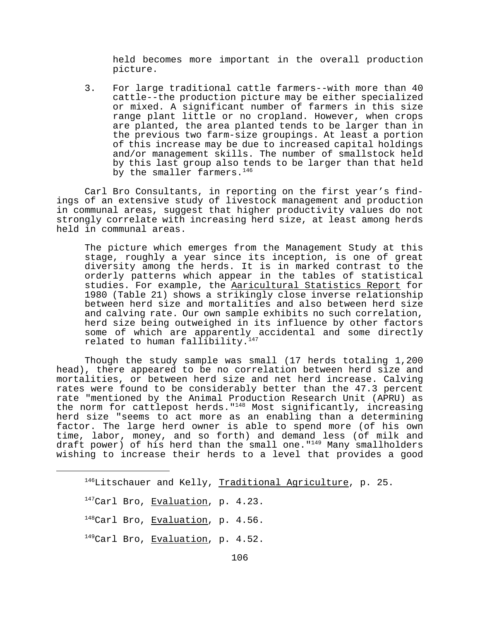held becomes more important in the overall production picture.

3. For large traditional cattle farmers--with more than 40 cattle--the production picture may be either specialized or mixed. A significant number of farmers in this size range plant little or no cropland. However, when crops are planted, the area planted tends to be larger than in the previous two farm-size groupings. At least a portion of this increase may be due to increased capital holdings and/or management skills. The number of smallstock held by this last group also tends to be larger than that held by the smaller farmers.<sup>146</sup>

Carl Bro Consultants, in reporting on the first year's findings of an extensive study of livestock management and production in communal areas, suggest that higher productivity values do not strongly correlate with increasing herd size, at least among herds held in communal areas.

The picture which emerges from the Management Study at this stage, roughly a year since its inception, is one of great diversity among the herds. It is in marked contrast to the orderly patterns which appear in the tables of statistical studies. For example, the Aaricultural Statistics Report for 1980 (Table 21) shows a strikingly close inverse relationship between herd size and mortalities and also between herd size and calving rate. Our own sample exhibits no such correlation, herd size being outweighed in its influence by other factors some of which are apparently accidental and some directly related to human fallibility.<sup>147</sup>

Though the study sample was small (17 herds totaling 1,200 head), there appeared to be no correlation between herd size and mortalities, or between herd size and net herd increase. Calving rates were found to be considerably better than the 47.3 percent rate "mentioned by the Animal Production Research Unit (APRU) as the norm for cattlepost herds.  $148$  Most significantly, increasing herd size "seems to act more as an enabling than a determining factor. The large herd owner is able to spend more (of his own time, labor, money, and so forth) and demand less (of milk and draft power) of his herd than the small one."<sup>149</sup> Many smallholders wishing to increase their herds to a level that provides a good

 $146$ Litschauer and Kelly, Traditional Agriculture, p. 25. <sup>147</sup>Carl Bro, Evaluation, p. 4.23. <sup>148</sup>Carl Bro, Evaluation, p. 4.56. <sup>149</sup>Carl Bro, Evaluation, p. 4.52.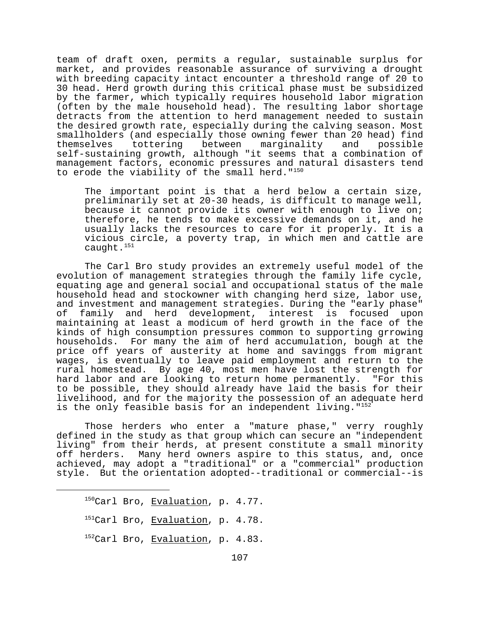team of draft oxen, permits a regular, sustainable surplus for market, and provides reasonable assurance of surviving a drought with breeding capacity intact encounter a threshold range of 20 to 30 head. Herd growth during this critical phase must be subsidized by the farmer, which typically requires household labor migration (often by the male household head). The resulting labor shortage detracts from the attention to herd management needed to sustain the desired growth rate, especially during the calving season. Most smallholders (and especially those owning fewer than 20 head) find themselves tottering between marginality and possible self-sustaining growth, although "it seems that a combination of management factors, economic pressures and natural disasters tend to erode the viability of the small herd."<sup>150</sup>

The important point is that a herd below a certain size, preliminarily set at 20-30 heads, is difficult to manage well, because it cannot provide its owner with enough to live on; therefore, he tends to make excessive demands on it, and he usually lacks the resources to care for it properly. It is a vicious circle, a poverty trap, in which men and cattle are caught.<sup>151</sup>

The Carl Bro study provides an extremely useful model of the evolution of management strategies through the family life cycle, equating age and general social and occupational status of the male household head and stockowner with changing herd size, labor use, and investment and management strategies. During the "early phase"<br>of family and herd development, interest is focused upon of family and herd development, interest maintaining at least a modicum of herd growth in the face of the kinds of high consumption pressures common to supporting grrowing households. For many the aim of herd accumulation, bough at the price off years of austerity at home and savinggs from migrant wages, is eventually to leave paid employment and return to the rural homestead. By age 40, most men have lost the strength for hard labor and are looking to return home permanently. "For this to be possible, they should already have laid the basis for their livelihood, and for the majority the possession of an adequate herd is the only feasible basis for an independent living."<sup>152</sup>

Those herders who enter a "mature phase," verry roughly defined in the study as that group which can secure an "independent living" from their herds, at present constitute a small minority off herders. Many herd owners aspire to this status, and, once achieved, may adopt a "traditional" or a "commercial" production style. But the orientation adopted--traditional or commercial--is

<sup>150</sup>Carl Bro, Evaluation, p. 4.77. <sup>151</sup>Carl Bro, Evaluation, p. 4.78. <sup>152</sup>Carl Bro, Evaluation, p. 4.83.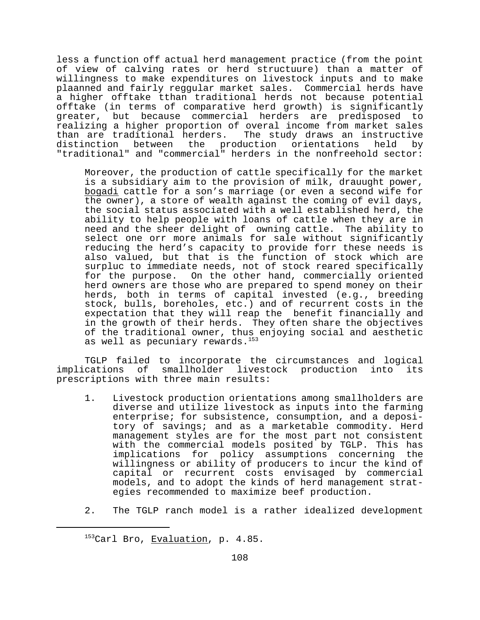less a function off actual herd management practice (from the point of view of calving rates or herd structuure) than a matter of willingness to make expenditures on livestock inputs and to make plaanned and fairly reggular market sales. Commercial herds have a higher offtake tthan traditional herds not because potential offtake (in terms of comparative herd growth) is significantly greater, but because commercial herders are predisposed to realizing a higher proportion of overal income from market sales than are traditional herders. The study draws an instructive distinction between the production orientations held by "traditional" and "commercial" herders in the nonfreehold sector:

Moreover, the production of cattle specifically for the market is a subsidiary aim to the provision of milk, drauught power, bogadi cattle for a son's marriage (or even a second wife for the owner), a store of wealth against the coming of evil days, the social status associated with a well established herd, the ability to help people with loans of cattle when they are in need and the sheer delight of owning cattle. The ability to select one orr more animals for sale without significantly reducing the herd's capacity to provide forr these needs is also valued, but that is the function of stock which are surpluc to immediate needs, not of stock reared specifically for the purpose. On the other hand, commercially oriented herd owners are those who are prepared to spend money on their herds, both in terms of capital invested (e.g., breeding stock, bulls, boreholes, etc.) and of recurrent costs in the expectation that they will reap the benefit financially and in the growth of their herds. They often share the objectives of the traditional owner, thus enjoying social and aesthetic as well as pecuniary rewards.<sup>153</sup>

TGLP failed to incorporate the circumstances and logical implications of smallholder livestock production into its prescriptions with three main results:

- 1. Livestock production orientations among smallholders are diverse and utilize livestock as inputs into the farming enterprise; for subsistence, consumption, and a depository of savings; and as a marketable commodity. Herd management styles are for the most part not consistent with the commercial models posited by TGLP. This has implications for policy assumptions concerning the willingness or ability of producers to incur the kind of capital or recurrent costs envisaged by commercial models, and to adopt the kinds of herd management strategies recommended to maximize beef production.
- 2. The TGLP ranch model is a rather idealized development

<sup>153</sup>Carl Bro, Evaluation, p. 4.85.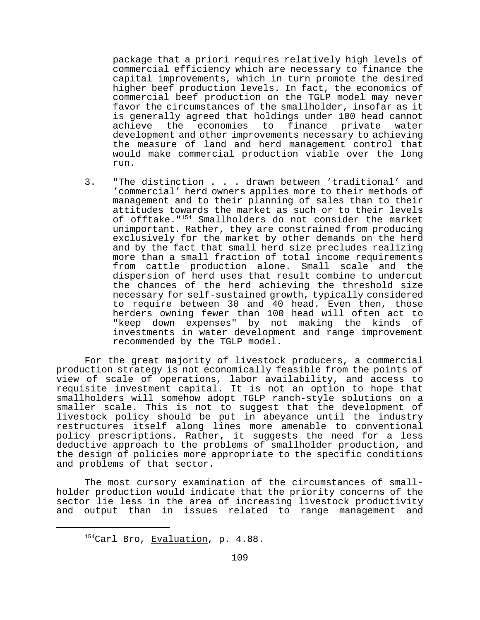package that a priori requires relatively high levels of commercial efficiency which are necessary to finance the capital improvements, which in turn promote the desired higher beef production levels. In fact, the economics of commercial beef production on the TGLP model may never favor the circumstances of the smallholder, insofar as it is generally agreed that holdings under 100 head cannot achieve the economies to finance private water development and other improvements necessary to achieving the measure of land and herd management control that would make commercial production viable over the long run.

3. "The distinction... drawn between 'traditional' and 'commercial' herd owners applies more to their methods of management and to their planning of sales than to their attitudes towards the market as such or to their levels of offtake."154 Smallholders do not consider the market unimportant. Rather, they are constrained from producing exclusively for the market by other demands on the herd and by the fact that small herd size precludes realizing more than a small fraction of total income requirements from cattle production alone. Small scale and the dispersion of herd uses that result combine to undercut the chances of the herd achieving the threshold size necessary for self-sustained growth, typically considered to require between 30 and 40 head. Even then, those herders owning fewer than 100 head will often act to "keep down expenses" by not making the kinds of investments in water development and range improvement recommended by the TGLP model.

For the great majority of livestock producers, a commercial production strategy is not economically feasible from the points of view of scale of operations, labor availability, and access to requisite investment capital. It is <u>not</u> an option to hope that smallholders will somehow adopt TGLP ranch-style solutions on a smaller scale. This is not to suggest that the development of livestock policy should be put in abeyance until the industry restructures itself along lines more amenable to conventional policy prescriptions. Rather, it suggests the need for a less deductive approach to the problems of smallholder production, and the design of policies more appropriate to the specific conditions and problems of that sector.

The most cursory examination of the circumstances of smallholder production would indicate that the priority concerns of the sector lie less in the area of increasing livestock productivity and output than in issues related to range management and

<sup>154</sup>Carl Bro, Evaluation, p. 4.88.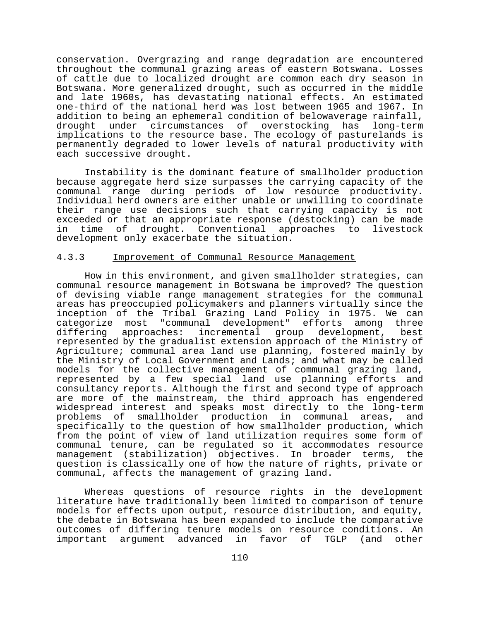conservation. Overgrazing and range degradation are encountered throughout the communal grazing areas of eastern Botswana. Losses of cattle due to localized drought are common each dry season in Botswana. More generalized drought, such as occurred in the middle and late 1960s, has devastating national effects. An estimated one-third of the national herd was lost between 1965 and 1967. In addition to being an ephemeral condition of belowaverage rainfall, drought under circumstances of overstocking has long-term implications to the resource base. The ecology of pasturelands is permanently degraded to lower levels of natural productivity with each successive drought.

Instability is the dominant feature of smallholder production because aggregate herd size surpasses the carrying capacity of the communal range during periods of low resource productivity. Individual herd owners are either unable or unwilling to coordinate their range use decisions such that carrying capacity is not exceeded or that an appropriate response (destocking) can be made in time of drought. Conventional approaches to livestock development only exacerbate the situation.

## 4.3.3 Improvement of Communal Resource Management

How in this environment, and given smallholder strategies, can communal resource management in Botswana be improved? The question of devising viable range management strategies for the communal areas has preoccupied policymakers and planners virtually since the inception of the Tribal Grazing Land Policy in 1975. We can categorize most "communal development" efforts among three differing approaches: incremental group development, best represented by the gradualist extension approach of the Ministry of Agriculture; communal area land use planning, fostered mainly by the Ministry of Local Government and Lands; and what may be called models for the collective management of communal grazing land, represented by a few special land use planning efforts and consultancy reports. Although the first and second type of approach are more of the mainstream, the third approach has engendered widespread interest and speaks most directly to the long-term problems of smallholder production in communal areas, and specifically to the question of how smallholder production, which from the point of view of land utilization requires some form of communal tenure, can be regulated so it accommodates resource management (stabilization) objectives. In broader terms, the question is classically one of how the nature of rights, private or communal, affects the management of grazing land.

Whereas questions of resource rights in the development literature have traditionally been limited to comparison of tenure models for effects upon output, resource distribution, and equity, the debate in Botswana has been expanded to include the comparative outcomes of differing tenure models on resource conditions. An important argument advanced in favor of TGLP (and other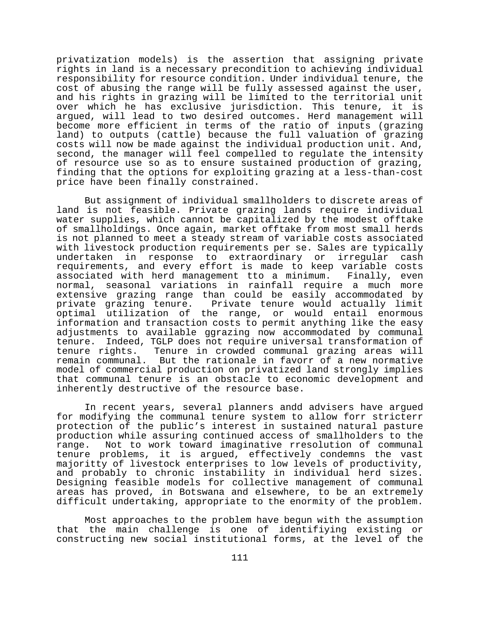privatization models) is the assertion that assigning private rights in land is a necessary precondition to achieving individual responsibility for resource condition. Under individual tenure, the cost of abusing the range will be fully assessed against the user, and his rights in grazing will be limited to the territorial unit over which he has exclusive jurisdiction. This tenure, it is argued, will lead to two desired outcomes. Herd management will become more efficient in terms of the ratio of inputs (grazing land) to outputs (cattle) because the full valuation of grazing costs will now be made against the individual production unit. And, second, the manager will feel compelled to regulate the intensity of resource use so as to ensure sustained production of grazing, finding that the options for exploiting grazing at a less-than-cost price have been finally constrained.

But assignment of individual smallholders to discrete areas of land is not feasible. Private grazing lands require individual water supplies, which cannot be capitalized by the modest offtake of smallholdings. Once again, market offtake from most small herds is not planned to meet a steady stream of variable costs associated with livestock production requirements per se. Sales are typically undertaken in response to extraordinary or irregular cash requirements, and every effort is made to keep variable costs associated with herd management tto a minimum. Finally, even normal, seasonal variations in rainfall require a much more extensive grazing range than could be easily accommodated by private grazing tenure. Private tenure would actually limit optimal utilization of the range, or would entail enormous information and transaction costs to permit anything like the easy adjustments to available ggrazing now accommodated by communal tenure. Indeed, TGLP does not require universal transformation of<br>tenure rights. Tenure in crowded communal grazing areas will Tenure in crowded communal grazing areas will remain communal. But the rationale in favorr of a new normative model of commercial production on privatized land strongly implies that communal tenure is an obstacle to economic development and inherently destructive of the resource base.

In recent years, several planners andd advisers have argued for modifying the communal tenure system to allow forr stricterr protection of the public's interest in sustained natural pasture production while assuring continued access of smallholders to the range. Not to work toward imaginative rresolution of communal tenure problems, it is argued, effectively condemns the vast majoritty of livestock enterprises to low levels of productivity, and probably to chronic instability in individual herd sizes. Designing feasible models for collective management of communal areas has proved, in Botswana and elsewhere, to be an extremely difficult undertaking, appropriate to the enormity of the problem.

Most approaches to the problem have begun with the assumption that the main challenge is one of identifiying existing or constructing new social institutional forms, at the level of the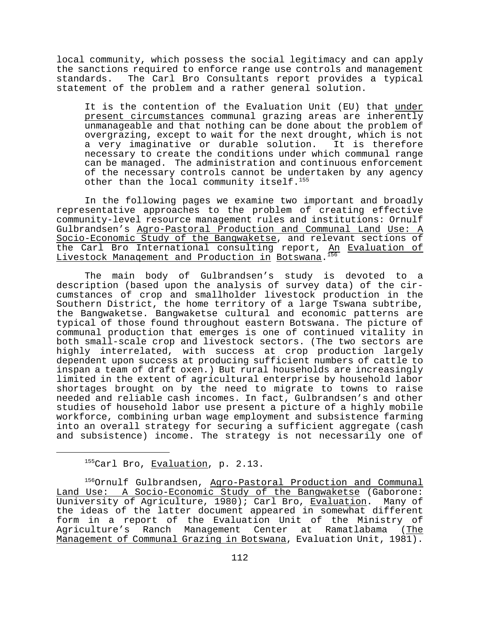local community, which possess the social legitimacy and can apply the sanctions required to enforce range use controls and management standards. The Carl Bro Consultants report provides a typical statement of the problem and a rather general solution.

It is the contention of the Evaluation Unit (EU) that under present circumstances communal grazing areas are inherently unmanageable and that nothing can be done about the problem of overgrazing, except to wait for the next drought, which is not a very imaginative or durable solution. It is therefore necessary to create the conditions under which communal range can be managed. The administration and continuous enforcement of the necessary controls cannot be undertaken by any agency other than the local community itself.<sup>155</sup>

In the following pages we examine two important and broadly representative approaches to the problem of creating effective community-level resource management rules and institutions: Ornulf Gulbrandsen's Agro-Pastoral Production and Communal Land Use: A Socio-Economic Study of the Bangwaketse, and relevant sections of the Carl Bro International consulting report, An Evaluation of Livestock Manaqement and Production in Botswana.156

The main body of Gulbrandsen's study is devoted to a description (based upon the analysis of survey data) of the circumstances of crop and smallholder livestock production in the Southern District, the home territory of a large Tswana subtribe, the Bangwaketse. Bangwaketse cultural and economic patterns are typical of those found throughout eastern Botswana. The picture of communal production that emerges is one of continued vitality in both small-scale crop and livestock sectors. (The two sectors are highly interrelated, with success at crop production largely dependent upon success at producing sufficient numbers of cattle to inspan a team of draft oxen.) But rural households are increasingly limited in the extent of agricultural enterprise by household labor shortages brought on by the need to migrate to towns to raise needed and reliable cash incomes. In fact, Gulbrandsen's and other studies of household labor use present a picture of a highly mobile workforce, combining urban wage employment and subsistence farming into an overall strategy for securing a sufficient aggregate (cash and subsistence) income. The strategy is not necessarily one of

<sup>&</sup>lt;sup>155</sup>Carl Bro, Evaluation, p. 2.13.

<sup>156</sup>Ornulf Gulbrandsen, Agro-Pastoral Production and Communal Land Use: A Socio-Economic Study of the Bangwaketse (Gaborone: Uuniversity of Agriculture, 1980); Carl Bro, Evaluation. Many of the ideas of the latter document appeared in somewhat different form in a report of the Evaluation Unit of the Ministry of Agriculture's Ranch Management Center at Ramatlabama (The Management of Communal Grazing in Botswana, Evaluation Unit, 1981).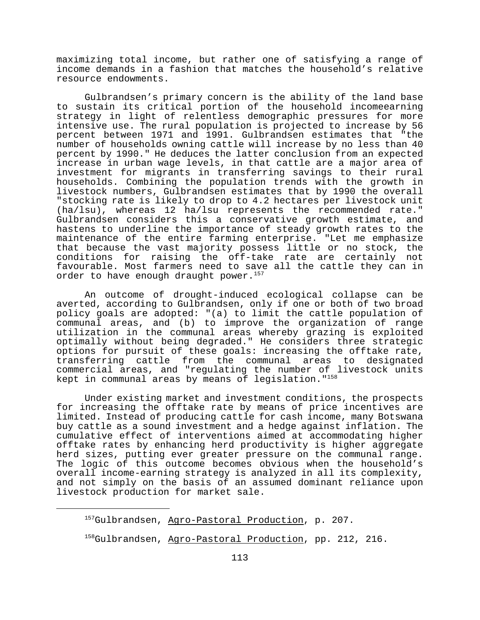maximizing total income, but rather one of satisfying a range of income demands in a fashion that matches the household's relative resource endowments.

Gulbrandsen's primary concern is the ability of the land base to sustain its critical portion of the household incomeearning strategy in light of relentless demographic pressures for more intensive use. The rural population is projected to increase by 56 percent between 1971 and 1991. Gulbrandsen estimates that "the number of households owning cattle will increase by no less than 40 percent by 1990." He deduces the latter conclusion from an expected increase in urban wage levels, in that cattle are a major area of investment for migrants in transferring savings to their rural households. Combining the population trends with the growth in livestock numbers, Gulbrandsen estimates that by 1990 the overall "stocking rate is likely to drop to 4.2 hectares per livestock unit (ha/lsu), whereas 12 ha/lsu represents the recommended rate." Gulbrandsen considers this a conservative growth estimate, and hastens to underline the importance of steady growth rates to the maintenance of the entire farming enterprise. "Let me emphasize that because the vast majority possess little or no stock, the conditions for raising the off-take rate are certainly not favourable. Most farmers need to save all the cattle they can in order to have enough draught power.<sup>157</sup>

An outcome of drought-induced ecological collapse can be averted, according to Gulbrandsen, only if one or both of two broad policy goals are adopted: "(a) to limit the cattle population of communal areas, and (b) to improve the organization of range utilization in the communal areas whereby grazing is exploited optimally without being degraded." He considers three strategic options for pursuit of these goals: increasing the offtake rate, transferring cattle from the communal areas to designated commercial areas, and "regulating the number of livestock units kept in communal areas by means of legislation."<sup>158</sup>

Under existing market and investment conditions, the prospects for increasing the offtake rate by means of price incentives are limited. Instead of producing cattle for cash income, many Botswana buy cattle as a sound investment and a hedge against inflation. The cumulative effect of interventions aimed at accommodating higher offtake rates by enhancing herd productivity is higher aggregate herd sizes, putting ever greater pressure on the communal range. The logic of this outcome becomes obvious when the household's overall income-earning strategy is analyzed in all its complexity, and not simply on the basis of an assumed dominant reliance upon livestock production for market sale.

<sup>157</sup>Gulbrandsen, Agro-Pastoral Production, p. 207.

<sup>158</sup>Gulbrandsen, Agro-Pastoral Production, pp. 212, 216.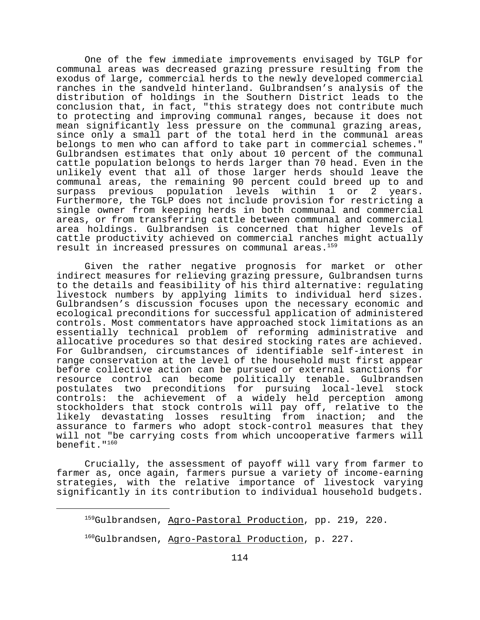One of the few immediate improvements envisaged by TGLP for communal areas was decreased grazing pressure resulting from the exodus of large, commercial herds to the newly developed commercial ranches in the sandveld hinterland. Gulbrandsen's analysis of the distribution of holdings in the Southern District leads to the conclusion that, in fact, "this strategy does not contribute much to protecting and improving communal ranges, because it does not mean significantly less pressure on the communal grazing areas, since only a small part of the total herd in the communal areas belongs to men who can afford to take part in commercial schemes." Gulbrandsen estimates that only about 10 percent of the communal cattle population belongs to herds larger than 70 head. Even in the unlikely event that all of those larger herds should leave the communal areas, the remaining 90 percent could breed up to and surpass previous population levels within 1 or 2 years. Furthermore, the TGLP does not include provision for restricting a single owner from keeping herds in both communal and commercial areas, or from transferring cattle between communal and commercial area holdings. Gulbrandsen is concerned that higher levels of cattle productivity achieved on commercial ranches might actually result in increased pressures on communal areas.<sup>159</sup>

Given the rather negative prognosis for market or other indirect measures for relieving grazing pressure, Gulbrandsen turns to the details and feasibility of his third alternative: regulating livestock numbers by applying limits to individual herd sizes. Gulbrandsen's discussion focuses upon the necessary economic and ecological preconditions for successful application of administered controls. Most commentators have approached stock limitations as an essentially technical problem of reforming administrative and allocative procedures so that desired stocking rates are achieved. For Gulbrandsen, circumstances of identifiable self-interest in range conservation at the level of the household must first appear before collective action can be pursued or external sanctions for resource control can become politically tenable. Gulbrandsen postulates two preconditions for pursuing local-level stock controls: the achievement of a widely held perception among stockholders that stock controls will pay off, relative to the likely devastating losses resulting from inaction; and the assurance to farmers who adopt stock-control measures that they will not "be carrying costs from which uncooperative farmers will benefit."160

Crucially, the assessment of payoff will vary from farmer to farmer as, once again, farmers pursue a variety of income-earning strategies, with the relative importance of livestock varying significantly in its contribution to individual household budgets.

<sup>159</sup>Gulbrandsen, Agro-Pastoral Production, pp. 219, 220.

<sup>160</sup>Gulbrandsen, Agro-Pastoral Production, p. 227.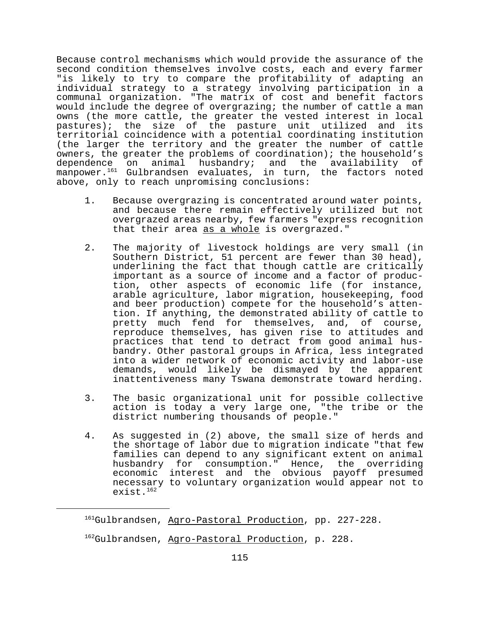Because control mechanisms which would provide the assurance of the second condition themselves involve costs, each and every farmer "is likely to try to compare the profitability of adapting an individual strategy to a strategy involving participation in a communal organization. "The matrix of cost and benefit factors would include the degree of overgrazing; the number of cattle a man owns (the more cattle, the greater the vested interest in local pastures); the size of the pasture unit utilized and its territorial coincidence with a potential coordinating institution (the larger the territory and the greater the number of cattle owners, the greater the problems of coordination); the household's dependence on animal husbandry; and the availability of manpower.<sup>161</sup> Gulbrandsen evaluates, in turn, the factors noted above, only to reach unpromising conclusions:

- 1. Because overgrazing is concentrated around water points, and because there remain effectively utilized but not overgrazed areas nearby, few farmers "express recognition that their area as a whole is overgrazed."
- 2. The majority of livestock holdings are very small (in Southern District, 51 percent are fewer than 30 head), underlining the fact that though cattle are critically important as a source of income and a factor of production, other aspects of economic life (for instance, arable agriculture, labor migration, housekeeping, food and beer production) compete for the household's attention. If anything, the demonstrated ability of cattle to pretty much fend for themselves, and, of course, reproduce themselves, has given rise to attitudes and practices that tend to detract from good animal husbandry. Other pastoral groups in Africa, less integrated into a wider network of economic activity and labor-use demands, would likely be dismayed by the apparent inattentiveness many Tswana demonstrate toward herding.
- 3. The basic organizational unit for possible collective action is today a very large one, "the tribe or the district numbering thousands of people."
- 4. As suggested in (2) above, the small size of herds and the shortage of labor due to migration indicate "that few families can depend to any significant extent on animal husbandry for consumption." Hence, the overriding economic interest and the obvious payoff presumed necessary to voluntary organization would appear not to exist.<sup>162</sup>

<sup>161</sup>Gulbrandsen, Agro-Pastoral Production, pp. 227-228.

<sup>&</sup>lt;sup>162</sup>Gulbrandsen, Agro-Pastoral Production, p. 228.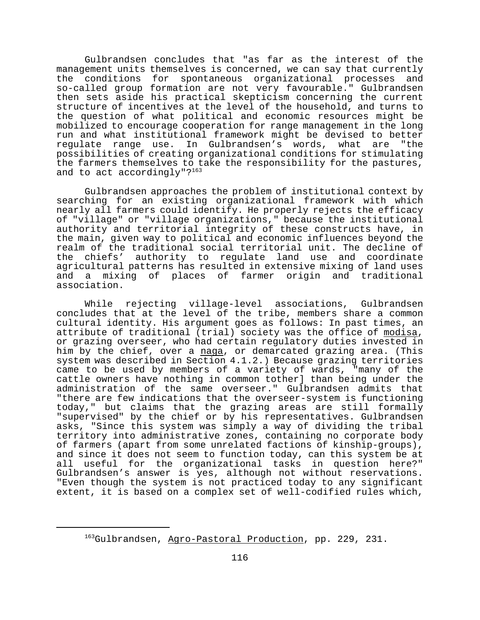Gulbrandsen concludes that "as far as the interest of the management units themselves is concerned, we can say that currently the conditions for spontaneous organizational processes and so-called group formation are not very favourable." Gulbrandsen then sets aside his practical skepticism concerning the current structure of incentives at the level of the household, and turns to the question of what political and economic resources might be mobilized to encourage cooperation for range management in the long run and what institutional framework might be devised to better regulate range use. In Gulbrandsen's words, what are "the possibilities of creating organizational conditions for stimulating the farmers themselves to take the responsibility for the pastures, and to act accordingly"? $163$ 

Gulbrandsen approaches the problem of institutional context by searching for an existing organizational framework with which nearly all farmers could identify. He properly rejects the efficacy of "village" or "village organizations," because the institutional authority and territorial integrity of these constructs have, in the main, given way to political and economic influences beyond the realm of the traditional social territorial unit. The decline of the chiefs' authority to regulate land use and coordinate agricultural patterns has resulted in extensive mixing of land uses and a mixing of places of farmer origin and traditional association.

While rejecting village-level associations, Gulbrandsen concludes that at the level of the tribe, members share a common cultural identity. His argument goes as follows: In past times, an attribute of traditional (trial) society was the office of modisa,<br>or grazing overseer, who had certain regulatory duties invested in him by the chief, over a naga, or demarcated grazing area. (This system was described in Section 4.1.2.) Because grazing territories came to be used by members of a variety of wards, "many of the cattle owners have nothing in common tother] than being under the administration of the same overseer." Gulbrandsen admits that "there are few indications that the overseer-system is functioning today," but claims that the grazing areas are still formally "supervised" by the chief or by his representatives. Gulbrandsen asks, "Since this system was simply a way of dividing the tribal territory into administrative zones, containing no corporate body of farmers (apart from some unrelated factions of kinship-groups), and since it does not seem to function today, can this system be at all useful for the organizational tasks in question here?" Gulbrandsen's answer is yes, although not without reservations. "Even though the system is not practiced today to any significant extent, it is based on a complex set of well-codified rules which,

<sup>163</sup>Gulbrandsen, Agro-Pastoral Production, pp. 229, 231.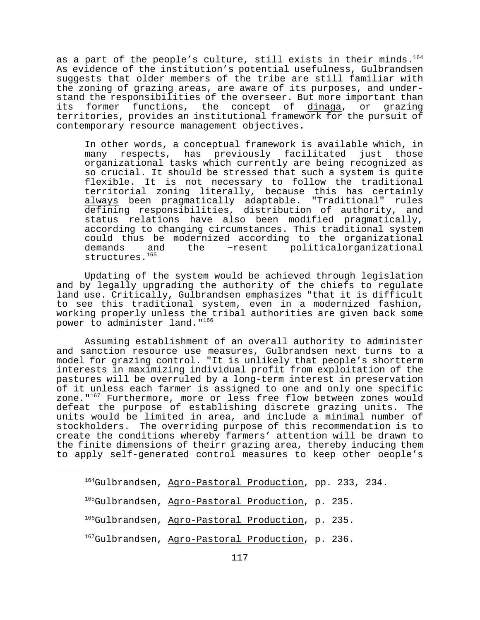as a part of the people's culture, still exists in their minds.<sup>164</sup> As evidence of the institution's potential usefulness, Gulbrandsen suggests that older members of the tribe are still familiar with the zoning of grazing areas, are aware of its purposes, and understand the responsibilities of the overseer. But more important than its former functions, the concept of dinaga, or grazing territories, provides an institutional framework for the pursuit of contemporary resource management objectives.

In other words, a conceptual framework is available which, in many respects, has previously facilitated just those organizational tasks which currently are being recognized as so crucial. It should be stressed that such a system is quite flexible. It is not necessary to follow the traditional territorial zoning literally, because this has certainly always been pragmatically adaptable. "Traditional" rules defining responsibilities, distribution of authority, and status relations have also been modified pragmatically, according to changing circumstances. This traditional system could thus be modernized according to the organizational demands and the ~resent politicalorganizational structures.<sup>165</sup>

Updating of the system would be achieved through legislation and by legally upgrading the authority of the chiefs to regulate land use. Critically, Gulbrandsen emphasizes "that it is difficult to see this traditional system, even in a modernized fashion, working properly unless the tribal authorities are given back some power to administer land. "166

Assuming establishment of an overall authority to administer and sanction resource use measures, Gulbrandsen next turns to a model for grazing control. "It is unlikely that people's shortterm interests in maximizing individual profit from exploitation of the pastures will be overruled by a long-term interest in preservation of it unless each farmer is assigned to one and only one specific zone."<sup>167</sup> Furthermore, more or less free flow between zones would defeat the purpose of establishing discrete grazing units. The units would be limited in area, and include a minimal number of stockholders. The overriding purpose of this recommendation is to create the conditions whereby farmers' attention will be drawn to the finite dimensions of theirr grazing area, thereby inducing them to apply self-generated control measures to keep other oeople's

| <sup>164</sup> Gulbrandsen, Agro-Pastoral Production, pp. 233, 234. |  |  |  |
|---------------------------------------------------------------------|--|--|--|
| <sup>165</sup> Gulbrandsen, Agro-Pastoral Production, p. 235.       |  |  |  |
| <sup>166</sup> Gulbrandsen, Agro-Pastoral Production, p. 235.       |  |  |  |
| <sup>167</sup> Gulbrandsen, Agro-Pastoral Production, p. 236.       |  |  |  |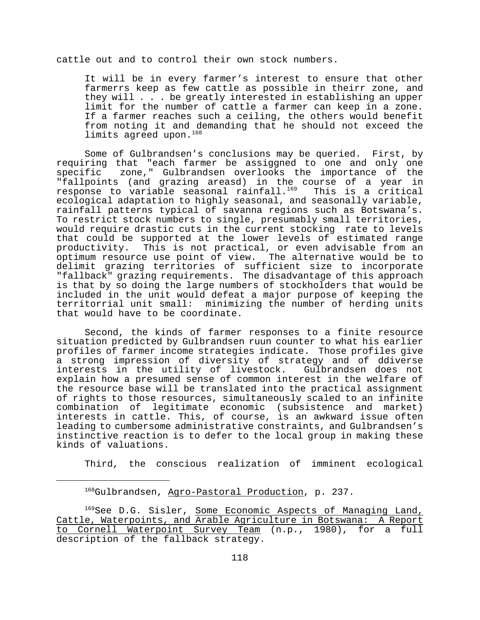cattle out and to control their own stock numbers.

It will be in every farmer's interest to ensure that other farmerrs keep as few cattle as possible in theirr zone, and they will . . . be greatly interested in establishing an upper limit for the number of cattle a farmer can keep in a zone. If a farmer reaches such a ceiling, the others would benefit from noting it and demanding that he should not exceed the limits agreed upon.<sup>168</sup>

Some of Gulbrandsen's conclusions may be queried. First, by requiring that "each farmer be assiggned to one and only one specific zone," Gulbrandsen overlooks the importance of the "fallpoints (and grazing areasd) in the course of a year in response to variable seasonal rainfall.<sup>169</sup> This is a critical ecological adaptation to highly seasonal, and seasonally variable, rainfall patterns typical of savanna regions such as Botswana's. To restrict stock numbers to single, presumably small territories, would require drastic cuts in the current stocking rate to levels that could be supported at the lower levels of estimated range productivity. This is not practical, or even advisable from an optimum resource use point of view. The alternative would be to delimit grazing territories of sufficient size to incorporate "fallback" grazing requirements. The disadvantage of this approach is that by so doing the large numbers of stockholders that would be included in the unit would defeat a major purpose of keeping the territorrial unit small: minimizing the number of herding units that would have to be coordinate.

Second, the kinds of farmer responses to a finite resource situation predicted by Gulbrandsen ruun counter to what his earlier profiles of farmer income strategies indicate. Those profiles give a strong impression of diversity of strategy and of ddiverse interests in the utility of livestock. Gulbrandsen does not explain how a presumed sense of common interest in the welfare of the resource base will be translated into the practical assignment of rights to those resources, simultaneously scaled to an infinite combination of legitimate economic (subsistence and market) interests in cattle. This, of course, is an awkward issue often leading to cumbersome administrative constraints, and Gulbrandsen's instinctive reaction is to defer to the local group in making these kinds of valuations.

Third, the conscious realization of imminent ecological

<sup>168</sup>Gulbrandsen, Agro-Pastoral Production, p. 237.

<sup>169</sup> See D.G. Sisler, Some Economic Aspects of Managing Land, Cattle, Waterpoints, and Arable Agriculture in Botswana: A Report to Cornell Waterpoint Survey Team (n.p., 1980), for a full description of the fallback strategy.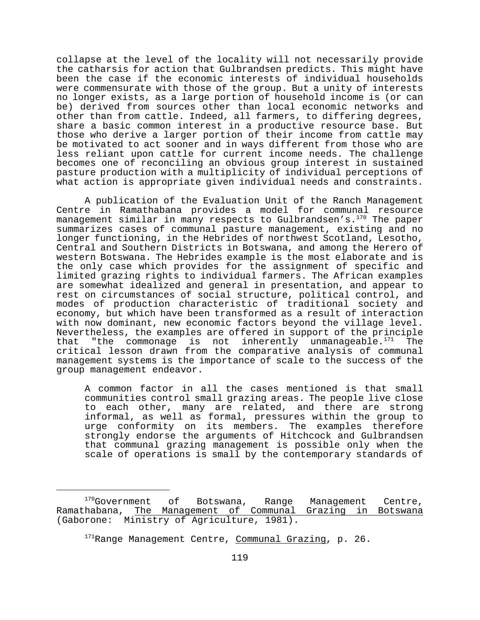collapse at the level of the locality will not necessarily provide the catharsis for action that Gulbrandsen predicts. This might have been the case if the economic interests of individual households were commensurate with those of the group. But a unity of interests no longer exists, as a large portion of household income is (or can be) derived from sources other than local economic networks and other than from cattle. Indeed, all farmers, to differing degrees, share a basic common interest in a productive resource base. But those who derive a larger portion of their income from cattle may be motivated to act sooner and in ways different from those who are less reliant upon cattle for current income needs. The challenge becomes one of reconciling an obvious group interest in sustained pasture production with a multiplicity of individual perceptions of what action is appropriate given individual needs and constraints.

A publication of the Evaluation Unit of the Ranch Management Centre in Ramathabana provides a model for communal resource management similar in many respects to Gulbrandsen's.<sup>170</sup> The paper summarizes cases of communal pasture management, existing and no longer functioning, in the Hebrides of northwest Scotland, Lesotho, Central and Southern Districts in Botswana, and among the Herero of western Botswana. The Hebrides example is the most elaborate and is the only case which provides for the assignment of specific and limited grazing rights to individual farmers. The African examples are somewhat idealized and general in presentation, and appear to rest on circumstances of social structure, political control, and modes of production characteristic of traditional society and economy, but which have been transformed as a result of interaction with now dominant, new economic factors beyond the village level. Nevertheless, the examples are offered in support of the principle that "the commonage is not inherently unmanageable. $171$  The critical lesson drawn from the comparative analysis of communal management systems is the importance of scale to the success of the group management endeavor.

A common factor in all the cases mentioned is that small communities control small grazing areas. The people live close to each other, many are related, and there are strong informal, as well as formal, pressures within the group to urge conformity on its members. The examples therefore strongly endorse the arguments of Hitchcock and Gulbrandsen that communal grazing management is possible only when the scale of operations is small by the contemporary standards of

<sup>&</sup>lt;sup>170</sup>Government of Botswana, Range Management Centre, Ramathabana, The Management of Communal Grazing in Botswana (Gaborone: Ministry of Agriculture, 1981).

<sup>&</sup>lt;sup>171</sup>Range Management Centre, Communal Grazing, p. 26.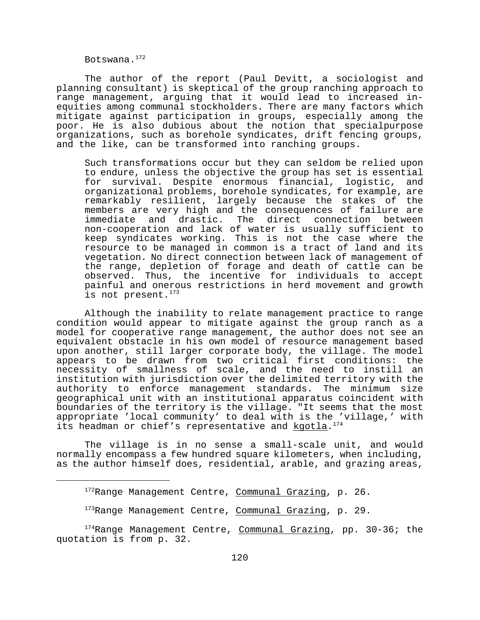Botswana.172

The author of the report (Paul Devitt, a sociologist and planning consultant) is skeptical of the group ranching approach to range management, arguing that it would lead to increased inequities among communal stockholders. There are many factors which mitigate against participation in groups, especially among the poor. He is also dubious about the notion that specialpurpose organizations, such as borehole syndicates, drift fencing groups, and the like, can be transformed into ranching groups.

Such transformations occur but they can seldom be relied upon to endure, unless the objective the group has set is essential for survival. Despite enormous financial, logistic, and organizational problems, borehole syndicates, for example, are remarkably resilient, largely because the stakes of the members are very high and the consequences of failure are immediate and drastic. The direct connection between non-cooperation and lack of water is usually sufficient to keep syndicates working. This is not the case where the resource to be managed in common is a tract of land and its vegetation. No direct connection between lack of management of the range, depletion of forage and death of cattle can be observed. Thus, the incentive for individuals to accept painful and onerous restrictions in herd movement and growth is not present. $173$ 

Although the inability to relate management practice to range condition would appear to mitigate against the group ranch as a model for cooperative range management, the author does not see an equivalent obstacle in his own model of resource management based upon another, still larger corporate body, the village. The model appears to be drawn from two critical first conditions: the necessity of smallness of scale, and the need to instill an institution with jurisdiction over the delimited territory with the authority to enforce management standards. The minimum size geographical unit with an institutional apparatus coincident with boundaries of the territory is the village. "It seems that the most appropriate 'local community' to deal with is the 'village,' with its headman or chief's representative and kgotla.<sup>174</sup>

The village is in no sense a small-scale unit, and would normally encompass a few hundred square kilometers, when including, as the author himself does, residential, arable, and grazing areas,

<sup>172</sup>Range Management Centre, Communal Grazing, p. 26.

<sup>&</sup>lt;sup>173</sup>Range Management Centre, Communal Grazing, p. 29.

 $174$ Range Management Centre, Communal Grazing, pp. 30-36; the quotation is from p. 32.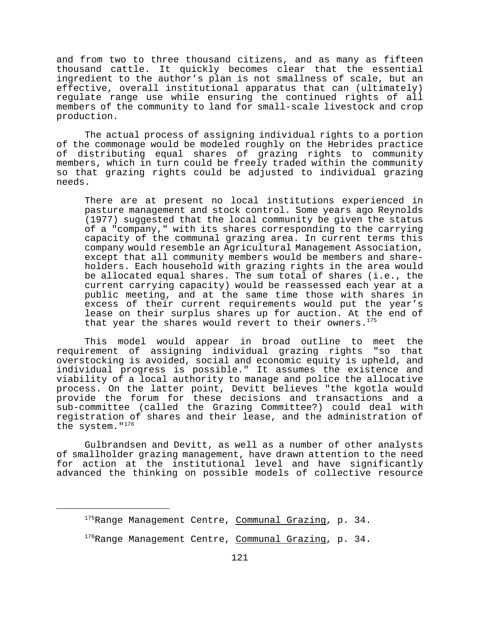and from two to three thousand citizens, and as many as fifteen thousand cattle. It quickly becomes clear that the essential ingredient to the author's plan is not smallness of scale, but an effective, overall institutional apparatus that can (ultimately) regulate range use while ensuring the continued rights of all members of the community to land for small-scale livestock and crop production.

The actual process of assigning individual rights to a portion of the commonage would be modeled roughly on the Hebrides practice of distributing equal shares of grazing rights to community members, which in turn could be freely traded within the community so that grazing rights could be adjusted to individual grazing needs.

There are at present no local institutions experienced in pasture management and stock control. Some years ago Reynolds (1977) suggested that the local community be given the status of a "company," with its shares corresponding to the carrying capacity of the communal grazing area. In current terms this company would resemble an Agricultural Management Association, except that all community members would be members and shareholders. Each household with grazing rights in the area would be allocated equal shares. The sum total of shares (i.e., the current carrying capacity) would be reassessed each year at a public meeting, and at the same time those with shares in excess of their current requirements would put the year's lease on their surplus shares up for auction. At the end of that year the shares would revert to their owners. $175$ 

This model would appear in broad outline to meet the requirement of assigning individual grazing rights "so that overstocking is avoided, social and economic equity is upheld, and individual progress is possible." It assumes the existence and viability of a local authority to manage and police the allocative process. On the latter point, Devitt believes "the kgotla would provide the forum for these decisions and transactions and a sub-committee (called the Grazing Committee?) could deal with registration of shares and their lease, and the administration of the system."<sup>176</sup>

Gulbrandsen and Devitt, as well as a number of other analysts of smallholder grazing management, have drawn attention to the need for action at the institutional level and have significantly advanced the thinking on possible models of collective resource

<sup>&</sup>lt;sup>175</sup>Range Management Centre, Communal Grazing, p. 34.

<sup>&</sup>lt;sup>176</sup>Range Management Centre, Communal Grazing, p. 34.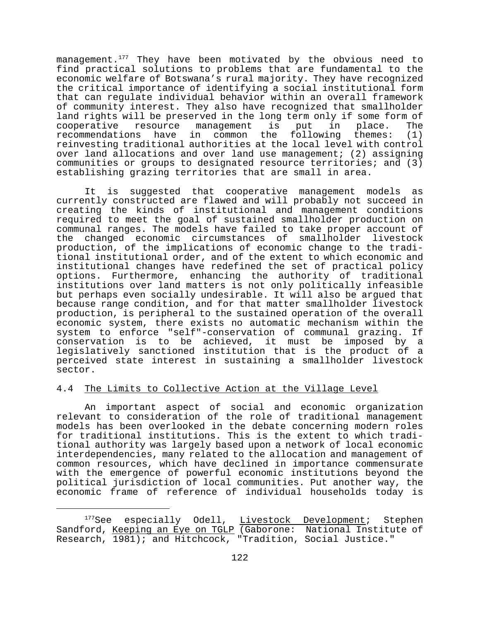management.<sup>177</sup> They have been motivated by the obvious need to find practical solutions to problems that are fundamental to the economic welfare of Botswana's rural majority. They have recognized the critical importance of identifying a social institutional form that can regulate individual behavior within an overall framework of community interest. They also have recognized that smallholder land rights will be preserved in the long term only if some form of cooperative resource management is put in place. The recommendations have in common the following themes: (1) reinvesting traditional authorities at the local level with control over land allocations and over land use management; (2) assigning communities or groups to designated resource territories; and (3) establishing grazing territories that are small in area.

It is suggested that cooperative management models as currently constructed are flawed and will probably not succeed in creating the kinds of institutional and management conditions required to meet the goal of sustained smallholder production on communal ranges. The models have failed to take proper account of the changed economic circumstances of smallholder livestock production, of the implications of economic change to the traditional institutional order, and of the extent to which economic and institutional changes have redefined the set of practical policy options. Furthermore, enhancing the authority of traditional institutions over land matters is not only politically infeasible but perhaps even socially undesirable. It will also be argued that because range condition, and for that matter smallholder livestock production, is peripheral to the sustained operation of the overall economic system, there exists no automatic mechanism within the system to enforce "self"-conservation of communal grazing. If conservation is to be achieved, it must be imposed by a legislatively sanctioned institution that is the product of a perceived state interest in sustaining a smallholder livestock sector.

# 4.4 The Limits to Collective Action at the Village Level

An important aspect of social and economic organization relevant to consideration of the role of traditional management models has been overlooked in the debate concerning modern roles for traditional institutions. This is the extent to which traditional authority was largely based upon a network of local economic interdependencies, many related to the allocation and management of common resources, which have declined in importance commensurate with the emergence of powerful economic institutions beyond the political jurisdiction of local communities. Put another way, the economic frame of reference of individual households today is

<sup>&</sup>lt;sup>177</sup>See especially Odell, Livestock Development; Stephen Sandford, Keeping an Eye on TGLP (Gaborone: National Institute of Research, 1981); and Hitchcock, "Tradition, Social Justice."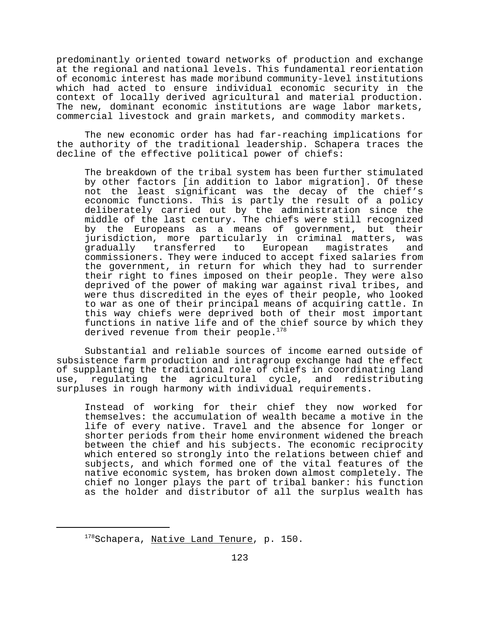predominantly oriented toward networks of production and exchange at the regional and national levels. This fundamental reorientation of economic interest has made moribund community-level institutions which had acted to ensure individual economic security in the context of locally derived agricultural and material production. The new, dominant economic institutions are wage labor markets, commercial livestock and grain markets, and commodity markets.

The new economic order has had far-reaching implications for the authority of the traditional leadership. Schapera traces the decline of the effective political power of chiefs:

The breakdown of the tribal system has been further stimulated by other factors [in addition to labor migration]. Of these not the least significant was the decay of the chief's economic functions. This is partly the result of a policy deliberately carried out by the administration since the middle of the last century. The chiefs were still recognized by the Europeans as a means of government, but their jurisdiction, more particularly in criminal matters, was gradually transferred to European magistrates and commissioners. They were induced to accept fixed salaries from the government, in return for which they had to surrender their right to fines imposed on their people. They were also deprived of the power of making war against rival tribes, and were thus discredited in the eyes of their people, who looked to war as one of their principal means of acquiring cattle. In this way chiefs were deprived both of their most important functions in native life and of the chief source by which they derived revenue from their people.<sup>178</sup>

Substantial and reliable sources of income earned outside of subsistence farm production and intragroup exchange had the effect of supplanting the traditional role of chiefs in coordinating land use, regulating the agricultural cycle, and redistributing surpluses in rough harmony with individual requirements.

Instead of working for their chief they now worked for themselves: the accumulation of wealth became a motive in the life of every native. Travel and the absence for longer or shorter periods from their home environment widened the breach between the chief and his subjects. The economic reciprocity which entered so strongly into the relations between chief and subjects, and which formed one of the vital features of the native economic system, has broken down almost completely. The chief no longer plays the part of tribal banker: his function as the holder and distributor of all the surplus wealth has

<sup>178</sup> Schapera, Native Land Tenure, p. 150.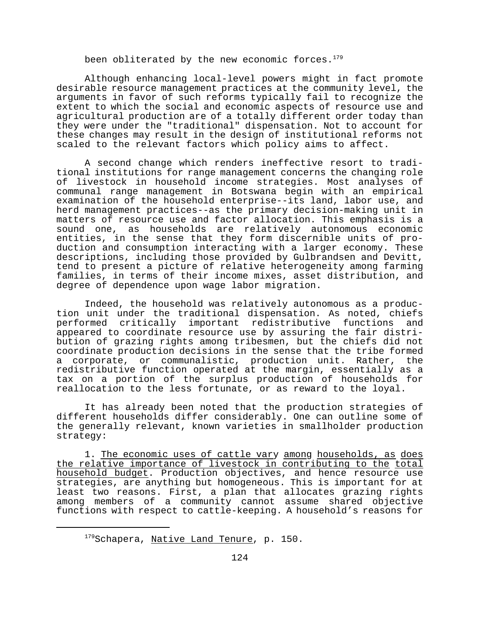# been obliterated by the new economic forces.<sup>179</sup>

Although enhancing local-level powers might in fact promote desirable resource management practices at the community level, the arguments in favor of such reforms typically fail to recognize the extent to which the social and economic aspects of resource use and agricultural production are of a totally different order today than they were under the "traditional" dispensation. Not to account for these changes may result in the design of institutional reforms not scaled to the relevant factors which policy aims to affect.

A second change which renders ineffective resort to traditional institutions for range management concerns the changing role of livestock in household income strategies. Most analyses of communal range management in Botswana begin with an empirical examination of the household enterprise--its land, labor use, and herd management practices--as the primary decision-making unit in matters of resource use and factor allocation. This emphasis is a sound one, as households are relatively autonomous economic entities, in the sense that they form discernible units of production and consumption interacting with a larger economy. These descriptions, including those provided by Gulbrandsen and Devitt, tend to present a picture of relative heterogeneity among farming families, in terms of their income mixes, asset distribution, and degree of dependence upon wage labor migration.

Indeed, the household was relatively autonomous as a production unit under the traditional dispensation. As noted, chiefs performed critically important redistributive functions and appeared to coordinate resource use by assuring the fair distribution of grazing rights among tribesmen, but the chiefs did not coordinate production decisions in the sense that the tribe formed a corporate, or communalistic, production unit. Rather, the redistributive function operated at the margin, essentially as a tax on a portion of the surplus production of households for reallocation to the less fortunate, or as reward to the loyal.

It has already been noted that the production strategies of different households differ considerably. One can outline some of the generally relevant, known varieties in smallholder production strategy:

1. The economic uses of cattle vary among households, as does the relative importance of livestock in contributing to the total household budget. Production objectives, and hence resource use strategies, are anything but homogeneous. This is important for at least two reasons. First, a plan that allocates grazing rights among members of a community cannot assume shared objective functions with respect to cattle-keeping. A household's reasons for

<sup>179</sup> Schapera, Native Land Tenure, p. 150.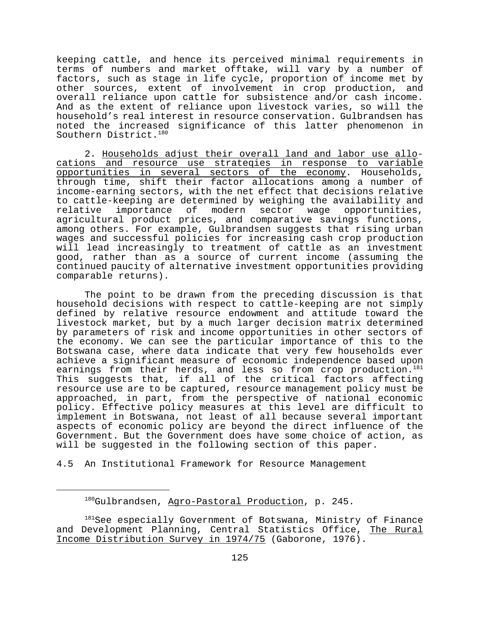keeping cattle, and hence its perceived minimal requirements in terms of numbers and market offtake, will vary by a number of factors, such as stage in life cycle, proportion of income met by other sources, extent of involvement in crop production, and overall reliance upon cattle for subsistence and/or cash income. And as the extent of reliance upon livestock varies, so will the household's real interest in resource conservation. Gulbrandsen has noted the increased significance of this latter phenomenon in Southern District.<sup>180</sup>

2. Households adjust their overall land and labor use allocations and resource use strateqies in response to variable opportunities in several sectors of the economy. Households, through time, shift their factor allocations among a number of income-earning sectors, with the net effect that decisions relative to cattle-keeping are determined by weighing the availability and<br>relative importance of modern sector wage opportunities, relative importance of modern sector wage opportunities, agricultural product prices, and comparative savings functions, among others. For example, Gulbrandsen suggests that rising urban wages and successful policies for increasing cash crop production will lead increasingly to treatment of cattle as an investment good, rather than as a source of current income (assuming the continued paucity of alternative investment opportunities providing comparable returns).

The point to be drawn from the preceding discussion is that household decisions with respect to cattle-keeping are not simply defined by relative resource endowment and attitude toward the livestock market, but by a much larger decision matrix determined by parameters of risk and income opportunities in other sectors of the economy. We can see the particular importance of this to the Botswana case, where data indicate that very few households ever achieve a significant measure of economic independence based upon earnings from their herds, and less so from crop production.<sup>181</sup> This suggests that, if all of the critical factors affecting resource use are to be captured, resource management policy must be approached, in part, from the perspective of national economic policy. Effective policy measures at this level are difficult to implement in Botswana, not least of all because several important aspects of economic policy are beyond the direct influence of the Government. But the Government does have some choice of action, as will be suggested in the following section of this paper.

4.5 An Institutional Framework for Resource Management

<sup>180</sup>Gulbrandsen, Agro-Pastoral Production, p. 245.

<sup>&</sup>lt;sup>181</sup>See especially Government of Botswana, Ministry of Finance and Development Planning, Central Statistics Office, The Rural Income Distribution Survey in 1974/75 (Gaborone, 1976).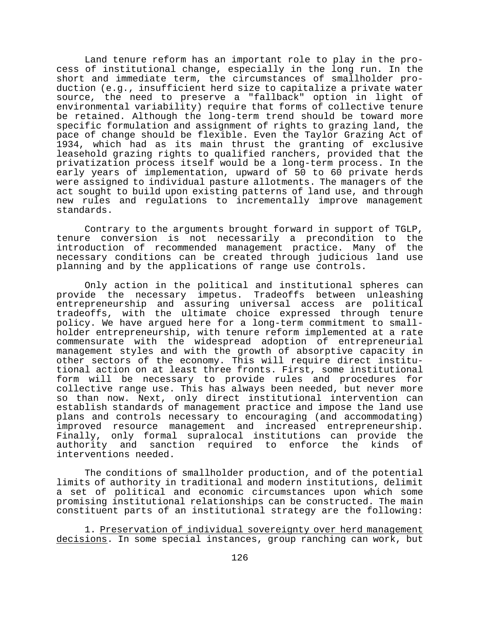Land tenure reform has an important role to play in the process of institutional change, especially in the long run. In the short and immediate term, the circumstances of smallholder production (e.g., insufficient herd size to capitalize a private water source, the need to preserve a "fallback" option in light of environmental variability) require that forms of collective tenure be retained. Although the long-term trend should be toward more specific formulation and assignment of rights to grazing land, the pace of change should be flexible. Even the Taylor Grazing Act of 1934, which had as its main thrust the granting of exclusive leasehold grazing rights to qualified ranchers, provided that the privatization process itself would be a long-term process. In the early years of implementation, upward of 50 to 60 private herds were assigned to individual pasture allotments. The managers of the act sought to build upon existing patterns of land use, and through new rules and regulations to incrementally improve management standards.

Contrary to the arguments brought forward in support of TGLP, tenure conversion is not necessarily a precondition to the introduction of recommended management practice. Many of the necessary conditions can be created through judicious land use planning and by the applications of range use controls.

Only action in the political and institutional spheres can provide the necessary impetus. Tradeoffs between unleashing entrepreneurship and assuring universal access are political tradeoffs, with the ultimate choice expressed through tenure policy. We have argued here for a long-term commitment to smallholder entrepreneurship, with tenure reform implemented at a rate commensurate with the widespread adoption of entrepreneurial management styles and with the growth of absorptive capacity in other sectors of the economy. This will require direct institutional action on at least three fronts. First, some institutional form will be necessary to provide rules and procedures for collective range use. This has always been needed, but never more so than now. Next, only direct institutional intervention can establish standards of management practice and impose the land use plans and controls necessary to encouraging (and accommodating) improved resource management and increased entrepreneurship. Finally, only formal supralocal institutions can provide the authority and sanction required to enforce the kinds of interventions needed.

The conditions of smallholder production, and of the potential limits of authority in traditional and modern institutions, delimit a set of political and economic circumstances upon which some promising institutional relationships can be constructed. The main constituent parts of an institutional strategy are the following:

1. Preservation of individual sovereignty over herd management decisions. In some special instances, group ranching can work, but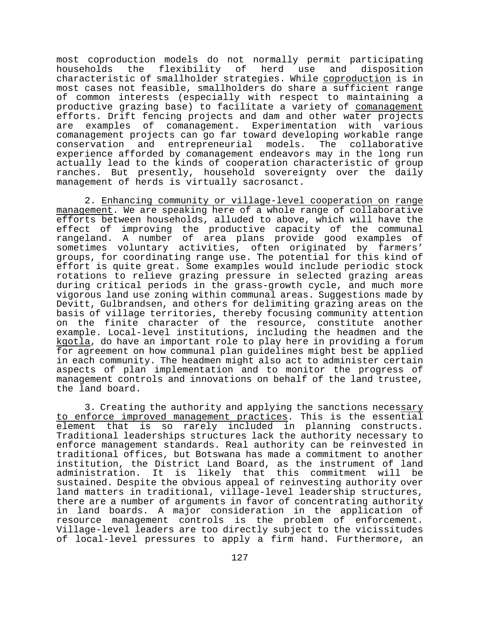most coproduction models do not normally permit participating households the flexibility of herd use and disposition characteristic of smallholder strategies. While coproduction is in most cases not feasible, smallholders do share a sufficient range of common interests (especially with respect to maintaining a productive grazing base) to facilitate a variety of comanagement efforts. Drift fencing projects and dam and other water projects are examples of comanagement. Experimentation with various comanagement projects can go far toward developing workable range conservation and entrepreneurial models. The experience afforded by comanagement endeavors may in the long run actually lead to the kinds of cooperation characteristic of group ranches. But presently, household sovereignty over the daily management of herds is virtually sacrosanct.

2. Enhancing community or village-level cooperation on range management. We are speaking here of a whole range of collaborative efforts between households, alluded to above, which will have the effect of improving the productive capacity of the communal rangeland. A number of area plans provide good examples of sometimes voluntary activities, often originated by farmers' groups, for coordinating range use. The potential for this kind of effort is quite great. Some examples would include periodic stock rotations to relieve grazing pressure in selected grazing areas during critical periods in the grass-growth cycle, and much more vigorous land use zoning within communal areas. Suggestions made by Devitt, Gulbrandsen, and others for delimiting grazing areas on the basis of village territories, thereby focusing community attention on the finite character of the resource, constitute another example. Local-level institutions, including the headmen and the kgotla, do have an important role to play here in providing a forum for agreement on how communal plan guidelines might best be applied in each community. The headmen might also act to administer certain aspects of plan implementation and to monitor the progress of management controls and innovations on behalf of the land trustee, the land board.

3. Creating the authority and applying the sanctions necessary to enforce improved management practices. This is the essential element that is so rarely included in planning constructs. Traditional leaderships structures lack the authority necessary to enforce management standards. Real authority can be reinvested in traditional offices, but Botswana has made a commitment to another institution, the District Land Board, as the instrument of land administration. It is likely that this commitment will be sustained. Despite the obvious appeal of reinvesting authority over land matters in traditional, village-level leadership structures, there are a number of arguments in favor of concentrating authority in land boards. A major consideration in the application of resource management controls is the problem of enforcement. Village-level leaders are too directly subject to the vicissitudes of local-level pressures to apply a firm hand. Furthermore, an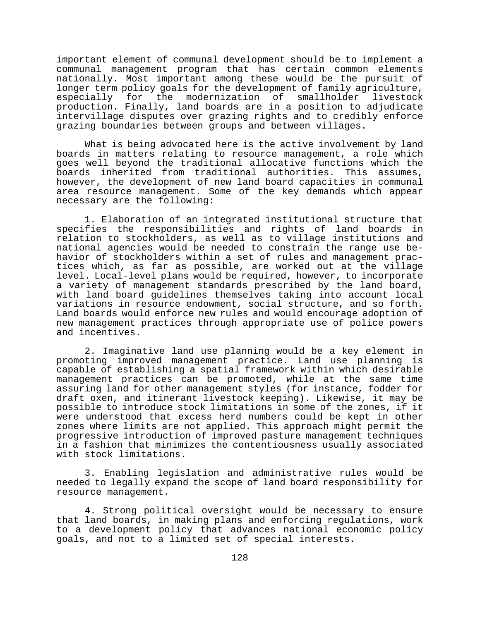important element of communal development should be to implement a communal management program that has certain common elements nationally. Most important among these would be the pursuit of longer term policy goals for the development of family agriculture, especially for the modernization of smallholder livestock production. Finally, land boards are in a position to adjudicate intervillage disputes over grazing rights and to credibly enforce grazing boundaries between groups and between villages.

What is being advocated here is the active involvement by land boards in matters relating to resource management, a role which goes well beyond the traditional allocative functions which the boards inherited from traditional authorities. This assumes, however, the development of new land board capacities in communal area resource management. Some of the key demands which appear necessary are the following:

1. Elaboration of an integrated institutional structure that specifies the responsibilities and rights of land boards in relation to stockholders, as well as to village institutions and national agencies would be needed to constrain the range use behavior of stockholders within a set of rules and management practices which, as far as possible, are worked out at the village level. Local-level plans would be required, however, to incorporate a variety of management standards prescribed by the land board, with land board guidelines themselves taking into account local variations in resource endowment, social structure, and so forth. Land boards would enforce new rules and would encourage adoption of new management practices through appropriate use of police powers and incentives.

2. Imaginative land use planning would be a key element in promoting improved management practice. Land use planning is capable of establishing a spatial framework within which desirable management practices can be promoted, while at the same time assuring land for other management styles (for instance, fodder for draft oxen, and itinerant livestock keeping). Likewise, it may be possible to introduce stock limitations in some of the zones, if it were understood that excess herd numbers could be kept in other zones where limits are not applied. This approach might permit the progressive introduction of improved pasture management techniques in a fashion that minimizes the contentiousness usually associated with stock limitations.

3. Enabling legislation and administrative rules would be needed to legally expand the scope of land board responsibility for resource management.

4. Strong political oversight would be necessary to ensure that land boards, in making plans and enforcing regulations, work to a development policy that advances national economic policy goals, and not to a limited set of special interests.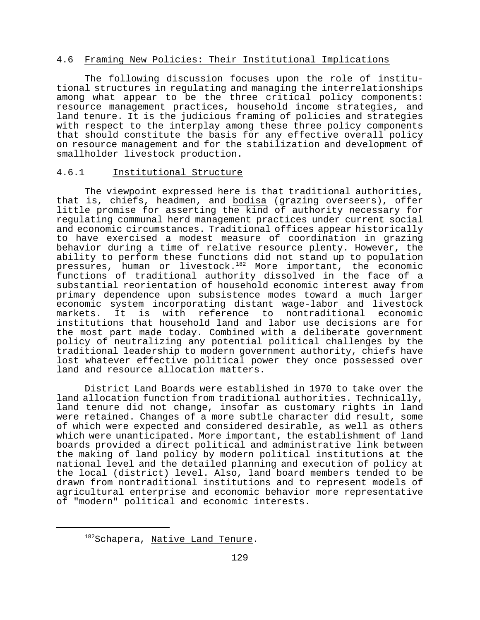## 4.6 Framing New Policies: Their Institutional Implications

The following discussion focuses upon the role of institutional structures in regulating and managing the interrelationships among what appear to be the three critical policy components: resource management practices, household income strategies, and land tenure. It is the judicious framing of policies and strategies with respect to the interplay among these three policy components that should constitute the basis for any effective overall policy on resource management and for the stabilization and development of smallholder livestock production.

# 4.6.1 Institutional Structure

The viewpoint expressed here is that traditional authorities, that is, chiefs, headmen, and bodisa (grazing overseers), offer little promise for asserting the kind of authority necessary for regulating communal herd management practices under current social and economic circumstances. Traditional offices appear historically to have exercised a modest measure of coordination in grazing behavior during a time of relative resource plenty. However, the ability to perform these functions did not stand up to population pressures, human or livestock.182 More important, the economic functions of traditional authority dissolved in the face of a substantial reorientation of household economic interest away from primary dependence upon subsistence modes toward a much larger economic system incorporating distant wage-labor and livestock markets. It is with reference to nontraditional economic institutions that household land and labor use decisions are for the most part made today. Combined with a deliberate government policy of neutralizing any potential political challenges by the traditional leadership to modern government authority, chiefs have lost whatever effective political power they once possessed over land and resource allocation matters.

District Land Boards were established in 1970 to take over the land allocation function from traditional authorities. Technically, land tenure did not change, insofar as customary rights in land were retained. Changes of a more subtle character did result, some of which were expected and considered desirable, as well as others which were unanticipated. More important, the establishment of land boards provided a direct political and administrative link between the making of land policy by modern political institutions at the national level and the detailed planning and execution of policy at the local (district) level. Also, land board members tended to be drawn from nontraditional institutions and to represent models of agricultural enterprise and economic behavior more representative of "modern" political and economic interests.

<sup>182</sup>Schapera, Native Land Tenure.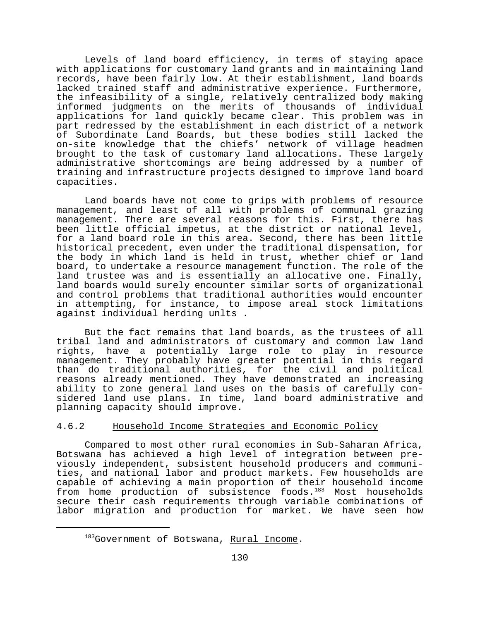Levels of land board efficiency, in terms of staying apace with applications for customary land grants and in maintaining land records, have been fairly low. At their establishment, land boards lacked trained staff and administrative experience. Furthermore, the infeasibility of a single, relatively centralized body making informed judgments on the merits of thousands of individual applications for land quickly became clear. This problem was in part redressed by the establishment in each district of a network of Subordinate Land Boards, but these bodies still lacked the on-site knowledge that the chiefs' network of village headmen brought to the task of customary land allocations. These largely administrative shortcomings are being addressed by a number of training and infrastructure projects designed to improve land board capacities.

Land boards have not come to grips with problems of resource management, and least of all with problems of communal grazing management. There are several reasons for this. First, there has been little official impetus, at the district or national level, for a land board role in this area. Second, there has been little historical precedent, even under the traditional dispensation, for the body in which land is held in trust, whether chief or land board, to undertake a resource management function. The role of the land trustee was and is essentially an allocative one. Finally, land boards would surely encounter similar sorts of organizational and control problems that traditional authorities would encounter in attempting, for instance, to impose areal stock limitations against individual herding unlts .

But the fact remains that land boards, as the trustees of all tribal land and administrators of customary and common law land rights, have a potentially large role to play in resource management. They probably have greater potential in this regard than do traditional authorities, for the civil and political reasons already mentioned. They have demonstrated an increasing ability to zone general land uses on the basis of carefully considered land use plans. In time, land board administrative and planning capacity should improve.

# 4.6.2 Household Income Strategies and Economic Policy

Compared to most other rural economies in Sub-Saharan Africa, Botswana has achieved a high level of integration between previously independent, subsistent household producers and communities, and national labor and product markets. Few households are capable of achieving a main proportion of their household income from home production of subsistence foods.<sup>183</sup> Most households secure their cash requirements through variable combinations of labor migration and production for market. We have seen how

<sup>183</sup>Government of Botswana, Rural Income.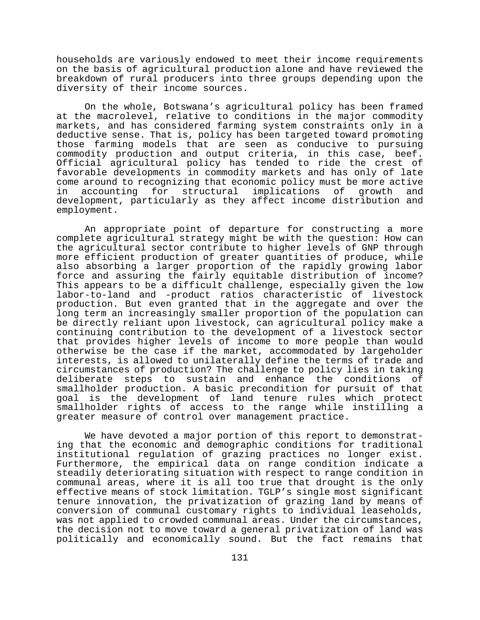households are variously endowed to meet their income requirements on the basis of agricultural production alone and have reviewed the breakdown of rural producers into three groups depending upon the diversity of their income sources.

On the whole, Botswana's agricultural policy has been framed at the macrolevel, relative to conditions in the major commodity markets, and has considered farming system constraints only in a deductive sense. That is, policy has been targeted toward promoting those farming models that are seen as conducive to pursuing commodity production and output criteria, in this case, beef. Official agricultural policy has tended to ride the crest of favorable developments in commodity markets and has only of late come around to recognizing that economic policy must be more active in accounting for structural implications of growth and development, particularly as they affect income distribution and employment.

An appropriate point of departure for constructing a more complete agricultural strategy might be with the question: How can the agricultural sector contribute to higher levels of GNP through more efficient production of greater quantities of produce, while also absorbing a larger proportion of the rapidly growing labor force and assuring the fairly equitable distribution of income? This appears to be a difficult challenge, especially given the low labor-to-land and -product ratios characteristic of livestock production. But even granted that in the aggregate and over the long term an increasingly smaller proportion of the population can be directly reliant upon livestock, can agricultural policy make a continuing contribution to the development of a livestock sector that provides higher levels of income to more people than would otherwise be the case if the market, accommodated by largeholder interests, is allowed to unilaterally define the terms of trade and circumstances of production? The challenge to policy lies in taking deliberate steps to sustain and enhance the conditions of smallholder production. A basic precondition for pursuit of that goal is the development of land tenure rules which protect smallholder rights of access to the range while instilling a greater measure of control over management practice.

We have devoted a major portion of this report to demonstrating that the economic and demographic conditions for traditional institutional regulation of grazing practices no longer exist. Furthermore, the empirical data on range condition indicate a steadily deteriorating situation with respect to range condition in communal areas, where it is all too true that drought is the only effective means of stock limitation. TGLP's single most significant tenure innovation, the privatization of grazing land by means of conversion of communal customary rights to individual leaseholds, was not applied to crowded communal areas. Under the circumstances, the decision not to move toward a general privatization of land was politically and economically sound. But the fact remains that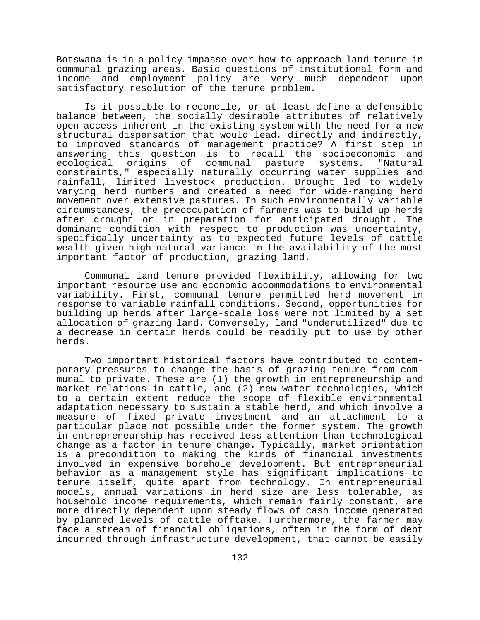Botswana is in a policy impasse over how to approach land tenure in communal grazing areas. Basic questions of institutional form and income and employment policy are very much dependent upon satisfactory resolution of the tenure problem.

Is it possible to reconcile, or at least define a defensible balance between, the socially desirable attributes of relatively open access inherent in the existing system with the need for a new structural dispensation that would lead, directly and indirectly, to improved standards of management practice? A first step in answering this question is to recall the socioeconomic and ecological origins of communal pasture systems. "Natural constraints," especially naturally occurring water supplies and rainfall, limited livestock production. Drought led to widely varying herd numbers and created a need for wide-ranging herd movement over extensive pastures. In such environmentally variable circumstances, the preoccupation of farmers was to build up herds after drought or in preparation for anticipated drought. The dominant condition with respect to production was uncertainty, specifically uncertainty as to expected future levels of cattle wealth given high natural variance in the availability of the most important factor of production, grazing land.

Communal land tenure provided flexibility, allowing for two important resource use and economic accommodations to environmental variability. First, communal tenure permitted herd movement in response to variable rainfall conditions. Second, opportunities for building up herds after large-scale loss were not limited by a set allocation of grazing land. Conversely, land "underutilized" due to a decrease in certain herds could be readily put to use by other herds.

Two important historical factors have contributed to contemporary pressures to change the basis of grazing tenure from communal to private. These are (1) the growth in entrepreneurship and market relations in cattle, and (2) new water technologies, which to a certain extent reduce the scope of flexible environmental adaptation necessary to sustain a stable herd, and which involve a measure of fixed private investment and an attachment to a particular place not possible under the former system. The growth in entrepreneurship has received less attention than technological change as a factor in tenure change. Typically, market orientation is a precondition to making the kinds of financial investments involved in expensive borehole development. But entrepreneurial behavior as a management style has significant implications to tenure itself, quite apart from technology. In entrepreneurial models, annual variations in herd size are less tolerable, as household income requirements, which remain fairly constant, are more directly dependent upon steady flows of cash income generated by planned levels of cattle offtake. Furthermore, the farmer may face a stream of financial obligations, often in the form of debt incurred through infrastructure development, that cannot be easily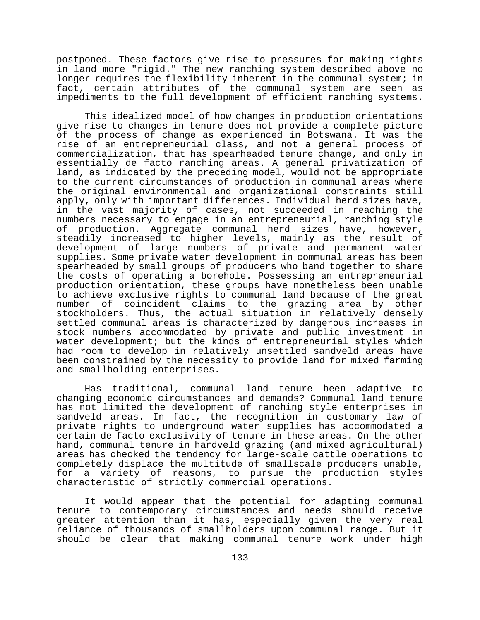postponed. These factors give rise to pressures for making rights in land more "rigid." The new ranching system described above no longer requires the flexibility inherent in the communal system; in fact, certain attributes of the communal system are seen as impediments to the full development of efficient ranching systems.

This idealized model of how changes in production orientations give rise to changes in tenure does not provide a complete picture of the process of change as experienced in Botswana. It was the rise of an entrepreneurial class, and not a general process of commercialization, that has spearheaded tenure change, and only in essentially de facto ranching areas. A general privatization of land, as indicated by the preceding model, would not be appropriate to the current circumstances of production in communal areas where the original environmental and organizational constraints still apply, only with important differences. Individual herd sizes have, in the vast majority of cases, not succeeded in reaching the numbers necessary to engage in an entrepreneurial, ranching style of production. Aggregate communal herd sizes have, however, steadily increased to higher levels, mainly as the result of development of large numbers of private and permanent water supplies. Some private water development in communal areas has been spearheaded by small groups of producers who band together to share the costs of operating a borehole. Possessing an entrepreneurial production orientation, these groups have nonetheless been unable to achieve exclusive rights to communal land because of the great number of coincident claims to the grazing area by other stockholders. Thus, the actual situation in relatively densely settled communal areas is characterized by dangerous increases in stock numbers accommodated by private and public investment in water development; but the kinds of entrepreneurial styles which had room to develop in relatively unsettled sandveld areas have been constrained by the necessity to provide land for mixed farming and smallholding enterprises.

Has traditional, communal land tenure been adaptive to changing economic circumstances and demands? Communal land tenure has not limited the development of ranching style enterprises in sandveld areas. In fact, the recognition in customary law of private rights to underground water supplies has accommodated a certain de facto exclusivity of tenure in these areas. On the other hand, communal tenure in hardveld grazing (and mixed agricultural) areas has checked the tendency for large-scale cattle operations to completely displace the multitude of smallscale producers unable, for a variety of reasons, to pursue the production styles characteristic of strictly commercial operations.

It would appear that the potential for adapting communal tenure to contemporary circumstances and needs should receive greater attention than it has, especially given the very real reliance of thousands of smallholders upon communal range. But it should be clear that making communal tenure work under high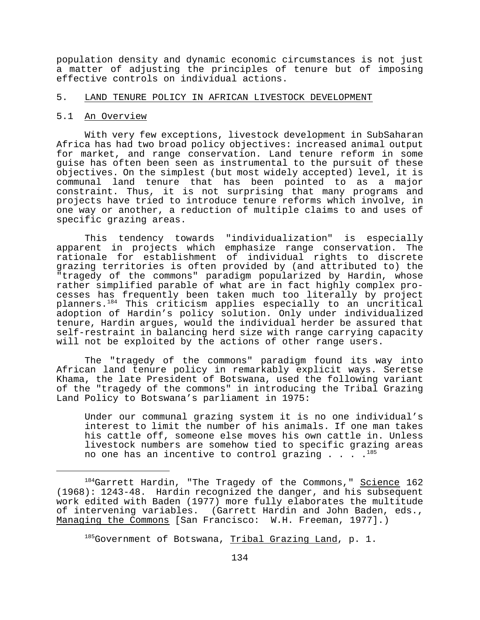population density and dynamic economic circumstances is not just a matter of adjusting the principles of tenure but of imposing effective controls on individual actions.

### 5. LAND TENURE POLICY IN AFRICAN LIVESTOCK DEVELOPMENT

### 5.1 An Overview

With very few exceptions, livestock development in SubSaharan Africa has had two broad policy objectives: increased animal output for market, and range conservation. Land tenure reform in some guise has often been seen as instrumental to the pursuit of these objectives. On the simplest (but most widely accepted) level, it is communal land tenure that has been pointed to as a major constraint. Thus, it is not surprising that many programs and projects have tried to introduce tenure reforms which involve, in one way or another, a reduction of multiple claims to and uses of specific grazing areas.

This tendency towards "individualization" is especially apparent in projects which emphasize range conservation. The rationale for establishment of individual rights to discrete grazing territories is often provided by (and attributed to) the "tragedy of the commons" paradigm popularized by Hardin, whose rather simplified parable of what are in fact highly complex processes has frequently been taken much too literally by project planners.184 This criticism applies especially to an uncritical adoption of Hardin's policy solution. Only under individualized tenure, Hardin argues, would the individual herder be assured that self-restraint in balancing herd size with range carrying capacity will not be exploited by the actions of other range users.

The "tragedy of the commons" paradigm found its way into African land tenure policy in remarkably explicit ways. Seretse Khama, the late President of Botswana, used the following variant of the "tragedy of the commons" in introducing the Tribal Grazing Land Policy to Botswana's parliament in 1975:

Under our communal grazing system it is no one individual's interest to limit the number of his animals. If one man takes his cattle off, someone else moves his own cattle in. Unless livestock numbers are somehow tied to specific grazing areas no one has an incentive to control grazing  $\ldots$ .  $1^{185}$ 

 $184$ Garrett Hardin, "The Tragedy of the Commons," Science 162 (1968): 1243-48. Hardin recognized the danger, and his subsequent work edited with Baden (1977) more fully elaborates the multitude of intervening variables. (Garrett Hardin and John Baden, eds., Managing the Commons [San Francisco: W.H. Freeman, 1977].)

<sup>185</sup>Government of Botswana, Tribal Grazing Land, p. 1.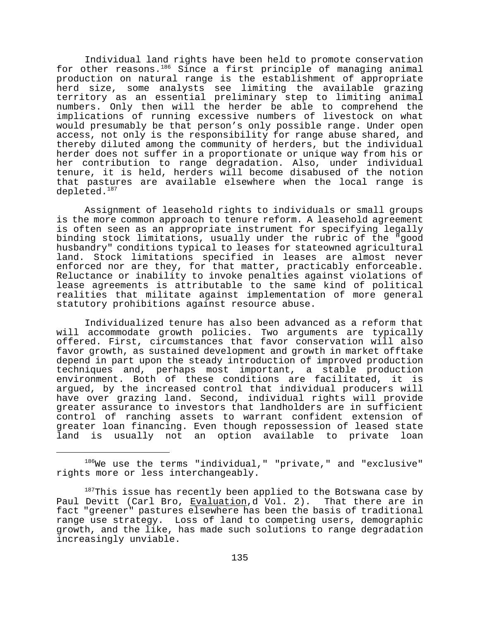Individual land rights have been held to promote conservation for other reasons.<sup>186</sup> Since a first principle of managing animal production on natural range is the establishment of appropriate herd size, some analysts see limiting the available grazing territory as an essential preliminary step to limiting animal numbers. Only then will the herder be able to comprehend the implications of running excessive numbers of livestock on what would presumably be that person's only possible range. Under open access, not only is the responsibility for range abuse shared, and thereby diluted among the community of herders, but the individual herder does not suffer in a proportionate or unique way from his or her contribution to range degradation. Also, under individual tenure, it is held, herders will become disabused of the notion that pastures are available elsewhere when the local range is depleted.<sup>187</sup>

Assignment of leasehold rights to individuals or small groups is the more common approach to tenure reform. A leasehold agreement is often seen as an appropriate instrument for specifying legally binding stock limitations, usually under the rubric of the "good husbandry" conditions typical to leases for stateowned agricultural land. Stock limitations specified in leases are almost never enforced nor are they, for that matter, practicably enforceable. Reluctance or inability to invoke penalties against violations of lease agreements is attributable to the same kind of political realities that militate against implementation of more general statutory prohibitions against resource abuse.

Individualized tenure has also been advanced as a reform that will accommodate growth policies. Two arguments are typically offered. First, circumstances that favor conservation will also favor growth, as sustained development and growth in market offtake depend in part upon the steady introduction of improved production techniques and, perhaps most important, a stable production environment. Both of these conditions are facilitated, it is argued, by the increased control that individual producers will have over grazing land. Second, individual rights will provide greater assurance to investors that landholders are in sufficient control of ranching assets to warrant confident extension of greater loan financing. Even though repossession of leased state land is usually not an option available to private loan

 $186$ We use the terms "individual," "private," and "exclusive" rights more or less interchangeably.

<sup>&</sup>lt;sup>187</sup>This issue has recently been applied to the Botswana case by Paul Devitt (Carl Bro, Evaluation,d Vol. 2). That there are in fact "greener" pastures elsewhere has been the basis of traditional range use strategy. Loss of land to competing users, demographic growth, and the like, has made such solutions to range degradation increasingly unviable.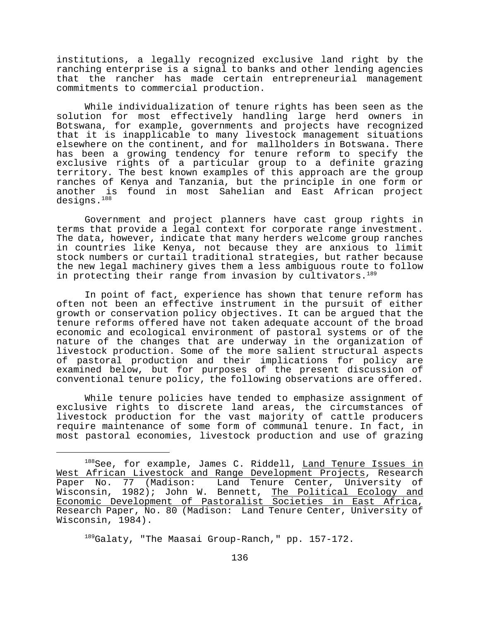institutions, a legally recognized exclusive land right by the ranching enterprise is a signal to banks and other lending agencies that the rancher has made certain entrepreneurial management commitments to commercial production.

While individualization of tenure rights has been seen as the solution for most effectively handling large herd owners in Botswana, for example, governments and projects have recognized that it is inapplicable to many livestock management situations elsewhere on the continent, and for mallholders in Botswana. There has been a growing tendency for tenure reform to specify the exclusive rights of a particular group to a definite grazing territory. The best known examples of this approach are the group ranches of Kenya and Tanzania, but the principle in one form or another is found in most Sahelian and East African project designs.188

Government and project planners have cast group rights in terms that provide a legal context for corporate range investment. The data, however, indicate that many herders welcome group ranches in countries like Kenya, not because they are anxious to limit stock numbers or curtail traditional strategies, but rather because the new legal machinery gives them a less ambiguous route to follow in protecting their range from invasion by cultivators.  $189$ 

In point of fact, experience has shown that tenure reform has often not been an effective instrument in the pursuit of either growth or conservation policy objectives. It can be argued that the tenure reforms offered have not taken adequate account of the broad economic and ecological environment of pastoral systems or of the nature of the changes that are underway in the organization of livestock production. Some of the more salient structural aspects of pastoral production and their implications for policy are examined below, but for purposes of the present discussion of conventional tenure policy, the following observations are offered.

While tenure policies have tended to emphasize assignment of exclusive rights to discrete land areas, the circumstances of livestock production for the vast majority of cattle producers require maintenance of some form of communal tenure. In fact, in most pastoral economies, livestock production and use of grazing

189Galaty, "The Maasai Group-Ranch," pp. 157-172.

<sup>188</sup> See, for example, James C. Riddell, Land Tenure Issues in West African Livestock and Range Development Projects, Research Paper No. 77 (Madison: Land Tenure Center, University of Wisconsin, 1982); John W. Bennett, <u>The Political Ecology and</u> Economic Development of Pastoralist Societies in East Africa, Research Paper, No. 80 (Madison: Land Tenure Center, University of Wisconsin, 1984).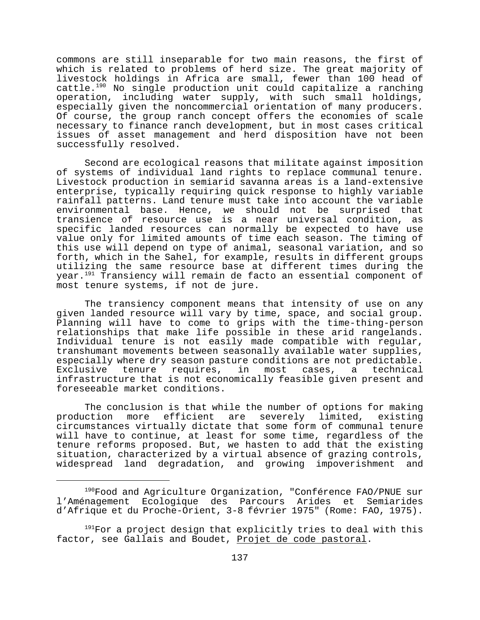commons are still inseparable for two main reasons, the first of which is related to problems of herd size. The great majority of livestock holdings in Africa are small, fewer than 100 head of cattle.190 No single production unit could capitalize a ranching operation, including water supply, with such small holdings, especially given the noncommercial orientation of many producers. Of course, the group ranch concept offers the economies of scale necessary to finance ranch development, but in most cases critical issues of asset management and herd disposition have not been successfully resolved.

Second are ecological reasons that militate against imposition of systems of individual land rights to replace communal tenure. Livestock production in semiarid savanna areas is a land-extensive enterprise, typically requiring quick response to highly variable rainfall patterns. Land tenure must take into account the variable environmental base. Hence, we should not be surprised that transience of resource use is a near universal condition, as specific landed resources can normally be expected to have use value only for limited amounts of time each season. The timing of this use will depend on type of animal, seasonal variation, and so forth, which in the Sahel, for example, results in different groups utilizing the same resource base at different times during the year.<sup>191</sup> Transiency will remain de facto an essential component of most tenure systems, if not de jure.

The transiency component means that intensity of use on any given landed resource will vary by time, space, and social group. Planning will have to come to grips with the time-thing-person relationships that make life possible in these arid rangelands. Individual tenure is not easily made compatible with regular, transhumant movements between seasonally available water supplies, especially where dry season pasture conditions are not predictable. Exclusive tenure requires, in most cases, a technical infrastructure that is not economically feasible given present and foreseeable market conditions.

The conclusion is that while the number of options for making production more efficient are severely limited, existing circumstances virtually dictate that some form of communal tenure will have to continue, at least for some time, regardless of the tenure reforms proposed. But, we hasten to add that the existing situation, characterized by a virtual absence of grazing controls, widespread land degradation, and growing impoverishment and

<sup>190</sup>Food and Agriculture Organization, "Conférence FAO/PNUE sur l'Aménagement Ecologique des Parcours Arides et Semiarides d'Afrique et du Proche-Orient, 3-8 février 1975" (Rome: FAO, 1975).

 $191$  For a project design that explicitly tries to deal with this factor, see Gallais and Boudet, Projet de code pastoral.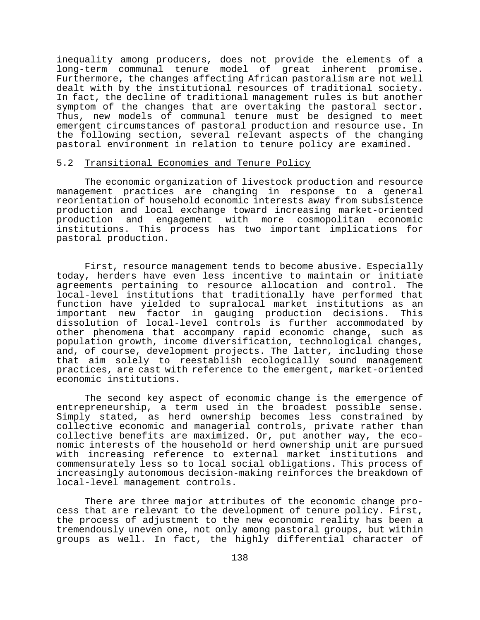inequality among producers, does not provide the elements of a long-term communal tenure model of great inherent promise. Furthermore, the changes affecting African pastoralism are not well dealt with by the institutional resources of traditional society. In fact, the decline of traditional management rules is but another symptom of the changes that are overtaking the pastoral sector. Thus, new models of communal tenure must be designed to meet emergent circumstances of pastoral production and resource use. In the following section, several relevant aspects of the changing pastoral environment in relation to tenure policy are examined.

## 5.2 Transitional Economies and Tenure Policy

The economic organization of livestock production and resource management practices are changing in response to a general reorientation of household economic interests away from subsistence production and local exchange toward increasing market-oriented production and engagement with more cosmopolitan economic institutions. This process has two important implications for pastoral production.

First, resource management tends to become abusive. Especially today, herders have even less incentive to maintain or initiate agreements pertaining to resource allocation and control. The local-level institutions that traditionally have performed that function have yielded to supralocal market institutions as an important new factor in gauging production decisions. This dissolution of local-level controls is further accommodated by other phenomena that accompany rapid economic change, such as population growth, income diversification, technological changes, and, of course, development projects. The latter, including those that aim solely to reestablish ecologically sound management practices, are cast with reference to the emergent, market-oriented economic institutions.

The second key aspect of economic change is the emergence of entrepreneurship, a term used in the broadest possible sense. Simply stated, as herd ownership becomes less constrained by collective economic and managerial controls, private rather than collective benefits are maximized. Or, put another way, the economic interests of the household or herd ownership unit are pursued with increasing reference to external market institutions and commensurately less so to local social obligations. This process of increasingly autonomous decision-making reinforces the breakdown of local-level management controls.

There are three major attributes of the economic change process that are relevant to the development of tenure policy. First, the process of adjustment to the new economic reality has been a tremendously uneven one, not only among pastoral groups, but within groups as well. In fact, the highly differential character of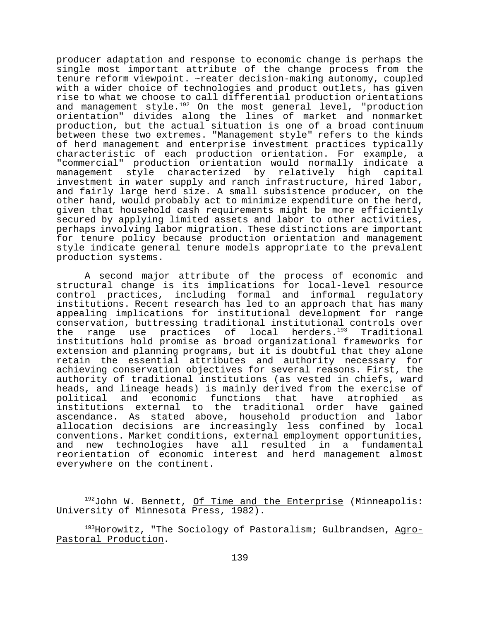producer adaptation and response to economic change is perhaps the single most important attribute of the change process from the tenure reform viewpoint. ~reater decision-making autonomy, coupled with a wider choice of technologies and product outlets, has given rise to what we choose to call differential production orientations and management style.<sup>192</sup> On the most general level, "production orientation" divides along the lines of market and nonmarket production, but the actual situation is one of a broad continuum between these two extremes. "Management style" refers to the kinds of herd management and enterprise investment practices typically characteristic of each production orientation. For example, a "commercial" production orientation would normally indicate a management style characterized by relatively high capital investment in water supply and ranch infrastructure, hired labor, and fairly large herd size. A small subsistence producer, on the other hand, would probably act to minimize expenditure on the herd, given that household cash requirements might be more efficiently secured by applying limited assets and labor to other activities, perhaps involving labor migration. These distinctions are important for tenure policy because production orientation and management style indicate general tenure models appropriate to the prevalent production systems.

A second major attribute of the process of economic and structural change is its implications for local-level resource control practices, including formal and informal regulatory institutions. Recent research has led to an approach that has many appealing implications for institutional development for range conservation, buttressing traditional institutional controls over<br>the range use practices of local herders.<sup>193</sup> Traditional the range use practices of local institutions hold promise as broad organizational frameworks for extension and planning programs, but it is doubtful that they alone retain the essential attributes and authority necessary for achieving conservation objectives for several reasons. First, the authority of traditional institutions (as vested in chiefs, ward heads, and lineage heads) is mainly derived from the exercise of political and economic functions that have atrophied as institutions external to the traditional order have gained ascendance. As stated above, household production and labor allocation decisions are increasingly less confined by local conventions. Market conditions, external employment opportunities, and new technologies have all resulted in a fundamental reorientation of economic interest and herd management almost everywhere on the continent.

 $192$ John W. Bennett, Of Time and the Enterprise (Minneapolis: University of Minnesota Press, 1982).

<sup>&</sup>lt;sup>193</sup>Horowitz, "The Sociology of Pastoralism; Gulbrandsen, Agro-Pastoral Production.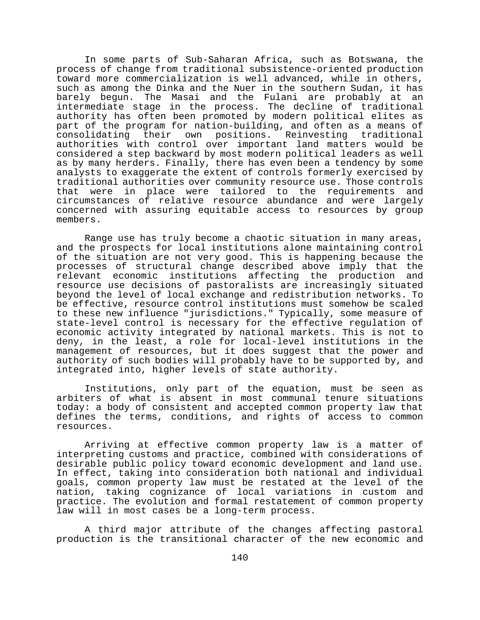In some parts of Sub-Saharan Africa, such as Botswana, the process of change from traditional subsistence-oriented production toward more commercialization is well advanced, while in others, such as among the Dinka and the Nuer in the southern Sudan, it has barely begun. The Masai and the Fulani are probably at an intermediate stage in the process. The decline of traditional authority has often been promoted by modern political elites as part of the program for nation-building, and often as a means of consolidating their own positions. Reinvesting traditional authorities with control over important land matters would be considered a step backward by most modern political leaders as well as by many herders. Finally, there has even been a tendency by some analysts to exaggerate the extent of controls formerly exercised by traditional authorities over community resource use. Those controls that were in place were tailored to the requirements and circumstances of relative resource abundance and were largely concerned with assuring equitable access to resources by group members.

Range use has truly become a chaotic situation in many areas, and the prospects for local institutions alone maintaining control of the situation are not very good. This is happening because the processes of structural change described above imply that the relevant economic institutions affecting the production and resource use decisions of pastoralists are increasingly situated beyond the level of local exchange and redistribution networks. To be effective, resource control institutions must somehow be scaled to these new influence "jurisdictions." Typically, some measure of state-level control is necessary for the effective regulation of economic activity integrated by national markets. This is not to deny, in the least, a role for local-level institutions in the management of resources, but it does suggest that the power and authority of such bodies will probably have to be supported by, and integrated into, higher levels of state authority.

Institutions, only part of the equation, must be seen as arbiters of what is absent in most communal tenure situations today: a body of consistent and accepted common property law that defines the terms, conditions, and rights of access to common resources.

Arriving at effective common property law is a matter of interpreting customs and practice, combined with considerations of desirable public policy toward economic development and land use. In effect, taking into consideration both national and individual goals, common property law must be restated at the level of the nation, taking cognizance of local variations in custom and practice. The evolution and formal restatement of common property law will in most cases be a long-term process.

A third major attribute of the changes affecting pastoral production is the transitional character of the new economic and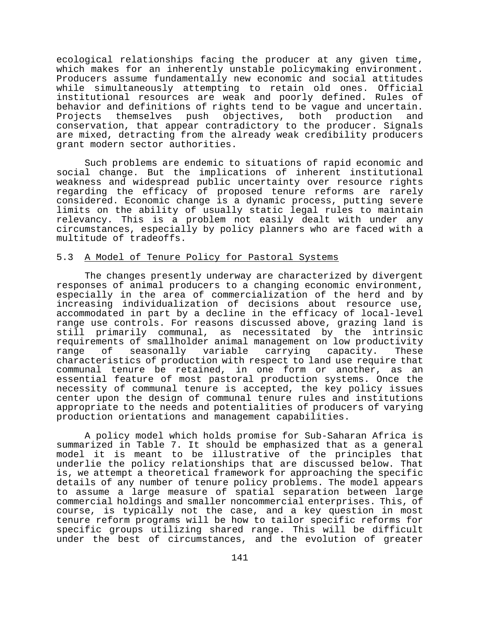ecological relationships facing the producer at any given time, which makes for an inherently unstable policymaking environment. Producers assume fundamentally new economic and social attitudes while simultaneously attempting to retain old ones. Official institutional resources are weak and poorly defined. Rules of behavior and definitions of rights tend to be vague and uncertain. Projects themselves push objectives, both production and conservation, that appear contradictory to the producer. Signals are mixed, detracting from the already weak credibility producers grant modern sector authorities.

Such problems are endemic to situations of rapid economic and social change. But the implications of inherent institutional weakness and widespread public uncertainty over resource rights regarding the efficacy of proposed tenure reforms are rarely considered. Economic change is a dynamic process, putting severe limits on the ability of usually static legal rules to maintain relevancy. This is a problem not easily dealt with under any circumstances, especially by policy planners who are faced with a multitude of tradeoffs.

# 5.3 A Model of Tenure Policy for Pastoral Systems

The changes presently underway are characterized by divergent responses of animal producers to a changing economic environment, especially in the area of commercialization of the herd and by increasing individualization of decisions about resource use, accommodated in part by a decline in the efficacy of local-level range use controls. For reasons discussed above, grazing land is still primarily communal, as necessitated by the intrinsic requirements of smallholder animal management on low productivity range of seasonally variable carrying capacity. These characteristics of production with respect to land use require that communal tenure be retained, in one form or another, as an essential feature of most pastoral production systems. Once the necessity of communal tenure is accepted, the key policy issues center upon the design of communal tenure rules and institutions appropriate to the needs and potentialities of producers of varying production orientations and management capabilities.

A policy model which holds promise for Sub-Saharan Africa is summarized in Table 7. It should be emphasized that as a general model it is meant to be illustrative of the principles that underlie the policy relationships that are discussed below. That is, we attempt a theoretical framework for approaching the specific details of any number of tenure policy problems. The model appears to assume a large measure of spatial separation between large commercial holdings and smaller noncommercial enterprises. This, of course, is typically not the case, and a key question in most tenure reform programs will be how to tailor specific reforms for specific groups utilizing shared range. This will be difficult under the best of circumstances, and the evolution of greater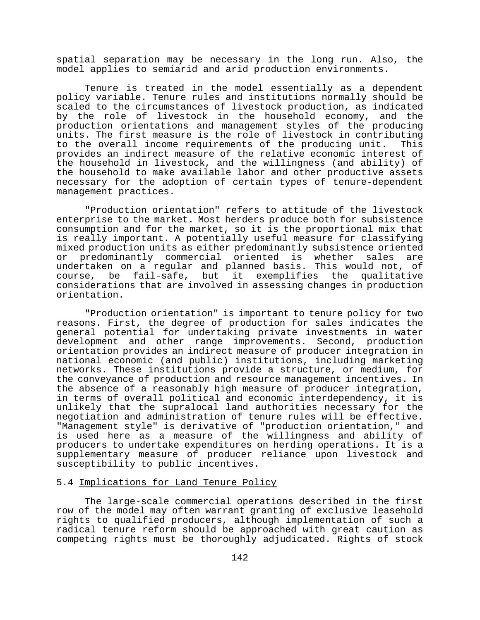spatial separation may be necessary in the long run. Also, the model applies to semiarid and arid production environments.

Tenure is treated in the model essentially as a dependent policy variable. Tenure rules and institutions normally should be scaled to the circumstances of livestock production, as indicated by the role of livestock in the household economy, and the production orientations and management styles of the producing units. The first measure is the role of livestock in contributing to the overall income requirements of the producing unit. This provides an indirect measure of the relative economic interest of the household in livestock, and the willingness (and ability) of the household to make available labor and other productive assets necessary for the adoption of certain types of tenure-dependent management practices.

"Production orientation" refers to attitude of the livestock enterprise to the market. Most herders produce both for subsistence consumption and for the market, so it is the proportional mix that is really important. A potentially useful measure for classifying mixed production units as either predominantly subsistence oriented or predominantly commercial oriented is whether sales are undertaken on a regular and planned basis. This would not, of course, be fail-safe, but it exemplifies the qualitative considerations that are involved in assessing changes in production orientation.

"Production orientation" is important to tenure policy for two reasons. First, the degree of production for sales indicates the general potential for undertaking private investments in water development and other range improvements. Second, production orientation provides an indirect measure of producer integration in national economic (and public) institutions, including marketing networks. These institutions provide a structure, or medium, for the conveyance of production and resource management incentives. In the absence of a reasonably high measure of producer integration, in terms of overall political and economic interdependency, it is unlikely that the supralocal land authorities necessary for the negotiation and administration of tenure rules will be effective. "Management style" is derivative of "production orientation," and is used here as a measure of the willingness and ability of producers to undertake expenditures on herding operations. It is a supplementary measure of producer reliance upon livestock and susceptibility to public incentives.

## 5.4 Implications for Land Tenure Policy

The large-scale commercial operations described in the first row of the model may often warrant granting of exclusive leasehold rights to qualified producers, although implementation of such a radical tenure reform should be approached with great caution as competing rights must be thoroughly adjudicated. Rights of stock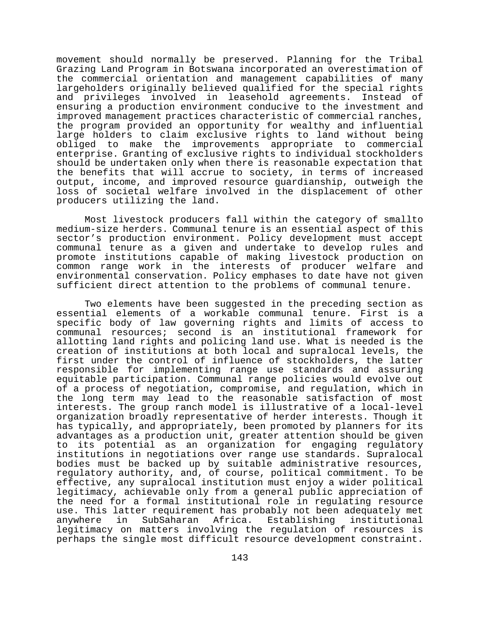movement should normally be preserved. Planning for the Tribal Grazing Land Program in Botswana incorporated an overestimation of the commercial orientation and management capabilities of many largeholders originally believed qualified for the special rights and privileges involved in leasehold agreements. Instead of ensuring a production environment conducive to the investment and improved management practices characteristic of commercial ranches, the program provided an opportunity for wealthy and influential large holders to claim exclusive rights to land without being obliged to make the improvements appropriate to commercial enterprise. Granting of exclusive rights to individual stockholders should be undertaken only when there is reasonable expectation that the benefits that will accrue to society, in terms of increased output, income, and improved resource guardianship, outweigh the loss of societal welfare involved in the displacement of other producers utilizing the land.

Most livestock producers fall within the category of smallto medium-size herders. Communal tenure is an essential aspect of this sector's production environment. Policy development must accept communal tenure as a given and undertake to develop rules and promote institutions capable of making livestock production on common range work in the interests of producer welfare and environmental conservation. Policy emphases to date have not given sufficient direct attention to the problems of communal tenure.

Two elements have been suggested in the preceding section as essential elements of a workable communal tenure. First is a specific body of law governing rights and limits of access to communal resources; second is an institutional framework for allotting land rights and policing land use. What is needed is the creation of institutions at both local and supralocal levels, the first under the control of influence of stockholders, the latter responsible for implementing range use standards and assuring equitable participation. Communal range policies would evolve out of a process of negotiation, compromise, and regulation, which in the long term may lead to the reasonable satisfaction of most interests. The group ranch model is illustrative of a local-level organization broadly representative of herder interests. Though it has typically, and appropriately, been promoted by planners for its advantages as a production unit, greater attention should be given to its potential as an organization for engaging regulatory institutions in negotiations over range use standards. Supralocal bodies must be backed up by suitable administrative resources, regulatory authority, and, of course, political commitment. To be effective, any supralocal institution must enjoy a wider political legitimacy, achievable only from a general public appreciation of the need for a formal institutional role in regulating resource use. This latter requirement has probably not been adequately met anywhere in SubSaharan Africa. Establishing institutional legitimacy on matters involving the regulation of resources is perhaps the single most difficult resource development constraint.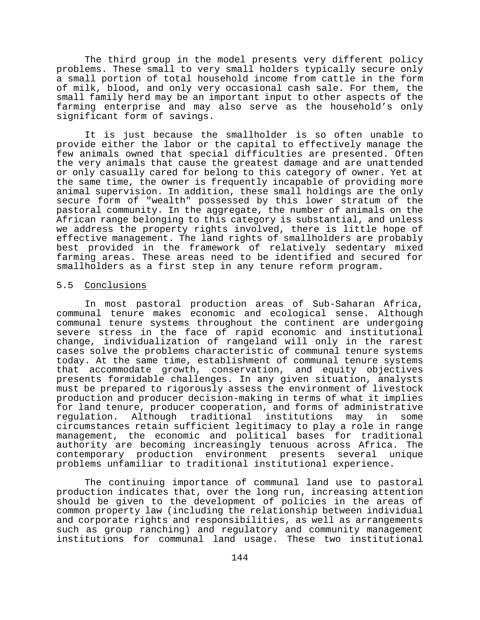The third group in the model presents very different policy problems. These small to very small holders typically secure only .<br>a small portion of total household income from cattle in the form of milk, blood, and only very occasional cash sale. For them, the small family herd may be an important input to other aspects of the farming enterprise and may also serve as the household's only significant form of savings.

It is just because the smallholder is so often unable to provide either the labor or the capital to effectively manage the few animals owned that special difficulties are presented. Often the very animals that cause the greatest damage and are unattended or only casually cared for belong to this category of owner. Yet at the same time, the owner is frequently incapable of providing more animal supervision. In addition, these small holdings are the only secure form of "wealth" possessed by this lower stratum of the pastoral community. In the aggregate, the number of animals on the African range belonging to this category is substantial, and unless we address the property rights involved, there is little hope of effective management. The land rights of smallholders are probably best provided in the framework of relatively sedentary mixed farming areas. These areas need to be identified and secured for smallholders as a first step in any tenure reform program.

#### 5.5 Conclusions

In most pastoral production areas of Sub-Saharan Africa, communal tenure makes economic and ecological sense. Although communal tenure systems throughout the continent are undergoing severe stress in the face of rapid economic and institutional change, individualization of rangeland will only in the rarest cases solve the problems characteristic of communal tenure systems today. At the same time, establishment of communal tenure systems that accommodate growth, conservation, and equity objectives presents formidable challenges. In any given situation, analysts must be prepared to rigorously assess the environment of livestock production and producer decision-making in terms of what it implies for land tenure, producer cooperation, and forms of administrative regulation. Although traditional institutions may in some circumstances retain sufficient legitimacy to play a role in range management, the economic and political bases for traditional authority are becoming increasingly tenuous across Africa. The contemporary production environment presents several unique problems unfamiliar to traditional institutional experience.

The continuing importance of communal land use to pastoral production indicates that, over the long run, increasing attention should be given to the development of policies in the areas of common property law (including the relationship between individual and corporate rights and responsibilities, as well as arrangements such as group ranching) and regulatory and community management institutions for communal land usage. These two institutional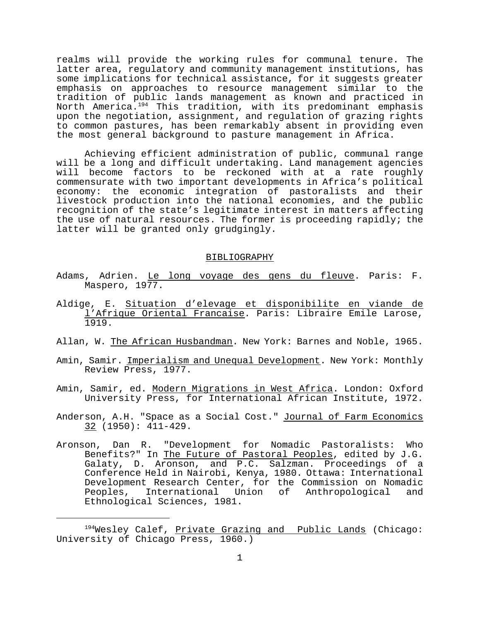realms will provide the working rules for communal tenure. The latter area, regulatory and community management institutions, has some implications for technical assistance, for it suggests greater emphasis on approaches to resource management similar to the tradition of public lands management as known and practiced in North America.<sup>194</sup> This tradition, with its predominant emphasis upon the negotiation, assignment, and regulation of grazing rights to common pastures, has been remarkably absent in providing even the most general background to pasture management in Africa.

Achieving efficient administration of public, communal range will be a long and difficult undertaking. Land management agencies will become factors to be reckoned with at a rate roughly commensurate with two important developments in Africa's political economy: the economic integration of pastoralists and their livestock production into the national economies, and the public recognition of the state's legitimate interest in matters affecting the use of natural resources. The former is proceeding rapidly; the latter will be granted only grudgingly.

#### BIBLIOGRAPHY

- Adams, Adrien. Le long voyage des gens du fleuve. Paris: F. Maspero, 1977.
- Aldige, E. Situation d'elevage et disponibilite en viande de l'Afrique Oriental Francaise. Paris: Libraire Emile Larose, 1919.
- Allan, W. The African Husbandman. New York: Barnes and Noble, 1965.
- Amin, Samir. Imperialism and Unequal Development. New York: Monthly Review Press, 1977.
- Amin, Samir, ed. Modern Migrations in West Africa. London: Oxford University Press, for International African Institute, 1972.
- Anderson, A.H. "Space as a Social Cost." Journal of Farm Economics 32 (1950): 411-429.
- Aronson, Dan R. "Development for Nomadic Pastoralists: Who Benefits?" In The Future of Pastoral Peoples, edited by J.G. Galaty, D. Aronson, and P.C. Salzman. Proceedings of a Conference Held in Nairobi, Kenya, 1980. Ottawa: International Development Research Center, for the Commission on Nomadic Peoples, International Union of Anthropological and Ethnological Sciences, 1981.

<sup>194</sup>Wesley Calef, Private Grazing and Public Lands (Chicago: University of Chicago Press, 1960.)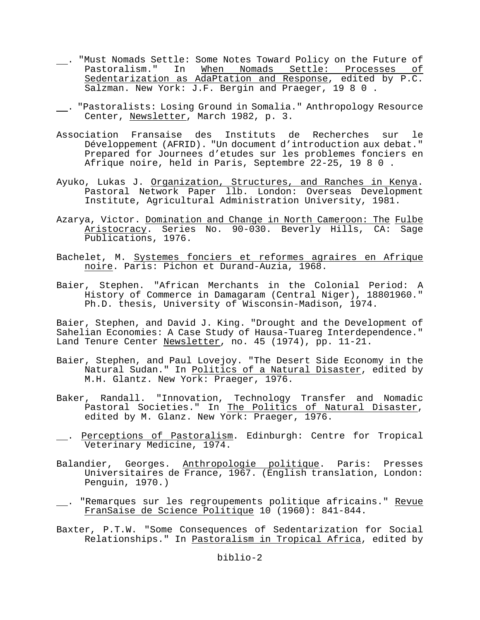- . "Must Nomads Settle: Some Notes Toward Policy on the Future of Pastoralism." In When Nomads Settle: Processes of Sedentarization as AdaPtation and Response, edited by P.C. Salzman. New York: J.F. Bergin and Praeger, 19 8 0.
- . "Pastoralists: Losing Ground in Somalia." Anthropology Resource Center, Newsletter, March 1982, p. 3.
- Association Fransaise des Instituts de Recherches sur le Développement (AFRID). "Un document d'introduction aux debat." Prepared for Journees d'etudes sur les problemes fonciers en Afrique noire, held in Paris, Septembre 22-25, 1980.
- Ayuko, Lukas J. Organization, Structures, and Ranches in Kenya. Pastoral Network Paper llb. London: Overseas Development Institute, Agricultural Administration University, 1981.
- Azarya, Victor. Domination and Change in North Cameroon: The Fulbe Aristocracy. Series No. 90-030. Beverly Hills, CA: Sage Publications, 1976.
- Bachelet, M. Systemes fonciers et reformes agraires en Afrique noire. Paris: Pichon et Durand-Auzia, 1968.
- Baier, Stephen. "African Merchants in the Colonial Period: A History of Commerce in Damagaram (Central Niger), 18801960." Ph.D. thesis, University of Wisconsin-Madison, 1974.

Baier, Stephen, and David J. King. "Drought and the Development of Sahelian Economies: A Case Study of Hausa-Tuareg Interdependence." Land Tenure Center Newsletter, no. 45 (1974), pp. 11-21.

- Baier, Stephen, and Paul Lovejoy. "The Desert Side Economy in the Natural Sudan." In Politics of a Natural Disaster, edited by M.H. Glantz. New York: Praeger, 1976.
- Baker, Randall. "Innovation, Technology Transfer and Nomadic Pastoral Societies." In The Politics of Natural Disaster, edited by M. Glanz. New York: Praeger, 1976.
- . Perceptions of Pastoralism. Edinburgh: Centre for Tropical Veterinary Medicine, 1974.
- Balandier, Georges. Anthropologie politique. Paris: Presses Universitaires de France, 1967. (English translation, London: Penguin, 1970.)
- . "Remarques sur les regroupements politique africains." Revue FranSaise de Science Politique 10 (1960): 841-844.
- Baxter, P.T.W. "Some Consequences of Sedentarization for Social Relationships." In Pastoralism in Tropical Africa, edited by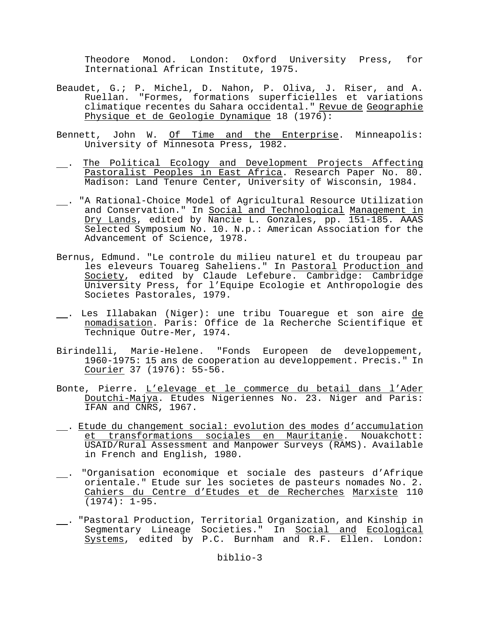Theodore Monod. London: Oxford University Press, for International African Institute, 1975.

- Beaudet, G.; P. Michel, D. Nahon, P. Oliva, J. Riser, and A. Ruellan. "Formes, formations superficielles et variations climatique recentes du Sahara occidental." Revue de Geographie Physique et de Geologie Dynamique 18 (1976):
- Bennett, John W. Of Time and the Enterprise. Minneapolis: University of Minnesota Press, 1982.
- . The Political Ecology and Development Projects Affecting Pastoralist Peoples in East Africa. Research Paper No. 80. Madison: Land Tenure Center, University of Wisconsin, 1984.
- . "A Rational-Choice Model of Agricultural Resource Utilization and Conservation." In <u>Social and Technological</u> Management in Dry Lands, edited by Nancie L. Gonzales, pp. 151-185. AAAS Selected Symposium No. 10. N.p.: American Association for the Advancement of Science, 1978.
- Bernus, Edmund. "Le controle du milieu naturel et du troupeau par les eleveurs Touareg Saheliens." In Pastoral Production and Society, edited by Claude Lefebure. Cambridge: Cambridge University Press, for l'Equipe Ecologie et Anthropologie des Societes Pastorales, 1979.
- . Les Illabakan (Niger): une tribu Touaregue et son aire de nomadisation. Paris: Office de la Recherche Scientifique et Technique Outre-Mer, 1974.
- Birindelli, Marie-Helene. "Fonds Europeen de developpement, 1960-1975: 15 ans de cooperation au developpement. Precis." In Courier 37 (1976): 55-56.
- Bonte, Pierre. L'elevage et le commerce du betail dans l'Ader Doutchi-Majya. Etudes Nigeriennes No. 23. Niger and Paris: IFAN and CNRS, 1967.
- . Etude du changement social: evolution des modes d'accumulation et transformations sociales en Mauritanie. Nouakchott: USAID/Rural Assessment and Manpower Surveys (RAMS). Available in French and English, 1980.
- . "Organisation economique et sociale des pasteurs d'Afrique orientale." Etude sur les societes de pasteurs nomades No. 2. Cahiers du Centre d'Etudes et de Recherches Marxiste 110  $(1974): \overline{1-95}$ .
- . "Pastoral Production, Territorial Organization, and Kinship in Segmentary Lineage Societies." In Social and Ecological Systems, edited by P.C. Burnham and R.F. Ellen. London: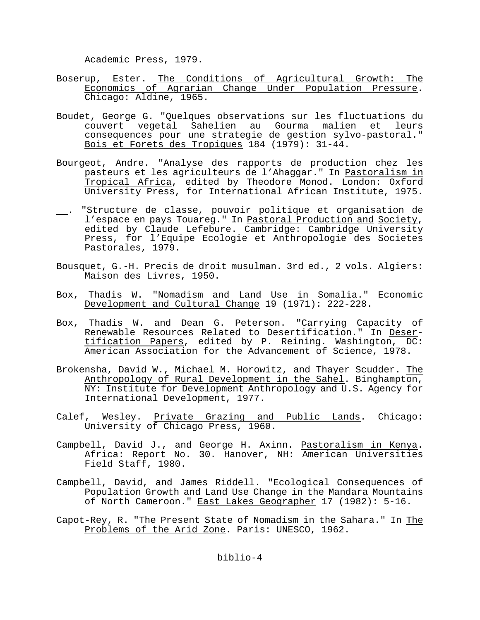Academic Press, 1979.

- Boserup, Ester. The Conditions of Agricultural Growth: The Economics of Agrarian Change Under Population Pressure. Chicago: Aldine, 1965.
- Boudet, George G. "Quelques observations sur les fluctuations du couvert vegetal Sahelien au Gourma malien et leurs consequences pour une strategie de gestion sylvo-pastoral." Bois et Forets des Tropiques 184 (1979): 31-44.
- Bourgeot, Andre. "Analyse des rapports de production chez les pasteurs et les agriculteurs de l'Ahaggar." In Pastoralism in Tropical Africa, edited by Theodore Monod. London: Oxford University Press, for International African Institute, 1975.
- . "Structure de classe, pouvoir politique et organisation de l'espace en pays Touareg." In Pastoral Production and Society, edited by Claude Lefebure. Cambridge: Cambridge University Press, for l'Equipe Ecologie et Anthropologie des Societes Pastorales, 1979.
- Bousquet, G.-H. Precis de droit musulman. 3rd ed., 2 vols. Algiers: Maison des Livres, 1950.
- Box, Thadis W. "Nomadism and Land Use in Somalia." Economic Development and Cultural Change 19 (1971): 222-228.
- Box, Thadis W. and Dean G. Peterson. "Carrying Capacity of Renewable Resources Related to Desertification." In <u>Deser</u>-<br>tification Papers, edited by P. Reining. Washington, DC: American Association for the Advancement of Science, 1978.
- Brokensha, David W., Michael M. Horowitz, and Thayer Scudder. The Anthropology of Rural Development in the Sahel. Binghampton, NY: Institute for Development Anthropology and U.S. Agency for International Development, 1977.
- Calef, Wesley. Private Grazing and Public Lands. Chicago: University of Chicago Press, 1960.
- Campbell, David J., and George H. Axinn. Pastoralism in Kenya. Africa: Report No. 30. Hanover, NH: American Universities Field Staff, 1980.
- Campbell, David, and James Riddell. "Ecological Consequences of Population Growth and Land Use Change in the Mandara Mountains of North Cameroon." East Lakes Geographer 17 (1982): 5-16.
- Capot-Rey, R. "The Present State of Nomadism in the Sahara." In The Problems of the Arid Zone. Paris: UNESCO, 1962.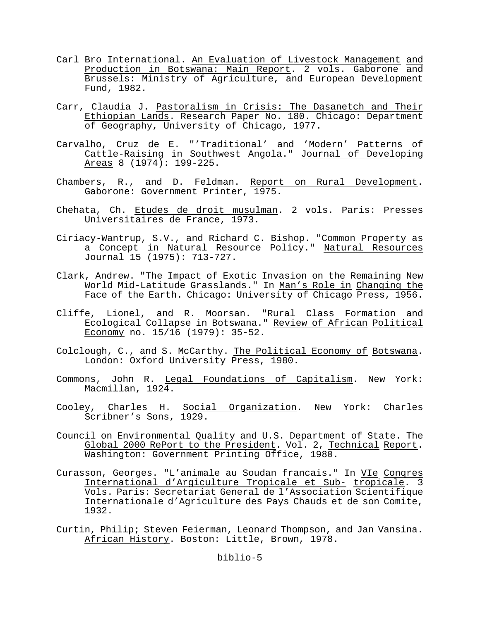- Carl Bro International. An Evaluation of Livestock Management and Production in Botswana: Main Report. 2 vols. Gaborone and Brussels: Ministry of Agriculture, and European Development Fund, 1982.
- Carr, Claudia J. Pastoralism in Crisis: The Dasanetch and Their Ethiopian Lands. Research Paper No. 180. Chicago: Department of Geography, University of Chicago, 1977.
- Carvalho, Cruz de E. "'Traditional' and 'Modern' Patterns of Cattle-Raising in Southwest Angola." Journal of Developing Areas 8 (1974): 199-225.
- Chambers, R., and D. Feldman. Report on Rural Development. Gaborone: Government Printer, 1975.
- Chehata, Ch. Etudes de droit musulman. 2 vols. Paris: Presses Universitaires de France, 1973.
- Ciriacy-Wantrup, S.V., and Richard C. Bishop. "Common Property as a Concept in Natural Resource Policy." Natural Resources Journal 15 (1975): 713-727.
- Clark, Andrew. "The Impact of Exotic Invasion on the Remaining New World Mid-Latitude Grasslands." In Man's Role in Changing the Face of the Earth. Chicago: University of Chicago Press, 1956.
- Cliffe, Lionel, and R. Moorsan. "Rural Class Formation and Ecological Collapse in Botswana." Review of African Political Economy no. 15/16 (1979): 35-52.
- Colclough, C., and S. McCarthy. The Political Economy of Botswana. London: Oxford University Press, 1980.
- Commons, John R. Legal Foundations of Capitalism. New York: Macmillan, 1924.
- Cooley, Charles H. Social Organization. New York: Charles Scribner's Sons, 1929.
- Council on Environmental Quality and U.S. Department of State. The Global 2000 RePort to the President. Vol. 2, Technical Report.<br>Washington: Government Printing Office, 1980.
- Curasson, Georges. "L'animale au Soudan francais." In VIe Conqres International d'Argiculture Tropicale et Sub- tropicale. 3 Vols. Paris: Secretariat General de l'Association Scientifique Internationale d'Agriculture des Pays Chauds et de son Comite, 1932.
- Curtin, Philip; Steven Feierman, Leonard Thompson, and Jan Vansina. African History. Boston: Little, Brown, 1978.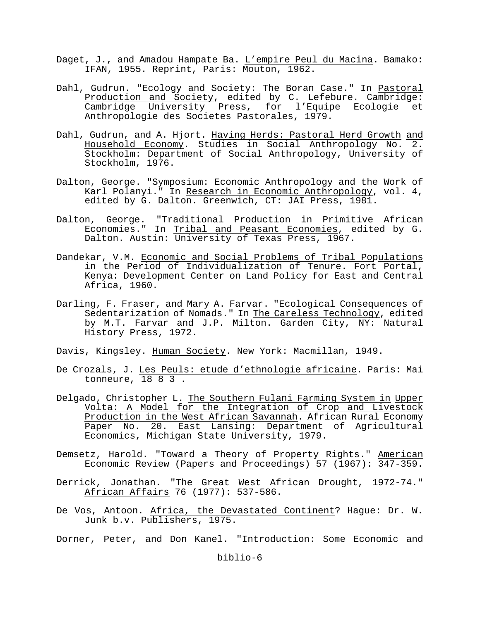- Daget, J., and Amadou Hampate Ba. L'empire Peul du Macina. Bamako: IFAN, 1955. Reprint, Paris: Mouton, 1962.
- Dahl, Gudrun. "Ecology and Society: The Boran Case." In Pastoral Production and Society, edited by C. Lefebure. Cambridge: Cambridge University Press, for l'Equipe Ecologie et Anthropologie des Societes Pastorales, 1979.
- Dahl, Gudrun, and A. Hjort. Having Herds: Pastoral Herd Growth and Household Economy. Studies in Social Anthropology No. 2. Stockholm: Department of Social Anthropology, University of Stockholm, 1976.
- Dalton, George. "Symposium: Economic Anthropology and the Work of Karl Polanyi." In Research in Economic Anthropology, vol. 4, edited by G. Dalton. Greenwich, CT: JAI Press, 1981.
- Dalton, George. "Traditional Production in Primitive African Economies." In Tribal and Peasant Economies, edited by G. Dalton. Austin: University of Texas Press, 1967.
- Dandekar, V.M. Economic and Social Problems of Tribal Populations in the Period of Individualization of Tenure. Fort Portal, Kenya: Development Center on Land Policy for East and Central Africa, 1960.
- Darling, F. Fraser, and Mary A. Farvar. "Ecological Consequences of Sedentarization of Nomads." In The Careless Technology, edited by M.T. Farvar and J.P. Milton. Garden City, NY: Natural History Press, 1972.
- Davis, Kingsley. Human Society. New York: Macmillan, 1949.
- De Crozals, J. Les Peuls: etude d'ethnologie africaine. Paris: Mai tonneure, 1883.
- Delgado, Christopher L. The Southern Fulani Farming System in Upper Volta: A Model for the Integration of Crop and Livestock Production in the West African Savannah. African Rural Economy Paper No. 20. East Lansing: Department of Agricultural Economics, Michigan State University, 1979.
- Demsetz, Harold. "Toward a Theory of Property Rights." American Economic Review (Papers and Proceedings) 57 (1967): 347-359.
- Derrick, Jonathan. "The Great West African Drought, 1972-74." African Affairs 76 (1977): 537-586.
- De Vos, Antoon. Africa, the Devastated Continent? Hague: Dr. W. Junk b.v. Publishers, 1975.
- Dorner, Peter, and Don Kanel. "Introduction: Some Economic and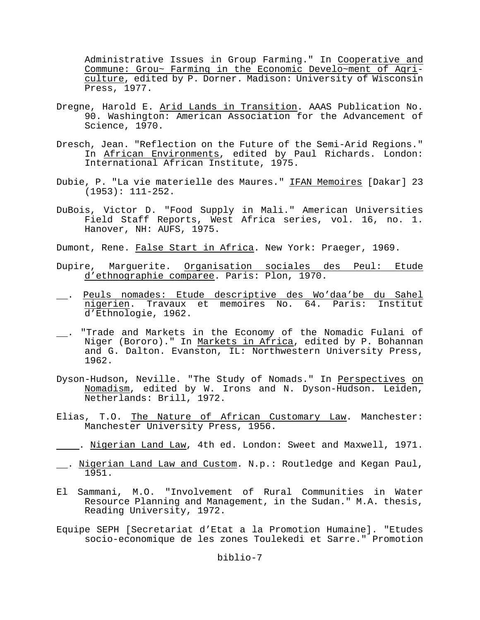Administrative Issues in Group Farming." In Cooperative and Commune: Grou~ Farminq in the Economic Develo~ment of Aqriculture, edited by P. Dorner. Madison: University of Wisconsin Press, 1977.

- Dregne, Harold E. Arid Lands in Transition. AAAS Publication No. 90. Washington: American Association for the Advancement of Science, 1970.
- Dresch, Jean. "Reflection on the Future of the Semi-Arid Regions." In African Environments, edited by Paul Richards. London: International African Institute, 1975.
- Dubie, P. "La vie materielle des Maures." IFAN Memoires [Dakar] 23 (1953): 111-252.
- DuBois, Victor D. "Food Supply in Mali." American Universities Field Staff Reports, West Africa series, vol. 16, no. 1. Hanover, NH: AUFS, 1975.
- Dumont, Rene. False Start in Africa. New York: Praeger, 1969.
- Dupire, Marguerite. Organisation sociales des Peul: Etude d'ethnographie comparee. Paris: Plon, 1970.
- . Peuls nomades: Etude descriptive des Wo'daa'be du Sahel nigerien. Travaux et memoires No. 64. Paris: Institut d'Ethnologie, 1962.
- . "Trade and Markets in the Economy of the Nomadic Fulani of Niger (Bororo)." In Markets in Africa, edited by P. Bohannan and G. Dalton. Evanston, IL: Northwestern University Press, 1962.
- Dyson-Hudson, Neville. "The Study of Nomads." In Perspectives on Nomadism, edited by W. Irons and N. Dyson-Hudson. Leiden, Netherlands: Brill, 1972.
- Elias, T.O. The Nature of African Customary Law. Manchester: Manchester University Press, 1956.
- . Nigerian Land Law, 4th ed. London: Sweet and Maxwell, 1971.
- . Nigerian Land Law and Custom. N.p.: Routledge and Kegan Paul, 1951.
- El Sammani, M.O. "Involvement of Rural Communities in Water Resource Planning and Management, in the Sudan." M.A. thesis, Reading University, 1972.
- Equipe SEPH [Secretariat d'Etat a la Promotion Humaine]. "Etudes socio-economique de les zones Toulekedi et Sarre." Promotion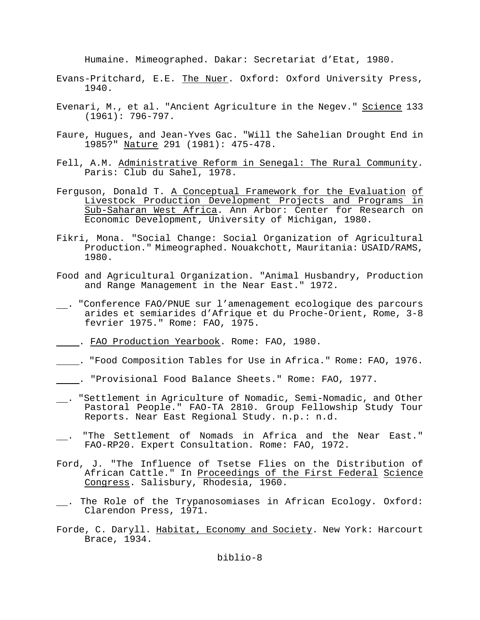Humaine. Mimeographed. Dakar: Secretariat d'Etat, 1980.

- Evans-Pritchard, E.E. The Nuer. Oxford: Oxford University Press, 1940.
- Evenari, M., et al. "Ancient Agriculture in the Negev." Science 133 (1961): 796-797.
- Faure, Hugues, and Jean-Yves Gac. "Will the Sahelian Drought End in 1985?" Nature 291 (1981): 475-478.
- Fell, A.M. Administrative Reform in Senegal: The Rural Community. Paris: Club du Sahel, 1978.
- Ferguson, Donald T. A Conceptual Framework for the Evaluation of Livestock Production Development Projects and Programs in Sub-Saharan West Africa. Ann Arbor: Center for Research on Economic Development, University of Michigan, 1980.
- Fikri, Mona. "Social Change: Social Organization of Agricultural Production." Mimeographed. Nouakchott, Mauritania: USAID/RAMS, 1980.
- Food and Agricultural Organization. "Animal Husbandry, Production and Range Management in the Near East." 1972.
- . "Conference FAO/PNUE sur l'amenagement ecologique des parcours arides et semiarides d'Afrique et du Proche-Orient, Rome, 3-8 fevrier 1975." Rome: FAO, 1975.
- . FAO Production Yearbook. Rome: FAO, 1980.
- . "Food Composition Tables for Use in Africa." Rome: FAO, 1976.
- . "Provisional Food Balance Sheets." Rome: FAO, 1977.
- . "Settlement in Agriculture of Nomadic, Semi-Nomadic, and Other Pastoral People." FAO-TA 2810. Group Fellowship Study Tour Reports. Near East Regional Study. n.p.: n.d.
- . "The Settlement of Nomads in Africa and the Near East." FAO-RP20. Expert Consultation. Rome: FAO, 1972.
- Ford, J. "The Influence of Tsetse Flies on the Distribution of African Cattle." In Proceedings of the First Federal Science Congress. Salisbury, Rhodesia, 1960.
- . The Role of the Trypanosomiases in African Ecology. Oxford: Clarendon Press, 1971.
- Forde, C. Daryll. Habitat, Economy and Society. New York: Harcourt Brace, 1934.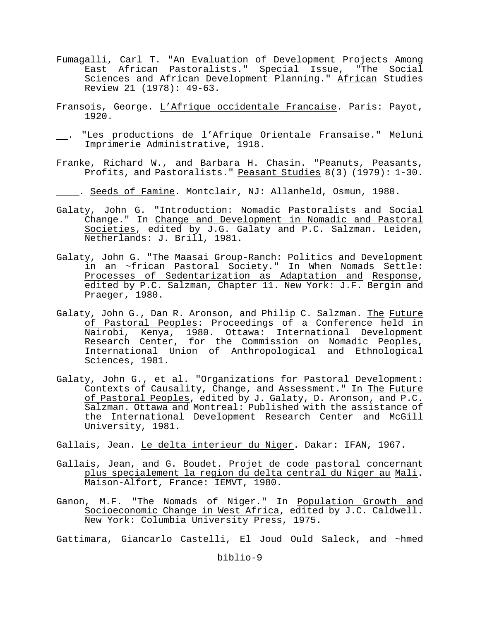- Fumagalli, Carl T. "An Evaluation of Development Projects Among East African Pastoralists." Special Issue, "The Social Sciences and African Development Planning." African Studies Review 21 (1978): 49-63.
- Fransois, George. L'Afrique occidentale Francaise. Paris: Payot, 1920.
- . "Les productions de l'Afrique Orientale Fransaise." Meluni Imprimerie Administrative, 1918.
- Franke, Richard W., and Barbara H. Chasin. "Peanuts, Peasants, Profits, and Pastoralists." Peasant Studies 8(3) (1979): 1-30.
- . Seeds of Famine. Montclair, NJ: Allanheld, Osmun, 1980.
- Galaty, John G. "Introduction: Nomadic Pastoralists and Social Change." In Change and Development in Nomadic and Pastoral Societies, edited by J.G. Galaty and P.C. Salzman. Leiden, Netherlands: J. Brill, 1981.
- Galaty, John G. "The Maasai Group-Ranch: Politics and Development in an ~frican Pastoral Society." In When Nomads Settle: Processes of Sedentarization as Adaptation and Response, edited by P.C. Salzman, Chapter 11. New York: J.F. Bergin and Praeger, 1980.
- Galaty, John G., Dan R. Aronson, and Philip C. Salzman. The Future of Pastoral Peoples: Proceedings of a Conference held in Nairobi, Kenya, 1980. Ottawa: International Development Research Center, for the Commission on Nomadic Peoples, International Union of Anthropological and Ethnological Sciences, 1981.
- Galaty, John G., et al. "Organizations for Pastoral Development: Contexts of Causality, Change, and Assessment." In The Future of Pastoral Peoples, edited by J. Galaty, D. Aronson, and P.C. Salzman. Ottawa and Montreal: Published with the assistance of the International Development Research Center and McGill University, 1981.

Gallais, Jean. Le delta interieur du Niger. Dakar: IFAN, 1967.

- Gallais, Jean, and G. Boudet. Projet de code pastoral concernant plus specialement la region du delta central du Niger au Mali. Maison-Alfort, France: IEMVT, 1980.
- Ganon, M.F. "The Nomads of Niger." In Population Growth and Socioeconomic Change in West Africa, edited by J.C. Caldwell. New York: Columbia University Press, 1975.

Gattimara, Giancarlo Castelli, El Joud Ould Saleck, and ~hmed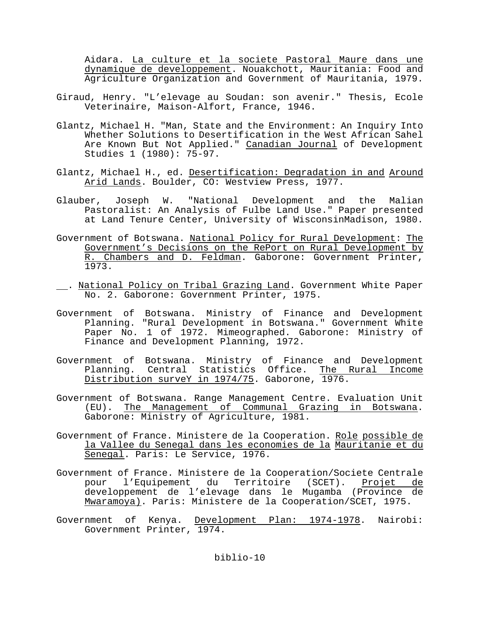Aidara. La culture et la societe Pastoral Maure dans une dynamique de developpement. Nouakchott, Mauritania: Food and Agriculture Organization and Government of Mauritania, 1979.

- Giraud, Henry. "L'elevage au Soudan: son avenir." Thesis, Ecole Veterinaire, Maison-Alfort, France, 1946.
- Glantz, Michael H. "Man, State and the Environment: An Inquiry Into Whether Solutions to Desertification in the West African Sahel Are Known But Not Applied." Canadian Journal of Development Studies 1 (1980): 75-97.
- Glantz, Michael H., ed. Desertification: Degradation in and Around Arid Lands. Boulder, CO: Westview Press, 1977.
- Glauber, Joseph W. "National Development and the Malian Pastoralist: An Analysis of Fulbe Land Use." Paper presented at Land Tenure Center, University of WisconsinMadison, 1980.
- Government of Botswana. National Policy for Rural Development: The Government's Decisions on the RePort on Rural Development by R. Chambers and D. Feldman. Gaborone: Government Printer, 1973.
- . National Policy on Tribal Grazing Land. Government White Paper No. 2. Gaborone: Government Printer, 1975.
- Government of Botswana. Ministry of Finance and Development Planning. "Rural Development in Botswana." Government White Paper No. 1 of 1972. Mimeographed. Gaborone: Ministry of Finance and Development Planning, 1972.
- Government of Botswana. Ministry of Finance and Development Planning. Central Statistics Office. The Rural Income Distribution surveY in 1974/75. Gaborone, 1976.
- Government of Botswana. Range Management Centre. Evaluation Unit (EU). The Management of Communal Grazing in Botswana.<br>Gaborone: Ministry of Agriculture, 1981.
- Government of France. Ministere de la Cooperation. Role possible de la Vallee du Senegal dans les economies de la Mauritanie et du Senegal. Paris: Le Service, 1976.
- Government of France. Ministere de la Cooperation/Societe Centrale pour l'Equipement du Territoire (SCET). Projet de developpement de l'elevage dans le Mugamba (Province de Mwaramoya). Paris: Ministere de la Cooperation/SCET, 1975.
- Government of Kenya. Development Plan: 1974-1978. Nairobi: Government Printer, 1974.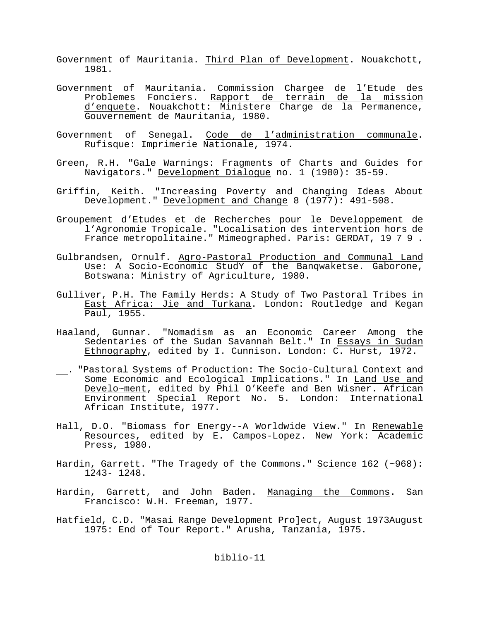Government of Mauritania. Third Plan of Development. Nouakchott, 1981.

- Government of Mauritania. Commission Chargee de l'Etude des Problemes Fonciers. Rapport de terrain de la mission d'enquete. Nouakchott: Ministere Charge de la Permanence, Gouvernement de Mauritania, 1980.
- Government of Senegal. Code de l'administration communale. Rufisque: Imprimerie Nationale, 1974.
- Green, R.H. "Gale Warnings: Fragments of Charts and Guides for Navigators." Development Dialogue no. 1 (1980): 35-59.
- Griffin, Keith. "Increasing Poverty and Changing Ideas About Development." Development and Change 8 (1977): 491-508.
- Groupement d'Etudes et de Recherches pour le Developpement de l'Agronomie Tropicale. "Localisation des intervention hors de France metropolitaine." Mimeographed. Paris: GERDAT, 19 7 9.
- Gulbrandsen, Ornulf. Agro-Pastoral Production and Communal Land Use: A Socio-Economic StudY of the Banqwaketse. Gaborone, Botswana: Ministry of Agriculture, 1980.
- Gulliver, P.H. The Family Herds: A Study of Two Pastoral Tribes in East Africa: Jie and Turkana. London: Routledge and Kegan Paul, 1955.
- Haaland, Gunnar. "Nomadism as an Economic Career Among the Sedentaries of the Sudan Savannah Belt." In Essays in Sudan Ethnography, edited by I. Cunnison. London: C. Hurst, 1972.
- . "Pastoral Systems of Production: The Socio-Cultural Context and Some Economic and Ecological Implications." In Land Use and Develo~ment, edited by Phil O'Keefe and Ben Wisner. African Environment Special Report No. 5. London: International African Institute, 1977.
- Hall, D.O. "Biomass for Energy--A Worldwide View." In Renewable Resources, edited by E. Campos-Lopez. New York: Academic Press, 1980.
- Hardin, Garrett. "The Tragedy of the Commons." Science 162 (~968): 1243- 1248.
- Hardin, Garrett, and John Baden. Managing the Commons. San Francisco: W.H. Freeman, 1977.
- Hatfield, C.D. "Masai Range Development Pro]ect, August 1973August 1975: End of Tour Report." Arusha, Tanzania, 1975.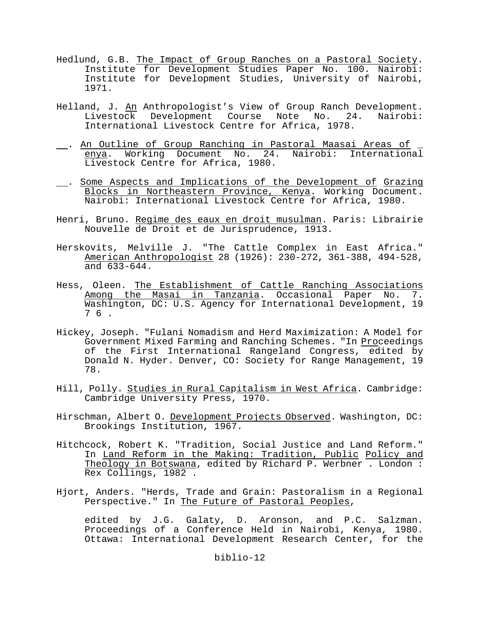- Hedlund, G.B. The Impact of Group Ranches on a Pastoral Society. Institute for Development Studies Paper No. 100. Nairobi: Institute for Development Studies, University of Nairobi, 1971.
- Helland, J. An Anthropologist's View of Group Ranch Development.<br>Livestock Development Course Note No. 24. Nairobi: Livestock Development Course Note No. 24. Nairobi: International Livestock Centre for Africa, 1978.
- . An Outline of Group Ranching in Pastoral Maasai Areas of \_ enya. Working Document No. 24. Nairobi: International Livestock Centre for Africa, 1980.
- ... Some Aspects and Implications of the Development of Grazing Blocks in Northeastern Province, Kenya. Working Document. Nairobi: International Livestock Centre for Africa, 1980.
- Henri, Bruno. Regime des eaux en droit musulman. Paris: Librairie Nouvelle de Droit et de Jurisprudence, 1913.
- Herskovits, Melville J. "The Cattle Complex in East Africa." American Anthropologist 28 (1926): 230-272, 361-388, 494-528, and 633-644.
- Hess, Oleen. The Establishment of Cattle Ranching Associations Among the Masai in Tanzania. Occasional Paper No. 7. Washington, DC: U.S. Agency for International Development, 19 76.
- Hickey, Joseph. "Fulani Nomadism and Herd Maximization: A Model for Government Mixed Farming and Ranching Schemes. "In Proceedings of the First International Rangeland Congress, edited by Donald N. Hyder. Denver, CO: Society for Range Management, 19 78.
- Hill, Polly. Studies in Rural Capitalism in West Africa. Cambridge: Cambridge University Press, 1970.
- Hirschman, Albert O. Development Projects Observed. Washington, DC: Brookings Institution, 1967.
- Hitchcock, Robert K. "Tradition, Social Justice and Land Reform." In Land Reform in the Making: Tradition, Public Policy and Theology in Botswana, edited by Richard P. Werbner . London : Rex Collings, 1982 .
- Hjort, Anders. "Herds, Trade and Grain: Pastoralism in a Regional Perspective." In The Future of Pastoral Peoples,

edited by J.G. Galaty, D. Aronson, and P.C. Salzman. Proceedings of a Conference Held in Nairobi, Kenya, 1980. Ottawa: International Development Research Center, for the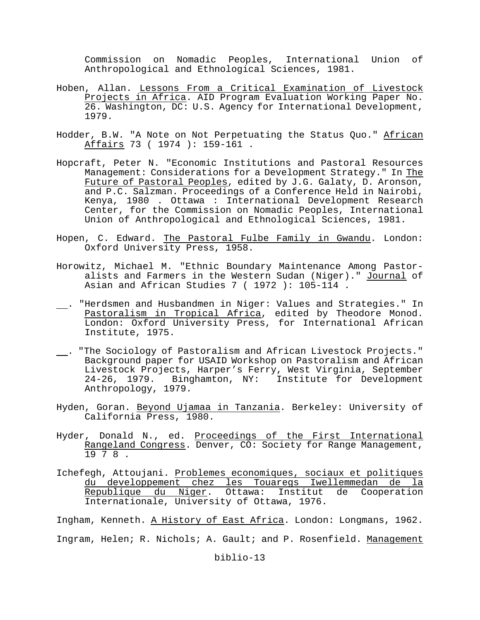Commission on Nomadic Peoples, International Union of Anthropological and Ethnological Sciences, 1981.

- Hoben, Allan. Lessons From a Critical Examination of Livestock Projects in Africa. AID Program Evaluation Working Paper No. 26. Washington, DC: U.S. Agency for International Development, 1979.
- Hodder, B.W. "A Note on Not Perpetuating the Status Quo." African Affairs 73 ( 1974 ): 159-161 .
- Hopcraft, Peter N. "Economic Institutions and Pastoral Resources Management: Considerations for a Development Strategy." In The Future of Pastoral Peoples, edited by J.G. Galaty, D. Aronson, and P.C. Salzman. Proceedings of a Conference Held in Nairobi, Kenya, 1980 . Ottawa : International Development Research Center, for the Commission on Nomadic Peoples, International Union of Anthropological and Ethnological Sciences, 1981.
- Hopen, C. Edward. The Pastoral Fulbe Family in Gwandu. London: Oxford University Press, 1958.
- Horowitz, Michael M. "Ethnic Boundary Maintenance Among Pastoralists and Farmers in the Western Sudan (Niger)." Journal of Asian and African Studies 7 ( 1972 ): 105-114 .
- . "Herdsmen and Husbandmen in Niger: Values and Strategies." In Pastoralism in Tropical Africa, edited by Theodore Monod. London: Oxford University Press, for International African Institute, 1975.
- . "The Sociology of Pastoralism and African Livestock Projects." Background paper for USAID Workshop on Pastoralism and African Livestock Projects, Harper's Ferry, West Virginia, September 24-26, 1979. Binghamton, NY: Institute for Development Anthropology, 1979.
- Hyden, Goran. Beyond Ujamaa in Tanzania. Berkeley: University of California Press, 1980.
- Hyder, Donald N., ed. Proceedings of the First International Rangeland Congress. Denver, CO: Society for Range Management, 19 7 8 .
- Ichefegh, Attoujani. Problemes economiques, sociaux et politiques du developpement chez les Touaregs Iwellemmedan de la Republique du Niger. Ottawa: Institut de Cooperation Internationale, University of Ottawa, 1976.

Ingham, Kenneth. A History of East Africa. London: Longmans, 1962. Ingram, Helen; R. Nichols; A. Gault; and P. Rosenfield. Management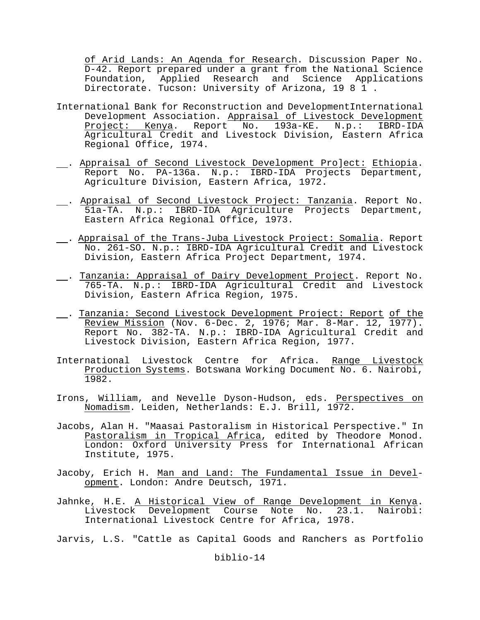of Arid Lands: An Aqenda for Research. Discussion Paper No. D-42. Report prepared under a grant from the National Science Foundation, Applied Research and Science Applications Directorate. Tucson: University of Arizona, 19 8 1.

- International Bank for Reconstruction and DevelopmentInternational Development Association. Appraisal of Livestock Development Project: Kenya. Report No. 193a-KE. N.p.: IBRD-IDA Agricultural Credit and Livestock Division, Eastern Africa Regional Office, 1974.
- . Appraisal of Second Livestock Development Pro]ect: Ethiopia. Report No. PA-136a. N.p.: IBRD-IDA Projects Department, Agriculture Division, Eastern Africa, 1972.
- . Appraisal of Second Livestock Project: Tanzania. Report No. 51a-TA. N.p.: IBRD-IDA Agriculture Projects Department, Eastern Africa Regional Office, 1973.
- . Appraisal of the Trans-Juba Livestock Project: Somalia. Report No. 261-SO. N.p.: IBRD-IDA Agricultural Credit and Livestock Division, Eastern Africa Project Department, 1974.
- . Tanzania: Appraisal of Dairy Development Project. Report No. 765-TA. N.p.: IBRD-IDA Agricultural Credit and Livestock Division, Eastern Africa Region, 1975.
- . Tanzania: Second Livestock Development Project: Report of the Review Mission (Nov. 6-Dec. 2, 1976; Mar. 8-Mar. 12, 1977). Report No. 382-TA. N.p.: IBRD-IDA Agricultural Credit and Livestock Division, Eastern Africa Region, 1977.
- International Livestock Centre for Africa. Range Livestock Production Systems. Botswana Working Document No. 6. Nairobi, 1982.
- Irons, William, and Nevelle Dyson-Hudson, eds. Perspectives on Nomadism. Leiden, Netherlands: E.J. Brill, 1972.
- Jacobs, Alan H. "Maasai Pastoralism in Historical Perspective." In Pastoralism in Tropical Africa, edited by Theodore Monod. London: Oxford University Press for International African Institute, 1975.
- Jacoby, Erich H. Man and Land: The Fundamental Issue in Devel- opment. London: Andre Deutsch, 1971.
- Jahnke, H.E. A Historical View of Range Development in Kenya. Livestock Development Course Note No. 23.1. Nairobi: International Livestock Centre for Africa, 1978.

Jarvis, L.S. "Cattle as Capital Goods and Ranchers as Portfolio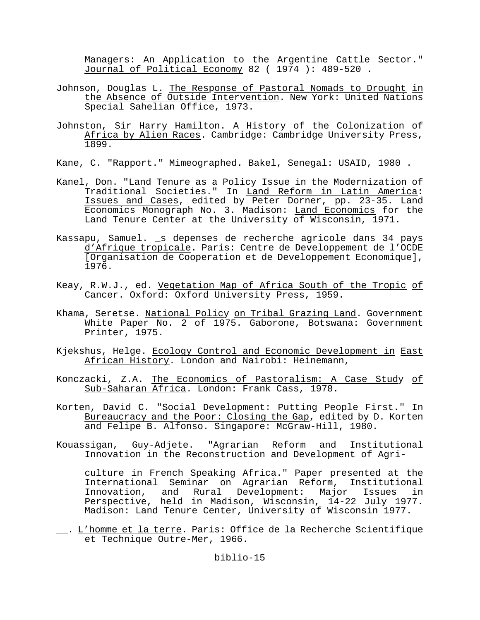Managers: An Application to the Argentine Cattle Sector." Journal of Political Economy 82 ( 1974 ): 489-520 .

- Johnson, Douglas L. The Response of Pastoral Nomads to Drought in the Absence of Outside Intervention. New York: United Nations Special Sahelian Office, 1973.
- Johnston, Sir Harry Hamilton. A History of the Colonization of Africa by Alien Races. Cambridge: Cambridge University Press, 1899.
- Kane, C. "Rapport." Mimeographed. Bakel, Senegal: USAID, 1980 .
- Kanel, Don. "Land Tenure as a Policy Issue in the Modernization of Traditional Societies." In Land Reform in Latin America: Issues and Cases, edited by Peter Dorner, pp. 23-35. Land Economics Monograph No. 3. Madison: Land Economics for the Land Tenure Center at the University of Wisconsin, 1971.
- Kassapu, Samuel. \_s depenses de recherche agricole dans 34 pays d'Afrique tropicale. Paris: Centre de Developpement de l'OCDE [Organisation de Cooperation et de Developpement Economique], 1976.
- Keay, R.W.J., ed. Vegetation Map of Africa South of the Tropic of Cancer. Oxford: Oxford University Press, 1959.
- Khama, Seretse. National Policy on Tribal Grazing Land. Government White Paper No. 2 of 1975. Gaborone, Botswana: Government Printer, 1975.
- Kjekshus, Helge. Ecology Control and Economic Development in East African History. London and Nairobi: Heinemann,
- Konczacki, Z.A. The Economics of Pastoralism: A Case Study of Sub-Saharan Africa. London: Frank Cass, 1978.
- Korten, David C. "Social Development: Putting People First." In Bureaucracy and the Poor: Closing the Gap, edited by D. Korten and Felipe B. Alfonso. Singapore: McGraw-Hill, 1980.
- Kouassigan, Guy-Adjete. "Agrarian Reform and Institutional Innovation in the Reconstruction and Development of Agri-

culture in French Speaking Africa." Paper presented at the International Seminar on Agrarian Reform, Institutional Innovation, and Rural Development: Major Issues in Perspective, held in Madison, Wisconsin, 14-22 July 1977. Madison: Land Tenure Center, University of Wisconsin 1977.

. L'homme et la terre. Paris: Office de la Recherche Scientifique et Technique Outre-Mer, 1966.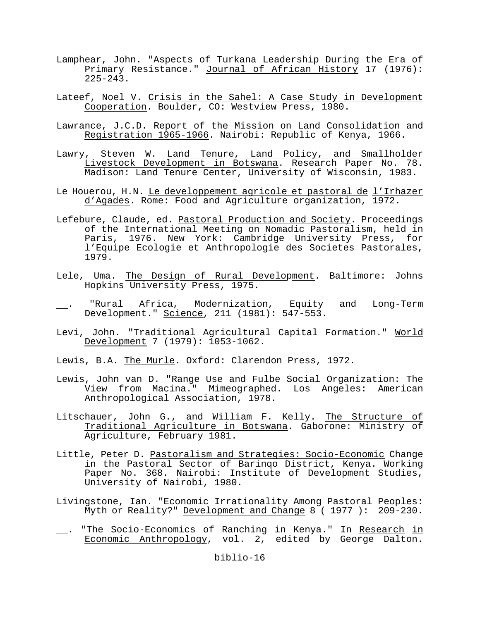- Lamphear, John. "Aspects of Turkana Leadership During the Era of Primary Resistance." Journal of African History 17 (1976): 225-243.
- Lateef, Noel V. Crisis in the Sahel: A Case Study in Development Cooperation. Boulder, CO: Westview Press, 1980.
- Lawrance, J.C.D. Report of the Mission on Land Consolidation and Registration 1965-1966. Nairobi: Republic of Kenya, 1966.
- Lawry, Steven W. Land Tenure, Land Policy, and Smallholder Livestock Development in Botswana. Research Paper No. 78. Madison: Land Tenure Center, University of Wisconsin, 1983.
- Le Houerou, H.N. Le developpement agricole et pastoral de l'Irhazer d'Agades. Rome: Food and Agriculture organization, 1972.
- Lefebure, Claude, ed. Pastoral Production and Society. Proceedings of the International Meeting on Nomadic Pastoralism, held in Paris, 1976. New York: Cambridge University Press, for l'Equipe Ecologie et Anthropologie des Societes Pastorales, 1979.
- Lele, Uma. The Design of Rural Development. Baltimore: Johns Hopkins University Press, 1975.
- . "Rural Africa, Modernization, Equity and Long-Term Development." Science, 211 (1981): 547-553.
- Levi, John. "Traditional Agricultural Capital Formation." World Development 7 (1979): 1053-1062.
- Lewis, B.A. The Murle. Oxford: Clarendon Press, 1972.
- Lewis, John van D. "Range Use and Fulbe Social Organization: The View from Macina." Mimeographed. Los Angeles: American Anthropological Association, 1978.
- Litschauer, John G., and William F. Kelly. The Structure of Traditional Agriculture in Botswana. Gaborone: Ministry of Agriculture, February 1981.
- Little, Peter D. Pastoralism and Strategies: Socio-Economic Change in the Pastoral Sector of Barinqo District, Kenya. Working Paper No. 368. Nairobi: Institute of Development Studies, University of Nairobi, 1980.
- Livingstone, Ian. "Economic Irrationality Among Pastoral Peoples: Myth or Reality?" Development and Change 8 ( 1977 ): 209-230.
- \_. "The Socio-Economics of Ranching in Kenya." In Research in Economic Anthropology, vol. 2, edited by George Dalton.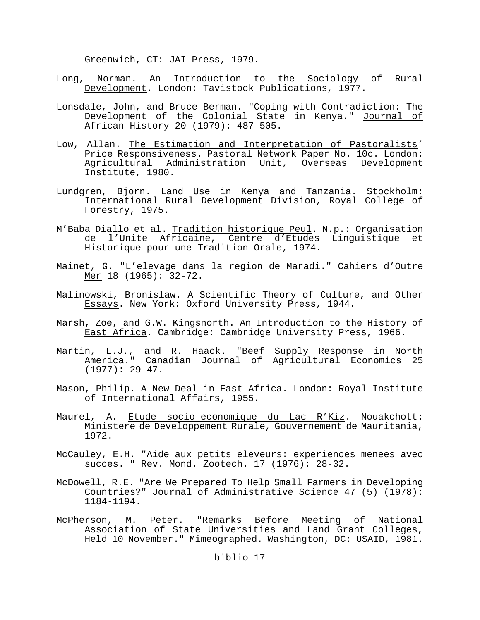Greenwich, CT: JAI Press, 1979.

- Long, Norman. An Introduction to the Sociology of Rural Development. London: Tavistock Publications, 1977.
- Lonsdale, John, and Bruce Berman. "Coping with Contradiction: The Development of the Colonial State in Kenya." Journal of African History 20 (1979): 487-505.
- Low, Allan. The Estimation and Interpretation of Pastoralists' Price Responsiveness. Pastoral Network Paper No. 10c. London: Agricultural Administration Unit, Overseas Development Institute, 1980.
- Lundgren, Bjorn. Land Use in Kenya and Tanzania. Stockholm: International Rural Development Division, Royal College of Forestry, 1975.
- M'Baba Diallo et al. Tradition historique Peul. N.p.: Organisation de l'Unite Africaine, Centre d'Etudes Linguistique et Historique pour une Tradition Orale, 1974.
- Mainet, G. "L'elevage dans la region de Maradi." Cahiers d'Outre Mer 18 (1965): 32-72.
- Malinowski, Bronislaw. A Scientific Theory of Culture, and Other Essays. New York: Oxford University Press, 1944.
- Marsh, Zoe, and G.W. Kingsnorth. An Introduction to the History of East Africa. Cambridge: Cambridge University Press, 1966.
- Martin, L.J., and R. Haack. "Beef Supply Response in North America." <u>Canadian Journal of Agricultural Economics</u> 25 (1977): 29-47.
- Mason, Philip. A New Deal in East Africa. London: Royal Institute of International Affairs, 1955.
- Maurel, A. Etude socio-economique du Lac R'Kiz. Nouakchott: Ministere de Developpement Rurale, Gouvernement de Mauritania, 1972.
- McCauley, E.H. "Aide aux petits eleveurs: experiences menees avec succes. " Rev. Mond. Zootech. 17 (1976): 28-32.
- McDowell, R.E. "Are We Prepared To Help Small Farmers in Developing Countries?" Journal of Administrative Science 47 (5) (1978): 1184-1194.
- McPherson, M. Peter. "Remarks Before Meeting of National Association of State Universities and Land Grant Colleges, Held 10 November." Mimeographed. Washington, DC: USAID, 1981.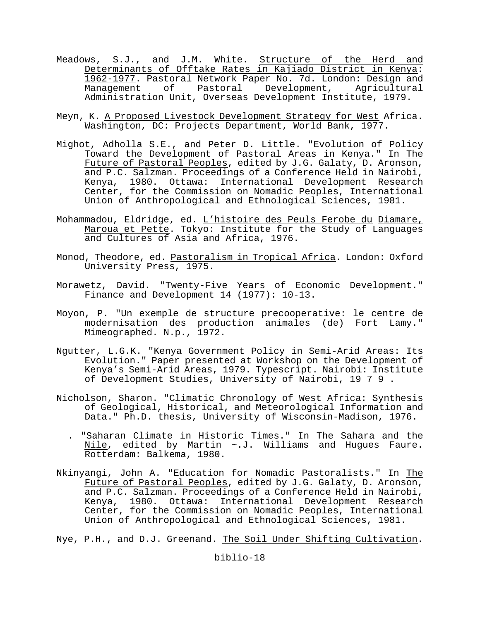- Meadows, S.J., and J.M. White. Structure of the Herd and Determinants of Offtake Rates in Kajiado District in Kenya: 1962-1977. Pastoral Network Paper No. 7d. London: Design and Management of Pastoral Development, Agricultural Administration Unit, Overseas Development Institute, 1979.
- Meyn, K. A Proposed Livestock Development Strategy for West Africa. Washington, DC: Projects Department, World Bank, 1977.
- Mighot, Adholla S.E., and Peter D. Little. "Evolution of Policy Toward the Development of Pastoral Areas in Kenya." In The Future of Pastoral Peoples, edited by J.G. Galaty, D. Aronson, and P.C. Salzman. Proceedings of a Conference Held in Nairobi, Kenya, 1980. Ottawa: International Development Research Center, for the Commission on Nomadic Peoples, International Union of Anthropological and Ethnological Sciences, 1981.
- Mohammadou, Eldridge, ed. L'histoire des Peuls Ferobe du Diamare, Maroua et Pette. Tokyo: Institute for the Study of Languages and Cultures of Asia and Africa, 1976.
- Monod, Theodore, ed. Pastoralism in Tropical Africa. London: Oxford University Press, 1975.
- Morawetz, David. "Twenty-Five Years of Economic Development." Finance and Development 14 (1977): 10-13.
- Moyon, P. "Un exemple de structure precooperative: le centre de modernisation des production animales (de) Fort Lamy." Mimeographed. N.p., 1972.
- Ngutter, L.G.K. "Kenya Government Policy in Semi-Arid Areas: Its Evolution." Paper presented at Workshop on the Development of Kenya's Semi-Arid Areas, 1979. Typescript. Nairobi: Institute of Development Studies, University of Nairobi, 1979.
- Nicholson, Sharon. "Climatic Chronology of West Africa: Synthesis of Geological, Historical, and Meteorological Information and Data." Ph.D. thesis, University of Wisconsin-Madison, 1976.
- . "Saharan Climate in Historic Times." In The Sahara and the Nile, edited by Martin ~.J. Williams and Hugues Faure. Rotterdam: Balkema, 1980.
- Nkinyangi, John A. "Education for Nomadic Pastoralists." In The Future of Pastoral Peoples, edited by J.G. Galaty, D. Aronson, and P.C. Salzman. Proceedings of a Conference Held in Nairobi, Kenya, 1980. Ottawa: International Development Research Center, for the Commission on Nomadic Peoples, International Union of Anthropological and Ethnological Sciences, 1981.

Nye, P.H., and D.J. Greenand. The Soil Under Shifting Cultivation.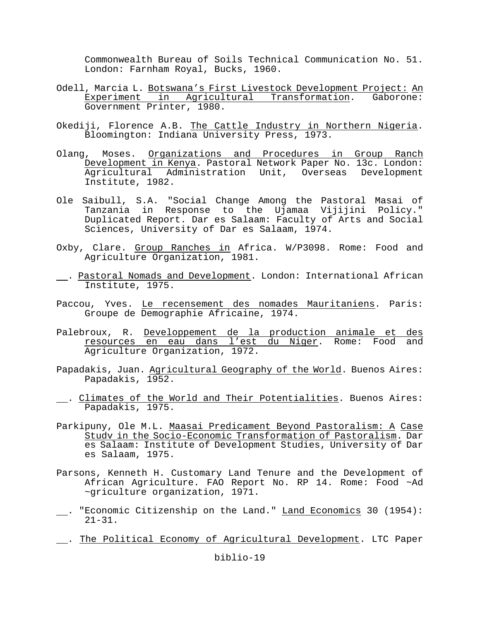Commonwealth Bureau of Soils Technical Communication No. 51. London: Farnham Royal, Bucks, 1960.

- Odell, Marcia L. Botswana's First Livestock Development Project: An Experiment in Agricultural Transformation. Gaborone: Government Printer, 1980.
- Okediji, Florence A.B. The Cattle Industry in Northern Nigeria. Bloomington: Indiana University Press, 1973.
- Olang, Moses. Organizations and Procedures in Group Ranch Development in Kenya. Pastoral Network Paper No. 13c. London: Agricultural Administration Unit, Overseas Development Institute, 1982.
- Ole Saibull, S.A. "Social Change Among the Pastoral Masai of Tanzania in Response to the Ujamaa Vijijini Policy." Duplicated Report. Dar es Salaam: Faculty of Arts and Social Sciences, University of Dar es Salaam, 1974.
- Oxby, Clare. Group Ranches in Africa. W/P3098. Rome: Food and Agriculture Organization, 1981.
- . Pastoral Nomads and Development. London: International African Institute, 1975.
- Paccou, Yves. Le recensement des nomades Mauritaniens. Paris: Groupe de Demographie Africaine, 1974.
- Palebroux, R. Developpement de la production animale et des resources en eau dans l'est du Niger. Rome: Food and Agriculture Organization, 1972.
- Papadakis, Juan. Agricultural Geography of the World. Buenos Aires: Papadakis, 1952.
- ... Climates of the World and Their Potentialities. Buenos Aires: Papadakis, 1975.
- Parkipuny, Ole M.L. Maasai Predicament Beyond Pastoralism: A Case Studv in the Socio-Economic Transformation of Pastoralism. Dar es Salaam: Institute of Development Studies, University of Dar es Salaam, 1975.
- Parsons, Kenneth H. Customary Land Tenure and the Development of African Agriculture. FAO Report No. RP 14. Rome: Food ~Ad ~griculture organization, 1971.
- . "Economic Citizenship on the Land." <u>Land Economics</u> 30 (1954): 21-31.
- . The Political Economy of Agricultural Development. LTC Paper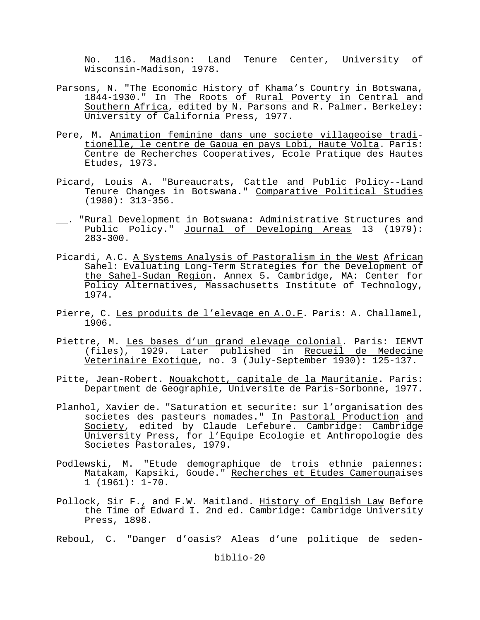No. 116. Madison: Land Tenure Center, University of Wisconsin-Madison, 1978.

- Parsons, N. "The Economic History of Khama's Country in Botswana, 1844-1930." In The Roots of Rural Poverty in Central and Southern Africa, edited by N. Parsons and R. Palmer. Berkeley: University of California Press, 1977.
- Pere, M. Animation feminine dans une societe villageoise traditionelle, le centre de Gaoua en pays Lobi, Haute Volta. Paris: Centre de Recherches Cooperatives, Ecole Pratique des Hautes Etudes, 1973.
- Picard, Louis A. "Bureaucrats, Cattle and Public Policy--Land Tenure Changes in Botswana." Comparative Political Studies (1980): 313-356.
- . "Rural Development in Botswana: Administrative Structures and Public Policy." Journal of Developing Areas 13 (1979): 283-300.
- Picardi, A.C. A Systems Analysis of Pastoralism in the West African Sahel: Evaluating Long-Term Strategies for the Development of the Sahel-Sudan Region. Annex 5. Cambridge, MA: Center for Policy Alternatives, Massachusetts Institute of Technology, 1974.
- Pierre, C. Les produits de l'elevage en A.O.F. Paris: A. Challamel, 1906.
- Piettre, M. Les bases d'un grand elevage colonial. Paris: IEMVT (files), 1929. Later published in Recueil de Medecine Veterinaire Exotique, no. 3 (July-September 1930): 125-137.
- Pitte, Jean-Robert. Nouakchott, capitale de la Mauritanie. Paris: Department de Geographie, Universite de Paris-Sorbonne, 1977.
- Planhol, Xavier de. "Saturation et securite: sur l'organisation des societes des pasteurs nomades." In Pastoral Production and Society, edited by Claude Lefebure. Cambridge: Cambridge University Press, for l'Equipe Ecologie et Anthropologie des Societes Pastorales, 1979.
- Podlewski, M. "Etude demographique de trois ethnie paiennes: Matakam, Kapsiki, Goude." Recherches et Etudes Camerounaises 1 (1961): 1-70.
- Pollock, Sir F., and F.W. Maitland. History of English Law Before the Time of Edward I. 2nd ed. Cambridge: Cambridge University Press, 1898.

Reboul, C. "Danger d'oasis? Aleas d'une politique de seden-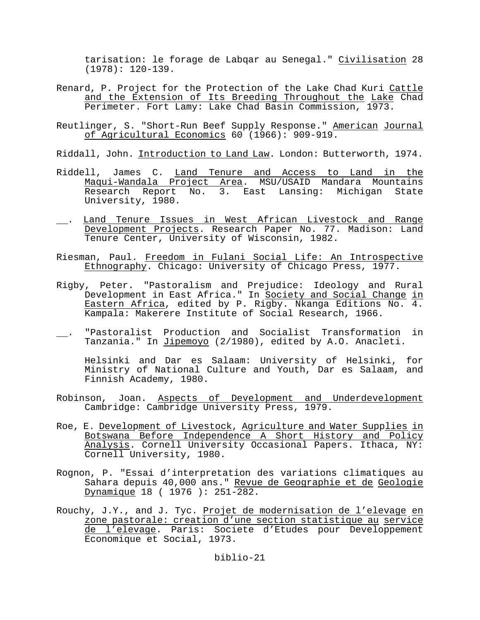tarisation: le forage de Labqar au Senegal." Civilisation 28 (1978): 120-139.

- Renard, P. Project for the Protection of the Lake Chad Kuri Cattle and the Extension of Its Breeding Throughout the Lake Chad Perimeter. Fort Lamy: Lake Chad Basin Commission, 1973.
- Reutlinger, S. "Short-Run Beef Supply Response." American Journal of Agricultural Economics 60 (1966): 909-919.
- Riddall, John. Introduction to Land Law. London: Butterworth, 1974.
- Riddell, James C. Land Tenure and Access to Land in the Maqui-Wandala Project Area. MSU/USAID Mandara Mountains Research Report No. 3. East Lansing: Michigan State University, 1980.
- . Land Tenure Issues in West African Livestock and Range Development Projects. Research Paper No. 77. Madison: Land Tenure Center, University of Wisconsin, 1982.
- Riesman, Paul. Freedom in Fulani Social Life: An Introspective Ethnography. Chicago: University of Chicago Press, 1977.
- Rigby, Peter. "Pastoralism and Prejudice: Ideology and Rural Development in East Africa." In Society and Social Change in Eastern Africa, edited by P. Rigby. Nkanga Editions No. 4. Kampala: Makerere Institute of Social Research, 1966.
- . "Pastoralist Production and Socialist Transformation in Tanzania." In Jipemoyo (2/1980), edited by A.O. Anacleti.

Helsinki and Dar es Salaam: University of Helsinki, for Ministry of National Culture and Youth, Dar es Salaam, and Finnish Academy, 1980.

- Robinson, Joan. Aspects of Development and Underdevelopment Cambridge: Cambridge University Press, 1979.
- Roe, E. Development of Livestock, Agriculture and Water Supplies in Botswana Before Independence A Short History and Policy Analysis. Cornell University Occasional Papers. Ithaca, NY: Cornell University, 1980.
- Rognon, P. "Essai d'interpretation des variations climatiques au Sahara depuis 40,000 ans." Revue de Geographie et de Geologie Dynamique 18 ( 1976 ): 251-282.
- Rouchy, J.Y., and J. Tyc. Projet de modernisation de l'elevage en zone pastorale: creation d'une section statistique au service de l'elevage. Paris: Societe d'Etudes pour Developpement Economique et Social, 1973.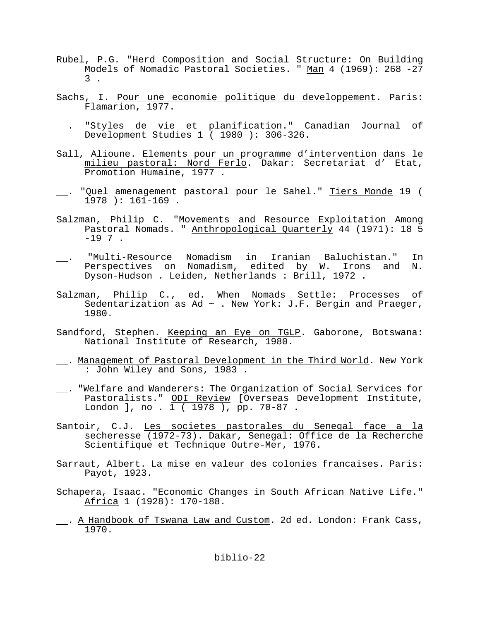- Rubel, P.G. "Herd Composition and Social Structure: On Building Models of Nomadic Pastoral Societies. " Man 4 (1969): 268 -27 3 .
- Sachs, I. Pour une economie politique du developpement. Paris: Flamarion, 1977.
- . "Styles de vie et planification." Canadian Journal of Development Studies 1 ( 1980 ): 306-326.
- Sall, Alioune. Elements pour un programme d'intervention dans le milieu pastoral: Nord Ferlo. Dakar: Secretariat d' Etat, Promotion Humaine, 1977 .
- ... "Quel amenagement pastoral pour le Sahel." Tiers Monde 19 ( 1978 ): 161-169 .
- Salzman, Philip C. "Movements and Resource Exploitation Among Pastoral Nomads. " Anthropological Quarterly 44 (1971): 18 5  $-19$  7.
- . "Multi-Resource Nomadism in Iranian Baluchistan." In Perspectives on Nomadism, edited by W. Irons and N. Dyson-Hudson . Leiden, Netherlands : Brill, 1972 .
- Salzman, Philip C., ed. When Nomads Settle: Processes of Sedentarization as  $Ad \sim$ . New York: J.F. Bergin and Praeger, 1980.
- Sandford, Stephen. Keeping an Eye on TGLP. Gaborone, Botswana: National Institute of Research, 1980.
- . Management of Pastoral Development in the Third World. New York : John Wiley and Sons, 1983 .
- . "Welfare and Wanderers: The Organization of Social Services for Pastoralists." ODI Review [Overseas Development Institute, London ], no.1( 1978 ), pp. 70-87 .
- Santoir, C.J. Les societes pastorales du Senegal face a la secheresse (1972-73). Dakar, Senegal: Office de la Recherche Scientifique et Technique Outre-Mer, 1976.
- Sarraut, Albert. La mise en valeur des colonies francaises. Paris: Payot, 1923.
- Schapera, Isaac. "Economic Changes in South African Native Life." Africa 1 (1928): 170-188.
- ... A Handbook of Tswana Law and Custom. 2d ed. London: Frank Cass, 1970.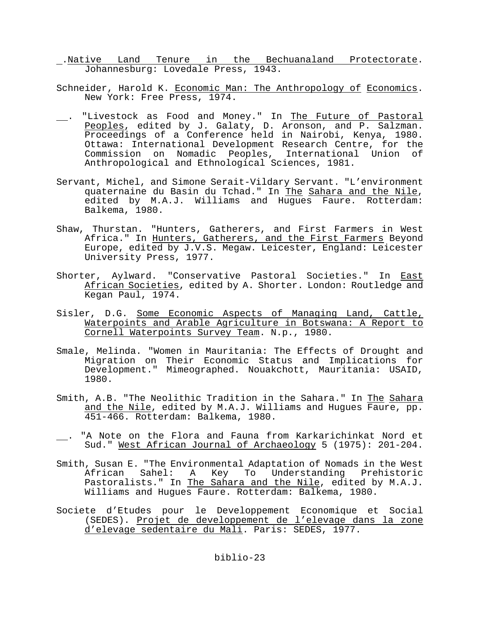- .Native Land Tenure in the Bechuanaland Protectorate. Johannesburg: Lovedale Press, 1943.
- Schneider, Harold K. Economic Man: The Anthropology of Economics. New York: Free Press, 1974.
- . "Livestock as Food and Money." In The Future of Pastoral Peoples, edited by J. Galaty, D. Aronson, and P. Salzman. Proceedings of a Conference held in Nairobi, Kenya, 1980. Ottawa: International Development Research Centre, for the Commission on Nomadic Peoples, International Union of Anthropological and Ethnological Sciences, 1981.
- Servant, Michel, and Simone Serait-Vildary Servant. "L'environment quaternaine du Basin du Tchad." In The Sahara and the Nile, edited by M.A.J. Williams and Hugues Faure. Rotterdam: Balkema, 1980.
- Shaw, Thurstan. "Hunters, Gatherers, and First Farmers in West Africa." In Hunters, Gatherers, and the First Farmers Beyond Europe, edited by J.V.S. Megaw. Leicester, England: Leicester University Press, 1977.
- Shorter, Aylward. "Conservative Pastoral Societies." In East African Societies, edited by A. Shorter. London: Routledge and Kegan Paul, 1974.
- Sisler, D.G. Some Economic Aspects of Managing Land, Cattle, Waterpoints and Arable Agriculture in Botswana: A Report to Cornell Waterpoints Survey Team. N.p., 1980.
- Smale, Melinda. "Women in Mauritania: The Effects of Drought and Migration on Their Economic Status and Implications for Development." Mimeographed. Nouakchott, Mauritania: USAID, 1980.
- Smith, A.B. "The Neolithic Tradition in the Sahara." In The Sahara and the Nile, edited by M.A.J. Williams and Hugues Faure, pp. 451-466. Rotterdam: Balkema, 1980.
- . "A Note on the Flora and Fauna from Karkarichinkat Nord et Sud." West African Journal of Archaeology 5 (1975): 201-204.
- Smith, Susan E. "The Environmental Adaptation of Nomads in the West African Sahel: A Key To Understanding Prehistoric Pastoralists." In The Sahara and the Nile, edited by M.A.J. Williams and Hugues Faure. Rotterdam: Balkema, 1980.
- Societe d'Etudes pour le Developpement Economique et Social (SEDES). Projet de developpement de l'elevage dans la zone d'elevage sedentaire du Mali. Paris: SEDES, 1977.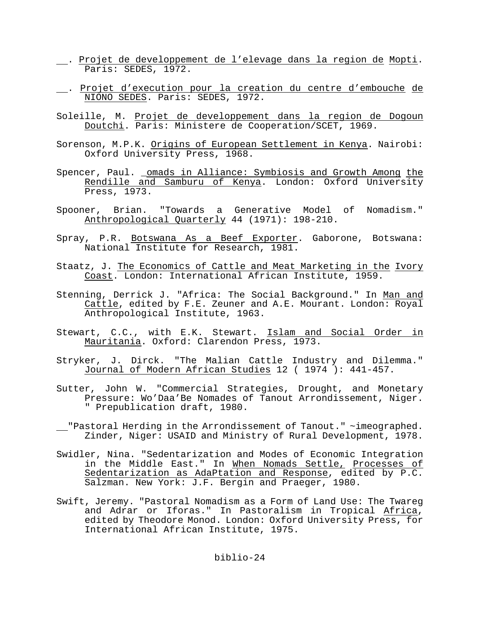- ... Projet de developpement de l'elevage dans la region de Mopti. Paris: SEDES, 1972.
- . Projet d'execution pour la creation du centre d'embouche de NIONO SEDES. Paris: SEDES, 1972.
- Soleille, M. Projet de developpement dans la region de Dogoun Doutchi. Paris: Ministere de Cooperation/SCET, 1969.
- Sorenson, M.P.K. Origins of European Settlement in Kenya. Nairobi: Oxford University Press, 1968.
- Spencer, Paul. \_ omads in Alliance: Symbiosis and Growth Among the Rendille and Samburu of Kenya. London: Oxford University Press, 1973.
- Spooner, Brian. "Towards a Generative Model of Nomadism." Anthropological Quarterly 44 (1971): 198-210.
- Spray, P.R. Botswana As a Beef Exporter. Gaborone, Botswana: National Institute for Research, 1981.
- Staatz, J. The Economics of Cattle and Meat Marketing in the Ivory Coast. London: International African Institute, 1959.
- Stenning, Derrick J. "Africa: The Social Background." In Man and Cattle, edited by F.E. Zeuner and A.E. Mourant. London: Royal Anthropological Institute, 1963.
- Stewart, C.C., with E.K. Stewart. Islam and Social Order in Mauritania. Oxford: Clarendon Press, 1973.
- Stryker, J. Dirck. "The Malian Cattle Industry and Dilemma." Journal of Modern African Studies 12 ( 1974 ): 441-457.
- Sutter, John W. "Commercial Strategies, Drought, and Monetary Pressure: Wo'Daa'Be Nomades of Tanout Arrondissement, Niger. " Prepublication draft, 1980.
- "Pastoral Herding in the Arrondissement of Tanout." ~imeographed. Zinder, Niger: USAID and Ministry of Rural Development, 1978.
- Swidler, Nina. "Sedentarization and Modes of Economic Integration in the Middle East." In When Nomads Settle, Processes of Sedentarization as AdaPtation and Response, edited by P.C. Salzman. New York: J.F. Bergin and Praeger, 1980.
- Swift, Jeremy. "Pastoral Nomadism as a Form of Land Use: The Twareg and Adrar or Iforas." In Pastoralism in Tropical Africa, edited by Theodore Monod. London: Oxford University Press, for International African Institute, 1975.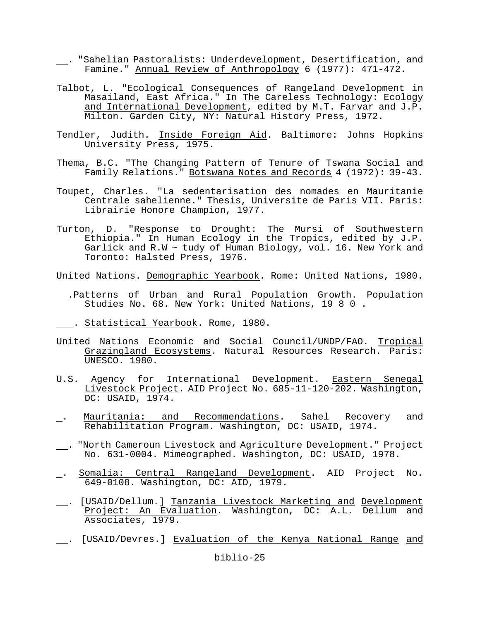- . "Sahelian Pastoralists: Underdevelopment, Desertification, and Famine." Annual Review of Anthropology 6 (1977): 471-472.
- Talbot, L. "Ecological Consequences of Rangeland Development in Masailand, East Africa." In The Careless Technology: Ecology and International Development, edited by M.T. Farvar and J.P. Milton. Garden City, NY: Natural History Press, 1972.
- Tendler, Judith. Inside Foreign Aid. Baltimore: Johns Hopkins University Press, 1975.
- Thema, B.C. "The Changing Pattern of Tenure of Tswana Social and Family Relations." Botswana Notes and Records 4 (1972): 39-43.
- Toupet, Charles. "La sedentarisation des nomades en Mauritanie Centrale sahelienne." Thesis, Universite de Paris VII. Paris: Librairie Honore Champion, 1977.
- Turton, D. "Response to Drought: The Mursi of Southwestern Ethiopia." In Human Ecology in the Tropics, edited by J.P. Garlick and R.W ~ tudy of Human Biology, vol. 16. New York and Toronto: Halsted Press, 1976.
- United Nations. Demographic Yearbook. Rome: United Nations, 1980.
- ....Patterns of Urban and Rural Population Growth. Population Studies No. 68. New York: United Nations, 1980.
- . Statistical Yearbook. Rome, 1980.
- United Nations Economic and Social Council/UNDP/FAO. Tropical Grazingland Ecosystems. Natural Resources Research. Paris: UNESCO. 1980.
- U.S. Agency for International Development. Eastern Senegal Livestock Project. AID Project No. 685-11-120-202. Washington, DC: USAID, 1974.
- . Mauritania: and Recommendations. Sahel Recovery and Rehabilitation Program. Washington, DC: USAID, 1974.
- . "North Cameroun Livestock and Agriculture Development." Project No. 631-0004. Mimeographed. Washington, DC: USAID, 1978.
- . Somalia: Central Rangeland Development. AID Project No. 649-0108. Washington, DC: AID, 1979.
- . [USAID/Dellum.] Tanzania Livestock Marketing and Development Project: An Evaluation. Washington, DC: A.L. Dellum and Associates, 1979.
- . [USAID/Devres.] Evaluation of the Kenya National Range and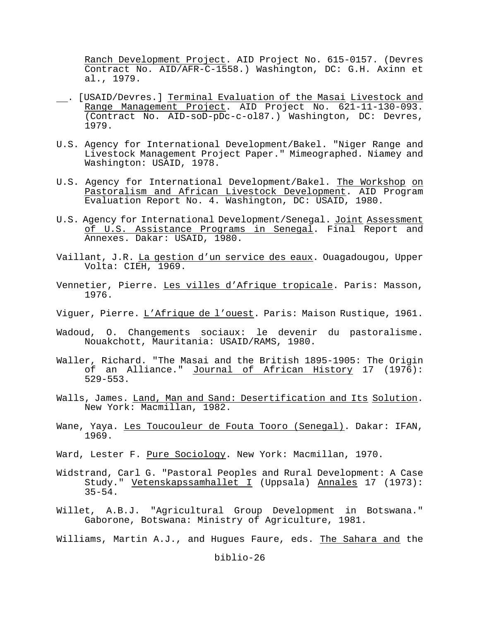Ranch Development Project. AID Project No. 615-0157. (Devres Contract No. AID/AFR-C-1558.) Washington, DC: G.H. Axinn et al., 1979.

- . [USAID/Devres.] Terminal Evaluation of the Masai Livestock and Range Management Project. AID Project No. 621-11-130-093. (Contract No. AID-soD-pDc-c-ol87.) Washington, DC: Devres, 1979.
- U.S. Agency for International Development/Bakel. "Niger Range and Livestock Management Project Paper." Mimeographed. Niamey and Washington: USAID, 1978.
- U.S. Agency for International Development/Bakel. The Workshop on Pastoralism and African Livestock Development. AID Program Evaluation Report No. 4. Washington, DC: USAID, 1980.
- U.S. Agency for International Development/Senegal. Joint Assessment of U.S. Assistance Programs in Senegal. Final Report and Annexes. Dakar: USAID, 1980.
- Vaillant, J.R. La gestion d'un service des eaux. Ouagadougou, Upper Volta: CIEH, 1969.
- Vennetier, Pierre. Les villes d'Afrique tropicale. Paris: Masson, 1976.
- Viguer, Pierre. L'Afrique de l'ouest. Paris: Maison Rustique, 1961.
- Wadoud, O. Changements sociaux: le devenir du pastoralisme. Nouakchott, Mauritania: USAID/RAMS, 1980.
- Waller, Richard. "The Masai and the British 1895-1905: The Origin of an Alliance." Journal of African History 17 (1976): 529-553.
- Walls, James. <u>Land, Man and Sand: Desertification and Its Solution</u>.<br>New York: Macmillan, 1982.
- Wane, Yaya. Les Toucouleur de Fouta Tooro (Senegal). Dakar: IFAN, 1969.
- Ward, Lester F. Pure Sociology. New York: Macmillan, 1970.
- Widstrand, Carl G. "Pastoral Peoples and Rural Development: A Case Study." Vetenskapssamhallet I (Uppsala) Annales 17 (1973): 35-54.
- Willet, A.B.J. "Agricultural Group Development in Botswana." Gaborone, Botswana: Ministry of Agriculture, 1981.

Williams, Martin A.J., and Hugues Faure, eds. The Sahara and the